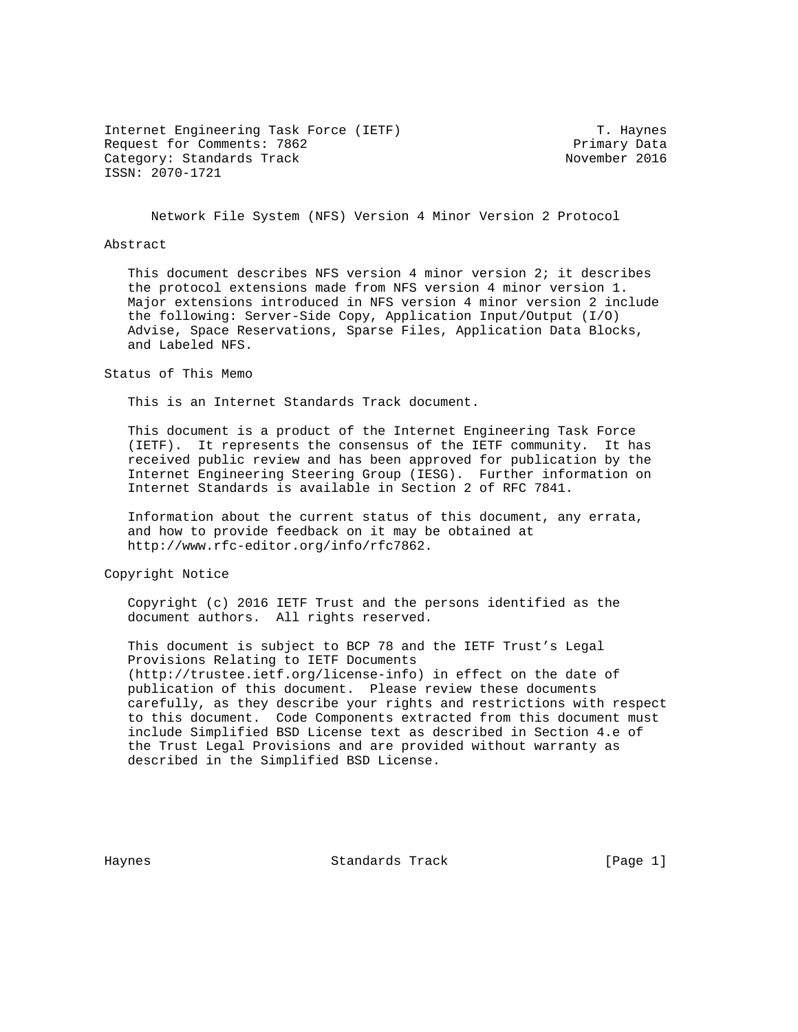Internet Engineering Task Force (IETF) T. Haynes<br>Request for Comments: 7862 The Secret Primary Data Request for Comments: 7862 Category: Standards Track November 2016 ISSN: 2070-1721

Network File System (NFS) Version 4 Minor Version 2 Protocol

#### Abstract

 This document describes NFS version 4 minor version 2; it describes the protocol extensions made from NFS version 4 minor version 1. Major extensions introduced in NFS version 4 minor version 2 include the following: Server-Side Copy, Application Input/Output (I/O) Advise, Space Reservations, Sparse Files, Application Data Blocks, and Labeled NFS.

Status of This Memo

This is an Internet Standards Track document.

 This document is a product of the Internet Engineering Task Force (IETF). It represents the consensus of the IETF community. It has received public review and has been approved for publication by the Internet Engineering Steering Group (IESG). Further information on Internet Standards is available in Section 2 of RFC 7841.

 Information about the current status of this document, any errata, and how to provide feedback on it may be obtained at http://www.rfc-editor.org/info/rfc7862.

Copyright Notice

 Copyright (c) 2016 IETF Trust and the persons identified as the document authors. All rights reserved.

 This document is subject to BCP 78 and the IETF Trust's Legal Provisions Relating to IETF Documents (http://trustee.ietf.org/license-info) in effect on the date of publication of this document. Please review these documents carefully, as they describe your rights and restrictions with respect to this document. Code Components extracted from this document must include Simplified BSD License text as described in Section 4.e of the Trust Legal Provisions and are provided without warranty as described in the Simplified BSD License.

Haynes Standards Track [Page 1]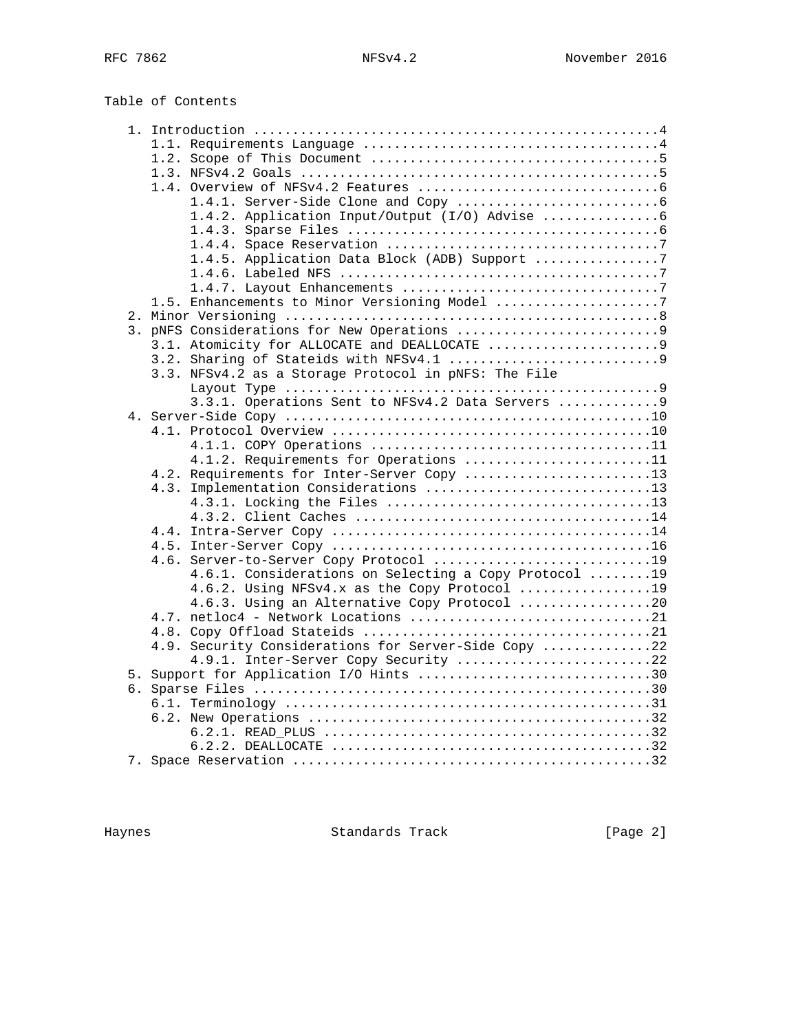Table of Contents

|  | 1.4.5. Application Data Block (ADB) Support 7         |  |
|--|-------------------------------------------------------|--|
|  |                                                       |  |
|  |                                                       |  |
|  | 1.5. Enhancements to Minor Versioning Model 7         |  |
|  |                                                       |  |
|  |                                                       |  |
|  | 3.1. Atomicity for ALLOCATE and DEALLOCATE 9          |  |
|  |                                                       |  |
|  | 3.3. NFSv4.2 as a Storage Protocol in pNFS: The File  |  |
|  |                                                       |  |
|  | 3.3.1. Operations Sent to NFSv4.2 Data Servers 9      |  |
|  |                                                       |  |
|  |                                                       |  |
|  |                                                       |  |
|  | 4.1.2. Requirements for Operations 11                 |  |
|  | 4.2. Requirements for Inter-Server Copy 13            |  |
|  | 4.3. Implementation Considerations 13                 |  |
|  |                                                       |  |
|  |                                                       |  |
|  |                                                       |  |
|  |                                                       |  |
|  | 4.6. Server-to-Server Copy Protocol 19                |  |
|  | 4.6.1. Considerations on Selecting a Copy Protocol 19 |  |
|  | 4.6.2. Using NFSv4.x as the Copy Protocol 19          |  |
|  | 4.6.3. Using an Alternative Copy Protocol 20          |  |
|  |                                                       |  |
|  |                                                       |  |
|  | 4.9. Security Considerations for Server-Side Copy 22  |  |
|  | 4.9.1. Inter-Server Copy Security 22                  |  |
|  | 5. Support for Application I/O Hints 30               |  |
|  |                                                       |  |
|  |                                                       |  |
|  |                                                       |  |
|  |                                                       |  |
|  |                                                       |  |
|  |                                                       |  |

Haynes **Example 2** Standards Track **Example 2** [Page 2]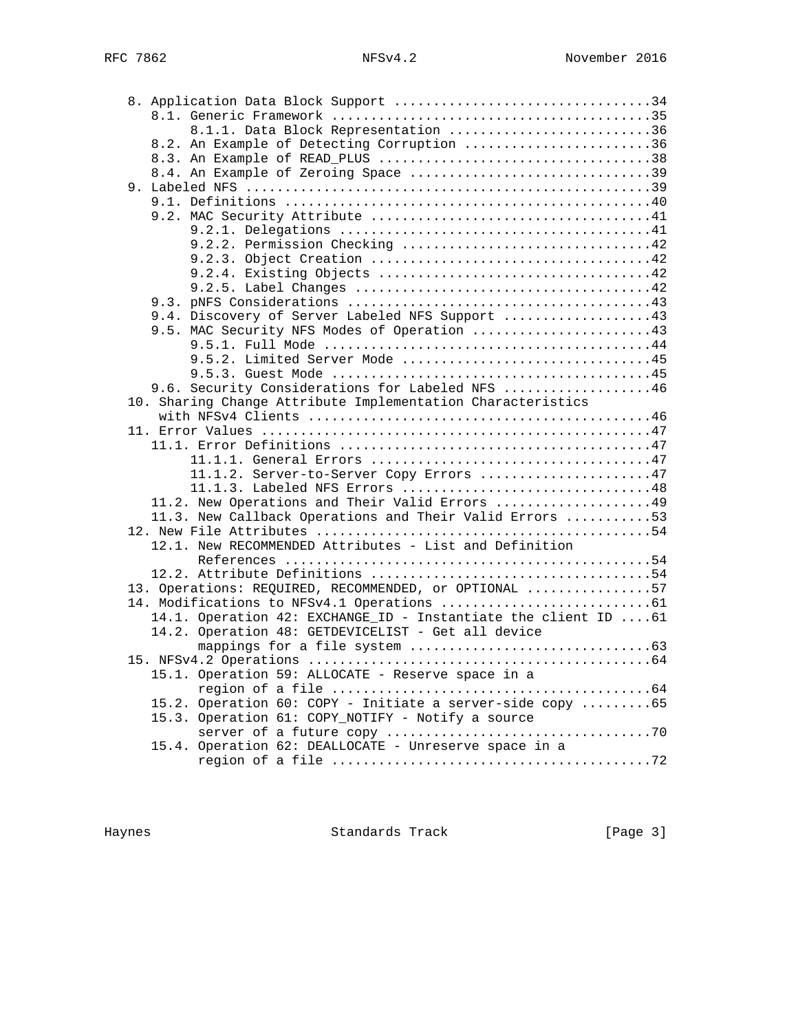| 8.1.1. Data Block Representation 36                                                            |  |
|------------------------------------------------------------------------------------------------|--|
| 8.2. An Example of Detecting Corruption 36                                                     |  |
|                                                                                                |  |
| 8.4. An Example of Zeroing Space 39                                                            |  |
|                                                                                                |  |
|                                                                                                |  |
|                                                                                                |  |
|                                                                                                |  |
| 9.2.2. Permission Checking 42                                                                  |  |
|                                                                                                |  |
|                                                                                                |  |
|                                                                                                |  |
|                                                                                                |  |
| 9.4. Discovery of Server Labeled NFS Support 43<br>9.5. MAC Security NFS Modes of Operation 43 |  |
|                                                                                                |  |
| 9.5.2. Limited Server Mode 45                                                                  |  |
|                                                                                                |  |
| 9.6. Security Considerations for Labeled NFS 46                                                |  |
| 10. Sharing Change Attribute Implementation Characteristics                                    |  |
|                                                                                                |  |
|                                                                                                |  |
|                                                                                                |  |
|                                                                                                |  |
| 11.1.2. Server-to-Server Copy Errors 47                                                        |  |
|                                                                                                |  |
| 11.2. New Operations and Their Valid Errors 49                                                 |  |
| 11.3. New Callback Operations and Their Valid Errors 53                                        |  |
|                                                                                                |  |
| 12.1. New RECOMMENDED Attributes - List and Definition                                         |  |
|                                                                                                |  |
|                                                                                                |  |
| 13. Operations: REQUIRED, RECOMMENDED, or OPTIONAL 57                                          |  |
|                                                                                                |  |
| 14.1. Operation 42: EXCHANGE_ID - Instantiate the client ID  61                                |  |
| 14.2. Operation 48: GETDEVICELIST - Get all device                                             |  |
|                                                                                                |  |
|                                                                                                |  |
| 15.1. Operation 59: ALLOCATE - Reserve space in a                                              |  |
|                                                                                                |  |
| 15.2. Operation 60: COPY - Initiate a server-side copy 65                                      |  |
| 15.3. Operation 61: COPY_NOTIFY - Notify a source                                              |  |
|                                                                                                |  |
| 15.4. Operation 62: DEALLOCATE - Unreserve space in a                                          |  |
|                                                                                                |  |

Haynes **Example 2** Standards Track **Example 2** [Page 3]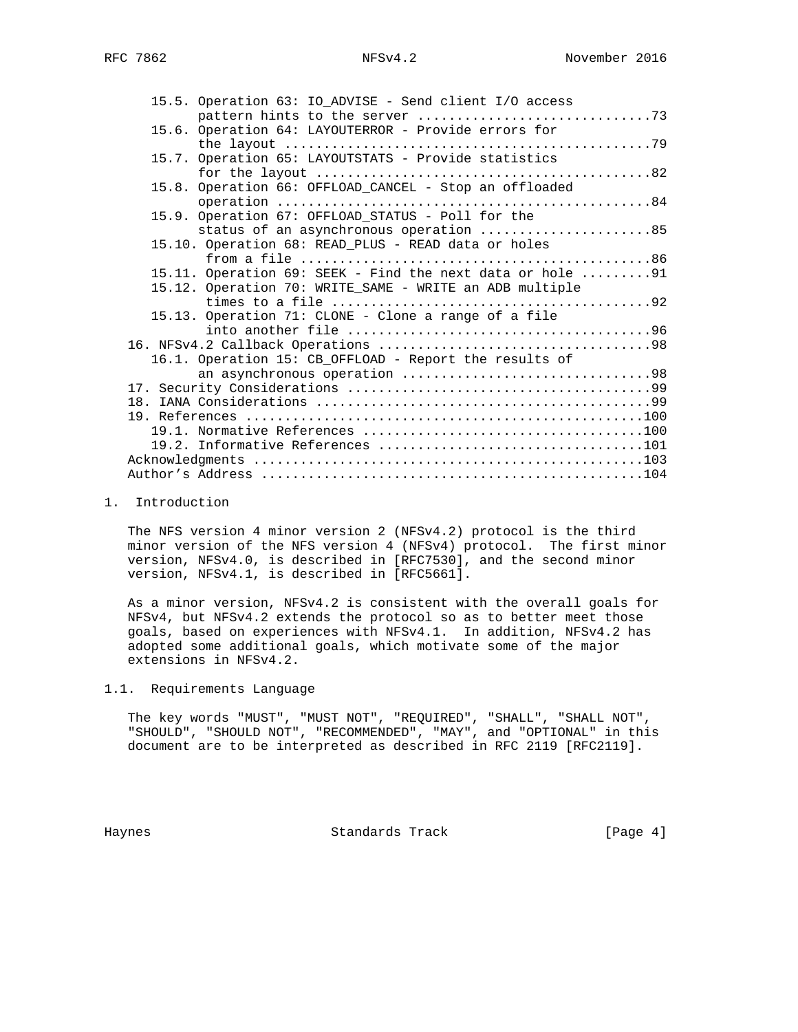| 15.5. Operation 63: IO_ADVISE - Send client I/O access    |
|-----------------------------------------------------------|
|                                                           |
| 15.6. Operation 64: LAYOUTERROR - Provide errors for      |
|                                                           |
| 15.7. Operation 65: LAYOUTSTATS - Provide statistics      |
|                                                           |
| 15.8. Operation 66: OFFLOAD_CANCEL - Stop an offloaded    |
|                                                           |
| 15.9. Operation 67: OFFLOAD_STATUS - Poll for the         |
| status of an asynchronous operation 85                    |
| 15.10. Operation 68: READ_PLUS - READ data or holes       |
|                                                           |
| 15.11. Operation 69: SEEK - Find the next data or hole 91 |
| 15.12. Operation 70: WRITE_SAME - WRITE an ADB multiple   |
|                                                           |
| 15.13. Operation 71: CLONE - Clone a range of a file      |
|                                                           |
|                                                           |
| 16.1. Operation 15: CB_OFFLOAD - Report the results of    |
|                                                           |
|                                                           |
|                                                           |
|                                                           |
|                                                           |
|                                                           |
|                                                           |
|                                                           |

### 1. Introduction

 The NFS version 4 minor version 2 (NFSv4.2) protocol is the third minor version of the NFS version 4 (NFSv4) protocol. The first minor version, NFSv4.0, is described in [RFC7530], and the second minor version, NFSv4.1, is described in [RFC5661].

 As a minor version, NFSv4.2 is consistent with the overall goals for NFSv4, but NFSv4.2 extends the protocol so as to better meet those goals, based on experiences with NFSv4.1. In addition, NFSv4.2 has adopted some additional goals, which motivate some of the major extensions in NFSv4.2.

## 1.1. Requirements Language

 The key words "MUST", "MUST NOT", "REQUIRED", "SHALL", "SHALL NOT", "SHOULD", "SHOULD NOT", "RECOMMENDED", "MAY", and "OPTIONAL" in this document are to be interpreted as described in RFC 2119 [RFC2119].

Haynes Standards Track [Page 4]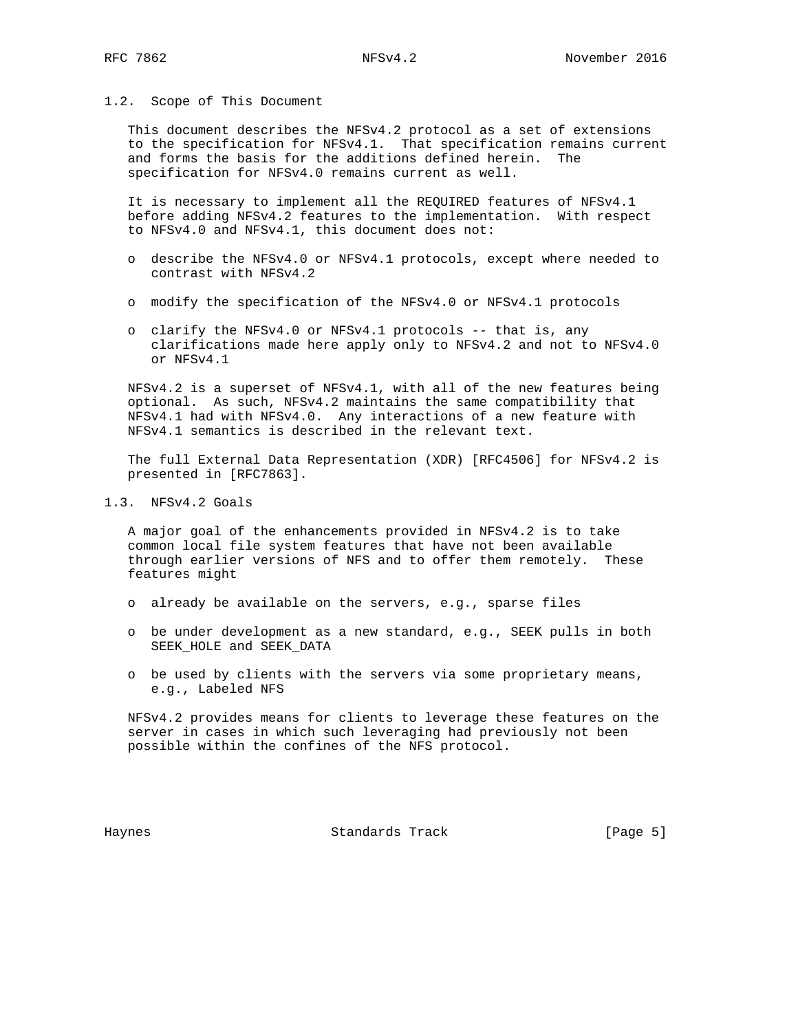#### 1.2. Scope of This Document

 This document describes the NFSv4.2 protocol as a set of extensions to the specification for NFSv4.1. That specification remains current and forms the basis for the additions defined herein. The specification for NFSv4.0 remains current as well.

 It is necessary to implement all the REQUIRED features of NFSv4.1 before adding NFSv4.2 features to the implementation. With respect to NFSv4.0 and NFSv4.1, this document does not:

- o describe the NFSv4.0 or NFSv4.1 protocols, except where needed to contrast with NFSv4.2
- o modify the specification of the NFSv4.0 or NFSv4.1 protocols
- o clarify the NFSv4.0 or NFSv4.1 protocols -- that is, any clarifications made here apply only to NFSv4.2 and not to NFSv4.0 or NFSv4.1

 NFSv4.2 is a superset of NFSv4.1, with all of the new features being optional. As such, NFSv4.2 maintains the same compatibility that NFSv4.1 had with NFSv4.0. Any interactions of a new feature with NFSv4.1 semantics is described in the relevant text.

 The full External Data Representation (XDR) [RFC4506] for NFSv4.2 is presented in [RFC7863].

1.3. NFSv4.2 Goals

 A major goal of the enhancements provided in NFSv4.2 is to take common local file system features that have not been available through earlier versions of NFS and to offer them remotely. These features might

- o already be available on the servers, e.g., sparse files
- o be under development as a new standard, e.g., SEEK pulls in both SEEK\_HOLE and SEEK\_DATA
- o be used by clients with the servers via some proprietary means, e.g., Labeled NFS

 NFSv4.2 provides means for clients to leverage these features on the server in cases in which such leveraging had previously not been possible within the confines of the NFS protocol.

Haynes Standards Track [Page 5]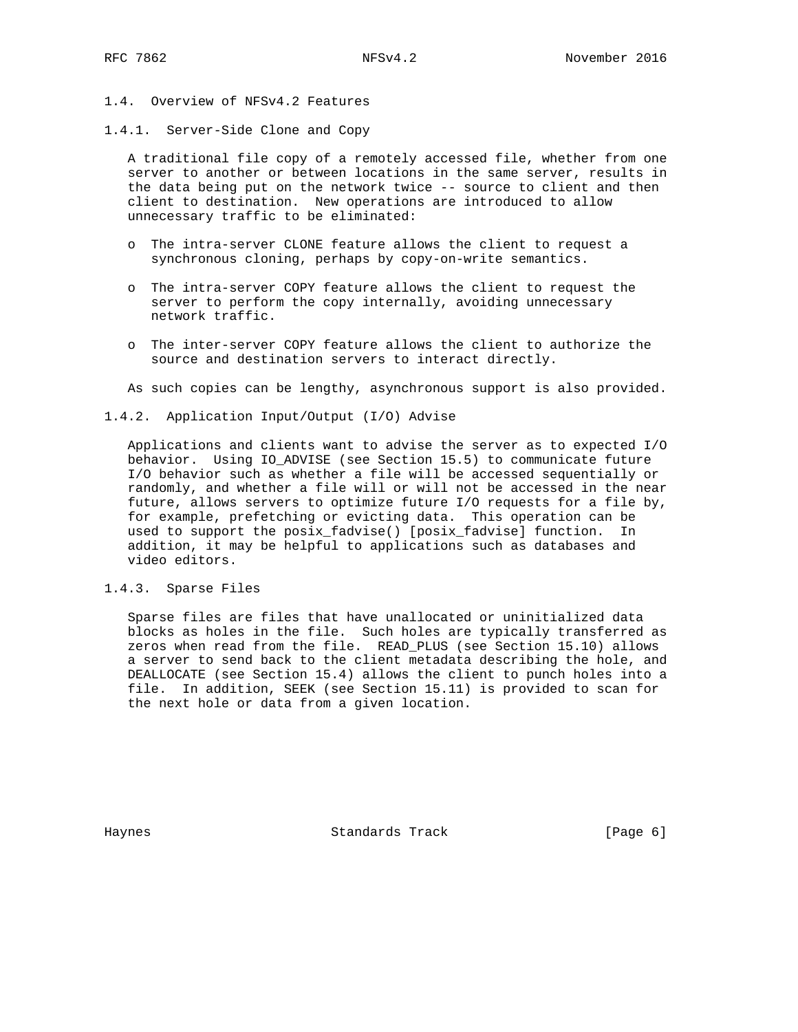- 1.4. Overview of NFSv4.2 Features
- 1.4.1. Server-Side Clone and Copy

 A traditional file copy of a remotely accessed file, whether from one server to another or between locations in the same server, results in the data being put on the network twice -- source to client and then client to destination. New operations are introduced to allow unnecessary traffic to be eliminated:

- o The intra-server CLONE feature allows the client to request a synchronous cloning, perhaps by copy-on-write semantics.
- o The intra-server COPY feature allows the client to request the server to perform the copy internally, avoiding unnecessary network traffic.
- o The inter-server COPY feature allows the client to authorize the source and destination servers to interact directly.

As such copies can be lengthy, asynchronous support is also provided.

1.4.2. Application Input/Output (I/O) Advise

 Applications and clients want to advise the server as to expected I/O behavior. Using IO\_ADVISE (see Section 15.5) to communicate future I/O behavior such as whether a file will be accessed sequentially or randomly, and whether a file will or will not be accessed in the near future, allows servers to optimize future I/O requests for a file by, for example, prefetching or evicting data. This operation can be used to support the posix\_fadvise() [posix\_fadvise] function. In addition, it may be helpful to applications such as databases and video editors.

1.4.3. Sparse Files

 Sparse files are files that have unallocated or uninitialized data blocks as holes in the file. Such holes are typically transferred as zeros when read from the file. READ\_PLUS (see Section 15.10) allows a server to send back to the client metadata describing the hole, and DEALLOCATE (see Section 15.4) allows the client to punch holes into a file. In addition, SEEK (see Section 15.11) is provided to scan for the next hole or data from a given location.

Haynes Standards Track [Page 6]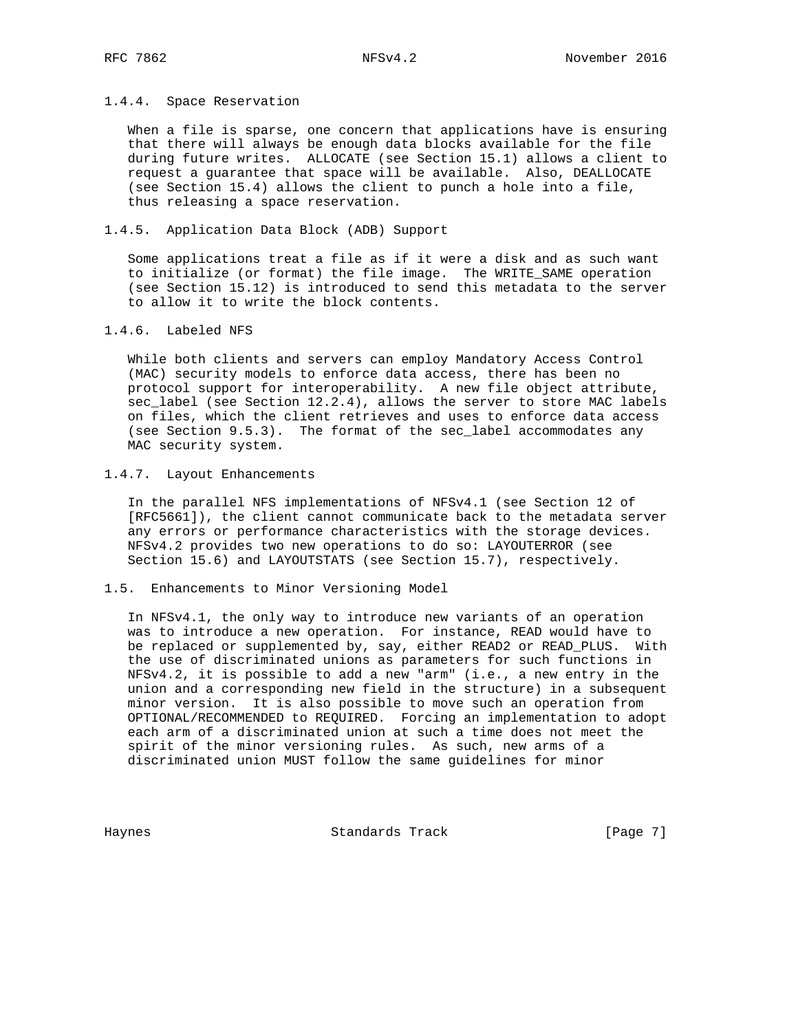### 1.4.4. Space Reservation

 When a file is sparse, one concern that applications have is ensuring that there will always be enough data blocks available for the file during future writes. ALLOCATE (see Section 15.1) allows a client to request a guarantee that space will be available. Also, DEALLOCATE (see Section 15.4) allows the client to punch a hole into a file, thus releasing a space reservation.

# 1.4.5. Application Data Block (ADB) Support

 Some applications treat a file as if it were a disk and as such want to initialize (or format) the file image. The WRITE\_SAME operation (see Section 15.12) is introduced to send this metadata to the server to allow it to write the block contents.

### 1.4.6. Labeled NFS

 While both clients and servers can employ Mandatory Access Control (MAC) security models to enforce data access, there has been no protocol support for interoperability. A new file object attribute, sec\_label (see Section 12.2.4), allows the server to store MAC labels on files, which the client retrieves and uses to enforce data access (see Section 9.5.3). The format of the sec\_label accommodates any MAC security system.

## 1.4.7. Layout Enhancements

 In the parallel NFS implementations of NFSv4.1 (see Section 12 of [RFC5661]), the client cannot communicate back to the metadata server any errors or performance characteristics with the storage devices. NFSv4.2 provides two new operations to do so: LAYOUTERROR (see Section 15.6) and LAYOUTSTATS (see Section 15.7), respectively.

## 1.5. Enhancements to Minor Versioning Model

 In NFSv4.1, the only way to introduce new variants of an operation was to introduce a new operation. For instance, READ would have to be replaced or supplemented by, say, either READ2 or READ\_PLUS. With the use of discriminated unions as parameters for such functions in NFSv4.2, it is possible to add a new "arm" (i.e., a new entry in the union and a corresponding new field in the structure) in a subsequent minor version. It is also possible to move such an operation from OPTIONAL/RECOMMENDED to REQUIRED. Forcing an implementation to adopt each arm of a discriminated union at such a time does not meet the spirit of the minor versioning rules. As such, new arms of a discriminated union MUST follow the same guidelines for minor

Haynes Standards Track [Page 7]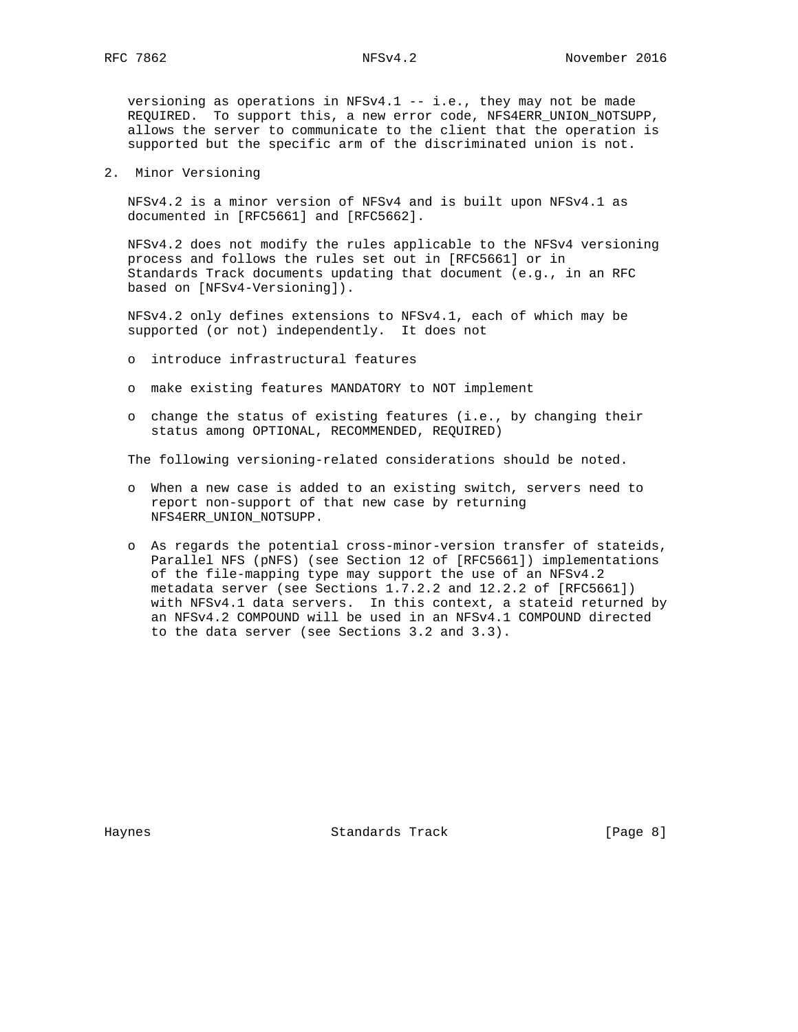versioning as operations in NFSv4.1 -- i.e., they may not be made REQUIRED. To support this, a new error code, NFS4ERR\_UNION\_NOTSUPP, allows the server to communicate to the client that the operation is supported but the specific arm of the discriminated union is not.

2. Minor Versioning

 NFSv4.2 is a minor version of NFSv4 and is built upon NFSv4.1 as documented in [RFC5661] and [RFC5662].

 NFSv4.2 does not modify the rules applicable to the NFSv4 versioning process and follows the rules set out in [RFC5661] or in Standards Track documents updating that document (e.g., in an RFC based on [NFSv4-Versioning]).

 NFSv4.2 only defines extensions to NFSv4.1, each of which may be supported (or not) independently. It does not

- o introduce infrastructural features
- o make existing features MANDATORY to NOT implement
- o change the status of existing features (i.e., by changing their status among OPTIONAL, RECOMMENDED, REQUIRED)

The following versioning-related considerations should be noted.

- o When a new case is added to an existing switch, servers need to report non-support of that new case by returning NFS4ERR\_UNION\_NOTSUPP.
- o As regards the potential cross-minor-version transfer of stateids, Parallel NFS (pNFS) (see Section 12 of [RFC5661]) implementations of the file-mapping type may support the use of an NFSv4.2 metadata server (see Sections 1.7.2.2 and 12.2.2 of [RFC5661]) with NFSv4.1 data servers. In this context, a stateid returned by an NFSv4.2 COMPOUND will be used in an NFSv4.1 COMPOUND directed to the data server (see Sections 3.2 and 3.3).

Haynes Standards Track [Page 8]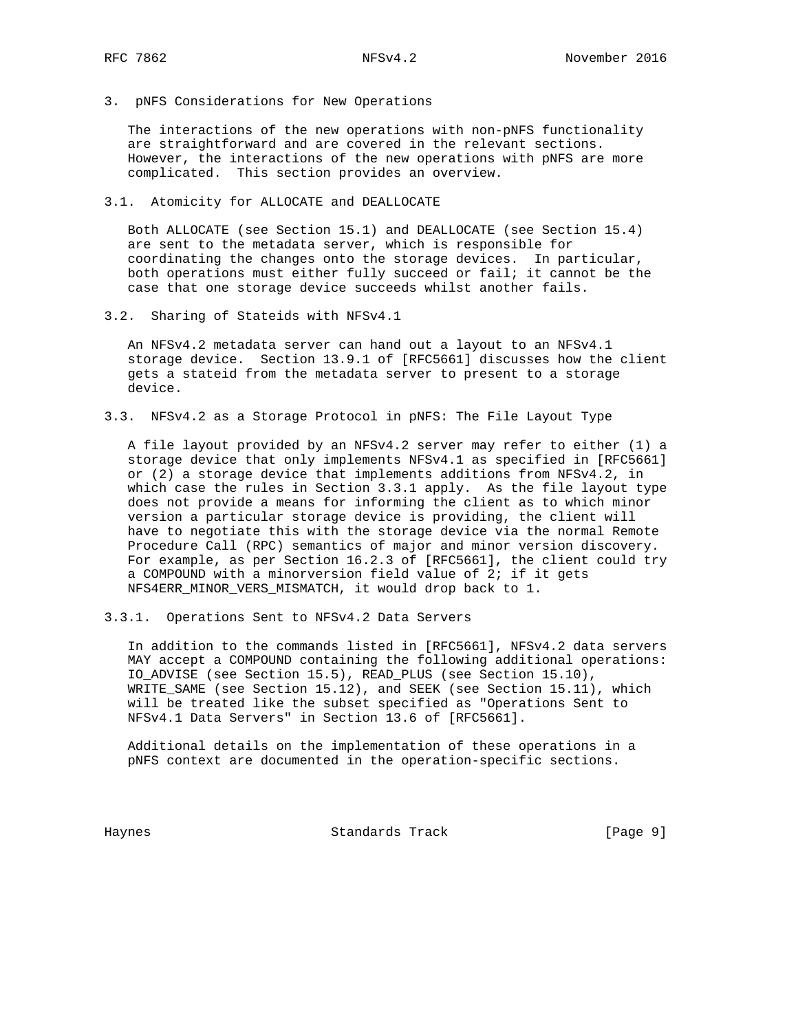3. pNFS Considerations for New Operations

 The interactions of the new operations with non-pNFS functionality are straightforward and are covered in the relevant sections. However, the interactions of the new operations with pNFS are more complicated. This section provides an overview.

3.1. Atomicity for ALLOCATE and DEALLOCATE

 Both ALLOCATE (see Section 15.1) and DEALLOCATE (see Section 15.4) are sent to the metadata server, which is responsible for coordinating the changes onto the storage devices. In particular, both operations must either fully succeed or fail; it cannot be the case that one storage device succeeds whilst another fails.

3.2. Sharing of Stateids with NFSv4.1

 An NFSv4.2 metadata server can hand out a layout to an NFSv4.1 storage device. Section 13.9.1 of [RFC5661] discusses how the client gets a stateid from the metadata server to present to a storage device.

3.3. NFSv4.2 as a Storage Protocol in pNFS: The File Layout Type

 A file layout provided by an NFSv4.2 server may refer to either (1) a storage device that only implements NFSv4.1 as specified in [RFC5661] or (2) a storage device that implements additions from NFSv4.2, in which case the rules in Section 3.3.1 apply. As the file layout type does not provide a means for informing the client as to which minor version a particular storage device is providing, the client will have to negotiate this with the storage device via the normal Remote Procedure Call (RPC) semantics of major and minor version discovery. For example, as per Section 16.2.3 of [RFC5661], the client could try a COMPOUND with a minorversion field value of 2; if it gets NFS4ERR\_MINOR\_VERS\_MISMATCH, it would drop back to 1.

3.3.1. Operations Sent to NFSv4.2 Data Servers

 In addition to the commands listed in [RFC5661], NFSv4.2 data servers MAY accept a COMPOUND containing the following additional operations: IO\_ADVISE (see Section 15.5), READ\_PLUS (see Section 15.10), WRITE\_SAME (see Section 15.12), and SEEK (see Section 15.11), which will be treated like the subset specified as "Operations Sent to NFSv4.1 Data Servers" in Section 13.6 of [RFC5661].

 Additional details on the implementation of these operations in a pNFS context are documented in the operation-specific sections.

Haynes Standards Track [Page 9]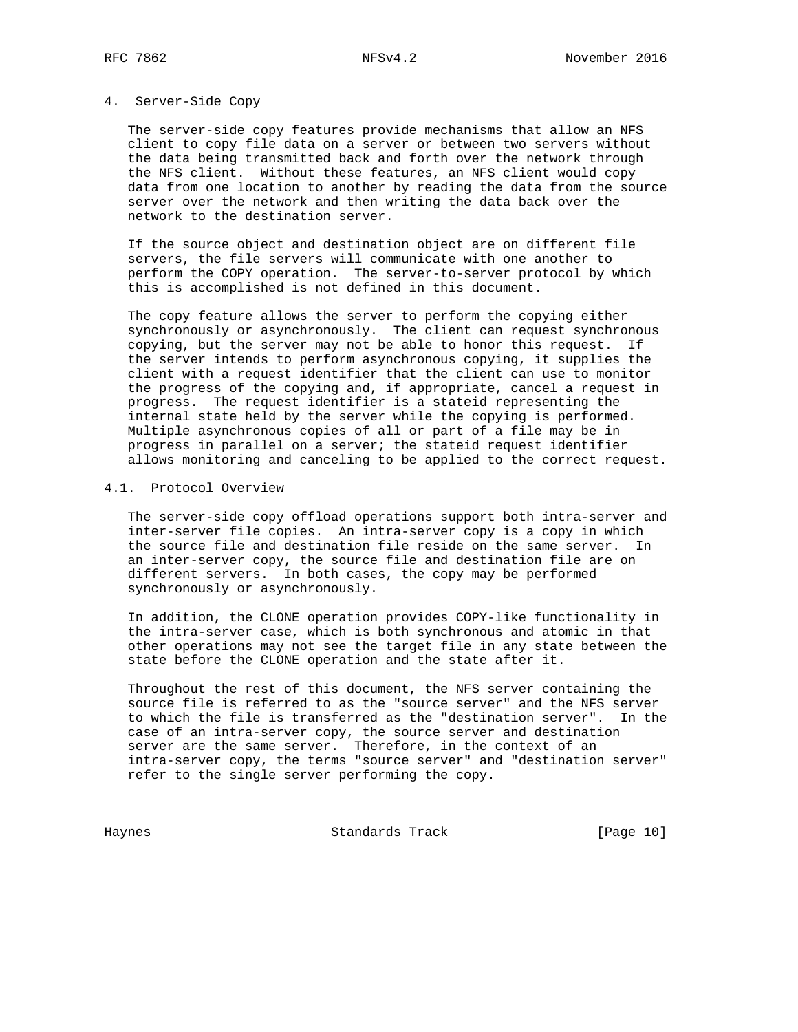### 4. Server-Side Copy

 The server-side copy features provide mechanisms that allow an NFS client to copy file data on a server or between two servers without the data being transmitted back and forth over the network through the NFS client. Without these features, an NFS client would copy data from one location to another by reading the data from the source server over the network and then writing the data back over the network to the destination server.

 If the source object and destination object are on different file servers, the file servers will communicate with one another to perform the COPY operation. The server-to-server protocol by which this is accomplished is not defined in this document.

 The copy feature allows the server to perform the copying either synchronously or asynchronously. The client can request synchronous copying, but the server may not be able to honor this request. If the server intends to perform asynchronous copying, it supplies the client with a request identifier that the client can use to monitor the progress of the copying and, if appropriate, cancel a request in progress. The request identifier is a stateid representing the internal state held by the server while the copying is performed. Multiple asynchronous copies of all or part of a file may be in progress in parallel on a server; the stateid request identifier allows monitoring and canceling to be applied to the correct request.

#### 4.1. Protocol Overview

 The server-side copy offload operations support both intra-server and inter-server file copies. An intra-server copy is a copy in which the source file and destination file reside on the same server. In an inter-server copy, the source file and destination file are on different servers. In both cases, the copy may be performed synchronously or asynchronously.

 In addition, the CLONE operation provides COPY-like functionality in the intra-server case, which is both synchronous and atomic in that other operations may not see the target file in any state between the state before the CLONE operation and the state after it.

 Throughout the rest of this document, the NFS server containing the source file is referred to as the "source server" and the NFS server to which the file is transferred as the "destination server". In the case of an intra-server copy, the source server and destination server are the same server. Therefore, in the context of an intra-server copy, the terms "source server" and "destination server" refer to the single server performing the copy.

Haynes **Standards Track** [Page 10]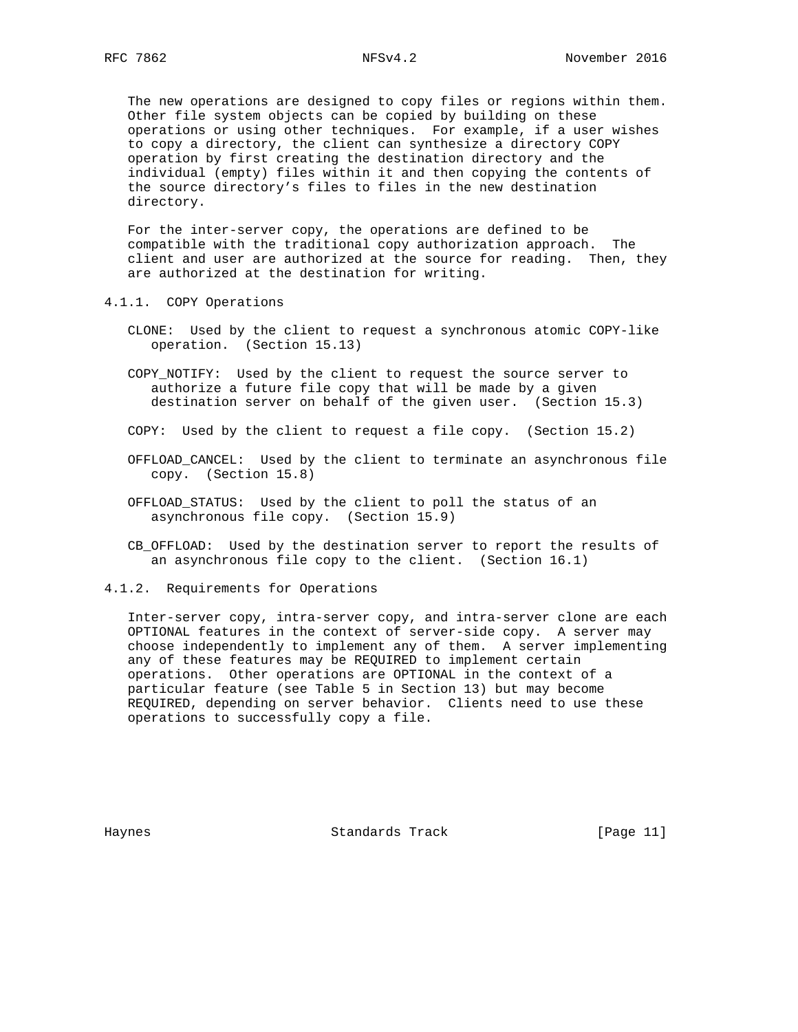The new operations are designed to copy files or regions within them. Other file system objects can be copied by building on these operations or using other techniques. For example, if a user wishes to copy a directory, the client can synthesize a directory COPY operation by first creating the destination directory and the individual (empty) files within it and then copying the contents of the source directory's files to files in the new destination directory.

 For the inter-server copy, the operations are defined to be compatible with the traditional copy authorization approach. The client and user are authorized at the source for reading. Then, they are authorized at the destination for writing.

- 4.1.1. COPY Operations
	- CLONE: Used by the client to request a synchronous atomic COPY-like operation. (Section 15.13)
	- COPY\_NOTIFY: Used by the client to request the source server to authorize a future file copy that will be made by a given destination server on behalf of the given user. (Section 15.3)
	- COPY: Used by the client to request a file copy. (Section 15.2)
	- OFFLOAD\_CANCEL: Used by the client to terminate an asynchronous file copy. (Section 15.8)
	- OFFLOAD\_STATUS: Used by the client to poll the status of an asynchronous file copy. (Section 15.9)
	- CB\_OFFLOAD: Used by the destination server to report the results of an asynchronous file copy to the client. (Section 16.1)
- 4.1.2. Requirements for Operations

 Inter-server copy, intra-server copy, and intra-server clone are each OPTIONAL features in the context of server-side copy. A server may choose independently to implement any of them. A server implementing any of these features may be REQUIRED to implement certain operations. Other operations are OPTIONAL in the context of a particular feature (see Table 5 in Section 13) but may become REQUIRED, depending on server behavior. Clients need to use these operations to successfully copy a file.

Haynes Standards Track [Page 11]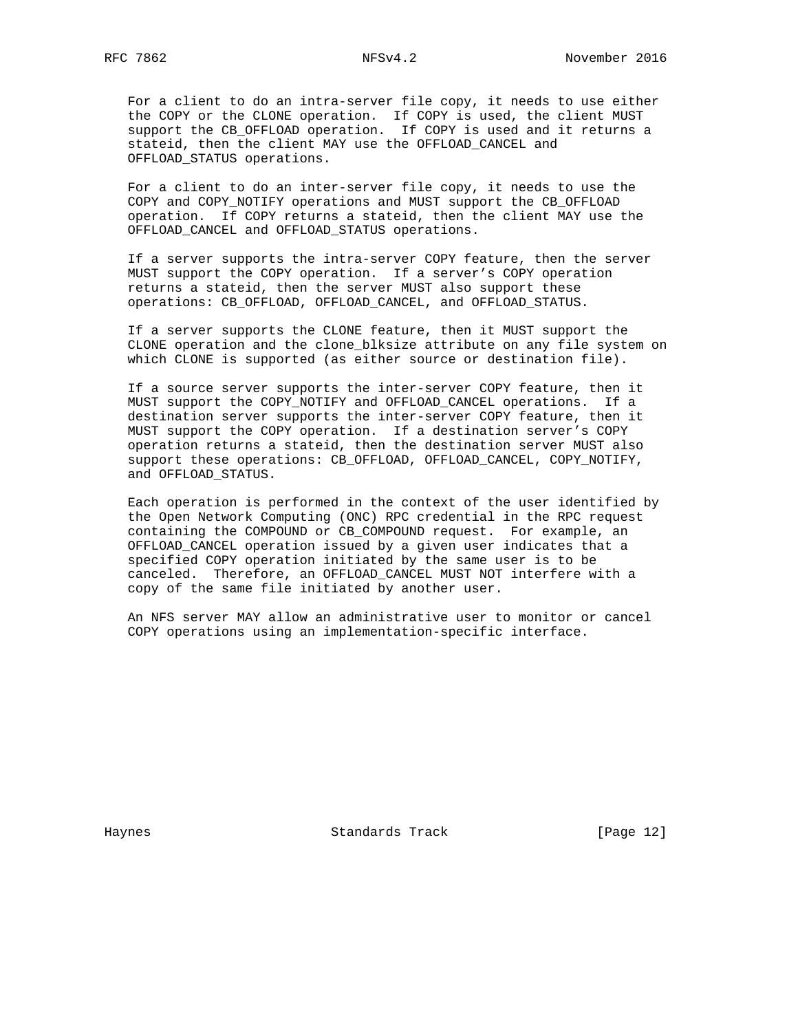For a client to do an intra-server file copy, it needs to use either the COPY or the CLONE operation. If COPY is used, the client MUST support the CB\_OFFLOAD operation. If COPY is used and it returns a stateid, then the client MAY use the OFFLOAD\_CANCEL and OFFLOAD\_STATUS operations.

 For a client to do an inter-server file copy, it needs to use the COPY and COPY\_NOTIFY operations and MUST support the CB\_OFFLOAD operation. If COPY returns a stateid, then the client MAY use the OFFLOAD\_CANCEL and OFFLOAD\_STATUS operations.

 If a server supports the intra-server COPY feature, then the server MUST support the COPY operation. If a server's COPY operation returns a stateid, then the server MUST also support these operations: CB\_OFFLOAD, OFFLOAD\_CANCEL, and OFFLOAD\_STATUS.

 If a server supports the CLONE feature, then it MUST support the CLONE operation and the clone\_blksize attribute on any file system on which CLONE is supported (as either source or destination file).

 If a source server supports the inter-server COPY feature, then it MUST support the COPY\_NOTIFY and OFFLOAD\_CANCEL operations. If a destination server supports the inter-server COPY feature, then it MUST support the COPY operation. If a destination server's COPY operation returns a stateid, then the destination server MUST also support these operations: CB\_OFFLOAD, OFFLOAD\_CANCEL, COPY\_NOTIFY, and OFFLOAD\_STATUS.

 Each operation is performed in the context of the user identified by the Open Network Computing (ONC) RPC credential in the RPC request containing the COMPOUND or CB\_COMPOUND request. For example, an OFFLOAD\_CANCEL operation issued by a given user indicates that a specified COPY operation initiated by the same user is to be canceled. Therefore, an OFFLOAD\_CANCEL MUST NOT interfere with a copy of the same file initiated by another user.

 An NFS server MAY allow an administrative user to monitor or cancel COPY operations using an implementation-specific interface.

Haynes Standards Track [Page 12]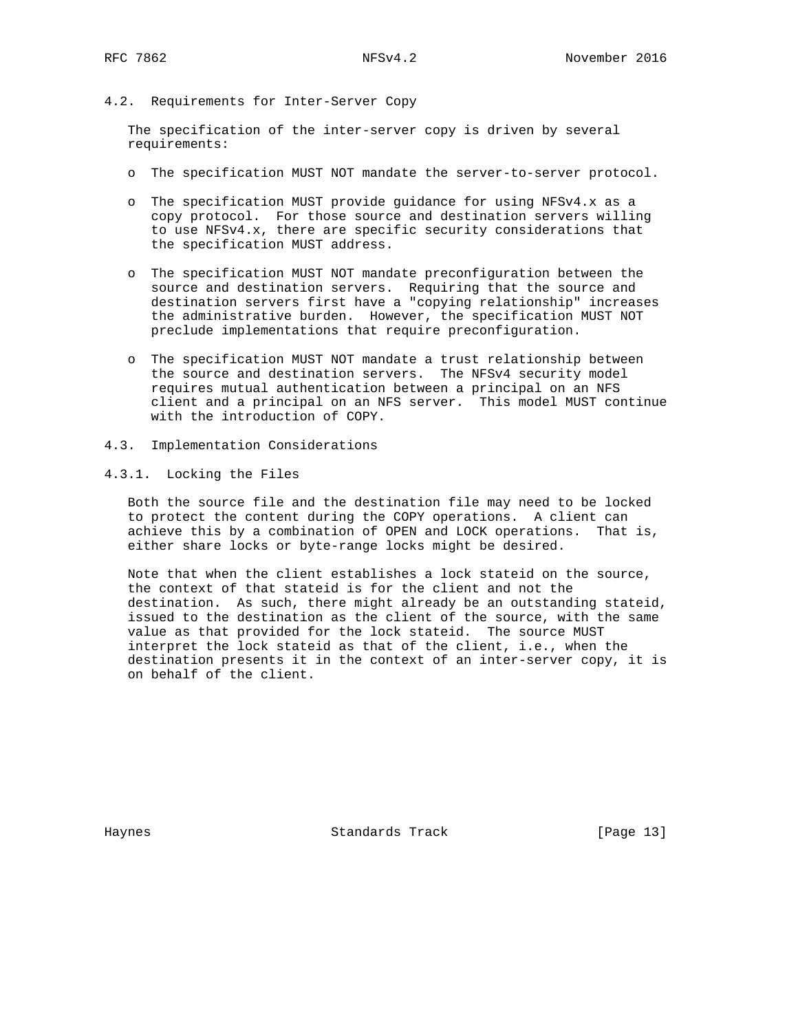## 4.2. Requirements for Inter-Server Copy

 The specification of the inter-server copy is driven by several requirements:

- o The specification MUST NOT mandate the server-to-server protocol.
- o The specification MUST provide guidance for using NFSv4.x as a copy protocol. For those source and destination servers willing to use NFSv4.x, there are specific security considerations that the specification MUST address.
- o The specification MUST NOT mandate preconfiguration between the source and destination servers. Requiring that the source and destination servers first have a "copying relationship" increases the administrative burden. However, the specification MUST NOT preclude implementations that require preconfiguration.
- o The specification MUST NOT mandate a trust relationship between the source and destination servers. The NFSv4 security model requires mutual authentication between a principal on an NFS client and a principal on an NFS server. This model MUST continue with the introduction of COPY.
- 4.3. Implementation Considerations

## 4.3.1. Locking the Files

 Both the source file and the destination file may need to be locked to protect the content during the COPY operations. A client can achieve this by a combination of OPEN and LOCK operations. That is, either share locks or byte-range locks might be desired.

 Note that when the client establishes a lock stateid on the source, the context of that stateid is for the client and not the destination. As such, there might already be an outstanding stateid, issued to the destination as the client of the source, with the same value as that provided for the lock stateid. The source MUST interpret the lock stateid as that of the client, i.e., when the destination presents it in the context of an inter-server copy, it is on behalf of the client.

Haynes Standards Track [Page 13]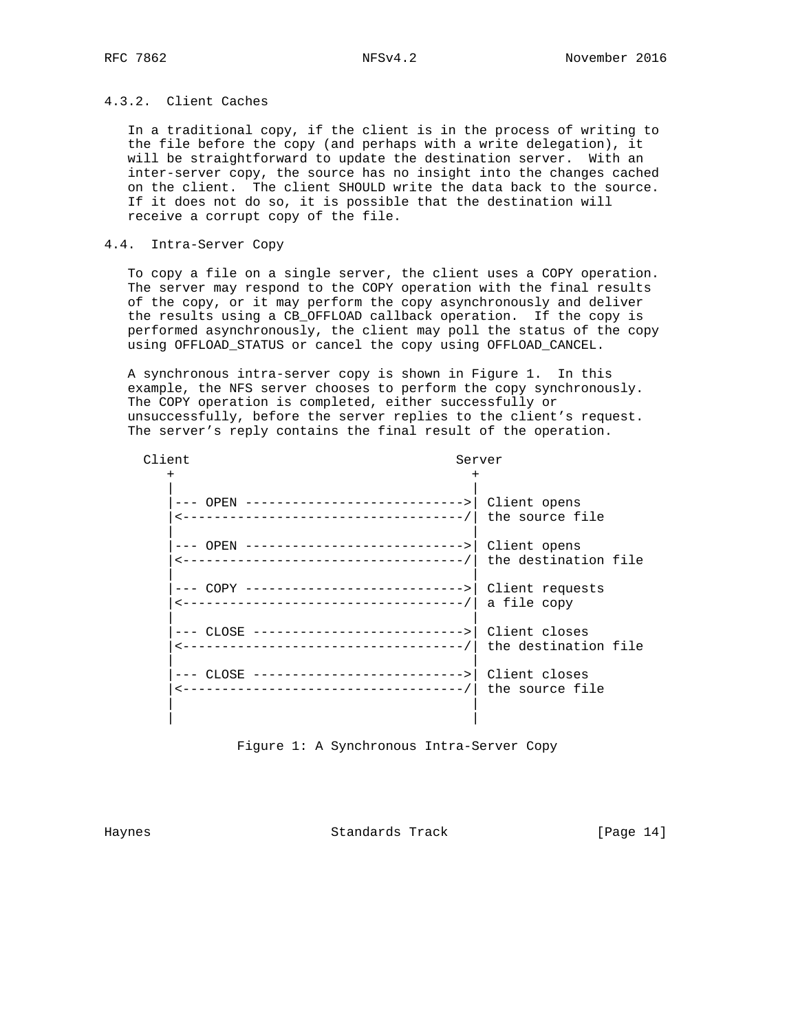# 4.3.2. Client Caches

 In a traditional copy, if the client is in the process of writing to the file before the copy (and perhaps with a write delegation), it will be straightforward to update the destination server. With an inter-server copy, the source has no insight into the changes cached on the client. The client SHOULD write the data back to the source. If it does not do so, it is possible that the destination will receive a corrupt copy of the file.

## 4.4. Intra-Server Copy

 To copy a file on a single server, the client uses a COPY operation. The server may respond to the COPY operation with the final results of the copy, or it may perform the copy asynchronously and deliver the results using a CB\_OFFLOAD callback operation. If the copy is performed asynchronously, the client may poll the status of the copy using OFFLOAD\_STATUS or cancel the copy using OFFLOAD\_CANCEL.

 A synchronous intra-server copy is shown in Figure 1. In this example, the NFS server chooses to perform the copy synchronously. The COPY operation is completed, either successfully or unsuccessfully, before the server replies to the client's request. The server's reply contains the final result of the operation.

| Client |                                                          | Server |  |  |
|--------|----------------------------------------------------------|--------|--|--|
|        |                                                          |        |  |  |
|        | --- OPEN ---------------------------->   Client opens    |        |  |  |
|        | --- OPEN ---------------------------->   Client opens    |        |  |  |
|        | --- COPY ---------------------------->   Client requests |        |  |  |
|        | --- CLOSE --------------------------->   Client closes   |        |  |  |
|        | --- CLOSE --------------------------->   Client closes   |        |  |  |
|        |                                                          |        |  |  |

Figure 1: A Synchronous Intra-Server Copy

Haynes Standards Track [Page 14]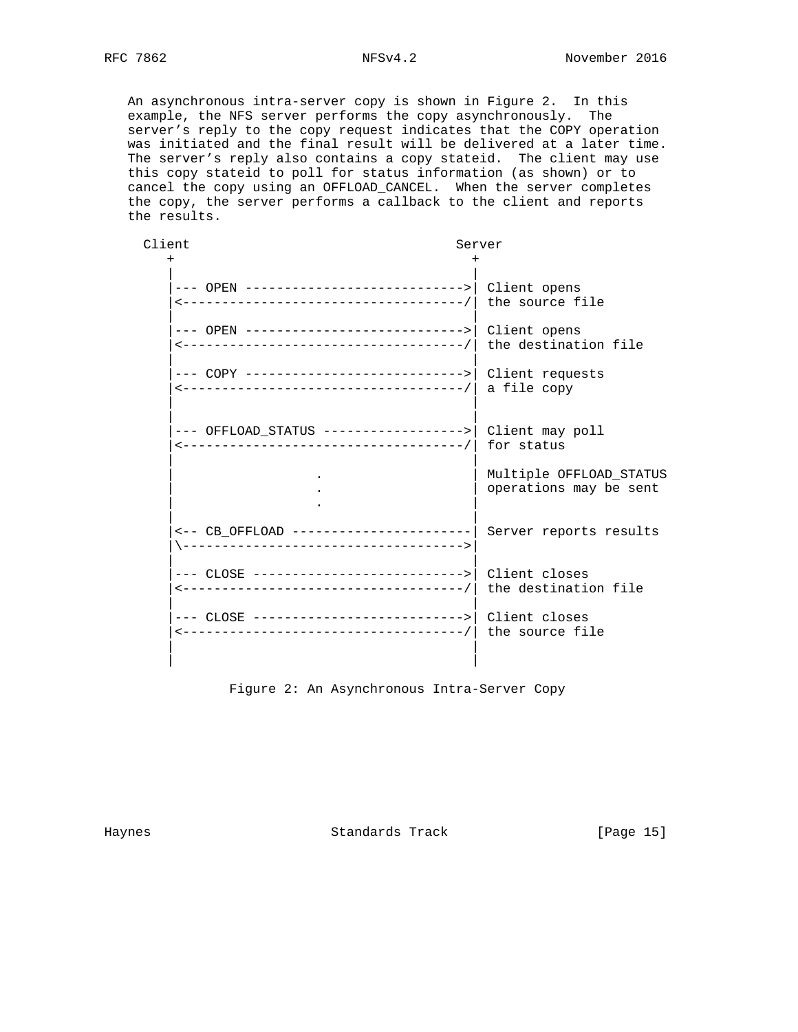An asynchronous intra-server copy is shown in Figure 2. In this example, the NFS server performs the copy asynchronously. The server's reply to the copy request indicates that the COPY operation was initiated and the final result will be delivered at a later time. The server's reply also contains a copy stateid. The client may use this copy stateid to poll for status information (as shown) or to cancel the copy using an OFFLOAD\_CANCEL. When the server completes the copy, the server performs a callback to the client and reports the results.

| Client                                                   |  | Server                                            |  |  |
|----------------------------------------------------------|--|---------------------------------------------------|--|--|
|                                                          |  |                                                   |  |  |
| --- OPEN ---------------------------->  Client opens     |  |                                                   |  |  |
| --- OPEN ---------------------------->   Client opens    |  |                                                   |  |  |
| --- COPY ---------------------------->   Client requests |  |                                                   |  |  |
|                                                          |  |                                                   |  |  |
|                                                          |  | Multiple OFFLOAD_STATUS<br>operations may be sent |  |  |
| <-- CB_OFFLOAD -----------------------                   |  | Server reports results                            |  |  |
| --- CLOSE --------------------------->  Client closes    |  |                                                   |  |  |
| --- CLOSE --------------------------->   Client closes   |  |                                                   |  |  |
|                                                          |  |                                                   |  |  |

Figure 2: An Asynchronous Intra-Server Copy

Haynes **Standards Track** [Page 15]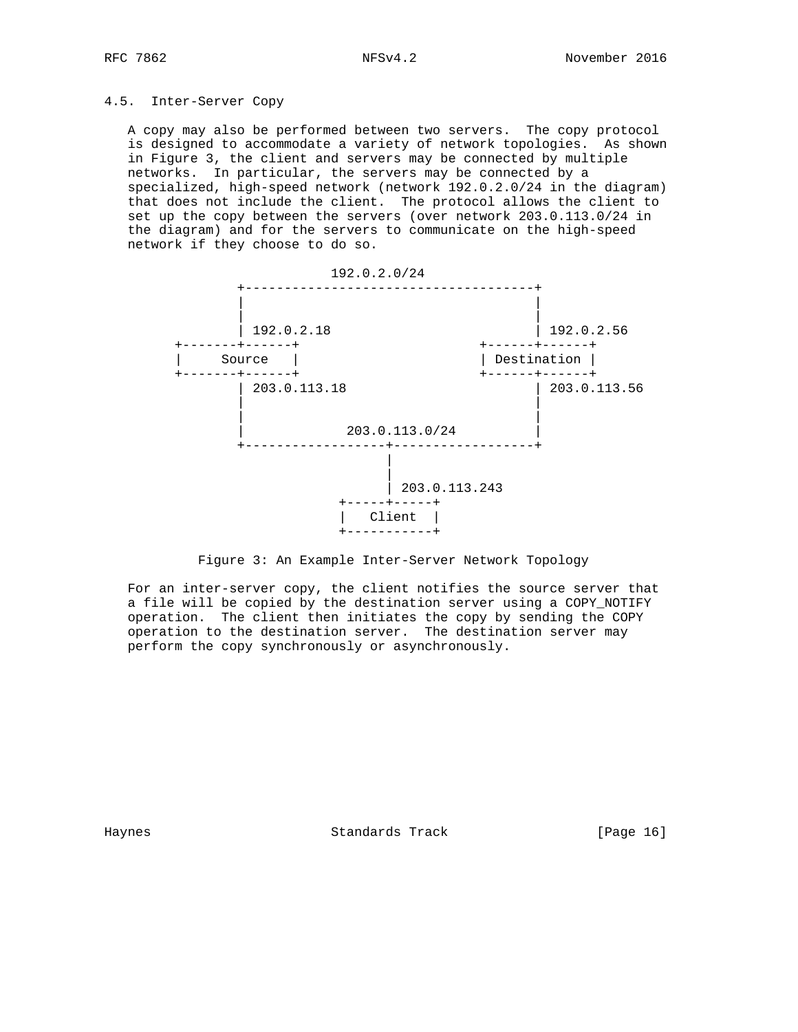# 4.5. Inter-Server Copy

 A copy may also be performed between two servers. The copy protocol is designed to accommodate a variety of network topologies. As shown in Figure 3, the client and servers may be connected by multiple networks. In particular, the servers may be connected by a specialized, high-speed network (network 192.0.2.0/24 in the diagram) that does not include the client. The protocol allows the client to set up the copy between the servers (over network 203.0.113.0/24 in the diagram) and for the servers to communicate on the high-speed network if they choose to do so.



## Figure 3: An Example Inter-Server Network Topology

 For an inter-server copy, the client notifies the source server that a file will be copied by the destination server using a COPY\_NOTIFY operation. The client then initiates the copy by sending the COPY operation to the destination server. The destination server may perform the copy synchronously or asynchronously.

Haynes Standards Track [Page 16]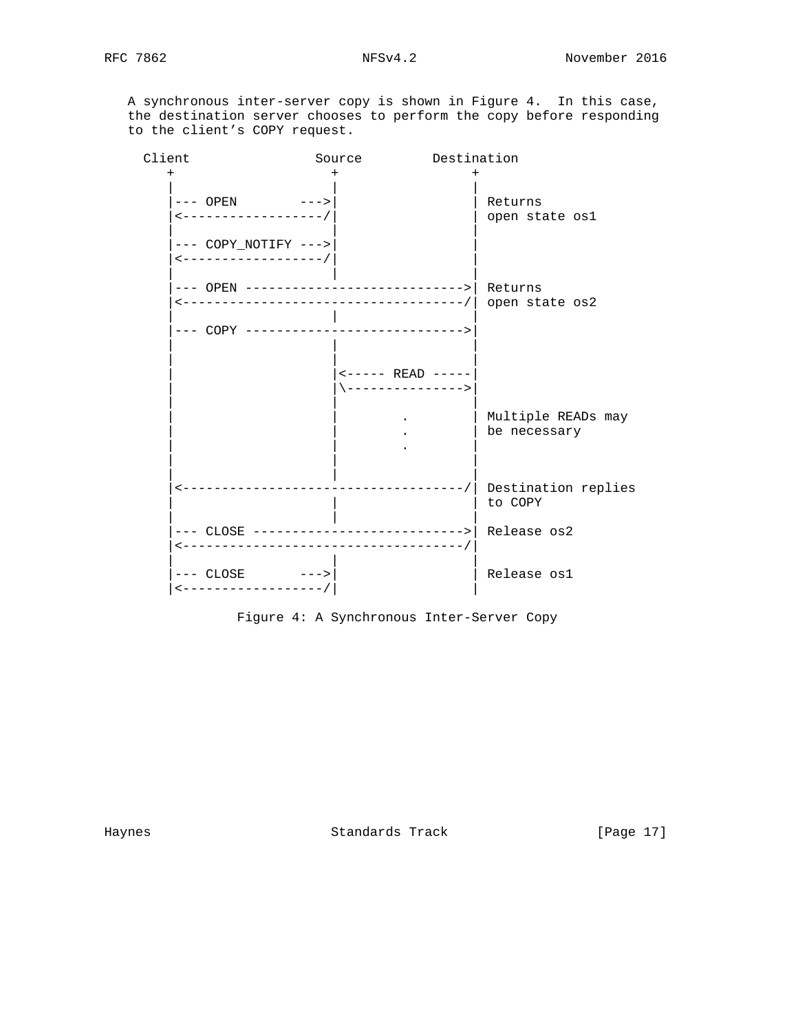A synchronous inter-server copy is shown in Figure 4. In this case, the destination server chooses to perform the copy before responding to the client's COPY request.

| Client |                                                                             | Source                                 | Destination |                                    |
|--------|-----------------------------------------------------------------------------|----------------------------------------|-------------|------------------------------------|
| $\pm$  | --- OPEN --->                                                               | $\,{}^+$                               |             | Returns                            |
|        | <------------------/                                                        |                                        |             | open state osl                     |
|        | $---$ COPY_NOTIFY $---$<br>$\leftarrow$ - - - - - - - - - - - - - - - - - / |                                        |             |                                    |
|        | --- OPEN ---------------------------->  Returns                             |                                        |             | open state os2                     |
|        | --- COPY ----------------------------->                                     |                                        |             |                                    |
|        |                                                                             | <----- READ -----<br>\---------------> |             |                                    |
|        |                                                                             |                                        |             | Multiple READs may<br>be necessary |
|        |                                                                             |                                        |             | Destination replies<br>to COPY     |
|        |                                                                             |                                        |             | Release os2                        |
|        | $---$ CLOSE $---$<br><------------------/                                   |                                        |             | Release os1                        |

Figure 4: A Synchronous Inter-Server Copy

Haynes Standards Track [Page 17]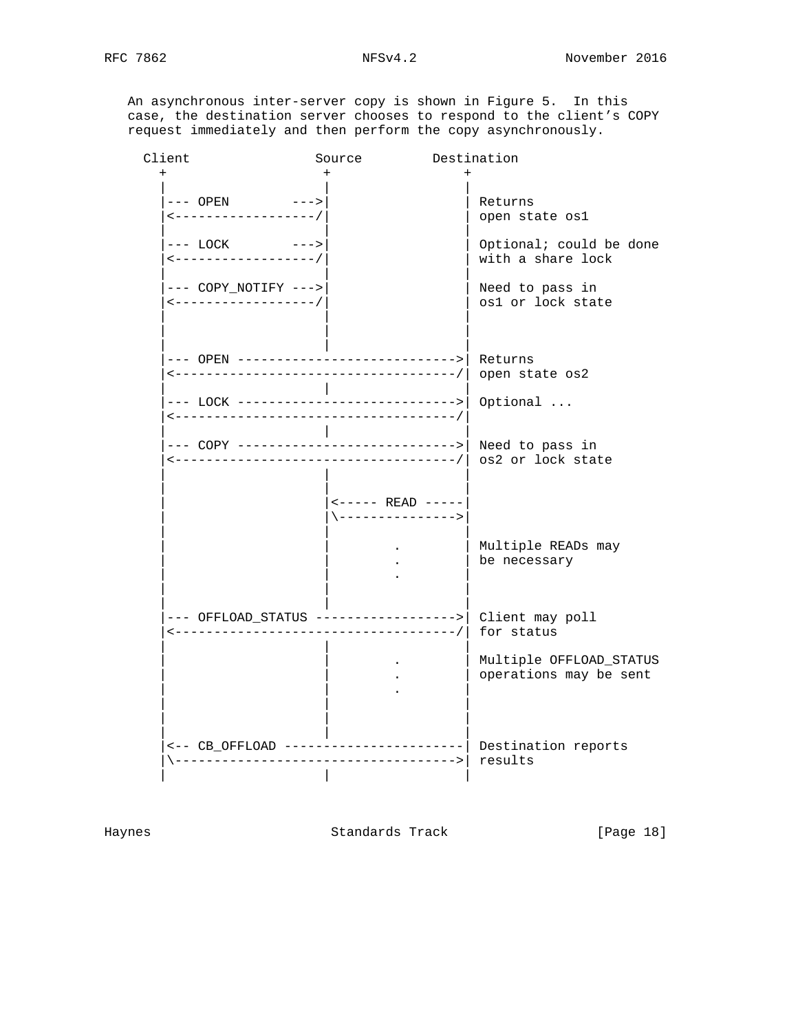An asynchronous inter-server copy is shown in Figure 5. In this case, the destination server chooses to respond to the client's COPY request immediately and then perform the copy asynchronously.

| Client |                                                                                                                    | Source                                 | Destination                                                                        |
|--------|--------------------------------------------------------------------------------------------------------------------|----------------------------------------|------------------------------------------------------------------------------------|
|        | $---$ OPEN $---$<br><-----------------/<br>$---$ LOCK<br>$--->$<br><-----------------/                             | $\div$                                 | Returns<br>open state osl<br>Optional; could be done<br>with a share lock          |
|        | --- COPY_NOTIFY ---><br>$\leftarrow$ - - - - - - - - - - - - - - - - - /<br>--- OPEN ----------------------------> |                                        | Need to pass in<br>os1 or lock state<br>Returns                                    |
|        | <------------------------------------<br>--- LOCK ---------------------------->                                    |                                        | open state os2<br>Optional                                                         |
|        | --- COPY ---------------------------->  Need to pass in<br><------------------------------------                   |                                        | -/  os2 or lock state                                                              |
|        |                                                                                                                    | <----- READ -----<br>\---------------> | Multiple READs may<br>be necessary                                                 |
|        |                                                                                                                    |                                        | Client may poll<br>for status<br>Multiple OFFLOAD_STATUS<br>operations may be sent |
|        |                                                                                                                    |                                        | Destination reports<br>results                                                     |

Haynes **Standards Track** [Page 18]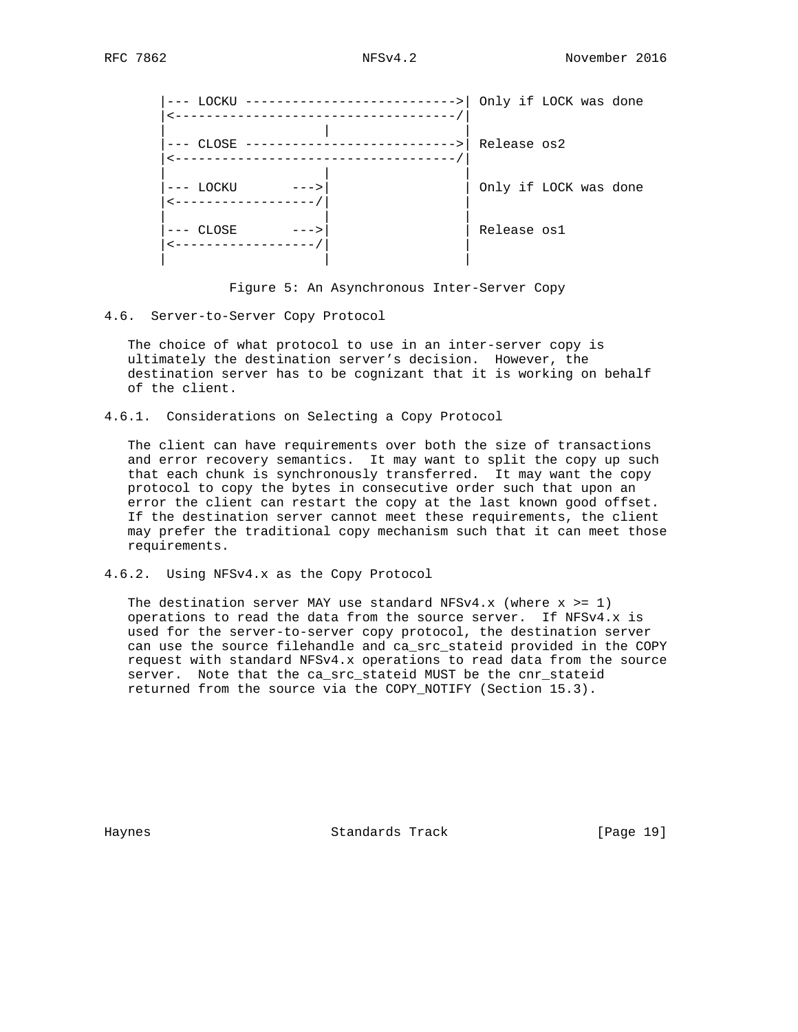|                     | LOCKU -----------------------------> |             | Only if LOCK was done |  |
|---------------------|--------------------------------------|-------------|-----------------------|--|
| $CLOSE$ -----       |                                      | Release os2 |                       |  |
| --- LOCKU<br>$--->$ |                                      |             | Only if LOCK was done |  |
| CLOSE               |                                      | Release osl |                       |  |
|                     |                                      |             |                       |  |

Figure 5: An Asynchronous Inter-Server Copy

## 4.6. Server-to-Server Copy Protocol

 The choice of what protocol to use in an inter-server copy is ultimately the destination server's decision. However, the destination server has to be cognizant that it is working on behalf of the client.

4.6.1. Considerations on Selecting a Copy Protocol

 The client can have requirements over both the size of transactions and error recovery semantics. It may want to split the copy up such that each chunk is synchronously transferred. It may want the copy protocol to copy the bytes in consecutive order such that upon an error the client can restart the copy at the last known good offset. If the destination server cannot meet these requirements, the client may prefer the traditional copy mechanism such that it can meet those requirements.

4.6.2. Using NFSv4.x as the Copy Protocol

The destination server MAY use standard NFSv4.x (where  $x \ge 1$ ) operations to read the data from the source server. If NFSv4.x is used for the server-to-server copy protocol, the destination server can use the source filehandle and ca\_src\_stateid provided in the COPY request with standard NFSv4.x operations to read data from the source server. Note that the ca\_src\_stateid MUST be the cnr\_stateid returned from the source via the COPY\_NOTIFY (Section 15.3).

Haynes Standards Track [Page 19]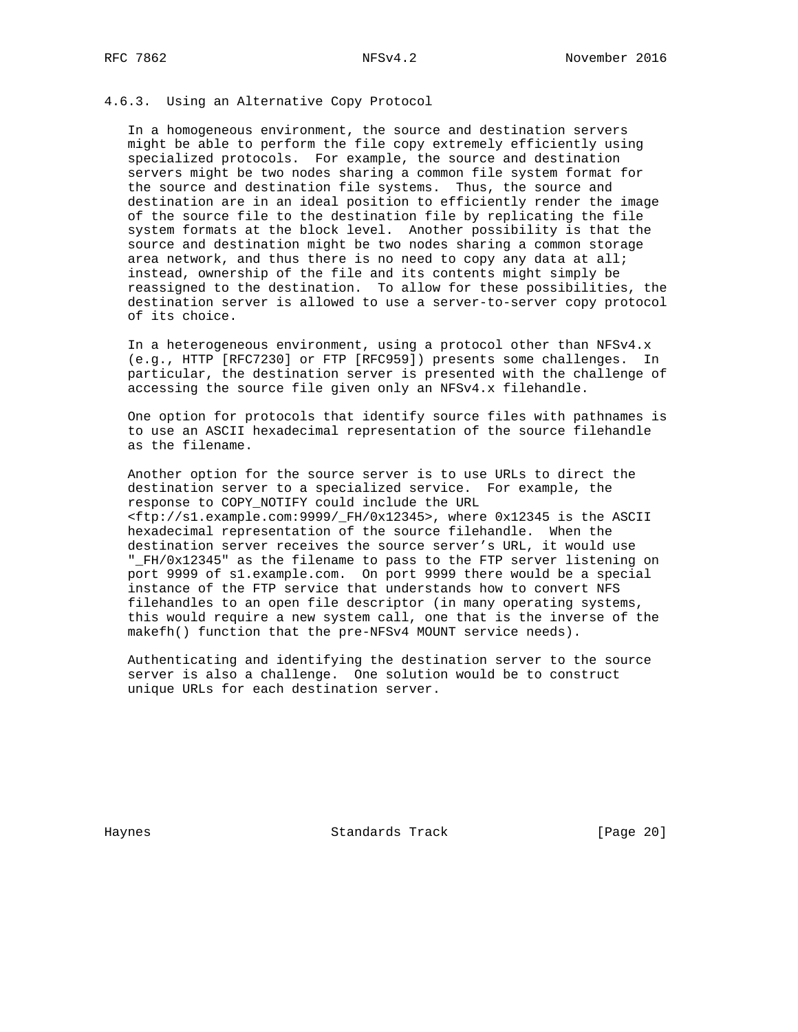## 4.6.3. Using an Alternative Copy Protocol

 In a homogeneous environment, the source and destination servers might be able to perform the file copy extremely efficiently using specialized protocols. For example, the source and destination servers might be two nodes sharing a common file system format for the source and destination file systems. Thus, the source and destination are in an ideal position to efficiently render the image of the source file to the destination file by replicating the file system formats at the block level. Another possibility is that the source and destination might be two nodes sharing a common storage area network, and thus there is no need to copy any data at all; instead, ownership of the file and its contents might simply be reassigned to the destination. To allow for these possibilities, the destination server is allowed to use a server-to-server copy protocol of its choice.

 In a heterogeneous environment, using a protocol other than NFSv4.x (e.g., HTTP [RFC7230] or FTP [RFC959]) presents some challenges. In particular, the destination server is presented with the challenge of accessing the source file given only an NFSv4.x filehandle.

 One option for protocols that identify source files with pathnames is to use an ASCII hexadecimal representation of the source filehandle as the filename.

 Another option for the source server is to use URLs to direct the destination server to a specialized service. For example, the response to COPY\_NOTIFY could include the URL <ftp://s1.example.com:9999/\_FH/0x12345>, where 0x12345 is the ASCII hexadecimal representation of the source filehandle. When the destination server receives the source server's URL, it would use "\_FH/0x12345" as the filename to pass to the FTP server listening on port 9999 of s1.example.com. On port 9999 there would be a special instance of the FTP service that understands how to convert NFS filehandles to an open file descriptor (in many operating systems, this would require a new system call, one that is the inverse of the makefh() function that the pre-NFSv4 MOUNT service needs).

 Authenticating and identifying the destination server to the source server is also a challenge. One solution would be to construct unique URLs for each destination server.

Haynes **Example 20** Standards Track **Example 20** [Page 20]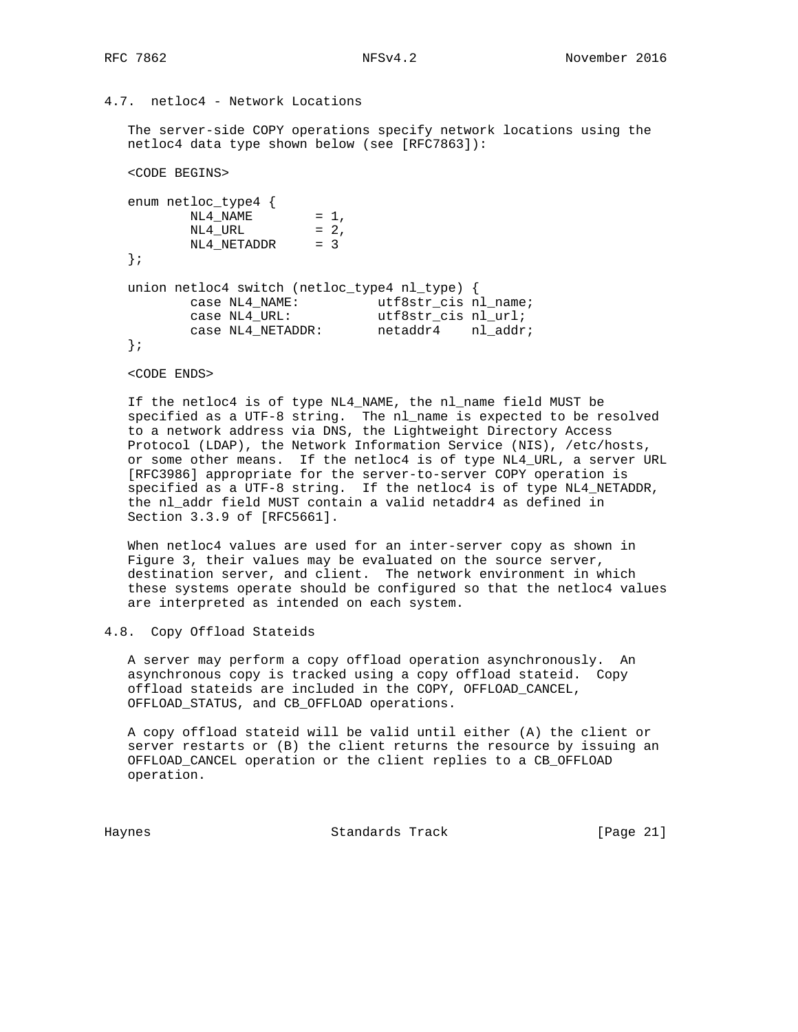## 4.7. netloc4 - Network Locations

 The server-side COPY operations specify network locations using the netloc4 data type shown below (see [RFC7863]):

<CODE BEGINS>

```
 enum netloc_type4 {
NL4_NAME = 1,
NL4_URL = 2,
       NL4<sup>_</sup>NETADDR = 3
   };
   union netloc4 switch (netloc_type4 nl_type) {
case NL4_NAME: utf8str\_cis nl_name;
case NL4_URL: utfsstr\_cis nl_url;
 case NL4_NETADDR: netaddr4 nl_addr;
   };
```
<CODE ENDS>

 If the netloc4 is of type NL4\_NAME, the nl\_name field MUST be specified as a UTF-8 string. The nl\_name is expected to be resolved to a network address via DNS, the Lightweight Directory Access Protocol (LDAP), the Network Information Service (NIS), /etc/hosts, or some other means. If the netloc4 is of type NL4\_URL, a server URL [RFC3986] appropriate for the server-to-server COPY operation is specified as a UTF-8 string. If the netloc4 is of type NL4\_NETADDR, the nl\_addr field MUST contain a valid netaddr4 as defined in Section 3.3.9 of [RFC5661].

 When netloc4 values are used for an inter-server copy as shown in Figure 3, their values may be evaluated on the source server, destination server, and client. The network environment in which these systems operate should be configured so that the netloc4 values are interpreted as intended on each system.

### 4.8. Copy Offload Stateids

 A server may perform a copy offload operation asynchronously. An asynchronous copy is tracked using a copy offload stateid. Copy offload stateids are included in the COPY, OFFLOAD\_CANCEL, OFFLOAD\_STATUS, and CB\_OFFLOAD operations.

 A copy offload stateid will be valid until either (A) the client or server restarts or (B) the client returns the resource by issuing an OFFLOAD\_CANCEL operation or the client replies to a CB\_OFFLOAD operation.

Haynes Standards Track [Page 21]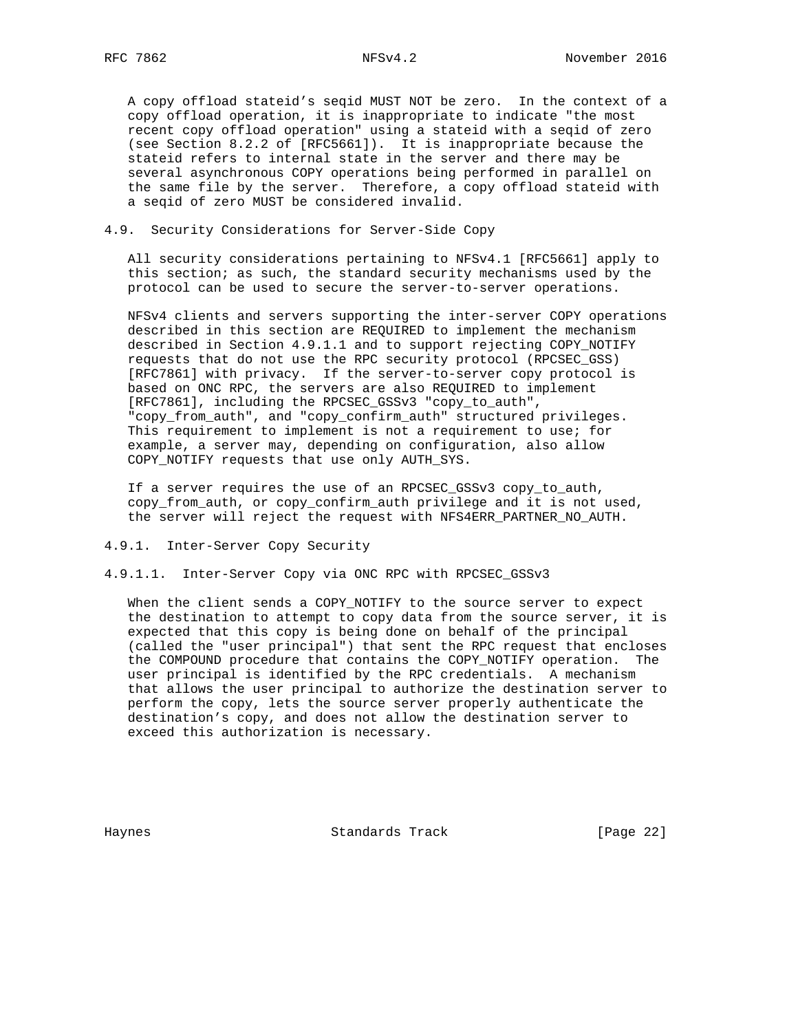A copy offload stateid's seqid MUST NOT be zero. In the context of a copy offload operation, it is inappropriate to indicate "the most recent copy offload operation" using a stateid with a seqid of zero (see Section 8.2.2 of [RFC5661]). It is inappropriate because the stateid refers to internal state in the server and there may be several asynchronous COPY operations being performed in parallel on the same file by the server. Therefore, a copy offload stateid with a seqid of zero MUST be considered invalid.

## 4.9. Security Considerations for Server-Side Copy

 All security considerations pertaining to NFSv4.1 [RFC5661] apply to this section; as such, the standard security mechanisms used by the protocol can be used to secure the server-to-server operations.

 NFSv4 clients and servers supporting the inter-server COPY operations described in this section are REQUIRED to implement the mechanism described in Section 4.9.1.1 and to support rejecting COPY\_NOTIFY requests that do not use the RPC security protocol (RPCSEC\_GSS) [RFC7861] with privacy. If the server-to-server copy protocol is based on ONC RPC, the servers are also REQUIRED to implement [RFC7861], including the RPCSEC\_GSSv3 "copy\_to\_auth", "copy\_from\_auth", and "copy\_confirm\_auth" structured privileges. This requirement to implement is not a requirement to use; for example, a server may, depending on configuration, also allow COPY\_NOTIFY requests that use only AUTH\_SYS.

 If a server requires the use of an RPCSEC\_GSSv3 copy\_to\_auth, copy\_from\_auth, or copy\_confirm\_auth privilege and it is not used, the server will reject the request with NFS4ERR\_PARTNER\_NO\_AUTH.

- 4.9.1. Inter-Server Copy Security
- 4.9.1.1. Inter-Server Copy via ONC RPC with RPCSEC\_GSSv3

 When the client sends a COPY\_NOTIFY to the source server to expect the destination to attempt to copy data from the source server, it is expected that this copy is being done on behalf of the principal (called the "user principal") that sent the RPC request that encloses the COMPOUND procedure that contains the COPY\_NOTIFY operation. The user principal is identified by the RPC credentials. A mechanism that allows the user principal to authorize the destination server to perform the copy, lets the source server properly authenticate the destination's copy, and does not allow the destination server to exceed this authorization is necessary.

Haynes **Example 22** Standards Track **Example 22** [Page 22]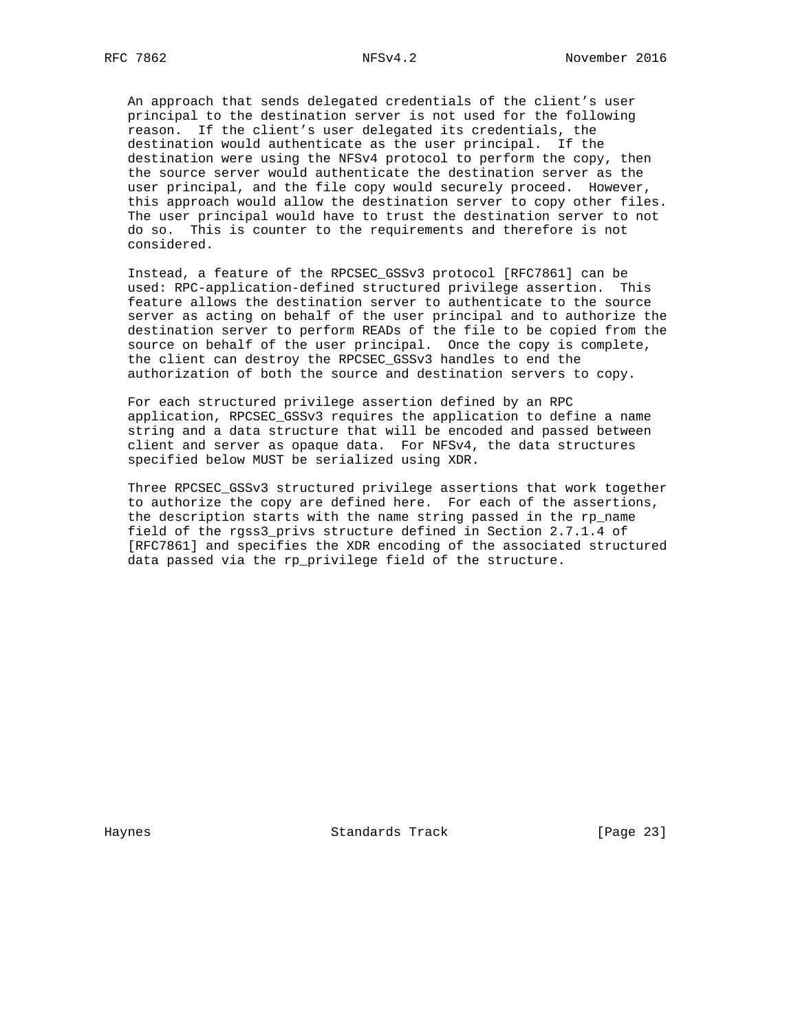An approach that sends delegated credentials of the client's user principal to the destination server is not used for the following reason. If the client's user delegated its credentials, the destination would authenticate as the user principal. If the destination were using the NFSv4 protocol to perform the copy, then the source server would authenticate the destination server as the user principal, and the file copy would securely proceed. However, this approach would allow the destination server to copy other files. The user principal would have to trust the destination server to not do so. This is counter to the requirements and therefore is not considered.

 Instead, a feature of the RPCSEC\_GSSv3 protocol [RFC7861] can be used: RPC-application-defined structured privilege assertion. This feature allows the destination server to authenticate to the source server as acting on behalf of the user principal and to authorize the destination server to perform READs of the file to be copied from the source on behalf of the user principal. Once the copy is complete, the client can destroy the RPCSEC\_GSSv3 handles to end the authorization of both the source and destination servers to copy.

 For each structured privilege assertion defined by an RPC application, RPCSEC\_GSSv3 requires the application to define a name string and a data structure that will be encoded and passed between client and server as opaque data. For NFSv4, the data structures specified below MUST be serialized using XDR.

 Three RPCSEC\_GSSv3 structured privilege assertions that work together to authorize the copy are defined here. For each of the assertions, the description starts with the name string passed in the rp\_name field of the rgss3\_privs structure defined in Section 2.7.1.4 of [RFC7861] and specifies the XDR encoding of the associated structured data passed via the rp\_privilege field of the structure.

Haynes **Example 23** Standards Track **Example 23** [Page 23]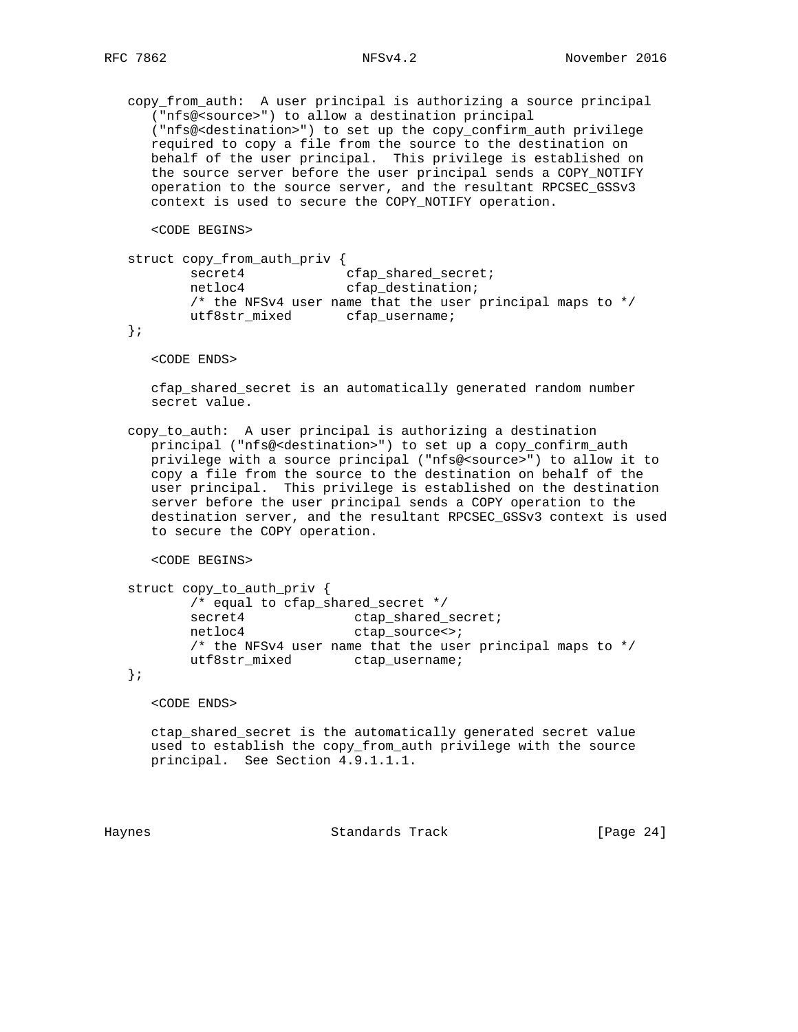copy\_from\_auth: A user principal is authorizing a source principal ("nfs@<source>") to allow a destination principal ("nfs@<destination>") to set up the copy\_confirm\_auth privilege required to copy a file from the source to the destination on behalf of the user principal. This privilege is established on the source server before the user principal sends a COPY\_NOTIFY operation to the source server, and the resultant RPCSEC\_GSSv3 context is used to secure the COPY\_NOTIFY operation.

<CODE BEGINS>

```
 struct copy_from_auth_priv {
secret4 cfap_shared_secret;
netloc4 cfap_destination;
         /* the NFSv4 user name that the user principal maps to */
        utf8str_mixed cfap_username;
```
};

<CODE ENDS>

 cfap\_shared\_secret is an automatically generated random number secret value.

 copy\_to\_auth: A user principal is authorizing a destination principal ("nfs@<destination>") to set up a copy\_confirm\_auth privilege with a source principal ("nfs@<source>") to allow it to copy a file from the source to the destination on behalf of the user principal. This privilege is established on the destination server before the user principal sends a COPY operation to the destination server, and the resultant RPCSEC\_GSSv3 context is used to secure the COPY operation.

<CODE BEGINS>

```
 struct copy_to_auth_priv {
         /* equal to cfap_shared_secret */
secret4 ctap_shared_secret;
netloc4 ctap_source<>;
         /* the NFSv4 user name that the user principal maps to */
        utf8str_mixed ctap_username;
```
};

<CODE ENDS>

 ctap\_shared\_secret is the automatically generated secret value used to establish the copy\_from\_auth privilege with the source principal. See Section 4.9.1.1.1.

Haynes Standards Track [Page 24]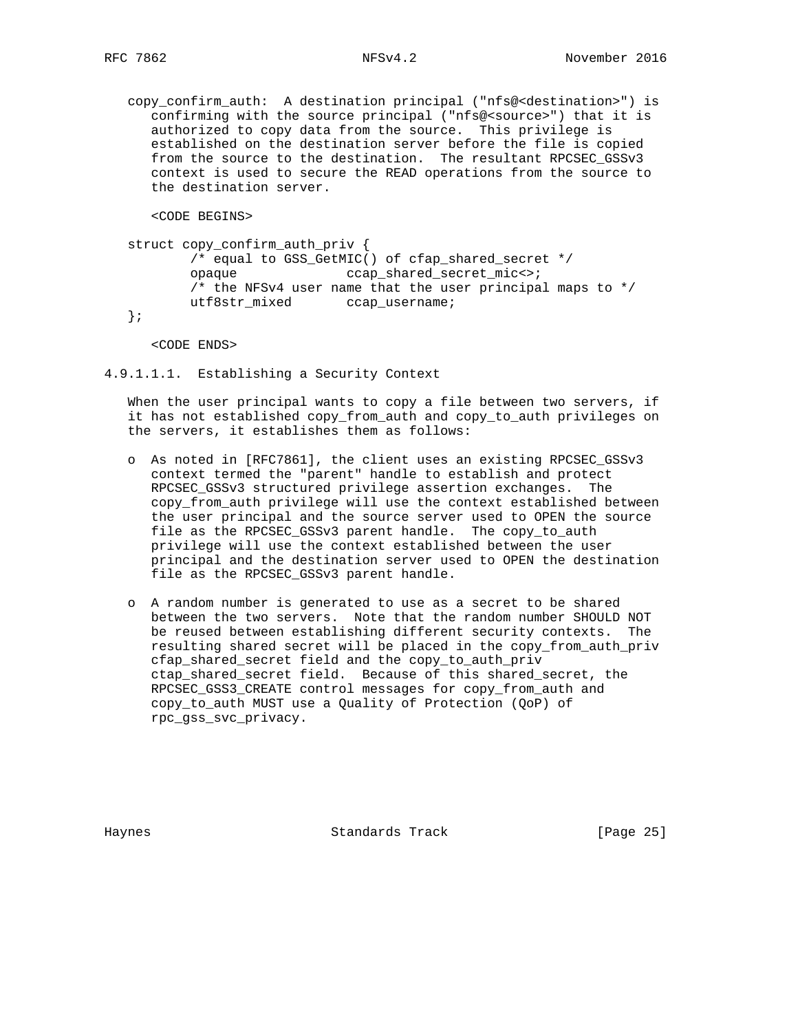copy\_confirm\_auth: A destination principal ("nfs@<destination>") is confirming with the source principal ("nfs@<source>") that it is authorized to copy data from the source. This privilege is established on the destination server before the file is copied from the source to the destination. The resultant RPCSEC\_GSSv3 context is used to secure the READ operations from the source to the destination server.

<CODE BEGINS>

 struct copy\_confirm\_auth\_priv { /\* equal to GSS\_GetMIC() of cfap\_shared\_secret \*/ opaque ccap\_shared\_secret\_mic<>; /\* the NFSv4 user name that the user principal maps to \*/ utf8str\_mixed ccap\_username;

};

<CODE ENDS>

4.9.1.1.1. Establishing a Security Context

 When the user principal wants to copy a file between two servers, if it has not established copy\_from\_auth and copy\_to\_auth privileges on the servers, it establishes them as follows:

- o As noted in [RFC7861], the client uses an existing RPCSEC\_GSSv3 context termed the "parent" handle to establish and protect RPCSEC\_GSSv3 structured privilege assertion exchanges. The copy\_from\_auth privilege will use the context established between the user principal and the source server used to OPEN the source file as the RPCSEC\_GSSv3 parent handle. The copy\_to\_auth privilege will use the context established between the user principal and the destination server used to OPEN the destination file as the RPCSEC\_GSSv3 parent handle.
- o A random number is generated to use as a secret to be shared between the two servers. Note that the random number SHOULD NOT be reused between establishing different security contexts. The resulting shared secret will be placed in the copy\_from\_auth\_priv cfap\_shared\_secret field and the copy\_to\_auth\_priv ctap\_shared\_secret field. Because of this shared\_secret, the RPCSEC\_GSS3\_CREATE control messages for copy\_from\_auth and copy\_to\_auth MUST use a Quality of Protection (QoP) of rpc\_gss\_svc\_privacy.

Haynes **Example 26** Standards Track **Example 26** [Page 25]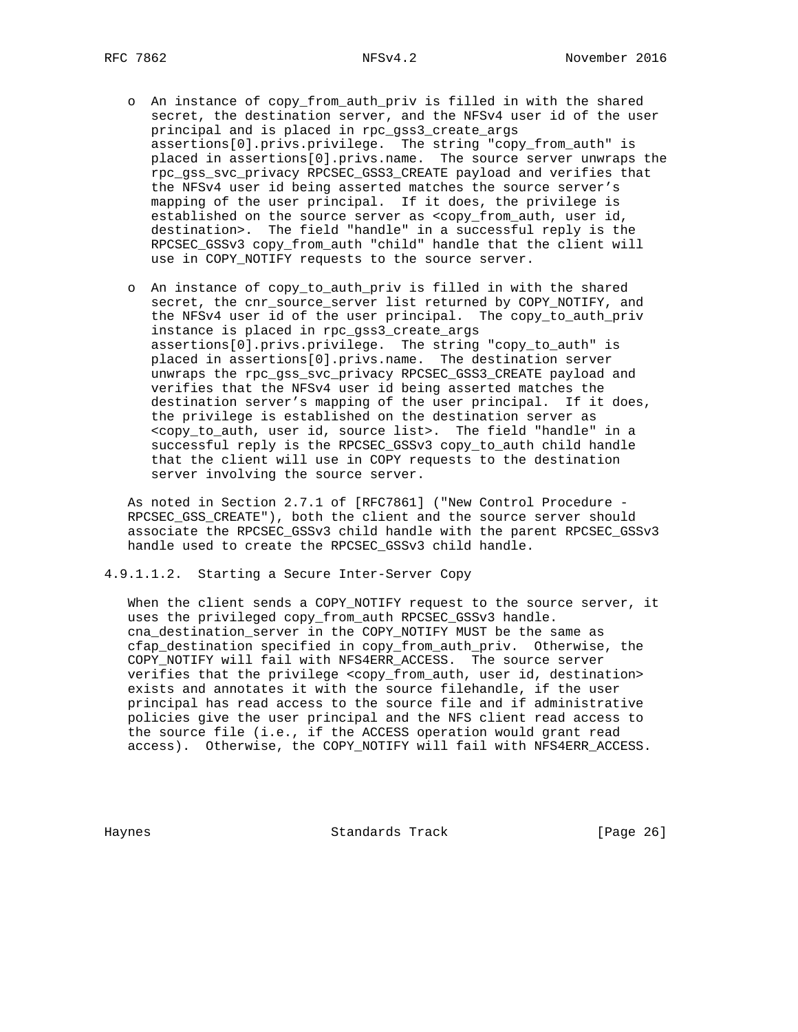- o An instance of copy\_from\_auth\_priv is filled in with the shared secret, the destination server, and the NFSv4 user id of the user principal and is placed in rpc\_gss3\_create\_args assertions[0].privs.privilege. The string "copy\_from\_auth" is placed in assertions[0].privs.name. The source server unwraps the rpc\_gss\_svc\_privacy RPCSEC\_GSS3\_CREATE payload and verifies that the NFSv4 user id being asserted matches the source server's mapping of the user principal. If it does, the privilege is established on the source server as <copy\_from\_auth, user id, destination>. The field "handle" in a successful reply is the RPCSEC\_GSSv3 copy\_from\_auth "child" handle that the client will use in COPY\_NOTIFY requests to the source server.
- o An instance of copy\_to\_auth\_priv is filled in with the shared secret, the cnr\_source\_server list returned by COPY\_NOTIFY, and the NFSv4 user id of the user principal. The copy\_to\_auth\_priv instance is placed in rpc\_gss3\_create\_args assertions[0].privs.privilege. The string "copy\_to\_auth" is placed in assertions[0].privs.name. The destination server unwraps the rpc\_gss\_svc\_privacy RPCSEC\_GSS3\_CREATE payload and verifies that the NFSv4 user id being asserted matches the destination server's mapping of the user principal. If it does, the privilege is established on the destination server as <copy\_to\_auth, user id, source list>. The field "handle" in a successful reply is the RPCSEC\_GSSv3 copy\_to\_auth child handle that the client will use in COPY requests to the destination server involving the source server.

 As noted in Section 2.7.1 of [RFC7861] ("New Control Procedure - RPCSEC\_GSS\_CREATE"), both the client and the source server should associate the RPCSEC\_GSSv3 child handle with the parent RPCSEC\_GSSv3 handle used to create the RPCSEC\_GSSv3 child handle.

4.9.1.1.2. Starting a Secure Inter-Server Copy

When the client sends a COPY\_NOTIFY request to the source server, it uses the privileged copy\_from\_auth RPCSEC\_GSSv3 handle. cna\_destination\_server in the COPY\_NOTIFY MUST be the same as cfap\_destination specified in copy\_from\_auth\_priv. Otherwise, the COPY\_NOTIFY will fail with NFS4ERR\_ACCESS. The source server verifies that the privilege <copy\_from\_auth, user id, destination> exists and annotates it with the source filehandle, if the user principal has read access to the source file and if administrative policies give the user principal and the NFS client read access to the source file (i.e., if the ACCESS operation would grant read access). Otherwise, the COPY\_NOTIFY will fail with NFS4ERR\_ACCESS.

Haynes Standards Track [Page 26]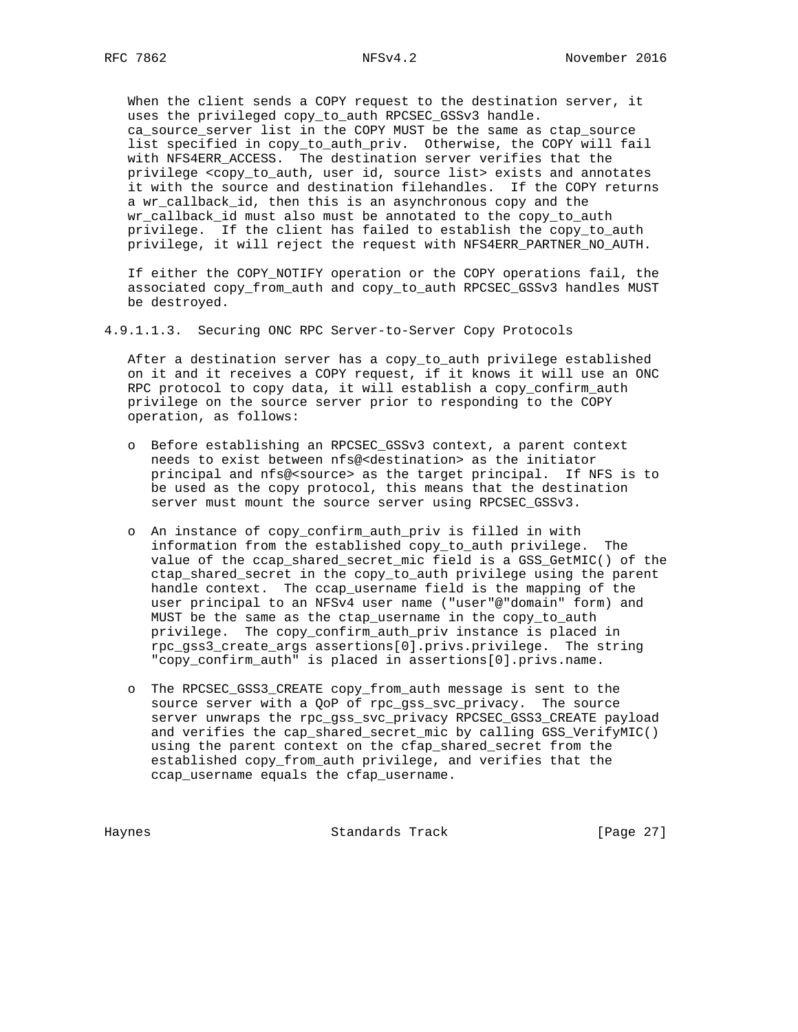When the client sends a COPY request to the destination server, it uses the privileged copy\_to\_auth RPCSEC\_GSSv3 handle. ca\_source\_server list in the COPY MUST be the same as ctap\_source list specified in copy\_to\_auth\_priv. Otherwise, the COPY will fail with NFS4ERR\_ACCESS. The destination server verifies that the privilege <copy\_to\_auth, user id, source list> exists and annotates it with the source and destination filehandles. If the COPY returns a wr\_callback\_id, then this is an asynchronous copy and the wr\_callback\_id must also must be annotated to the copy\_to\_auth privilege. If the client has failed to establish the copy\_to\_auth privilege, it will reject the request with NFS4ERR\_PARTNER\_NO\_AUTH.

 If either the COPY\_NOTIFY operation or the COPY operations fail, the associated copy\_from\_auth and copy\_to\_auth RPCSEC\_GSSv3 handles MUST be destroyed.

4.9.1.1.3. Securing ONC RPC Server-to-Server Copy Protocols

 After a destination server has a copy\_to\_auth privilege established on it and it receives a COPY request, if it knows it will use an ONC RPC protocol to copy data, it will establish a copy\_confirm\_auth privilege on the source server prior to responding to the COPY operation, as follows:

- o Before establishing an RPCSEC\_GSSv3 context, a parent context needs to exist between nfs@<destination> as the initiator principal and nfs@<source> as the target principal. If NFS is to be used as the copy protocol, this means that the destination server must mount the source server using RPCSEC\_GSSv3.
- o An instance of copy\_confirm\_auth\_priv is filled in with information from the established copy\_to\_auth privilege. The value of the ccap\_shared\_secret\_mic field is a GSS\_GetMIC() of the ctap\_shared\_secret in the copy\_to\_auth privilege using the parent handle context. The ccap\_username field is the mapping of the user principal to an NFSv4 user name ("user"@"domain" form) and MUST be the same as the ctap\_username in the copy\_to\_auth privilege. The copy\_confirm\_auth\_priv instance is placed in rpc\_gss3\_create\_args assertions[0].privs.privilege. The string "copy\_confirm\_auth" is placed in assertions[0].privs.name.
- o The RPCSEC\_GSS3\_CREATE copy\_from\_auth message is sent to the source server with a QoP of rpc\_gss\_svc\_privacy. The source server unwraps the rpc\_gss\_svc\_privacy RPCSEC\_GSS3\_CREATE payload and verifies the cap\_shared\_secret\_mic by calling GSS\_VerifyMIC() using the parent context on the cfap\_shared\_secret from the established copy\_from\_auth privilege, and verifies that the ccap\_username equals the cfap\_username.

Haynes **Standards Track** [Page 27]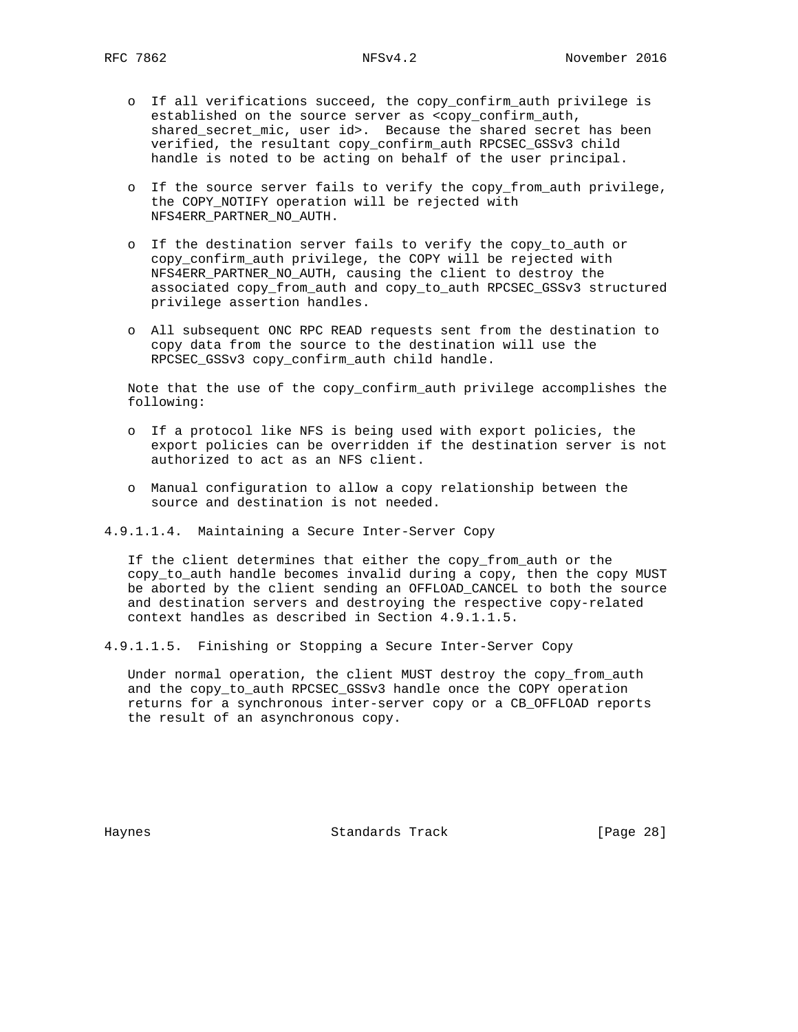- o If all verifications succeed, the copy\_confirm\_auth privilege is established on the source server as <copy\_confirm\_auth, shared\_secret\_mic, user id>. Because the shared secret has been verified, the resultant copy\_confirm\_auth RPCSEC\_GSSv3 child handle is noted to be acting on behalf of the user principal.
- o If the source server fails to verify the copy\_from\_auth privilege, the COPY\_NOTIFY operation will be rejected with NFS4ERR\_PARTNER\_NO\_AUTH.
- o If the destination server fails to verify the copy\_to\_auth or copy\_confirm\_auth privilege, the COPY will be rejected with NFS4ERR\_PARTNER\_NO\_AUTH, causing the client to destroy the associated copy\_from\_auth and copy\_to\_auth RPCSEC\_GSSv3 structured privilege assertion handles.
- o All subsequent ONC RPC READ requests sent from the destination to copy data from the source to the destination will use the RPCSEC\_GSSv3 copy\_confirm\_auth child handle.

 Note that the use of the copy\_confirm\_auth privilege accomplishes the following:

- o If a protocol like NFS is being used with export policies, the export policies can be overridden if the destination server is not authorized to act as an NFS client.
- o Manual configuration to allow a copy relationship between the source and destination is not needed.

4.9.1.1.4. Maintaining a Secure Inter-Server Copy

 If the client determines that either the copy\_from\_auth or the copy\_to\_auth handle becomes invalid during a copy, then the copy MUST be aborted by the client sending an OFFLOAD\_CANCEL to both the source and destination servers and destroying the respective copy-related context handles as described in Section 4.9.1.1.5.

4.9.1.1.5. Finishing or Stopping a Secure Inter-Server Copy

 Under normal operation, the client MUST destroy the copy\_from\_auth and the copy\_to\_auth RPCSEC\_GSSv3 handle once the COPY operation returns for a synchronous inter-server copy or a CB\_OFFLOAD reports the result of an asynchronous copy.

Haynes **Example 28** Standards Track **Example 28** [Page 28]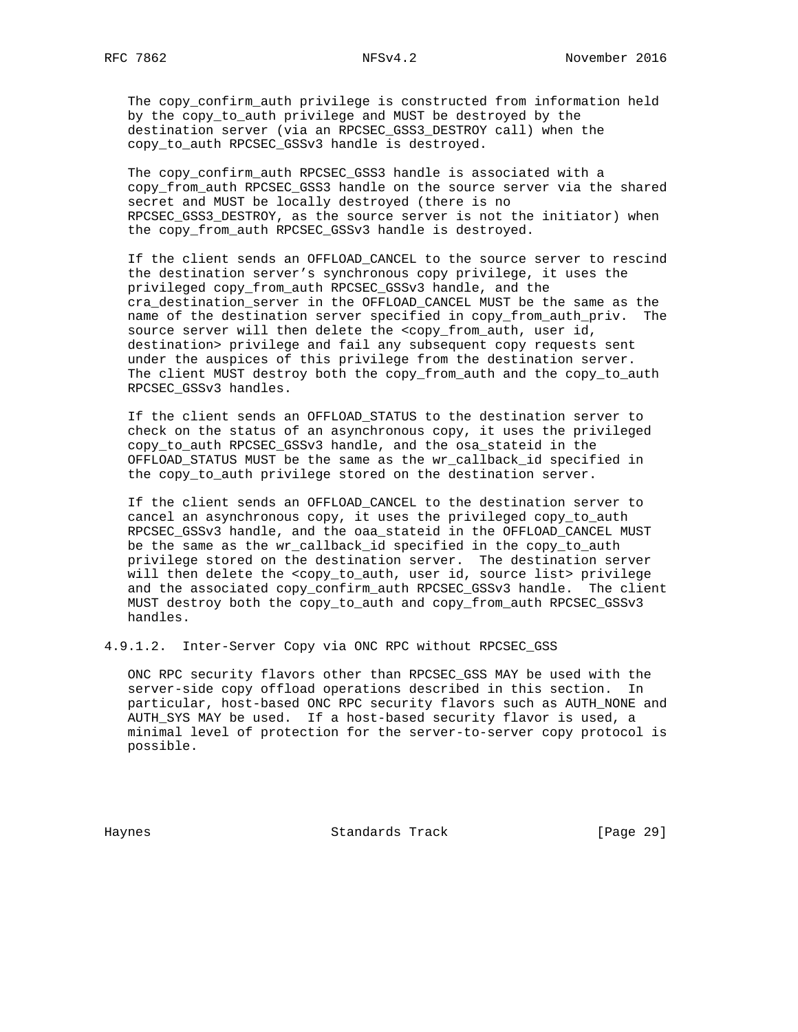The copy\_confirm\_auth privilege is constructed from information held by the copy\_to\_auth privilege and MUST be destroyed by the destination server (via an RPCSEC\_GSS3\_DESTROY call) when the copy\_to\_auth RPCSEC\_GSSv3 handle is destroyed.

 The copy\_confirm\_auth RPCSEC\_GSS3 handle is associated with a copy\_from\_auth RPCSEC\_GSS3 handle on the source server via the shared secret and MUST be locally destroyed (there is no RPCSEC\_GSS3\_DESTROY, as the source server is not the initiator) when the copy from auth RPCSEC GSSv3 handle is destroyed.

 If the client sends an OFFLOAD\_CANCEL to the source server to rescind the destination server's synchronous copy privilege, it uses the privileged copy\_from\_auth RPCSEC\_GSSv3 handle, and the cra\_destination\_server in the OFFLOAD\_CANCEL MUST be the same as the name of the destination server specified in copy\_from\_auth\_priv. The source server will then delete the <copy\_from\_auth, user id, destination> privilege and fail any subsequent copy requests sent under the auspices of this privilege from the destination server. The client MUST destroy both the copy\_from\_auth and the copy\_to\_auth RPCSEC\_GSSv3 handles.

 If the client sends an OFFLOAD\_STATUS to the destination server to check on the status of an asynchronous copy, it uses the privileged copy\_to\_auth RPCSEC\_GSSv3 handle, and the osa\_stateid in the OFFLOAD\_STATUS MUST be the same as the wr\_callback\_id specified in the copy\_to\_auth privilege stored on the destination server.

 If the client sends an OFFLOAD\_CANCEL to the destination server to cancel an asynchronous copy, it uses the privileged copy\_to\_auth RPCSEC GSSv3 handle, and the oaa stateid in the OFFLOAD CANCEL MUST be the same as the wr\_callback\_id specified in the copy\_to\_auth privilege stored on the destination server. The destination server will then delete the <copy\_to\_auth, user id, source list> privilege and the associated copy\_confirm\_auth RPCSEC\_GSSv3 handle. The client MUST destroy both the copy\_to\_auth and copy\_from\_auth RPCSEC\_GSSv3 handles.

4.9.1.2. Inter-Server Copy via ONC RPC without RPCSEC\_GSS

 ONC RPC security flavors other than RPCSEC\_GSS MAY be used with the server-side copy offload operations described in this section. In particular, host-based ONC RPC security flavors such as AUTH\_NONE and AUTH\_SYS MAY be used. If a host-based security flavor is used, a minimal level of protection for the server-to-server copy protocol is possible.

Haynes **Standards Track** [Page 29]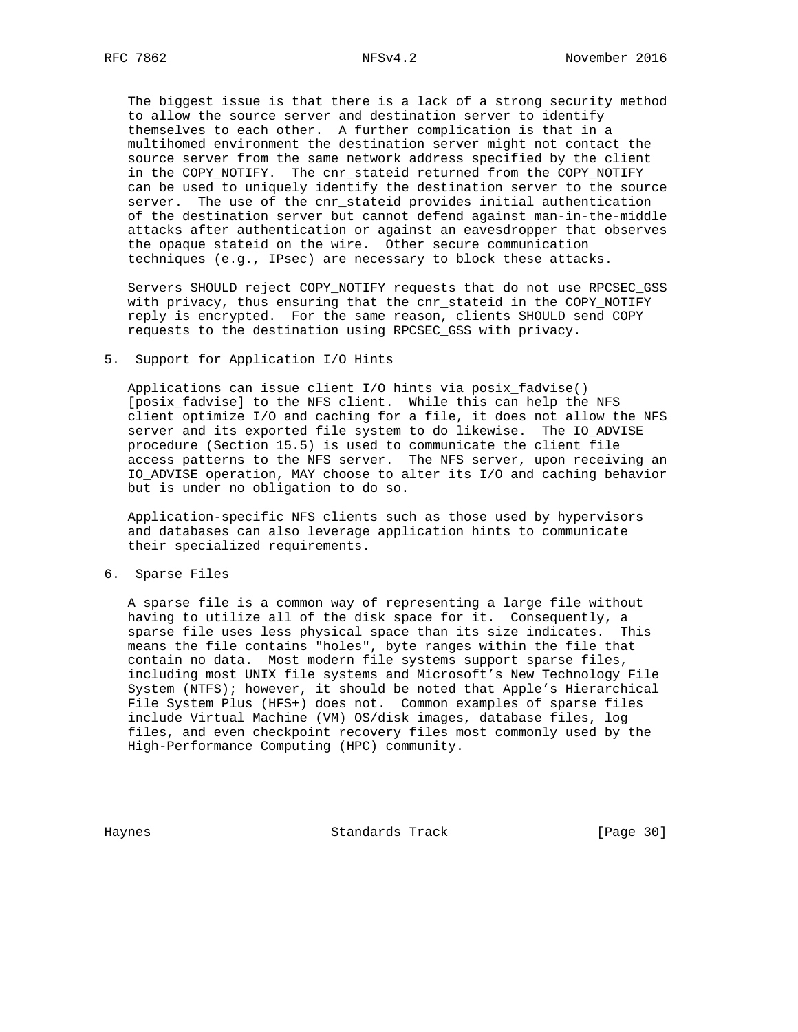The biggest issue is that there is a lack of a strong security method to allow the source server and destination server to identify themselves to each other. A further complication is that in a multihomed environment the destination server might not contact the source server from the same network address specified by the client in the COPY\_NOTIFY. The cnr\_stateid returned from the COPY\_NOTIFY can be used to uniquely identify the destination server to the source server. The use of the cnr\_stateid provides initial authentication of the destination server but cannot defend against man-in-the-middle attacks after authentication or against an eavesdropper that observes the opaque stateid on the wire. Other secure communication techniques (e.g., IPsec) are necessary to block these attacks.

 Servers SHOULD reject COPY\_NOTIFY requests that do not use RPCSEC\_GSS with privacy, thus ensuring that the cnr\_stateid in the COPY\_NOTIFY reply is encrypted. For the same reason, clients SHOULD send COPY requests to the destination using RPCSEC\_GSS with privacy.

## 5. Support for Application I/O Hints

 Applications can issue client I/O hints via posix\_fadvise() [posix\_fadvise] to the NFS client. While this can help the NFS client optimize I/O and caching for a file, it does not allow the NFS server and its exported file system to do likewise. The IO\_ADVISE procedure (Section 15.5) is used to communicate the client file access patterns to the NFS server. The NFS server, upon receiving an IO\_ADVISE operation, MAY choose to alter its I/O and caching behavior but is under no obligation to do so.

 Application-specific NFS clients such as those used by hypervisors and databases can also leverage application hints to communicate their specialized requirements.

## 6. Sparse Files

 A sparse file is a common way of representing a large file without having to utilize all of the disk space for it. Consequently, a sparse file uses less physical space than its size indicates. This means the file contains "holes", byte ranges within the file that contain no data. Most modern file systems support sparse files, including most UNIX file systems and Microsoft's New Technology File System (NTFS); however, it should be noted that Apple's Hierarchical File System Plus (HFS+) does not. Common examples of sparse files include Virtual Machine (VM) OS/disk images, database files, log files, and even checkpoint recovery files most commonly used by the High-Performance Computing (HPC) community.

Haynes **Standards Track** [Page 30]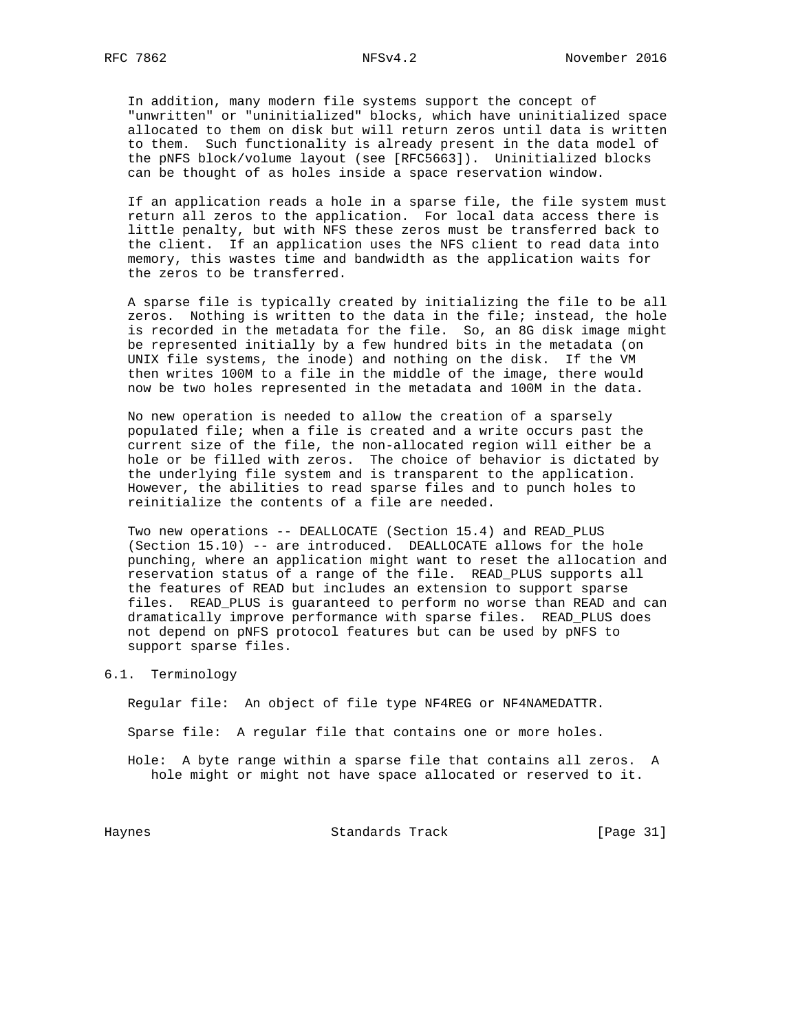In addition, many modern file systems support the concept of "unwritten" or "uninitialized" blocks, which have uninitialized space allocated to them on disk but will return zeros until data is written to them. Such functionality is already present in the data model of the pNFS block/volume layout (see [RFC5663]). Uninitialized blocks can be thought of as holes inside a space reservation window.

 If an application reads a hole in a sparse file, the file system must return all zeros to the application. For local data access there is little penalty, but with NFS these zeros must be transferred back to the client. If an application uses the NFS client to read data into memory, this wastes time and bandwidth as the application waits for the zeros to be transferred.

 A sparse file is typically created by initializing the file to be all zeros. Nothing is written to the data in the file; instead, the hole is recorded in the metadata for the file. So, an 8G disk image might be represented initially by a few hundred bits in the metadata (on UNIX file systems, the inode) and nothing on the disk. If the VM then writes 100M to a file in the middle of the image, there would now be two holes represented in the metadata and 100M in the data.

 No new operation is needed to allow the creation of a sparsely populated file; when a file is created and a write occurs past the current size of the file, the non-allocated region will either be a hole or be filled with zeros. The choice of behavior is dictated by the underlying file system and is transparent to the application. However, the abilities to read sparse files and to punch holes to reinitialize the contents of a file are needed.

 Two new operations -- DEALLOCATE (Section 15.4) and READ\_PLUS (Section 15.10) -- are introduced. DEALLOCATE allows for the hole punching, where an application might want to reset the allocation and reservation status of a range of the file. READ\_PLUS supports all the features of READ but includes an extension to support sparse files. READ\_PLUS is guaranteed to perform no worse than READ and can dramatically improve performance with sparse files. READ\_PLUS does not depend on pNFS protocol features but can be used by pNFS to support sparse files.

#### 6.1. Terminology

Regular file: An object of file type NF4REG or NF4NAMEDATTR.

Sparse file: A regular file that contains one or more holes.

 Hole: A byte range within a sparse file that contains all zeros. A hole might or might not have space allocated or reserved to it.

Haynes Standards Track [Page 31]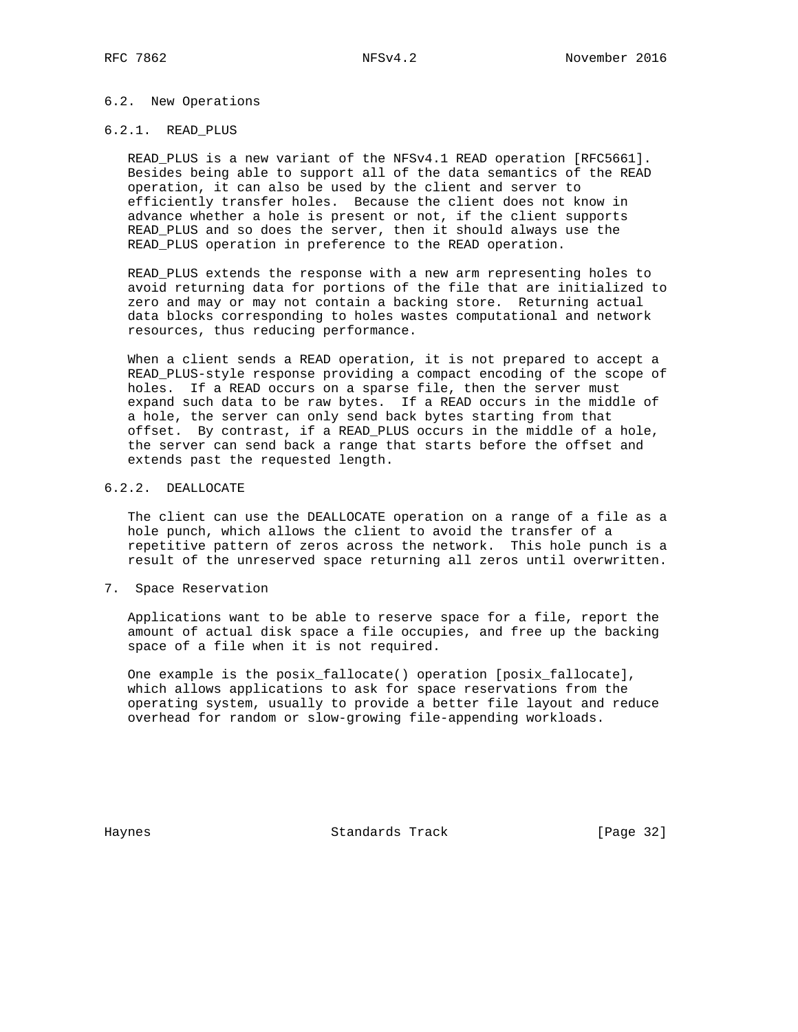## 6.2. New Operations

## 6.2.1. READ\_PLUS

 READ\_PLUS is a new variant of the NFSv4.1 READ operation [RFC5661]. Besides being able to support all of the data semantics of the READ operation, it can also be used by the client and server to efficiently transfer holes. Because the client does not know in advance whether a hole is present or not, if the client supports READ PLUS and so does the server, then it should always use the READ\_PLUS operation in preference to the READ operation.

 READ\_PLUS extends the response with a new arm representing holes to avoid returning data for portions of the file that are initialized to zero and may or may not contain a backing store. Returning actual data blocks corresponding to holes wastes computational and network resources, thus reducing performance.

 When a client sends a READ operation, it is not prepared to accept a READ\_PLUS-style response providing a compact encoding of the scope of holes. If a READ occurs on a sparse file, then the server must expand such data to be raw bytes. If a READ occurs in the middle of a hole, the server can only send back bytes starting from that offset. By contrast, if a READ\_PLUS occurs in the middle of a hole, the server can send back a range that starts before the offset and extends past the requested length.

## 6.2.2. DEALLOCATE

 The client can use the DEALLOCATE operation on a range of a file as a hole punch, which allows the client to avoid the transfer of a repetitive pattern of zeros across the network. This hole punch is a result of the unreserved space returning all zeros until overwritten.

7. Space Reservation

 Applications want to be able to reserve space for a file, report the amount of actual disk space a file occupies, and free up the backing space of a file when it is not required.

 One example is the posix\_fallocate() operation [posix\_fallocate], which allows applications to ask for space reservations from the operating system, usually to provide a better file layout and reduce overhead for random or slow-growing file-appending workloads.

Haynes **Standards Track** [Page 32]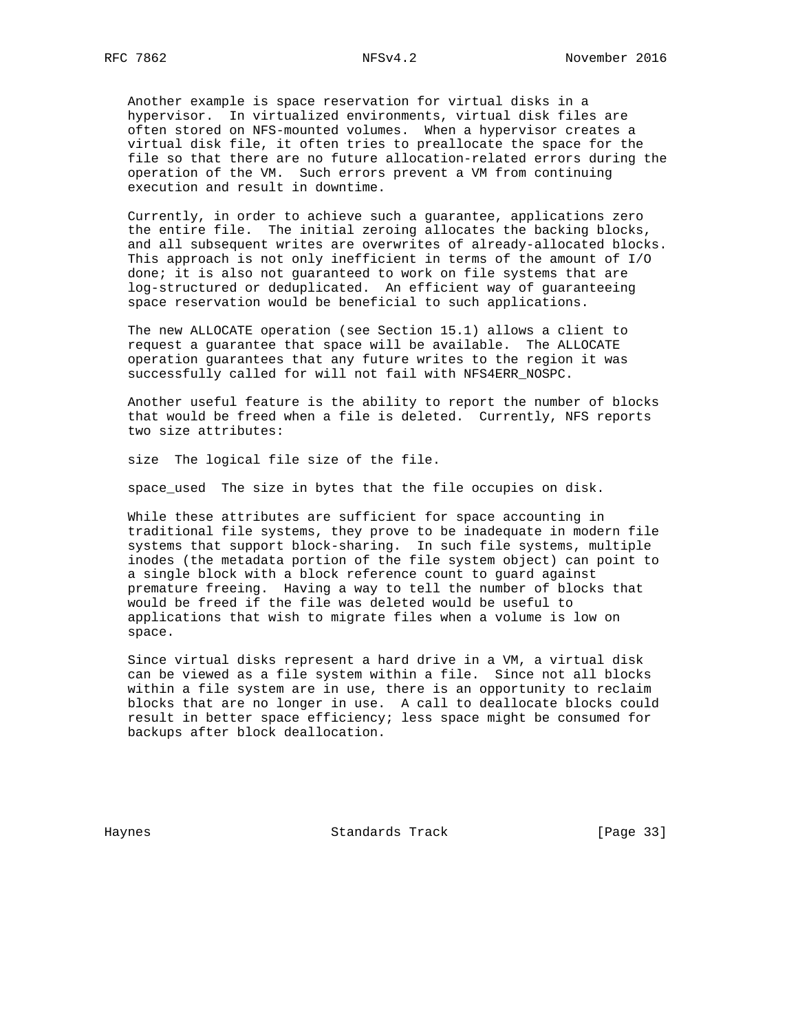Another example is space reservation for virtual disks in a hypervisor. In virtualized environments, virtual disk files are often stored on NFS-mounted volumes. When a hypervisor creates a virtual disk file, it often tries to preallocate the space for the file so that there are no future allocation-related errors during the operation of the VM. Such errors prevent a VM from continuing execution and result in downtime.

 Currently, in order to achieve such a guarantee, applications zero the entire file. The initial zeroing allocates the backing blocks, and all subsequent writes are overwrites of already-allocated blocks. This approach is not only inefficient in terms of the amount of I/O done; it is also not guaranteed to work on file systems that are log-structured or deduplicated. An efficient way of guaranteeing space reservation would be beneficial to such applications.

 The new ALLOCATE operation (see Section 15.1) allows a client to request a guarantee that space will be available. The ALLOCATE operation guarantees that any future writes to the region it was successfully called for will not fail with NFS4ERR\_NOSPC.

 Another useful feature is the ability to report the number of blocks that would be freed when a file is deleted. Currently, NFS reports two size attributes:

size The logical file size of the file.

space\_used The size in bytes that the file occupies on disk.

 While these attributes are sufficient for space accounting in traditional file systems, they prove to be inadequate in modern file systems that support block-sharing. In such file systems, multiple inodes (the metadata portion of the file system object) can point to a single block with a block reference count to guard against premature freeing. Having a way to tell the number of blocks that would be freed if the file was deleted would be useful to applications that wish to migrate files when a volume is low on space.

 Since virtual disks represent a hard drive in a VM, a virtual disk can be viewed as a file system within a file. Since not all blocks within a file system are in use, there is an opportunity to reclaim blocks that are no longer in use. A call to deallocate blocks could result in better space efficiency; less space might be consumed for backups after block deallocation.

Haynes Standards Track [Page 33]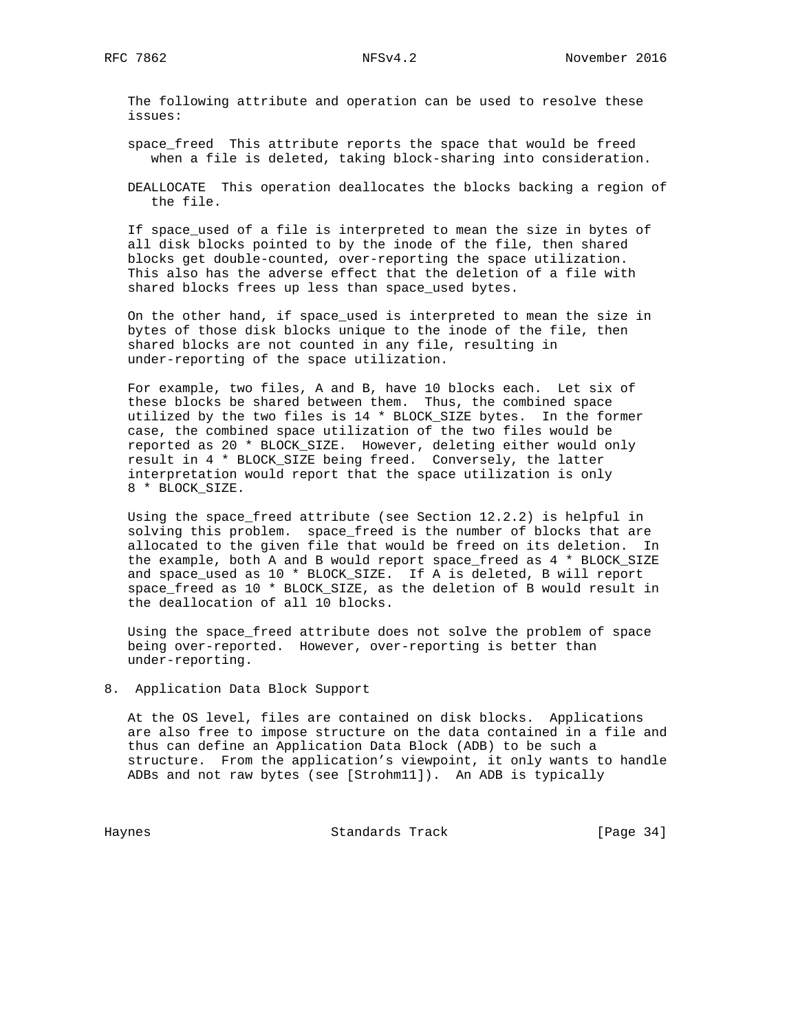The following attribute and operation can be used to resolve these issues:

 space\_freed This attribute reports the space that would be freed when a file is deleted, taking block-sharing into consideration.

 DEALLOCATE This operation deallocates the blocks backing a region of the file.

 If space\_used of a file is interpreted to mean the size in bytes of all disk blocks pointed to by the inode of the file, then shared blocks get double-counted, over-reporting the space utilization. This also has the adverse effect that the deletion of a file with shared blocks frees up less than space\_used bytes.

 On the other hand, if space\_used is interpreted to mean the size in bytes of those disk blocks unique to the inode of the file, then shared blocks are not counted in any file, resulting in under-reporting of the space utilization.

 For example, two files, A and B, have 10 blocks each. Let six of these blocks be shared between them. Thus, the combined space utilized by the two files is 14 \* BLOCK\_SIZE bytes. In the former case, the combined space utilization of the two files would be reported as 20 \* BLOCK\_SIZE. However, deleting either would only result in 4 \* BLOCK\_SIZE being freed. Conversely, the latter interpretation would report that the space utilization is only 8 \* BLOCK\_SIZE.

 Using the space\_freed attribute (see Section 12.2.2) is helpful in solving this problem. space\_freed is the number of blocks that are allocated to the given file that would be freed on its deletion. In the example, both A and B would report space\_freed as 4 \* BLOCK\_SIZE and space\_used as 10 \* BLOCK\_SIZE. If A is deleted, B will report space\_freed as 10 \* BLOCK\_SIZE, as the deletion of B would result in the deallocation of all 10 blocks.

 Using the space\_freed attribute does not solve the problem of space being over-reported. However, over-reporting is better than under-reporting.

8. Application Data Block Support

 At the OS level, files are contained on disk blocks. Applications are also free to impose structure on the data contained in a file and thus can define an Application Data Block (ADB) to be such a structure. From the application's viewpoint, it only wants to handle ADBs and not raw bytes (see [Strohm11]). An ADB is typically

Haynes Standards Track [Page 34]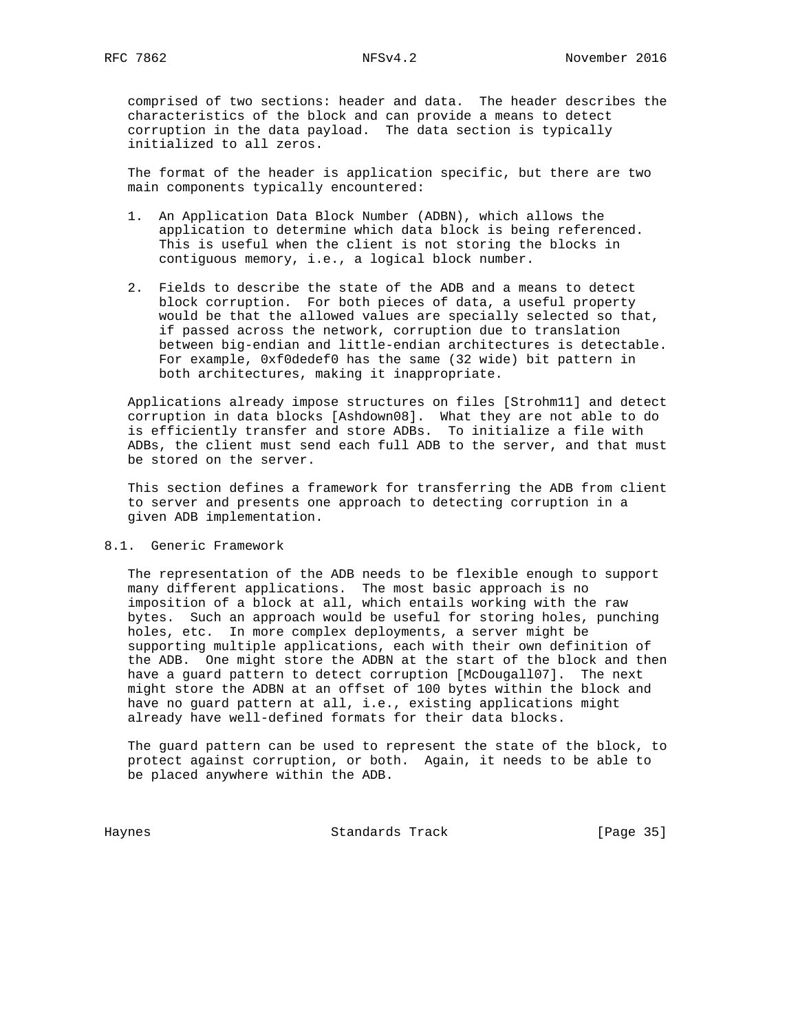comprised of two sections: header and data. The header describes the characteristics of the block and can provide a means to detect corruption in the data payload. The data section is typically initialized to all zeros.

 The format of the header is application specific, but there are two main components typically encountered:

- 1. An Application Data Block Number (ADBN), which allows the application to determine which data block is being referenced. This is useful when the client is not storing the blocks in contiguous memory, i.e., a logical block number.
- 2. Fields to describe the state of the ADB and a means to detect block corruption. For both pieces of data, a useful property would be that the allowed values are specially selected so that, if passed across the network, corruption due to translation between big-endian and little-endian architectures is detectable. For example, 0xf0dedef0 has the same (32 wide) bit pattern in both architectures, making it inappropriate.

 Applications already impose structures on files [Strohm11] and detect corruption in data blocks [Ashdown08]. What they are not able to do is efficiently transfer and store ADBs. To initialize a file with ADBs, the client must send each full ADB to the server, and that must be stored on the server.

 This section defines a framework for transferring the ADB from client to server and presents one approach to detecting corruption in a given ADB implementation.

## 8.1. Generic Framework

 The representation of the ADB needs to be flexible enough to support many different applications. The most basic approach is no imposition of a block at all, which entails working with the raw bytes. Such an approach would be useful for storing holes, punching holes, etc. In more complex deployments, a server might be supporting multiple applications, each with their own definition of the ADB. One might store the ADBN at the start of the block and then have a guard pattern to detect corruption [McDougall07]. The next might store the ADBN at an offset of 100 bytes within the block and have no guard pattern at all, i.e., existing applications might already have well-defined formats for their data blocks.

 The guard pattern can be used to represent the state of the block, to protect against corruption, or both. Again, it needs to be able to be placed anywhere within the ADB.

Haynes **Example 2018** Standards Track **Example 2018** [Page 35]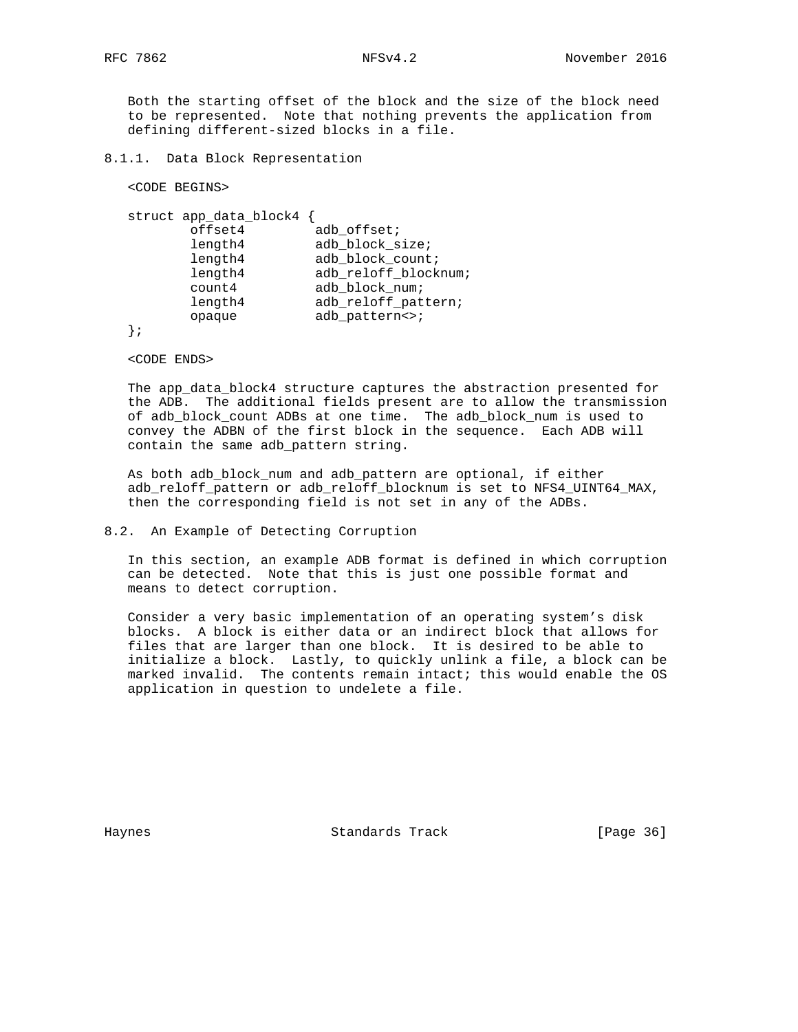Both the starting offset of the block and the size of the block need to be represented. Note that nothing prevents the application from defining different-sized blocks in a file.

8.1.1. Data Block Representation

<CODE BEGINS>

```
 struct app_data_block4 {
offset4 adb_offset;
length4 adb_block_size;
length4 adb_block_count;
length4 adb_reloff_blocknum;
 count4 adb_block_num;
length4 adb_reloff_pattern;
opaque adb_pattern<>;
```
};

<CODE ENDS>

 The app\_data\_block4 structure captures the abstraction presented for the ADB. The additional fields present are to allow the transmission of adb\_block\_count ADBs at one time. The adb\_block\_num is used to convey the ADBN of the first block in the sequence. Each ADB will contain the same adb\_pattern string.

 As both adb\_block\_num and adb\_pattern are optional, if either adb\_reloff\_pattern or adb\_reloff\_blocknum is set to NFS4\_UINT64\_MAX, then the corresponding field is not set in any of the ADBs.

## 8.2. An Example of Detecting Corruption

 In this section, an example ADB format is defined in which corruption can be detected. Note that this is just one possible format and means to detect corruption.

 Consider a very basic implementation of an operating system's disk blocks. A block is either data or an indirect block that allows for files that are larger than one block. It is desired to be able to initialize a block. Lastly, to quickly unlink a file, a block can be marked invalid. The contents remain intact; this would enable the OS application in question to undelete a file.

Haynes Standards Track [Page 36]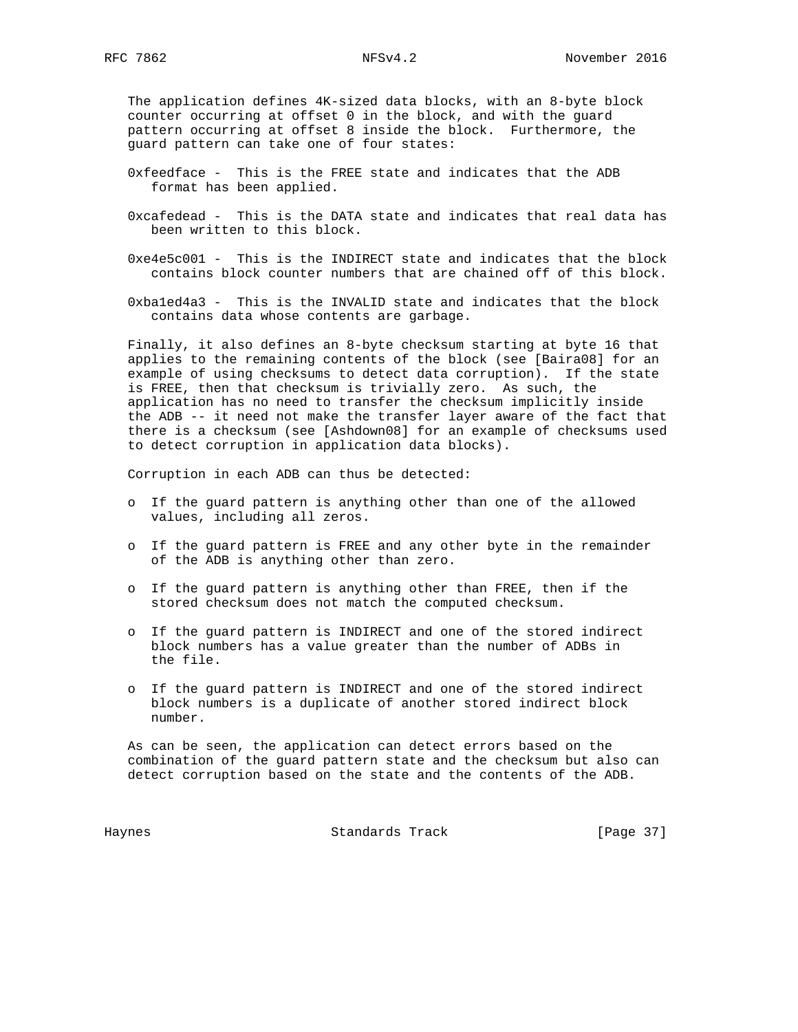The application defines 4K-sized data blocks, with an 8-byte block counter occurring at offset 0 in the block, and with the guard pattern occurring at offset 8 inside the block. Furthermore, the guard pattern can take one of four states:

- 0xfeedface This is the FREE state and indicates that the ADB format has been applied.
- 0xcafedead This is the DATA state and indicates that real data has been written to this block.
- 0xe4e5c001 This is the INDIRECT state and indicates that the block contains block counter numbers that are chained off of this block.
- 0xba1ed4a3 This is the INVALID state and indicates that the block contains data whose contents are garbage.

 Finally, it also defines an 8-byte checksum starting at byte 16 that applies to the remaining contents of the block (see [Baira08] for an example of using checksums to detect data corruption). If the state is FREE, then that checksum is trivially zero. As such, the application has no need to transfer the checksum implicitly inside the ADB -- it need not make the transfer layer aware of the fact that there is a checksum (see [Ashdown08] for an example of checksums used to detect corruption in application data blocks).

Corruption in each ADB can thus be detected:

- o If the guard pattern is anything other than one of the allowed values, including all zeros.
- o If the guard pattern is FREE and any other byte in the remainder of the ADB is anything other than zero.
- o If the guard pattern is anything other than FREE, then if the stored checksum does not match the computed checksum.
- o If the guard pattern is INDIRECT and one of the stored indirect block numbers has a value greater than the number of ADBs in the file.
- o If the guard pattern is INDIRECT and one of the stored indirect block numbers is a duplicate of another stored indirect block number.

 As can be seen, the application can detect errors based on the combination of the guard pattern state and the checksum but also can detect corruption based on the state and the contents of the ADB.

Haynes **Example 2018** Standards Track **Example 2018** [Page 37]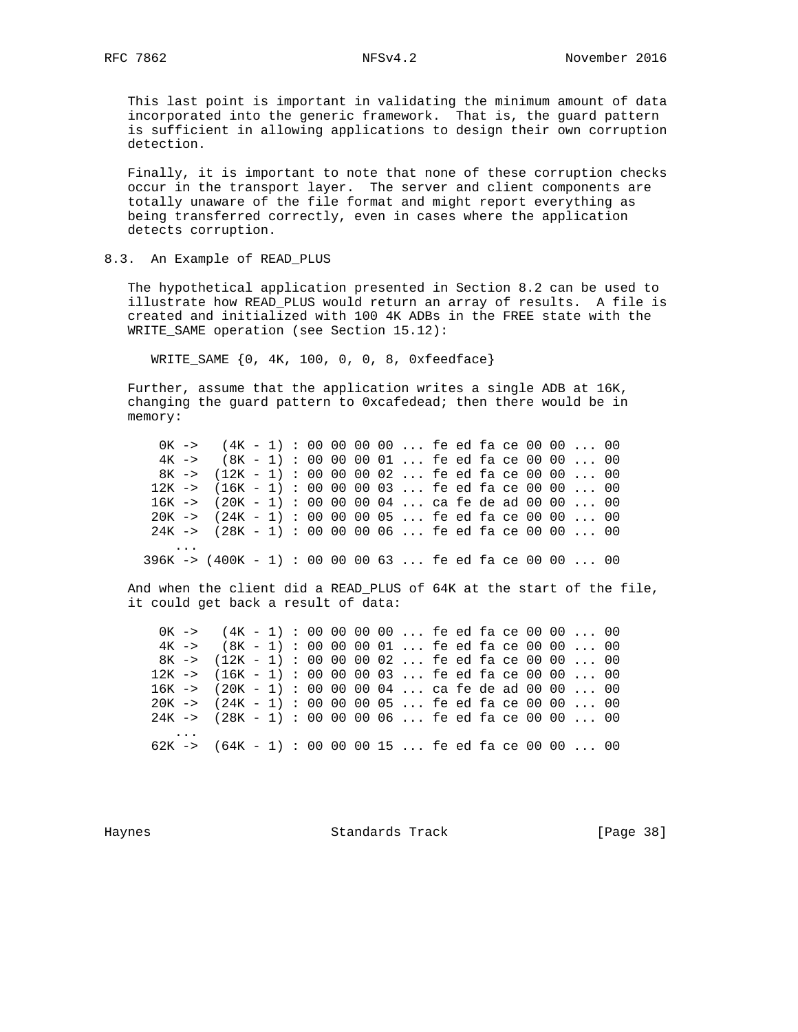This last point is important in validating the minimum amount of data incorporated into the generic framework. That is, the guard pattern is sufficient in allowing applications to design their own corruption detection.

 Finally, it is important to note that none of these corruption checks occur in the transport layer. The server and client components are totally unaware of the file format and might report everything as being transferred correctly, even in cases where the application detects corruption.

### 8.3. An Example of READ\_PLUS

 The hypothetical application presented in Section 8.2 can be used to illustrate how READ\_PLUS would return an array of results. A file is created and initialized with 100 4K ADBs in the FREE state with the WRITE\_SAME operation (see Section 15.12):

WRITE\_SAME {0, 4K, 100, 0, 0, 8, 0xfeedface}

 Further, assume that the application writes a single ADB at 16K, changing the guard pattern to 0xcafedead; then there would be in memory:

 0K -> (4K - 1) : 00 00 00 00 ... fe ed fa ce 00 00 ... 00 4K -> (8K - 1) : 00 00 00 01 ... fe ed fa ce 00 00 ... 00 8K -> (12K - 1) : 00 00 00 02 ... fe ed fa ce 00 00 ... 00 12K -> (16K - 1) : 00 00 00 03 ... fe ed fa ce 00 00 ... 00 16K -> (20K - 1) : 00 00 00 04 ... ca fe de ad 00 00 ... 00 20K -> (24K - 1) : 00 00 00 05 ... fe ed fa ce 00 00 ... 00 24K -> (28K - 1) : 00 00 00 06 ... fe ed fa ce 00 00 ... 00 ...

396K -> (400K - 1) : 00 00 00 63 ... fe ed fa ce 00 00 ... 00

 And when the client did a READ\_PLUS of 64K at the start of the file, it could get back a result of data:

 0K -> (4K - 1) : 00 00 00 00 ... fe ed fa ce 00 00 ... 00 4K -> (8K - 1) : 00 00 00 01 ... fe ed fa ce 00 00 ... 00 8K -> (12K - 1) : 00 00 00 02 ... fe ed fa ce 00 00 ... 00 12K -> (16K - 1) : 00 00 00 03 ... fe ed fa ce 00 00 ... 00 16K -> (20K - 1) : 00 00 00 04 ... ca fe de ad 00 00 ... 00 20K -> (24K - 1) : 00 00 00 05 ... fe ed fa ce 00 00 ... 00 24K -> (28K - 1) : 00 00 00 06 ... fe ed fa ce 00 00 ... 00 ... 62K -> (64K - 1) : 00 00 00 15 ... fe ed fa ce 00 00 ... 00

Haynes Standards Track [Page 38]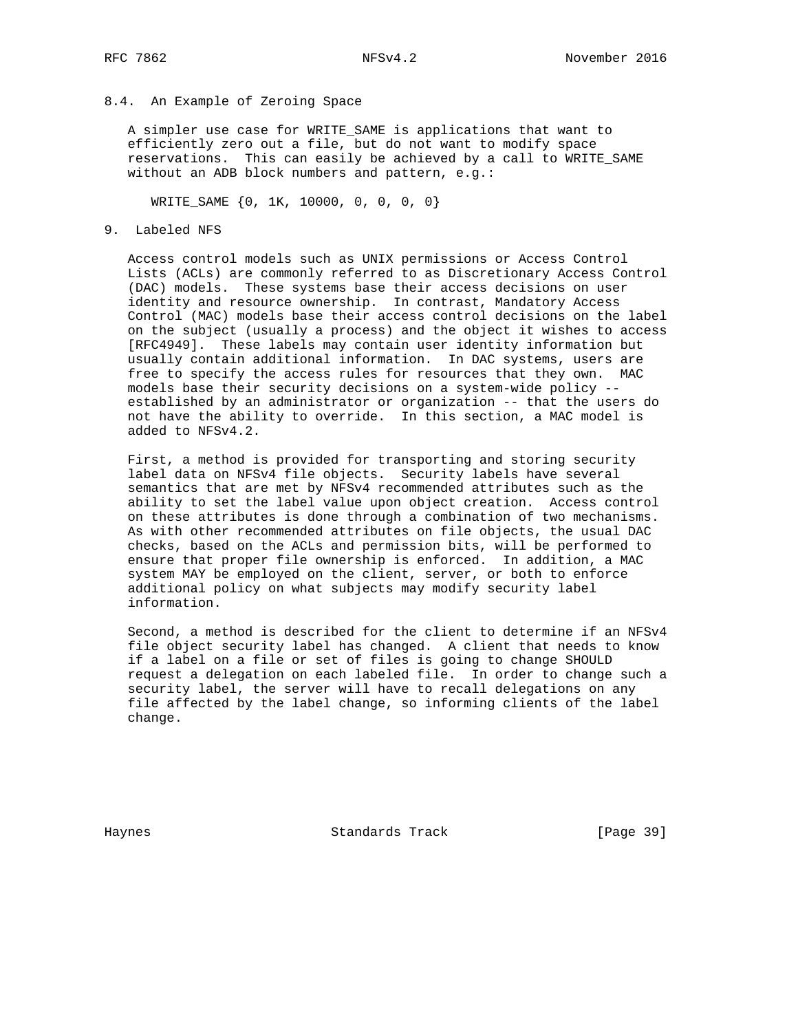8.4. An Example of Zeroing Space

 A simpler use case for WRITE\_SAME is applications that want to efficiently zero out a file, but do not want to modify space reservations. This can easily be achieved by a call to WRITE\_SAME without an ADB block numbers and pattern, e.g.:

WRITE\_SAME {0, 1K, 10000, 0, 0, 0, 0}

9. Labeled NFS

 Access control models such as UNIX permissions or Access Control Lists (ACLs) are commonly referred to as Discretionary Access Control (DAC) models. These systems base their access decisions on user identity and resource ownership. In contrast, Mandatory Access Control (MAC) models base their access control decisions on the label on the subject (usually a process) and the object it wishes to access [RFC4949]. These labels may contain user identity information but usually contain additional information. In DAC systems, users are free to specify the access rules for resources that they own. MAC models base their security decisions on a system-wide policy - established by an administrator or organization -- that the users do not have the ability to override. In this section, a MAC model is added to NFSv4.2.

 First, a method is provided for transporting and storing security label data on NFSv4 file objects. Security labels have several semantics that are met by NFSv4 recommended attributes such as the ability to set the label value upon object creation. Access control on these attributes is done through a combination of two mechanisms. As with other recommended attributes on file objects, the usual DAC checks, based on the ACLs and permission bits, will be performed to ensure that proper file ownership is enforced. In addition, a MAC system MAY be employed on the client, server, or both to enforce additional policy on what subjects may modify security label information.

 Second, a method is described for the client to determine if an NFSv4 file object security label has changed. A client that needs to know if a label on a file or set of files is going to change SHOULD request a delegation on each labeled file. In order to change such a security label, the server will have to recall delegations on any file affected by the label change, so informing clients of the label change.

Haynes Standards Track [Page 39]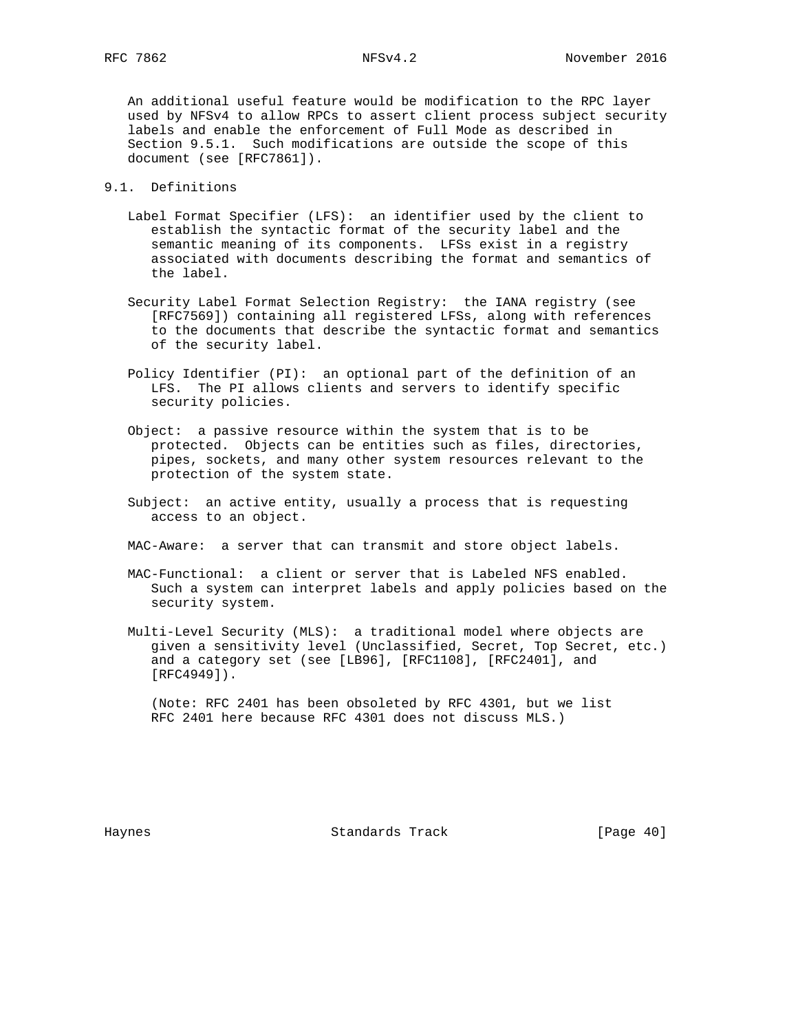An additional useful feature would be modification to the RPC layer used by NFSv4 to allow RPCs to assert client process subject security labels and enable the enforcement of Full Mode as described in Section 9.5.1. Such modifications are outside the scope of this document (see [RFC7861]).

- 9.1. Definitions
	- Label Format Specifier (LFS): an identifier used by the client to establish the syntactic format of the security label and the semantic meaning of its components. LFSs exist in a registry associated with documents describing the format and semantics of the label.
	- Security Label Format Selection Registry: the IANA registry (see [RFC7569]) containing all registered LFSs, along with references to the documents that describe the syntactic format and semantics of the security label.
	- Policy Identifier (PI): an optional part of the definition of an LFS. The PI allows clients and servers to identify specific security policies.
	- Object: a passive resource within the system that is to be protected. Objects can be entities such as files, directories, pipes, sockets, and many other system resources relevant to the protection of the system state.
	- Subject: an active entity, usually a process that is requesting access to an object.

MAC-Aware: a server that can transmit and store object labels.

- MAC-Functional: a client or server that is Labeled NFS enabled. Such a system can interpret labels and apply policies based on the security system.
- Multi-Level Security (MLS): a traditional model where objects are given a sensitivity level (Unclassified, Secret, Top Secret, etc.) and a category set (see [LB96], [RFC1108], [RFC2401], and [RFC4949]).

 (Note: RFC 2401 has been obsoleted by RFC 4301, but we list RFC 2401 here because RFC 4301 does not discuss MLS.)

Haynes **Example 18** Standards Track **Example 2018** [Page 40]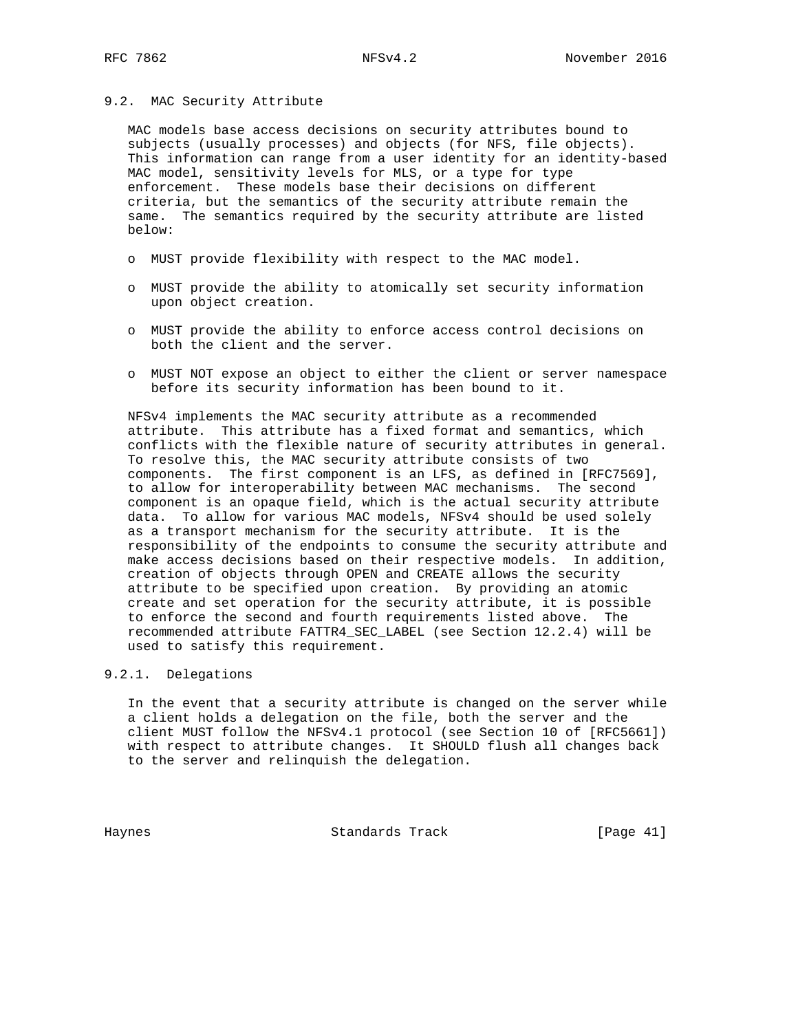#### 9.2. MAC Security Attribute

 MAC models base access decisions on security attributes bound to subjects (usually processes) and objects (for NFS, file objects). This information can range from a user identity for an identity-based MAC model, sensitivity levels for MLS, or a type for type enforcement. These models base their decisions on different criteria, but the semantics of the security attribute remain the same. The semantics required by the security attribute are listed below:

- o MUST provide flexibility with respect to the MAC model.
- o MUST provide the ability to atomically set security information upon object creation.
- o MUST provide the ability to enforce access control decisions on both the client and the server.
- o MUST NOT expose an object to either the client or server namespace before its security information has been bound to it.

 NFSv4 implements the MAC security attribute as a recommended attribute. This attribute has a fixed format and semantics, which conflicts with the flexible nature of security attributes in general. To resolve this, the MAC security attribute consists of two components. The first component is an LFS, as defined in [RFC7569], to allow for interoperability between MAC mechanisms. The second component is an opaque field, which is the actual security attribute data. To allow for various MAC models, NFSv4 should be used solely as a transport mechanism for the security attribute. It is the responsibility of the endpoints to consume the security attribute and make access decisions based on their respective models. In addition, creation of objects through OPEN and CREATE allows the security attribute to be specified upon creation. By providing an atomic create and set operation for the security attribute, it is possible to enforce the second and fourth requirements listed above. The recommended attribute FATTR4\_SEC\_LABEL (see Section 12.2.4) will be used to satisfy this requirement.

### 9.2.1. Delegations

 In the event that a security attribute is changed on the server while a client holds a delegation on the file, both the server and the client MUST follow the NFSv4.1 protocol (see Section 10 of [RFC5661]) with respect to attribute changes. It SHOULD flush all changes back to the server and relinquish the delegation.

Haynes **Standards Track** [Page 41]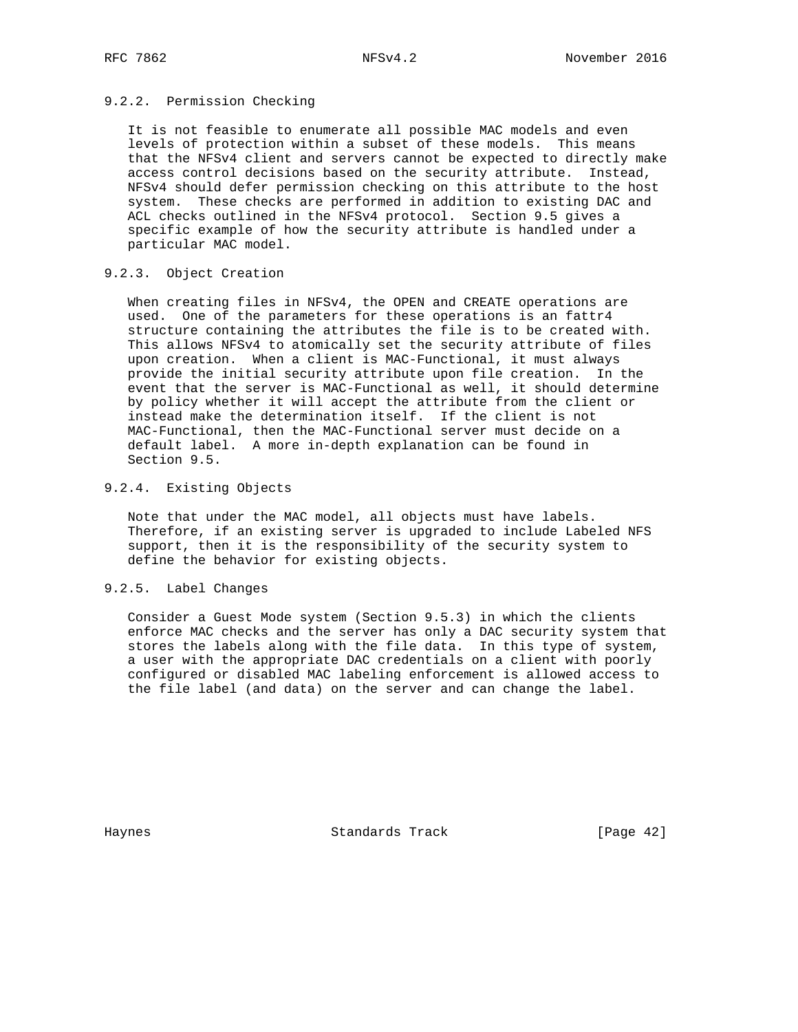### 9.2.2. Permission Checking

 It is not feasible to enumerate all possible MAC models and even levels of protection within a subset of these models. This means that the NFSv4 client and servers cannot be expected to directly make access control decisions based on the security attribute. Instead, NFSv4 should defer permission checking on this attribute to the host system. These checks are performed in addition to existing DAC and ACL checks outlined in the NFSv4 protocol. Section 9.5 gives a specific example of how the security attribute is handled under a particular MAC model.

## 9.2.3. Object Creation

 When creating files in NFSv4, the OPEN and CREATE operations are used. One of the parameters for these operations is an fattr4 structure containing the attributes the file is to be created with. This allows NFSv4 to atomically set the security attribute of files upon creation. When a client is MAC-Functional, it must always provide the initial security attribute upon file creation. In the event that the server is MAC-Functional as well, it should determine by policy whether it will accept the attribute from the client or instead make the determination itself. If the client is not MAC-Functional, then the MAC-Functional server must decide on a default label. A more in-depth explanation can be found in Section 9.5.

### 9.2.4. Existing Objects

 Note that under the MAC model, all objects must have labels. Therefore, if an existing server is upgraded to include Labeled NFS support, then it is the responsibility of the security system to define the behavior for existing objects.

### 9.2.5. Label Changes

 Consider a Guest Mode system (Section 9.5.3) in which the clients enforce MAC checks and the server has only a DAC security system that stores the labels along with the file data. In this type of system, a user with the appropriate DAC credentials on a client with poorly configured or disabled MAC labeling enforcement is allowed access to the file label (and data) on the server and can change the label.

Haynes **Example 18** Standards Track **Example 20** [Page 42]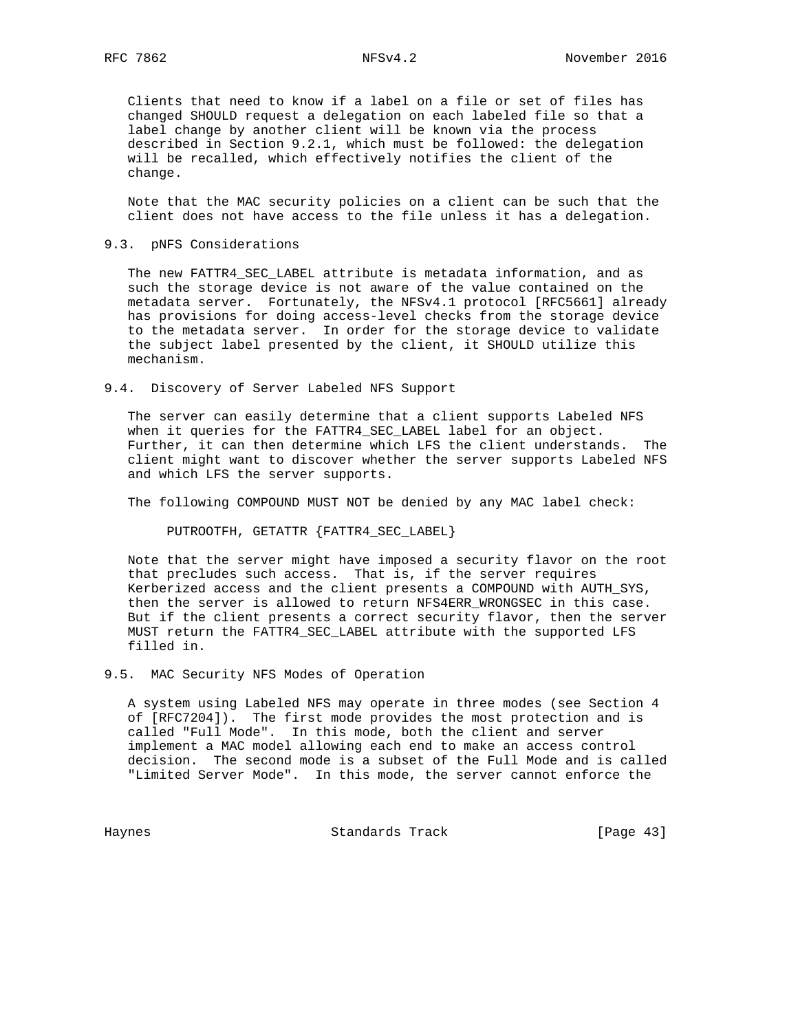Clients that need to know if a label on a file or set of files has changed SHOULD request a delegation on each labeled file so that a label change by another client will be known via the process described in Section 9.2.1, which must be followed: the delegation will be recalled, which effectively notifies the client of the change.

 Note that the MAC security policies on a client can be such that the client does not have access to the file unless it has a delegation.

#### 9.3. pNFS Considerations

 The new FATTR4\_SEC\_LABEL attribute is metadata information, and as such the storage device is not aware of the value contained on the metadata server. Fortunately, the NFSv4.1 protocol [RFC5661] already has provisions for doing access-level checks from the storage device to the metadata server. In order for the storage device to validate the subject label presented by the client, it SHOULD utilize this mechanism.

9.4. Discovery of Server Labeled NFS Support

 The server can easily determine that a client supports Labeled NFS when it queries for the FATTR4\_SEC\_LABEL label for an object. Further, it can then determine which LFS the client understands. The client might want to discover whether the server supports Labeled NFS and which LFS the server supports.

The following COMPOUND MUST NOT be denied by any MAC label check:

PUTROOTFH, GETATTR {FATTR4\_SEC\_LABEL}

 Note that the server might have imposed a security flavor on the root that precludes such access. That is, if the server requires Kerberized access and the client presents a COMPOUND with AUTH\_SYS, then the server is allowed to return NFS4ERR\_WRONGSEC in this case. But if the client presents a correct security flavor, then the server MUST return the FATTR4\_SEC\_LABEL attribute with the supported LFS filled in.

9.5. MAC Security NFS Modes of Operation

 A system using Labeled NFS may operate in three modes (see Section 4 of [RFC7204]). The first mode provides the most protection and is called "Full Mode". In this mode, both the client and server implement a MAC model allowing each end to make an access control decision. The second mode is a subset of the Full Mode and is called "Limited Server Mode". In this mode, the server cannot enforce the

Haynes **Standards Track** [Page 43]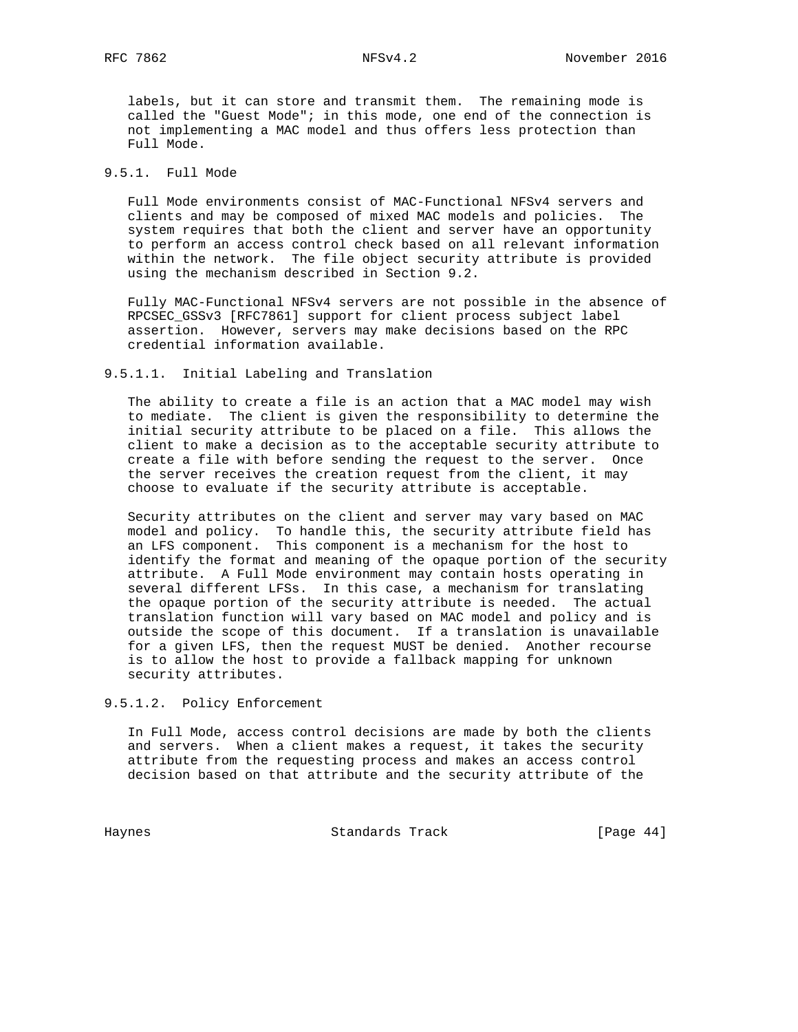labels, but it can store and transmit them. The remaining mode is called the "Guest Mode"; in this mode, one end of the connection is not implementing a MAC model and thus offers less protection than Full Mode.

## 9.5.1. Full Mode

 Full Mode environments consist of MAC-Functional NFSv4 servers and clients and may be composed of mixed MAC models and policies. The system requires that both the client and server have an opportunity to perform an access control check based on all relevant information within the network. The file object security attribute is provided using the mechanism described in Section 9.2.

 Fully MAC-Functional NFSv4 servers are not possible in the absence of RPCSEC\_GSSv3 [RFC7861] support for client process subject label assertion. However, servers may make decisions based on the RPC credential information available.

#### 9.5.1.1. Initial Labeling and Translation

 The ability to create a file is an action that a MAC model may wish to mediate. The client is given the responsibility to determine the initial security attribute to be placed on a file. This allows the client to make a decision as to the acceptable security attribute to create a file with before sending the request to the server. Once the server receives the creation request from the client, it may choose to evaluate if the security attribute is acceptable.

 Security attributes on the client and server may vary based on MAC model and policy. To handle this, the security attribute field has an LFS component. This component is a mechanism for the host to identify the format and meaning of the opaque portion of the security attribute. A Full Mode environment may contain hosts operating in several different LFSs. In this case, a mechanism for translating the opaque portion of the security attribute is needed. The actual translation function will vary based on MAC model and policy and is outside the scope of this document. If a translation is unavailable for a given LFS, then the request MUST be denied. Another recourse is to allow the host to provide a fallback mapping for unknown security attributes.

### 9.5.1.2. Policy Enforcement

 In Full Mode, access control decisions are made by both the clients and servers. When a client makes a request, it takes the security attribute from the requesting process and makes an access control decision based on that attribute and the security attribute of the

Haynes **Example 18** Standards Track **Example 2018** [Page 44]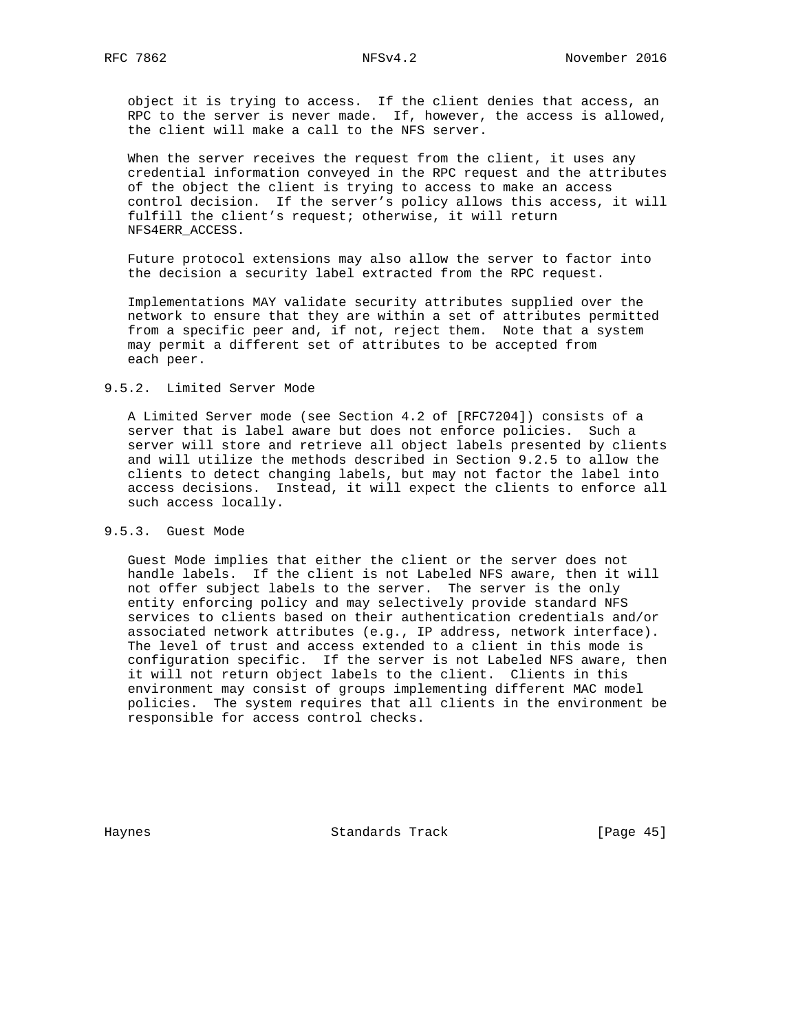object it is trying to access. If the client denies that access, an RPC to the server is never made. If, however, the access is allowed, the client will make a call to the NFS server.

 When the server receives the request from the client, it uses any credential information conveyed in the RPC request and the attributes of the object the client is trying to access to make an access control decision. If the server's policy allows this access, it will fulfill the client's request; otherwise, it will return NFS4ERR\_ACCESS.

 Future protocol extensions may also allow the server to factor into the decision a security label extracted from the RPC request.

 Implementations MAY validate security attributes supplied over the network to ensure that they are within a set of attributes permitted from a specific peer and, if not, reject them. Note that a system may permit a different set of attributes to be accepted from each peer.

### 9.5.2. Limited Server Mode

 A Limited Server mode (see Section 4.2 of [RFC7204]) consists of a server that is label aware but does not enforce policies. Such a server will store and retrieve all object labels presented by clients and will utilize the methods described in Section 9.2.5 to allow the clients to detect changing labels, but may not factor the label into access decisions. Instead, it will expect the clients to enforce all such access locally.

### 9.5.3. Guest Mode

 Guest Mode implies that either the client or the server does not handle labels. If the client is not Labeled NFS aware, then it will not offer subject labels to the server. The server is the only entity enforcing policy and may selectively provide standard NFS services to clients based on their authentication credentials and/or associated network attributes (e.g., IP address, network interface). The level of trust and access extended to a client in this mode is configuration specific. If the server is not Labeled NFS aware, then it will not return object labels to the client. Clients in this environment may consist of groups implementing different MAC model policies. The system requires that all clients in the environment be responsible for access control checks.

Haynes **Example 2018** Standards Track **Example 2018** [Page 45]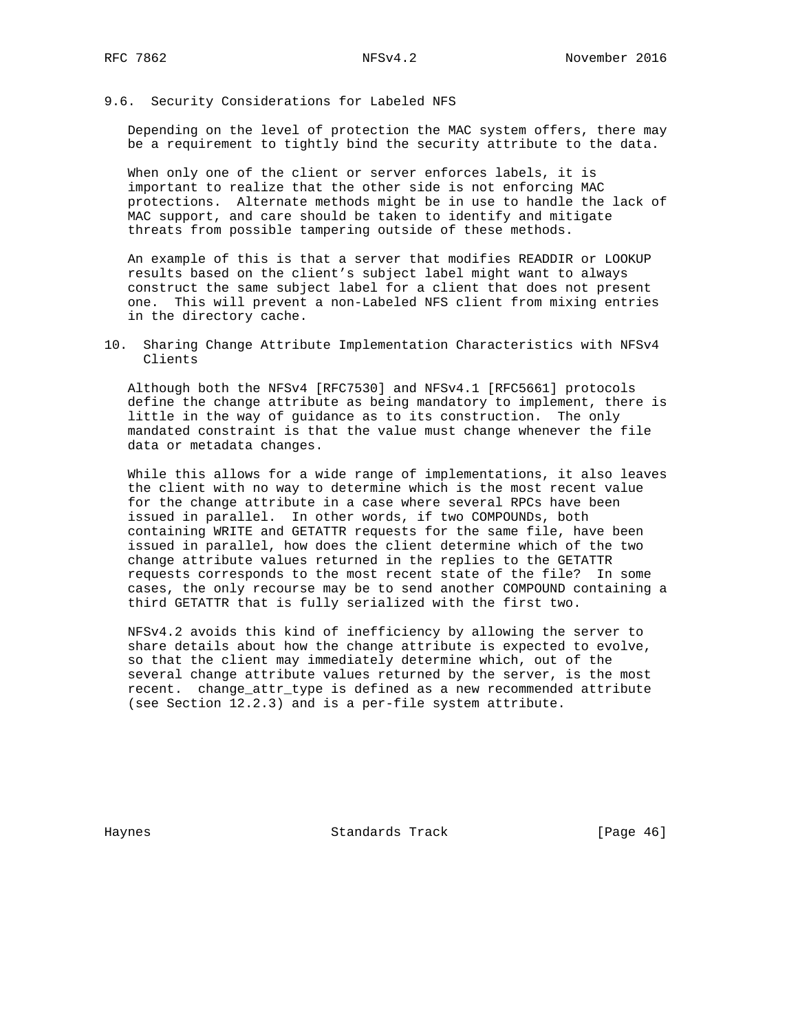### 9.6. Security Considerations for Labeled NFS

 Depending on the level of protection the MAC system offers, there may be a requirement to tightly bind the security attribute to the data.

 When only one of the client or server enforces labels, it is important to realize that the other side is not enforcing MAC protections. Alternate methods might be in use to handle the lack of MAC support, and care should be taken to identify and mitigate threats from possible tampering outside of these methods.

 An example of this is that a server that modifies READDIR or LOOKUP results based on the client's subject label might want to always construct the same subject label for a client that does not present one. This will prevent a non-Labeled NFS client from mixing entries in the directory cache.

10. Sharing Change Attribute Implementation Characteristics with NFSv4 Clients

 Although both the NFSv4 [RFC7530] and NFSv4.1 [RFC5661] protocols define the change attribute as being mandatory to implement, there is little in the way of guidance as to its construction. The only mandated constraint is that the value must change whenever the file data or metadata changes.

 While this allows for a wide range of implementations, it also leaves the client with no way to determine which is the most recent value for the change attribute in a case where several RPCs have been issued in parallel. In other words, if two COMPOUNDs, both containing WRITE and GETATTR requests for the same file, have been issued in parallel, how does the client determine which of the two change attribute values returned in the replies to the GETATTR requests corresponds to the most recent state of the file? In some cases, the only recourse may be to send another COMPOUND containing a third GETATTR that is fully serialized with the first two.

 NFSv4.2 avoids this kind of inefficiency by allowing the server to share details about how the change attribute is expected to evolve, so that the client may immediately determine which, out of the several change attribute values returned by the server, is the most recent. change\_attr\_type is defined as a new recommended attribute (see Section 12.2.3) and is a per-file system attribute.

Haynes **Example 18** Standards Track **Example 2018** [Page 46]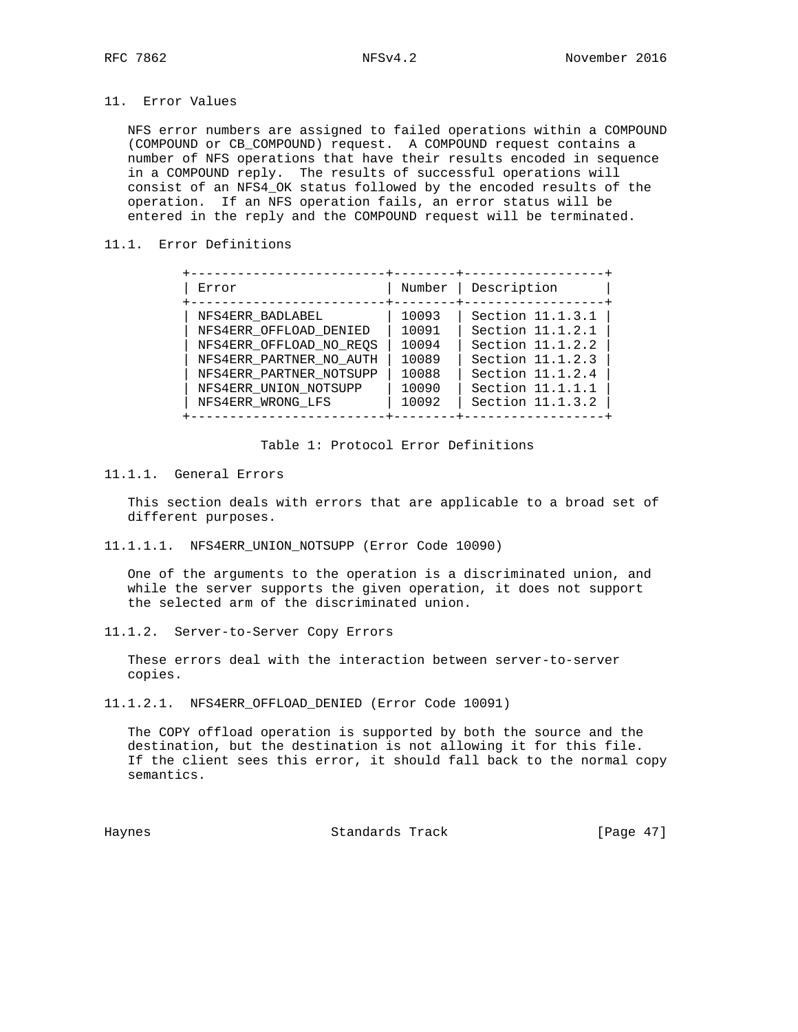## 11. Error Values

 NFS error numbers are assigned to failed operations within a COMPOUND (COMPOUND or CB\_COMPOUND) request. A COMPOUND request contains a number of NFS operations that have their results encoded in sequence in a COMPOUND reply. The results of successful operations will consist of an NFS4\_OK status followed by the encoded results of the operation. If an NFS operation fails, an error status will be entered in the reply and the COMPOUND request will be terminated.

## 11.1. Error Definitions

| Error                   | Number | Description      |
|-------------------------|--------|------------------|
| NFS4ERR BADLABEL        | 10093  | Section 11.1.3.1 |
| NFS4ERR OFFLOAD DENIED  | 10091  | Section 11.1.2.1 |
| NFS4ERR OFFLOAD NO REOS | 10094  | Section 11.1.2.2 |
| NFS4ERR PARTNER NO AUTH | 10089  | Section 11.1.2.3 |
| NFS4ERR PARTNER NOTSUPP | 10088  | Section 11.1.2.4 |
| NFS4ERR UNION NOTSUPP   | 10090  | Section 11.1.1.1 |
| NFS4ERR WRONG LFS       | 10092  | Section 11.1.3.2 |

### Table 1: Protocol Error Definitions

## 11.1.1. General Errors

 This section deals with errors that are applicable to a broad set of different purposes.

11.1.1.1. NFS4ERR\_UNION\_NOTSUPP (Error Code 10090)

 One of the arguments to the operation is a discriminated union, and while the server supports the given operation, it does not support the selected arm of the discriminated union.

11.1.2. Server-to-Server Copy Errors

 These errors deal with the interaction between server-to-server copies.

11.1.2.1. NFS4ERR\_OFFLOAD\_DENIED (Error Code 10091)

 The COPY offload operation is supported by both the source and the destination, but the destination is not allowing it for this file. If the client sees this error, it should fall back to the normal copy semantics.

Haynes Standards Track [Page 47]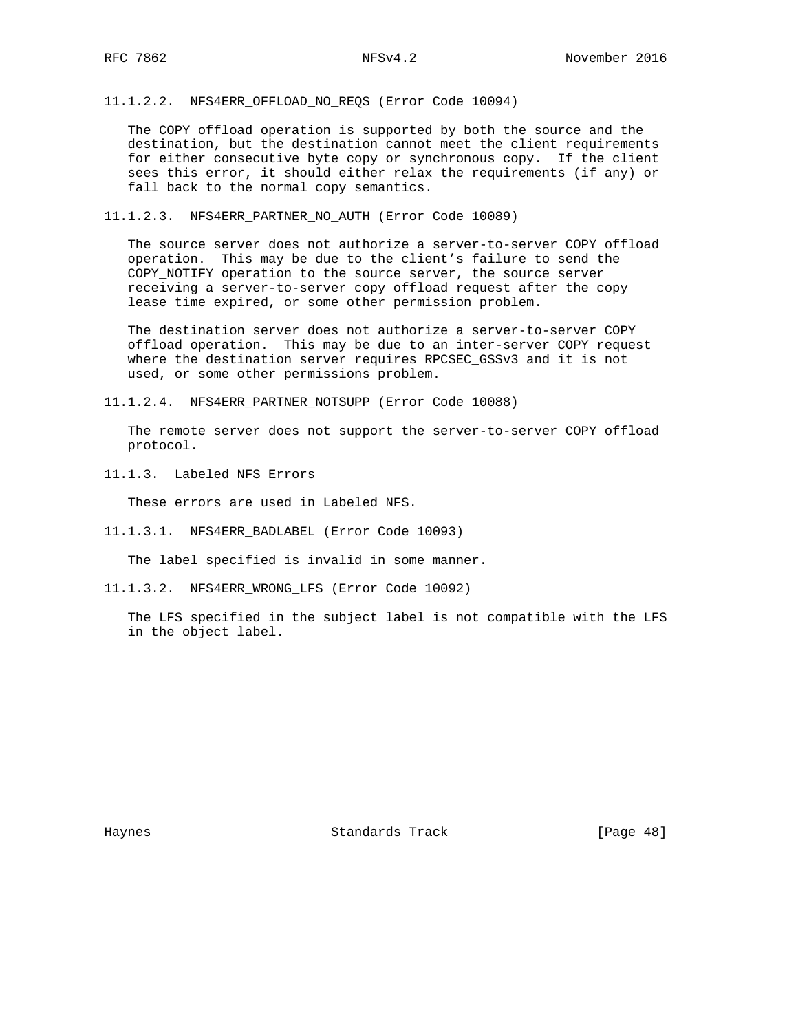11.1.2.2. NFS4ERR\_OFFLOAD\_NO\_REQS (Error Code 10094)

 The COPY offload operation is supported by both the source and the destination, but the destination cannot meet the client requirements for either consecutive byte copy or synchronous copy. If the client sees this error, it should either relax the requirements (if any) or fall back to the normal copy semantics.

11.1.2.3. NFS4ERR\_PARTNER\_NO\_AUTH (Error Code 10089)

 The source server does not authorize a server-to-server COPY offload operation. This may be due to the client's failure to send the COPY\_NOTIFY operation to the source server, the source server receiving a server-to-server copy offload request after the copy lease time expired, or some other permission problem.

 The destination server does not authorize a server-to-server COPY offload operation. This may be due to an inter-server COPY request where the destination server requires RPCSEC\_GSSv3 and it is not used, or some other permissions problem.

11.1.2.4. NFS4ERR\_PARTNER\_NOTSUPP (Error Code 10088)

 The remote server does not support the server-to-server COPY offload protocol.

11.1.3. Labeled NFS Errors

These errors are used in Labeled NFS.

11.1.3.1. NFS4ERR\_BADLABEL (Error Code 10093)

The label specified is invalid in some manner.

11.1.3.2. NFS4ERR\_WRONG\_LFS (Error Code 10092)

 The LFS specified in the subject label is not compatible with the LFS in the object label.

Haynes **Standards Track** [Page 48]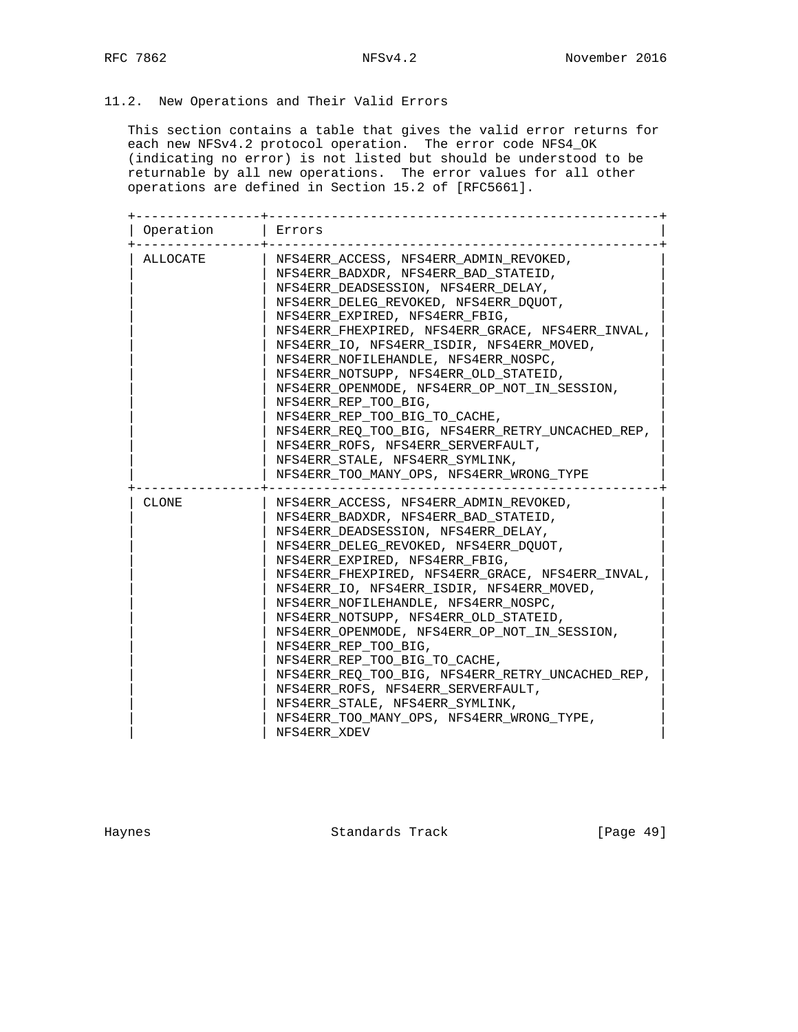# 11.2. New Operations and Their Valid Errors

 This section contains a table that gives the valid error returns for each new NFSv4.2 protocol operation. The error code NFS4\_OK (indicating no error) is not listed but should be understood to be returnable by all new operations. The error values for all other operations are defined in Section 15.2 of [RFC5661].

| Operation    | Errors                                           |
|--------------|--------------------------------------------------|
| ALLOCATE     | NFS4ERR ACCESS, NFS4ERR ADMIN REVOKED,           |
|              | NFS4ERR BADXDR, NFS4ERR BAD STATEID,             |
|              | NFS4ERR DEADSESSION, NFS4ERR DELAY,              |
|              | NFS4ERR DELEG REVOKED, NFS4ERR DOUOT,            |
|              | NFS4ERR EXPIRED, NFS4ERR FBIG,                   |
|              | NFS4ERR FHEXPIRED, NFS4ERR GRACE, NFS4ERR INVAL, |
|              | NFS4ERR IO, NFS4ERR ISDIR, NFS4ERR MOVED,        |
|              | NFS4ERR NOFILEHANDLE, NFS4ERR NOSPC,             |
|              | NFS4ERR NOTSUPP, NFS4ERR OLD STATEID,            |
|              | NFS4ERR_OPENMODE, NFS4ERR_OP_NOT_IN_SESSION,     |
|              | NFS4ERR REP TOO BIG,                             |
|              | NFS4ERR REP TOO BIG TO CACHE,                    |
|              | NFS4ERR REQ TOO BIG, NFS4ERR RETRY UNCACHED REP, |
|              | NFS4ERR ROFS, NFS4ERR SERVERFAULT,               |
|              | NFS4ERR STALE, NFS4ERR SYMLINK,                  |
|              | NFS4ERR TOO MANY OPS, NFS4ERR WRONG TYPE         |
| <b>CLONE</b> | NFS4ERR ACCESS, NFS4ERR ADMIN REVOKED,           |
|              | NFS4ERR BADXDR, NFS4ERR BAD STATEID,             |
|              | NFS4ERR DEADSESSION, NFS4ERR DELAY,              |
|              | NFS4ERR DELEG REVOKED, NFS4ERR DOUOT,            |
|              | NFS4ERR EXPIRED, NFS4ERR FBIG,                   |
|              | NFS4ERR FHEXPIRED, NFS4ERR GRACE, NFS4ERR INVAL, |
|              | NFS4ERR IO, NFS4ERR ISDIR, NFS4ERR MOVED,        |
|              | NFS4ERR NOFILEHANDLE, NFS4ERR NOSPC,             |
|              | NFS4ERR NOTSUPP, NFS4ERR OLD STATEID,            |
|              | NFS4ERR OPENMODE, NFS4ERR OP NOT IN SESSION,     |
|              | NFS4ERR REP TOO BIG,                             |
|              | NFS4ERR REP TOO BIG TO CACHE,                    |
|              | NFS4ERR_REQ_TOO_BIG, NFS4ERR_RETRY_UNCACHED_REP, |
|              | NFS4ERR ROFS, NFS4ERR_SERVERFAULT,               |
|              | NFS4ERR_STALE, NFS4ERR_SYMLINK,                  |
|              | NFS4ERR_TOO_MANY_OPS, NFS4ERR_WRONG_TYPE,        |
|              | NFS4ERR XDEV                                     |

Haynes **Example 2018** Standards Track **Example 2018** [Page 49]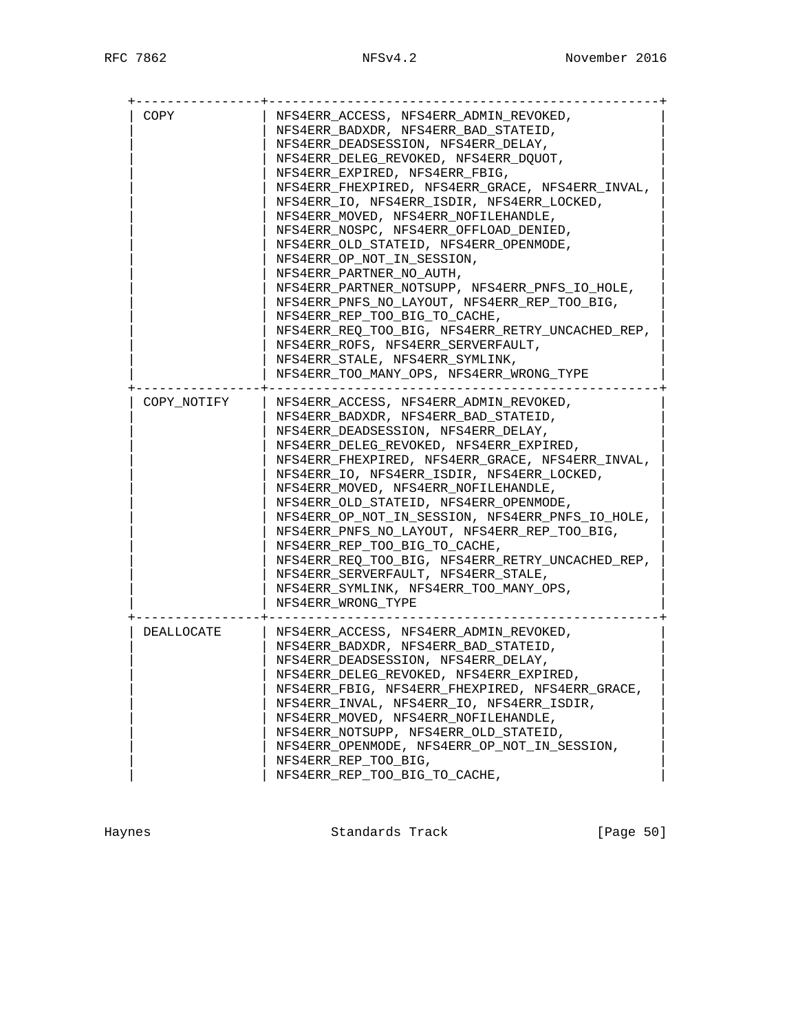| COPY        | NFS4ERR ACCESS, NFS4ERR ADMIN REVOKED,           |
|-------------|--------------------------------------------------|
|             | NFS4ERR BADXDR, NFS4ERR BAD STATEID,             |
|             | NFS4ERR DEADSESSION, NFS4ERR DELAY,              |
|             | NFS4ERR DELEG REVOKED, NFS4ERR DOUOT,            |
|             | NFS4ERR EXPIRED, NFS4ERR FBIG,                   |
|             | NFS4ERR_FHEXPIRED, NFS4ERR_GRACE, NFS4ERR_INVAL, |
|             | NFS4ERR IO, NFS4ERR ISDIR, NFS4ERR LOCKED,       |
|             | NFS4ERR MOVED, NFS4ERR NOFILEHANDLE,             |
|             | NFS4ERR NOSPC, NFS4ERR OFFLOAD DENIED,           |
|             | NFS4ERR OLD STATEID, NFS4ERR OPENMODE,           |
|             | NFS4ERR OP NOT IN SESSION,                       |
|             | NFS4ERR PARTNER NO AUTH,                         |
|             | NFS4ERR_PARTNER_NOTSUPP, NFS4ERR_PNFS_IO_HOLE,   |
|             | NFS4ERR PNFS_NO_LAYOUT, NFS4ERR_REP_TOO_BIG,     |
|             | NFS4ERR_REP_TOO_BIG_TO_CACHE,                    |
|             | NFS4ERR_REQ_TOO_BIG, NFS4ERR_RETRY_UNCACHED_REP, |
|             | NFS4ERR ROFS, NFS4ERR SERVERFAULT,               |
|             | NFS4ERR_STALE, NFS4ERR_SYMLINK,                  |
|             | NFS4ERR TOO MANY OPS, NFS4ERR WRONG TYPE         |
|             |                                                  |
| COPY NOTIFY | NFS4ERR ACCESS, NFS4ERR ADMIN REVOKED,           |
|             | NFS4ERR BADXDR, NFS4ERR BAD STATEID,             |
|             | NFS4ERR DEADSESSION, NFS4ERR DELAY,              |
|             | NFS4ERR_DELEG_REVOKED, NFS4ERR_EXPIRED,          |
|             | NFS4ERR FHEXPIRED, NFS4ERR GRACE, NFS4ERR INVAL, |
|             | NFS4ERR IO, NFS4ERR ISDIR, NFS4ERR LOCKED,       |
|             | NFS4ERR MOVED, NFS4ERR NOFILEHANDLE,             |
|             | NFS4ERR OLD STATEID, NFS4ERR OPENMODE,           |
|             | NFS4ERR OP NOT IN SESSION, NFS4ERR PNFS IO HOLE, |
|             | NFS4ERR_PNFS_NO_LAYOUT, NFS4ERR_REP_TOO_BIG,     |
|             | NFS4ERR REP TOO BIG TO CACHE,                    |
|             | NFS4ERR REO TOO_BIG, NFS4ERR_RETRY_UNCACHED_REP, |
|             | NFS4ERR SERVERFAULT, NFS4ERR STALE,              |
|             | NFS4ERR_SYMLINK, NFS4ERR_TOO_MANY_OPS,           |
|             | NFS4ERR WRONG TYPE                               |
|             |                                                  |
| DEALLOCATE  | NFS4ERR ACCESS, NFS4ERR ADMIN REVOKED,           |
|             | NFS4ERR BADXDR, NFS4ERR BAD STATEID,             |
|             | NFS4ERR DEADSESSION, NFS4ERR DELAY,              |
|             | NFS4ERR DELEG REVOKED, NFS4ERR EXPIRED,          |
|             | NFS4ERR FBIG, NFS4ERR FHEXPIRED, NFS4ERR GRACE,  |
|             | NFS4ERR_INVAL, NFS4ERR_IO, NFS4ERR_ISDIR,        |
|             | NFS4ERR_MOVED, NFS4ERR_NOFILEHANDLE,             |
|             | NFS4ERR NOTSUPP, NFS4ERR OLD STATEID,            |
|             | NFS4ERR_OPENMODE, NFS4ERR_OP_NOT_IN_SESSION,     |
|             | NFS4ERR_REP_TOO_BIG,                             |
|             | NFS4ERR_REP_TOO_BIG_TO_CACHE,                    |
|             |                                                  |

Haynes **Example 2018** Standards Track **Example 2018** [Page 50]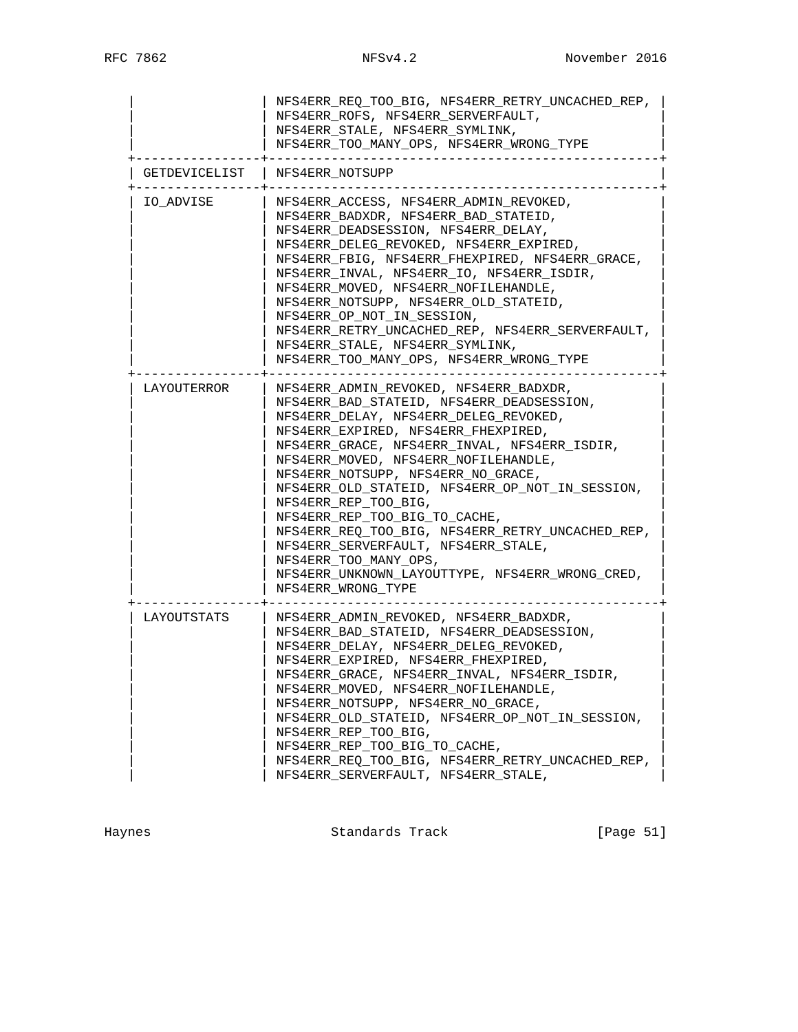|               | NFS4ERR REO TOO BIG, NFS4ERR RETRY UNCACHED REP,<br>NFS4ERR ROFS, NFS4ERR SERVERFAULT,<br>NFS4ERR STALE, NFS4ERR SYMLINK,<br>NFS4ERR_TOO_MANY_OPS, NFS4ERR_WRONG_TYPE                                                                                                                                                                                                                                                                                                                                                                                                                                      |
|---------------|------------------------------------------------------------------------------------------------------------------------------------------------------------------------------------------------------------------------------------------------------------------------------------------------------------------------------------------------------------------------------------------------------------------------------------------------------------------------------------------------------------------------------------------------------------------------------------------------------------|
| GETDEVICELIST | NFS4ERR NOTSUPP                                                                                                                                                                                                                                                                                                                                                                                                                                                                                                                                                                                            |
| IO ADVISE     | NFS4ERR_ACCESS, NFS4ERR_ADMIN_REVOKED,<br>NFS4ERR_BADXDR, NFS4ERR_BAD_STATEID,<br>NFS4ERR_DEADSESSION, NFS4ERR_DELAY,<br>NFS4ERR_DELEG_REVOKED, NFS4ERR_EXPIRED,<br>NFS4ERR FBIG, NFS4ERR FHEXPIRED, NFS4ERR GRACE,<br>NFS4ERR_INVAL, NFS4ERR_IO, NFS4ERR_ISDIR,<br>NFS4ERR_MOVED, NFS4ERR_NOFILEHANDLE,<br>NFS4ERR_NOTSUPP, NFS4ERR_OLD_STATEID,<br>NFS4ERR_OP_NOT_IN_SESSION,<br>NFS4ERR RETRY UNCACHED REP, NFS4ERR SERVERFAULT,<br>NFS4ERR STALE, NFS4ERR SYMLINK,<br>NFS4ERR_TOO_MANY_OPS, NFS4ERR_WRONG_TYPE                                                                                         |
| LAYOUTERROR   | NFS4ERR ADMIN REVOKED, NFS4ERR BADXDR,<br>NFS4ERR_BAD_STATEID, NFS4ERR_DEADSESSION,<br>NFS4ERR_DELAY, NFS4ERR_DELEG_REVOKED,<br>NFS4ERR_EXPIRED, NFS4ERR_FHEXPIRED,<br>NFS4ERR GRACE, NFS4ERR INVAL, NFS4ERR ISDIR,<br>NFS4ERR_MOVED, NFS4ERR_NOFILEHANDLE,<br>NFS4ERR_NOTSUPP, NFS4ERR_NO_GRACE,<br>NFS4ERR_OLD_STATEID, NFS4ERR_OP_NOT_IN_SESSION,<br>NFS4ERR REP TOO BIG,<br>NFS4ERR_REP_TOO_BIG_TO_CACHE,<br>NFS4ERR_REQ_TOO_BIG, NFS4ERR_RETRY_UNCACHED_REP,<br>NFS4ERR SERVERFAULT, NFS4ERR STALE,<br>NFS4ERR TOO MANY OPS,<br>NFS4ERR UNKNOWN LAYOUTTYPE, NFS4ERR WRONG CRED,<br>NFS4ERR WRONG TYPE |
| LAYOUTSTATS   | NFS4ERR ADMIN REVOKED, NFS4ERR BADXDR,<br>NFS4ERR BAD STATEID, NFS4ERR DEADSESSION,<br>NFS4ERR DELAY, NFS4ERR DELEG REVOKED,<br>NFS4ERR EXPIRED, NFS4ERR FHEXPIRED,<br>NFS4ERR_GRACE, NFS4ERR_INVAL, NFS4ERR_ISDIR,<br>NFS4ERR_MOVED, NFS4ERR_NOFILEHANDLE,<br>NFS4ERR_NOTSUPP, NFS4ERR_NO_GRACE,<br>NFS4ERR OLD STATEID, NFS4ERR OP NOT IN SESSION,<br>NFS4ERR_REP_TOO_BIG,<br>NFS4ERR REP TOO BIG TO CACHE,<br>NFS4ERR_REQ_TOO_BIG, NFS4ERR_RETRY_UNCACHED_REP,<br>NFS4ERR_SERVERFAULT, NFS4ERR_STALE,                                                                                                   |

Haynes **Example 2018** Standards Track **Example 2018** [Page 51]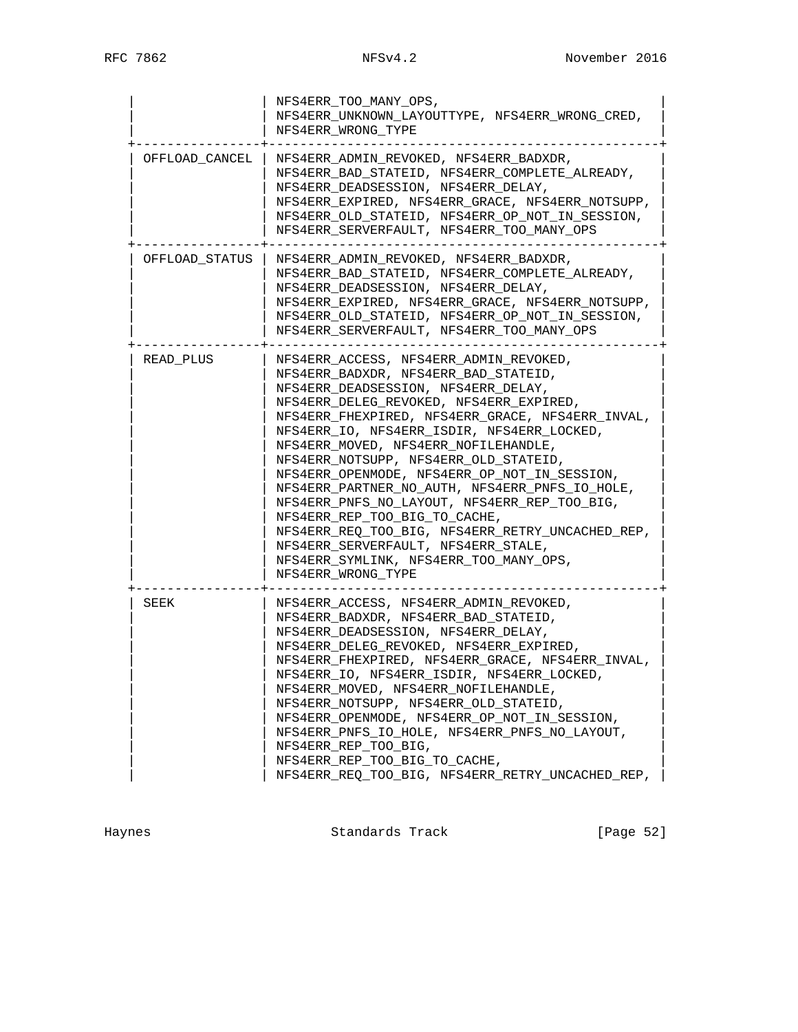|                | NFS4ERR TOO MANY OPS,<br>NFS4ERR_UNKNOWN_LAYOUTTYPE, NFS4ERR_WRONG_CRED,<br>NFS4ERR WRONG TYPE                                                                                                                                                                                                                                                                                                                                                                                                                                                                                                                                                                                                    |
|----------------|---------------------------------------------------------------------------------------------------------------------------------------------------------------------------------------------------------------------------------------------------------------------------------------------------------------------------------------------------------------------------------------------------------------------------------------------------------------------------------------------------------------------------------------------------------------------------------------------------------------------------------------------------------------------------------------------------|
| OFFLOAD CANCEL | NFS4ERR ADMIN REVOKED, NFS4ERR BADXDR,<br>NFS4ERR_BAD_STATEID, NFS4ERR_COMPLETE_ALREADY,<br>NFS4ERR DEADSESSION, NFS4ERR DELAY,<br>NFS4ERR_EXPIRED, NFS4ERR_GRACE, NFS4ERR_NOTSUPP,<br>NFS4ERR_OLD_STATEID, NFS4ERR_OP_NOT_IN_SESSION,<br>NFS4ERR_SERVERFAULT, NFS4ERR_TOO_MANY_OPS                                                                                                                                                                                                                                                                                                                                                                                                               |
| OFFLOAD STATUS | NFS4ERR ADMIN REVOKED, NFS4ERR BADXDR,<br>NFS4ERR BAD STATEID, NFS4ERR COMPLETE ALREADY,<br>NFS4ERR DEADSESSION, NFS4ERR DELAY,<br>NFS4ERR_EXPIRED, NFS4ERR_GRACE, NFS4ERR_NOTSUPP,<br>NFS4ERR_OLD_STATEID, NFS4ERR_OP_NOT_IN_SESSION,<br>NFS4ERR SERVERFAULT, NFS4ERR TOO MANY OPS                                                                                                                                                                                                                                                                                                                                                                                                               |
| READ PLUS      | NFS4ERR ACCESS, NFS4ERR ADMIN REVOKED,<br>NFS4ERR BADXDR, NFS4ERR BAD STATEID,<br>NFS4ERR DEADSESSION, NFS4ERR DELAY,<br>NFS4ERR DELEG REVOKED, NFS4ERR EXPIRED,<br>NFS4ERR FHEXPIRED, NFS4ERR GRACE, NFS4ERR INVAL,<br>NFS4ERR_IO, NFS4ERR_ISDIR, NFS4ERR_LOCKED,<br>NFS4ERR MOVED, NFS4ERR NOFILEHANDLE,<br>NFS4ERR_NOTSUPP, NFS4ERR_OLD_STATEID,<br>NFS4ERR_OPENMODE, NFS4ERR_OP_NOT_IN_SESSION,<br>NFS4ERR PARTNER NO AUTH, NFS4ERR PNFS IO HOLE,<br>NFS4ERR PNFS NO LAYOUT, NFS4ERR REP TOO BIG,<br>NFS4ERR_REP_TOO_BIG_TO_CACHE,<br>NFS4ERR REQ TOO BIG, NFS4ERR RETRY UNCACHED REP,<br>NFS4ERR SERVERFAULT, NFS4ERR STALE,<br>NFS4ERR_SYMLINK, NFS4ERR_TOO_MANY_OPS,<br>NFS4ERR WRONG TYPE |
| SEEK           | NFS4ERR_ACCESS, NFS4ERR_ADMIN_REVOKED,<br>NFS4ERR_BADXDR, NFS4ERR_BAD_STATEID,<br>NFS4ERR DEADSESSION, NFS4ERR DELAY,<br>NFS4ERR_DELEG_REVOKED, NFS4ERR_EXPIRED,<br>NFS4ERR_FHEXPIRED, NFS4ERR_GRACE, NFS4ERR_INVAL,<br>NFS4ERR_IO, NFS4ERR_ISDIR, NFS4ERR_LOCKED,<br>NFS4ERR_MOVED, NFS4ERR_NOFILEHANDLE,<br>NFS4ERR_NOTSUPP, NFS4ERR_OLD_STATEID,<br>NFS4ERR OPENMODE, NFS4ERR OP NOT IN SESSION,<br>NFS4ERR_PNFS_IO_HOLE, NFS4ERR_PNFS_NO_LAYOUT,<br>NFS4ERR_REP_TOO_BIG,<br>NFS4ERR_REP_TOO_BIG_TO_CACHE,<br>NFS4ERR_REQ_TOO_BIG, NFS4ERR_RETRY_UNCACHED_REP,                                                                                                                                 |

Haynes **Example 2** Standards Track **Example 2** [Page 52]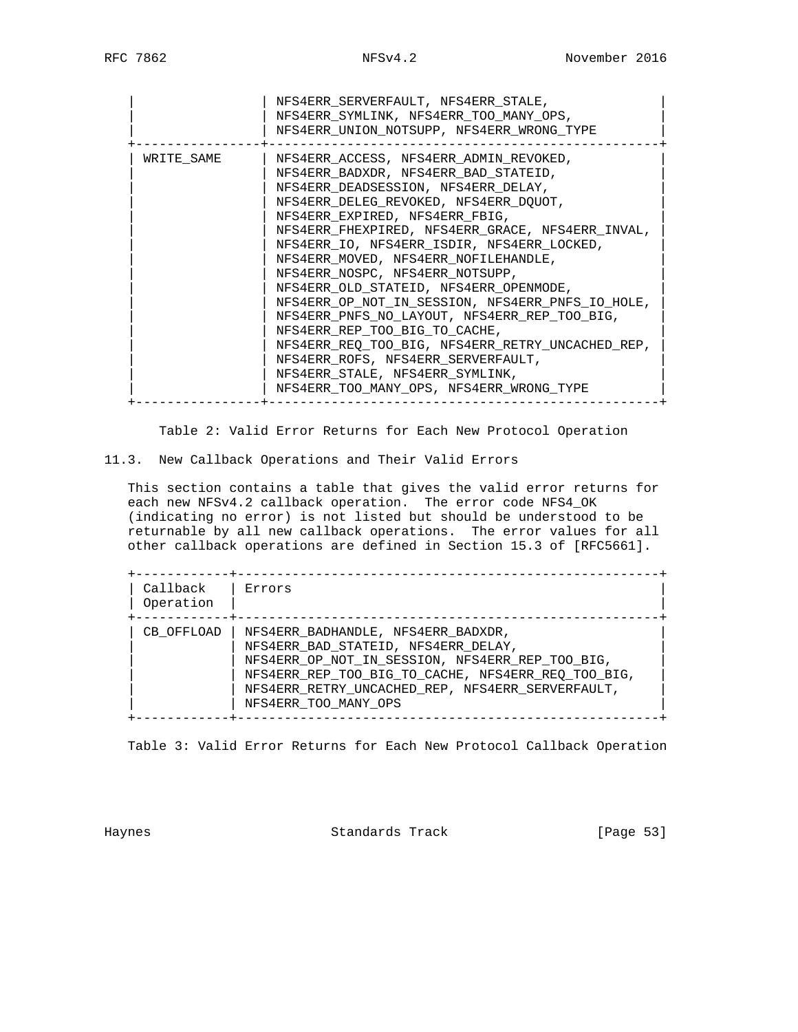|            | NFS4ERR SERVERFAULT, NFS4ERR STALE,<br>NFS4ERR SYMLINK, NFS4ERR TOO MANY OPS,<br>NFS4ERR UNION NOTSUPP, NFS4ERR WRONG TYPE                                                                                                                                                                                                                                                                                                                                                                                                                                                                                                                                                                                                            |
|------------|---------------------------------------------------------------------------------------------------------------------------------------------------------------------------------------------------------------------------------------------------------------------------------------------------------------------------------------------------------------------------------------------------------------------------------------------------------------------------------------------------------------------------------------------------------------------------------------------------------------------------------------------------------------------------------------------------------------------------------------|
| WRITE SAME | NFS4ERR_ACCESS, NFS4ERR_ADMIN_REVOKED,<br>NFS4ERR BADXDR, NFS4ERR BAD STATEID,<br>NFS4ERR DEADSESSION, NFS4ERR DELAY,<br>NFS4ERR DELEG REVOKED, NFS4ERR DOUOT,<br>NFS4ERR EXPIRED, NFS4ERR FBIG,<br>NFS4ERR FHEXPIRED, NFS4ERR GRACE, NFS4ERR INVAL,<br>NFS4ERR_IO, NFS4ERR_ISDIR, NFS4ERR_LOCKED,<br>NFS4ERR_MOVED, NFS4ERR_NOFILEHANDLE,<br>NFS4ERR NOSPC, NFS4ERR NOTSUPP,<br>NFS4ERR OLD STATEID, NFS4ERR OPENMODE,<br>NFS4ERR OP NOT IN SESSION, NFS4ERR PNFS IO HOLE,<br>NFS4ERR PNFS NO LAYOUT, NFS4ERR REP TOO BIG,<br>NFS4ERR REP TOO BIG TO CACHE,<br>NFS4ERR REQ TOO BIG, NFS4ERR RETRY UNCACHED REP,<br>NFS4ERR ROFS, NFS4ERR SERVERFAULT,<br>NFS4ERR STALE, NFS4ERR SYMLINK,<br>NFS4ERR TOO MANY OPS, NFS4ERR WRONG TYPE |

Table 2: Valid Error Returns for Each New Protocol Operation

11.3. New Callback Operations and Their Valid Errors

 This section contains a table that gives the valid error returns for each new NFSv4.2 callback operation. The error code NFS4\_OK (indicating no error) is not listed but should be understood to be returnable by all new callback operations. The error values for all other callback operations are defined in Section 15.3 of [RFC5661].

| Callback<br>Operation | Errors                                                                                                                                                                                                                                                         |
|-----------------------|----------------------------------------------------------------------------------------------------------------------------------------------------------------------------------------------------------------------------------------------------------------|
| CB OFFLOAD            | NFS4ERR BADHANDLE, NFS4ERR_BADXDR,<br>NFS4ERR BAD_STATEID, NFS4ERR_DELAY,<br>NFS4ERR OP NOT_IN_SESSION, NFS4ERR_REP_TOO_BIG,<br>NFS4ERR REP TOO BIG TO CACHE, NFS4ERR REO TOO BIG,<br>NFS4ERR RETRY UNCACHED REP, NFS4ERR SERVERFAULT,<br>NFS4ERR TOO MANY OPS |

Table 3: Valid Error Returns for Each New Protocol Callback Operation

Haynes **Standards Track** [Page 53]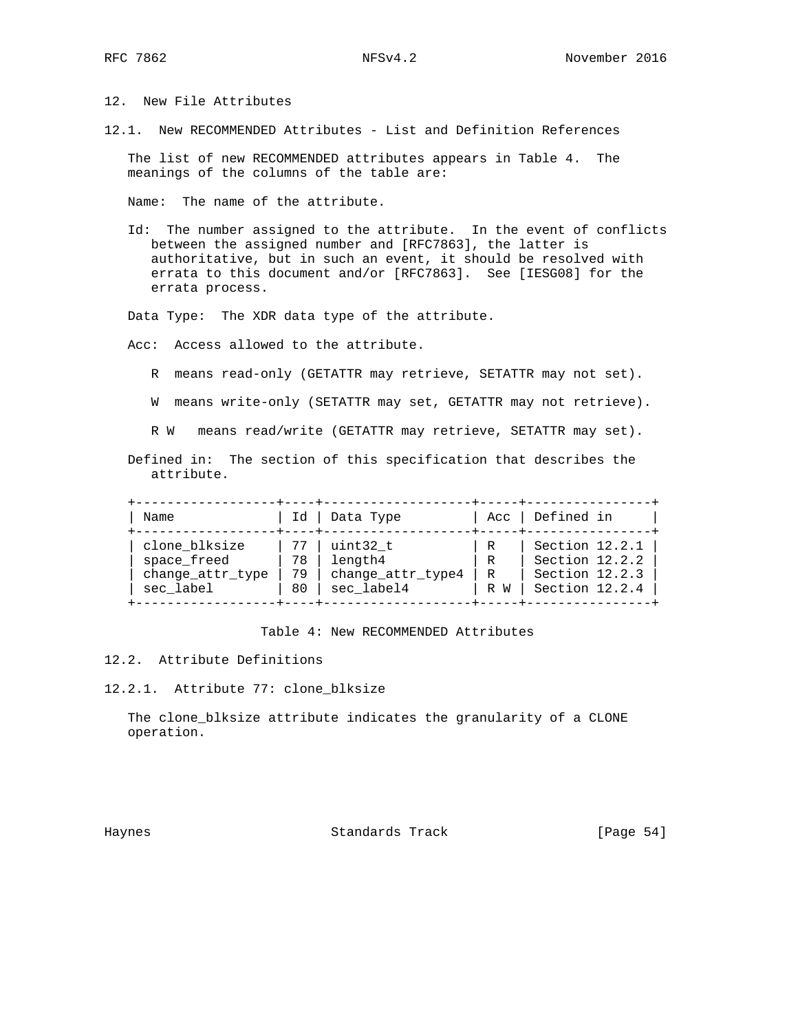12. New File Attributes

12.1. New RECOMMENDED Attributes - List and Definition References

 The list of new RECOMMENDED attributes appears in Table 4. The meanings of the columns of the table are:

Name: The name of the attribute.

 Id: The number assigned to the attribute. In the event of conflicts between the assigned number and [RFC7863], the latter is authoritative, but in such an event, it should be resolved with errata to this document and/or [RFC7863]. See [IESG08] for the errata process.

Data Type: The XDR data type of the attribute.

Acc: Access allowed to the attribute.

- R means read-only (GETATTR may retrieve, SETATTR may not set).
- W means write-only (SETATTR may set, GETATTR may not retrieve).

R W means read/write (GETATTR may retrieve, SETATTR may set).

 Defined in: The section of this specification that describes the attribute.

| Name                                                          |
|---------------------------------------------------------------|
| clone blksize<br>space freed<br>change_attr_type<br>sec label |

Table 4: New RECOMMENDED Attributes

- 12.2. Attribute Definitions
- 12.2.1. Attribute 77: clone\_blksize

 The clone\_blksize attribute indicates the granularity of a CLONE operation.

Haynes **Example 2018** Standards Track **Example 2018** [Page 54]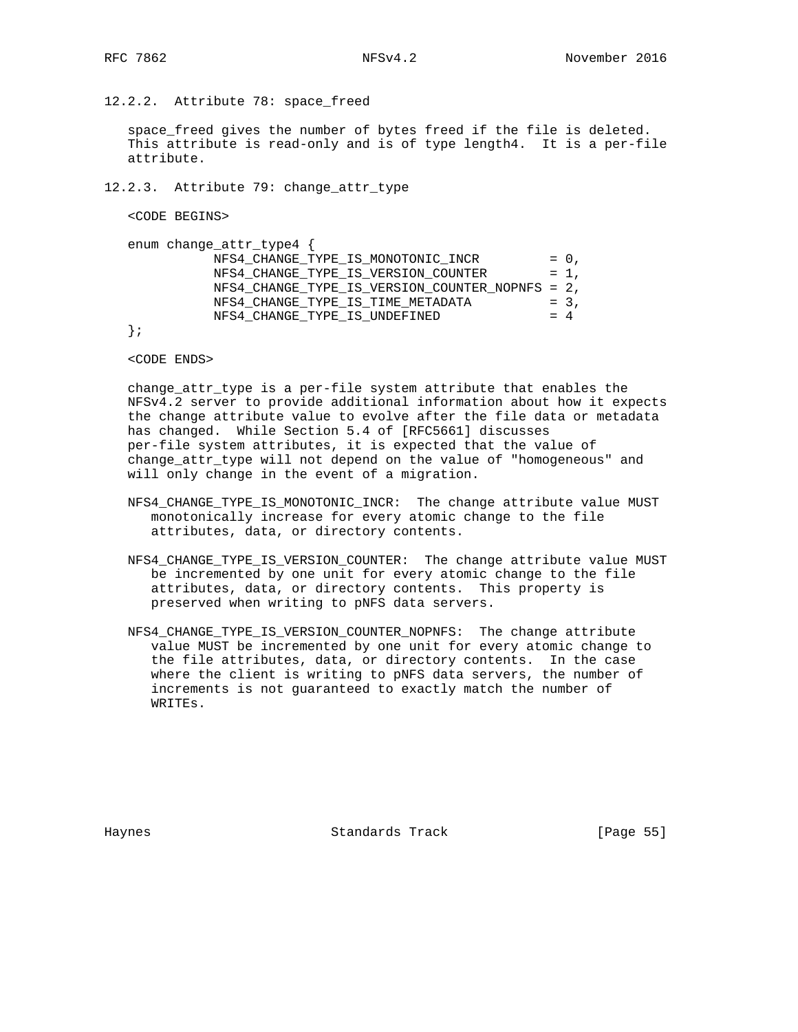12.2.2. Attribute 78: space\_freed

 space\_freed gives the number of bytes freed if the file is deleted. This attribute is read-only and is of type length4. It is a per-file attribute.

12.2.3. Attribute 79: change\_attr\_type

<CODE BEGINS>

```
enum change_attr_type4 {<br>NFS4_CHANGE_TYPE_IS_MONOTONIC_INCR
NFS4_CHANGE_TYPE_IS_MONOTONIC_INCR = 0,
NFS4_CHANGE_TYPE_IS_VERSION_COUNTER = 1 ,
            NFS4_CHANGE_TYPE_IS_VERSION_COUNTER_NOPNFS = 2,
           NFSI_CHANGE_TYPE_IIS_TIME_METADATA = 3,
           NFS4 CHANGE TYPE IS UNDEFINED = 4
```
};

<CODE ENDS>

 change\_attr\_type is a per-file system attribute that enables the NFSv4.2 server to provide additional information about how it expects the change attribute value to evolve after the file data or metadata has changed. While Section 5.4 of [RFC5661] discusses per-file system attributes, it is expected that the value of change\_attr\_type will not depend on the value of "homogeneous" and will only change in the event of a migration.

- NFS4\_CHANGE\_TYPE\_IS\_MONOTONIC\_INCR: The change attribute value MUST monotonically increase for every atomic change to the file attributes, data, or directory contents.
- NFS4\_CHANGE\_TYPE\_IS\_VERSION\_COUNTER: The change attribute value MUST be incremented by one unit for every atomic change to the file attributes, data, or directory contents. This property is preserved when writing to pNFS data servers.
- NFS4\_CHANGE\_TYPE\_IS\_VERSION\_COUNTER\_NOPNFS: The change attribute value MUST be incremented by one unit for every atomic change to the file attributes, data, or directory contents. In the case where the client is writing to pNFS data servers, the number of increments is not guaranteed to exactly match the number of WRITEs.

Haynes **Example 2018** Standards Track **Example 2018** [Page 55]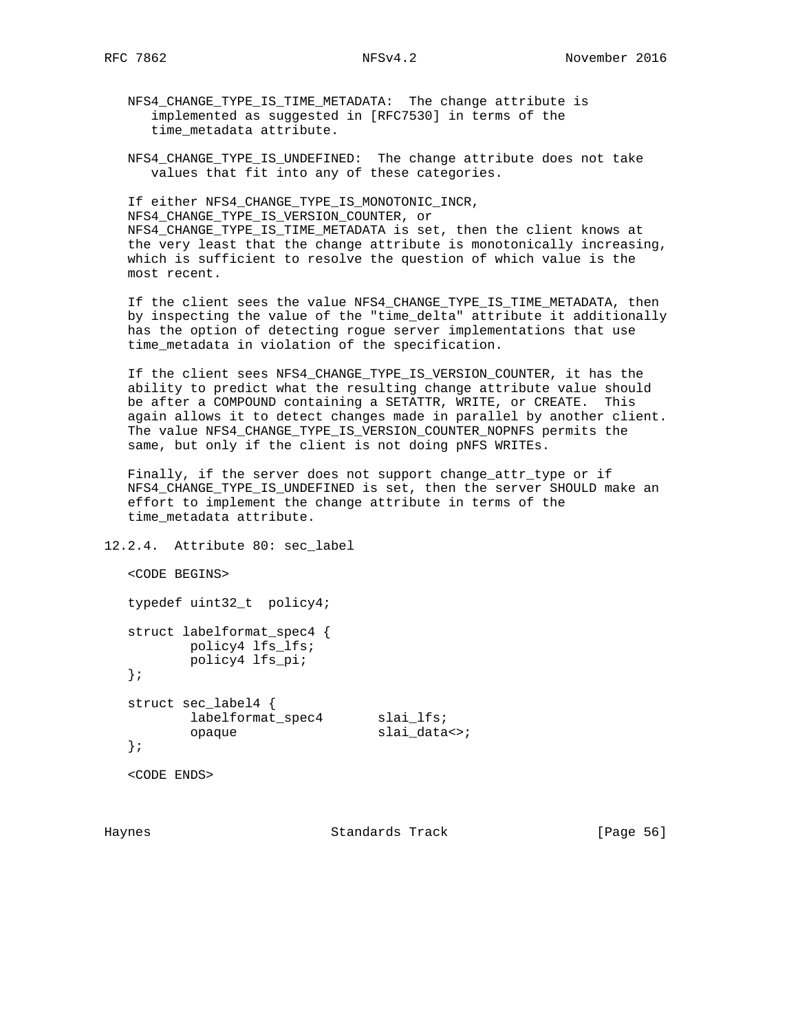NFS4\_CHANGE\_TYPE\_IS\_TIME\_METADATA: The change attribute is implemented as suggested in [RFC7530] in terms of the time\_metadata attribute.

 NFS4\_CHANGE\_TYPE\_IS\_UNDEFINED: The change attribute does not take values that fit into any of these categories.

 If either NFS4\_CHANGE\_TYPE\_IS\_MONOTONIC\_INCR, NFS4\_CHANGE\_TYPE\_IS\_VERSION\_COUNTER, or NFS4\_CHANGE\_TYPE\_IS\_TIME\_METADATA is set, then the client knows at the very least that the change attribute is monotonically increasing, which is sufficient to resolve the question of which value is the most recent.

 If the client sees the value NFS4\_CHANGE\_TYPE\_IS\_TIME\_METADATA, then by inspecting the value of the "time\_delta" attribute it additionally has the option of detecting rogue server implementations that use time\_metadata in violation of the specification.

 If the client sees NFS4\_CHANGE\_TYPE\_IS\_VERSION\_COUNTER, it has the ability to predict what the resulting change attribute value should be after a COMPOUND containing a SETATTR, WRITE, or CREATE. This again allows it to detect changes made in parallel by another client. The value NFS4\_CHANGE\_TYPE\_IS\_VERSION\_COUNTER\_NOPNFS permits the same, but only if the client is not doing pNFS WRITEs.

 Finally, if the server does not support change\_attr\_type or if NFS4 CHANGE TYPE IS UNDEFINED is set, then the server SHOULD make an effort to implement the change attribute in terms of the time\_metadata attribute.

```
12.2.4. Attribute 80: sec_label
```

```
 <CODE BEGINS>
   typedef uint32_t policy4;
   struct labelformat_spec4 {
        policy4 lfs_lfs;
         policy4 lfs_pi;
   };
   struct sec_label4 {
labelformat_spec4 slai_lfs;
opaque slai_data<>;
   };
```
<CODE ENDS>

Haynes Standards Track [Page 56]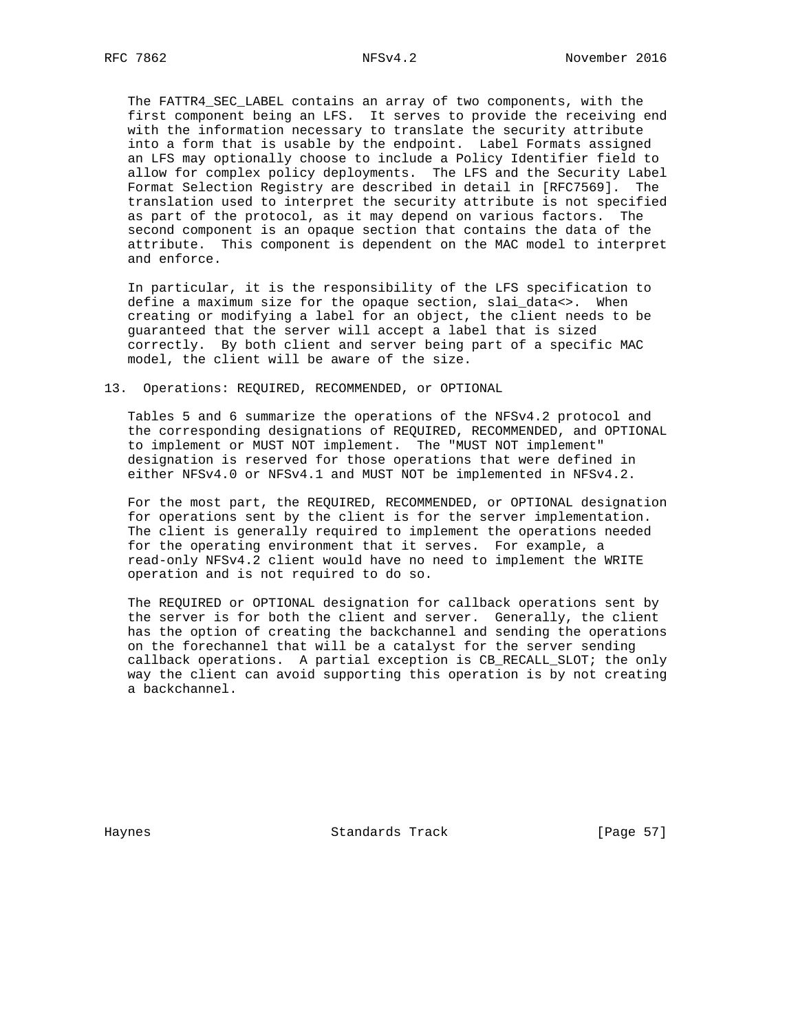The FATTR4\_SEC\_LABEL contains an array of two components, with the first component being an LFS. It serves to provide the receiving end with the information necessary to translate the security attribute into a form that is usable by the endpoint. Label Formats assigned an LFS may optionally choose to include a Policy Identifier field to allow for complex policy deployments. The LFS and the Security Label Format Selection Registry are described in detail in [RFC7569]. The translation used to interpret the security attribute is not specified as part of the protocol, as it may depend on various factors. The second component is an opaque section that contains the data of the attribute. This component is dependent on the MAC model to interpret and enforce.

 In particular, it is the responsibility of the LFS specification to define a maximum size for the opaque section, slai\_data<>. When creating or modifying a label for an object, the client needs to be guaranteed that the server will accept a label that is sized correctly. By both client and server being part of a specific MAC model, the client will be aware of the size.

### 13. Operations: REQUIRED, RECOMMENDED, or OPTIONAL

 Tables 5 and 6 summarize the operations of the NFSv4.2 protocol and the corresponding designations of REQUIRED, RECOMMENDED, and OPTIONAL to implement or MUST NOT implement. The "MUST NOT implement" designation is reserved for those operations that were defined in either NFSv4.0 or NFSv4.1 and MUST NOT be implemented in NFSv4.2.

 For the most part, the REQUIRED, RECOMMENDED, or OPTIONAL designation for operations sent by the client is for the server implementation. The client is generally required to implement the operations needed for the operating environment that it serves. For example, a read-only NFSv4.2 client would have no need to implement the WRITE operation and is not required to do so.

 The REQUIRED or OPTIONAL designation for callback operations sent by the server is for both the client and server. Generally, the client has the option of creating the backchannel and sending the operations on the forechannel that will be a catalyst for the server sending callback operations. A partial exception is CB\_RECALL\_SLOT; the only way the client can avoid supporting this operation is by not creating a backchannel.

Haynes **Standards Track** [Page 57]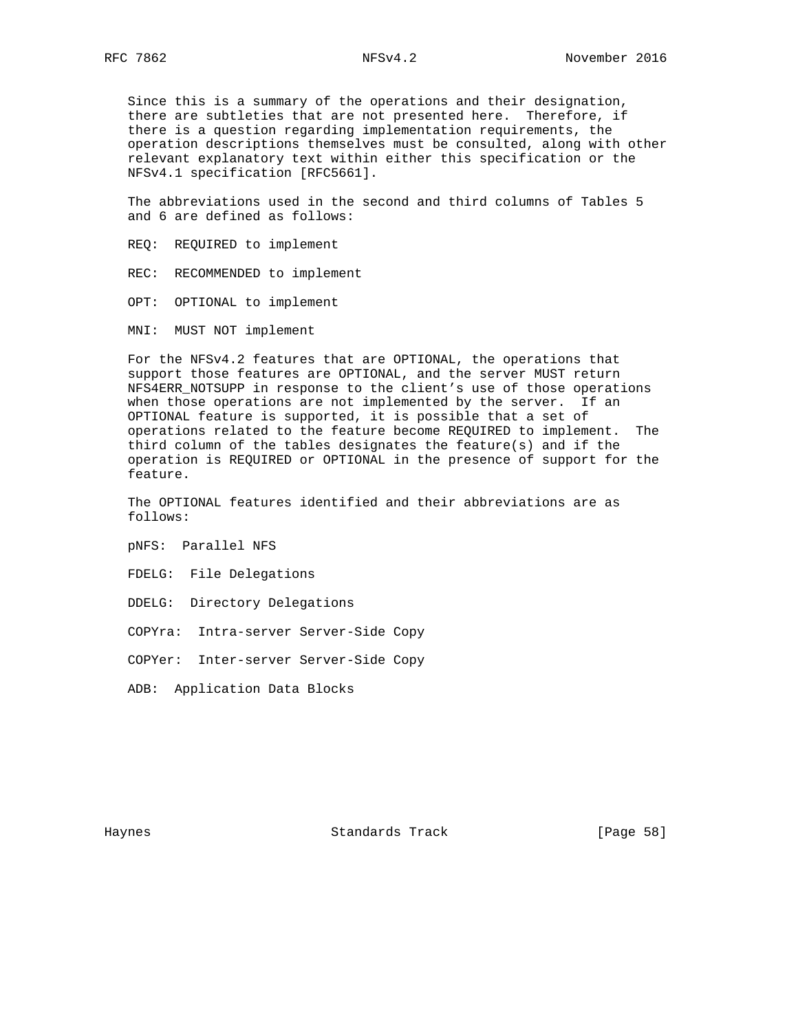Since this is a summary of the operations and their designation, there are subtleties that are not presented here. Therefore, if there is a question regarding implementation requirements, the operation descriptions themselves must be consulted, along with other relevant explanatory text within either this specification or the NFSv4.1 specification [RFC5661].

 The abbreviations used in the second and third columns of Tables 5 and 6 are defined as follows:

REQ: REQUIRED to implement

REC: RECOMMENDED to implement

OPT: OPTIONAL to implement

MNI: MUST NOT implement

 For the NFSv4.2 features that are OPTIONAL, the operations that support those features are OPTIONAL, and the server MUST return NFS4ERR\_NOTSUPP in response to the client's use of those operations when those operations are not implemented by the server. If an OPTIONAL feature is supported, it is possible that a set of operations related to the feature become REQUIRED to implement. The third column of the tables designates the feature(s) and if the operation is REQUIRED or OPTIONAL in the presence of support for the feature.

 The OPTIONAL features identified and their abbreviations are as follows:

pNFS: Parallel NFS

FDELG: File Delegations

DDELG: Directory Delegations

COPYra: Intra-server Server-Side Copy

COPYer: Inter-server Server-Side Copy

ADB: Application Data Blocks

Haynes Standards Track [Page 58]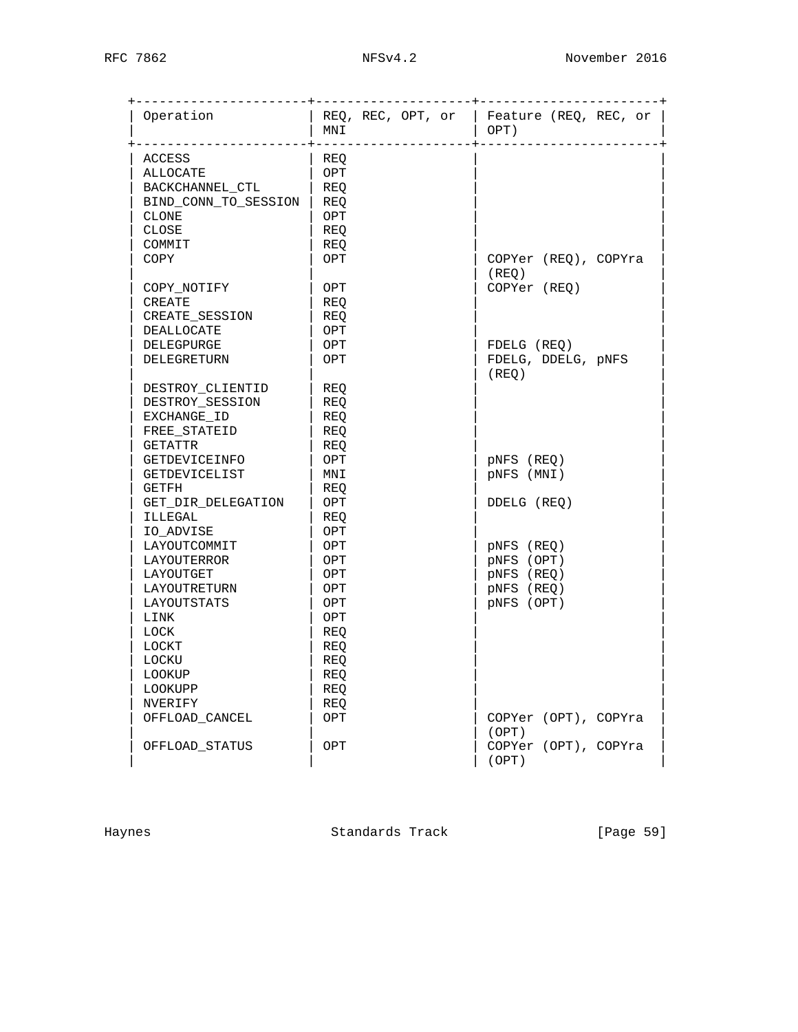| Operation            | MNI | $REQ$ , REC, OPT, or   Feature (REQ, REC, or  <br>OPT) |
|----------------------|-----|--------------------------------------------------------|
| ACCESS               | REQ |                                                        |
| ALLOCATE             | OPT |                                                        |
| BACKCHANNEL CTL      | REO |                                                        |
| BIND_CONN_TO_SESSION | REQ |                                                        |
| <b>CLONE</b>         | OPT |                                                        |
| CLOSE                | REQ |                                                        |
| COMMIT               | REO |                                                        |
| COPY                 | OPT | COPYer (REQ), COPYra                                   |
|                      |     | (REO)                                                  |
| COPY NOTIFY          | OPT | COPYer (REQ)                                           |
| CREATE               | REQ |                                                        |
| CREATE_SESSION       | REO |                                                        |
| DEALLOCATE           | OPT |                                                        |
| DELEGPURGE           | OPT | FDELG (REQ)                                            |
| DELEGRETURN          | OPT | FDELG, DDELG, pNFS                                     |
|                      |     | (REO)                                                  |
| DESTROY_CLIENTID     | REO |                                                        |
| DESTROY SESSION      | REQ |                                                        |
| EXCHANGE_ID          | REQ |                                                        |
| FREE STATEID         | REQ |                                                        |
| GETATTR              | REQ |                                                        |
| GETDEVICEINFO        | OPT | pNFS (REQ)                                             |
| GETDEVICELIST        | MNI | pNFS (MNI)                                             |
| GETFH                | REQ |                                                        |
| GET_DIR_DELEGATION   | OPT | DDELG (REQ)                                            |
| ILLEGAL              | REQ |                                                        |
| IO ADVISE            | OPT |                                                        |
| LAYOUTCOMMIT         | OPT | pNFS (REQ)                                             |
| LAYOUTERROR          | OPT | pNFS (OPT)                                             |
| LAYOUTGET            | OPT | pNFS (REQ)                                             |
| LAYOUTRETURN         | OPT | pNFS (REQ)                                             |
| LAYOUTSTATS          | OPT | pNFS (OPT)                                             |
| LINK                 | OPT |                                                        |
| <b>LOCK</b>          | REQ |                                                        |
| LOCKT                | REQ |                                                        |
| LOCKU                | REQ |                                                        |
| <b>LOOKUP</b>        | REQ |                                                        |
| LOOKUPP              | REQ |                                                        |
| NVERIFY              | REQ |                                                        |
| OFFLOAD_CANCEL       | OPT | COPYer (OPT), COPYra<br>(OPT)                          |
| OFFLOAD STATUS       | OPT | COPYer (OPT), COPYra<br>(OPT)                          |

Haynes **Example 2018** Standards Track **Example 2018** [Page 59]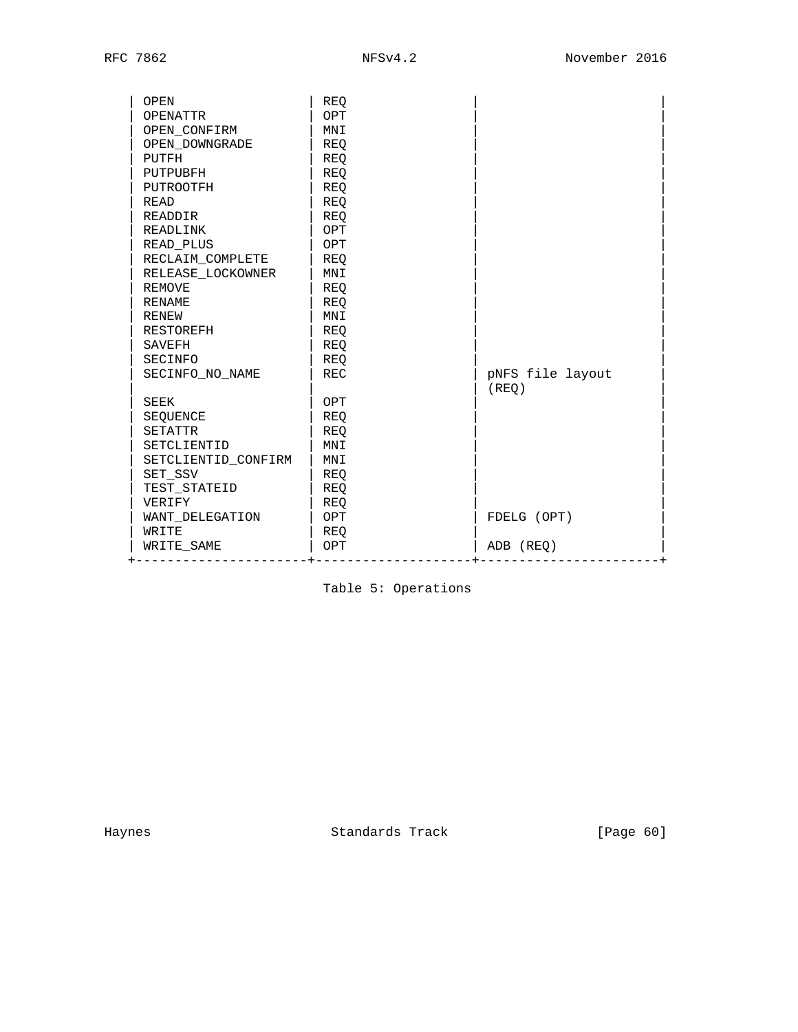| OPEN                | REO        |                  |
|---------------------|------------|------------------|
| <b>OPENATTR</b>     | OPT        |                  |
| OPEN CONFIRM        | MNI        |                  |
| OPEN_DOWNGRADE      | <b>REQ</b> |                  |
| PUTFH               | REQ        |                  |
| PUTPUBFH            | REO        |                  |
| PUTROOTFH           | REO        |                  |
| READ                | REO        |                  |
| <b>READDIR</b>      | REO        |                  |
| READLINK            | OPT        |                  |
| READ PLUS           | OPT        |                  |
| RECLAIM COMPLETE    | REO        |                  |
| RELEASE LOCKOWNER   | MNI        |                  |
| <b>REMOVE</b>       | REO        |                  |
| <b>RENAME</b>       | REO        |                  |
| RENEW               | MNI        |                  |
| RESTOREFH           | REO        |                  |
| SAVEFH              | REO        |                  |
| SECINFO             | REO        |                  |
| SECINFO NO NAME     | REC        | pNFS file layout |
|                     |            | (REO)            |
| <b>SEEK</b>         | OPT        |                  |
| SEQUENCE            | REO        |                  |
| <b>SETATTR</b>      | <b>REO</b> |                  |
| SETCLIENTID         | MNI        |                  |
| SETCLIENTID CONFIRM | MNI        |                  |
| SET SSV             | REO        |                  |
| TEST STATEID        | REO        |                  |
| VERIFY              | REO        |                  |
| WANT DELEGATION     | OPT        | FDELG (OPT)      |
| WRITE               | REO        |                  |
| WRITE_SAME          | OPT        | ADB (REQ)        |

Table 5: Operations

Haynes **Example 2018** Standards Track **Example 2018** [Page 60]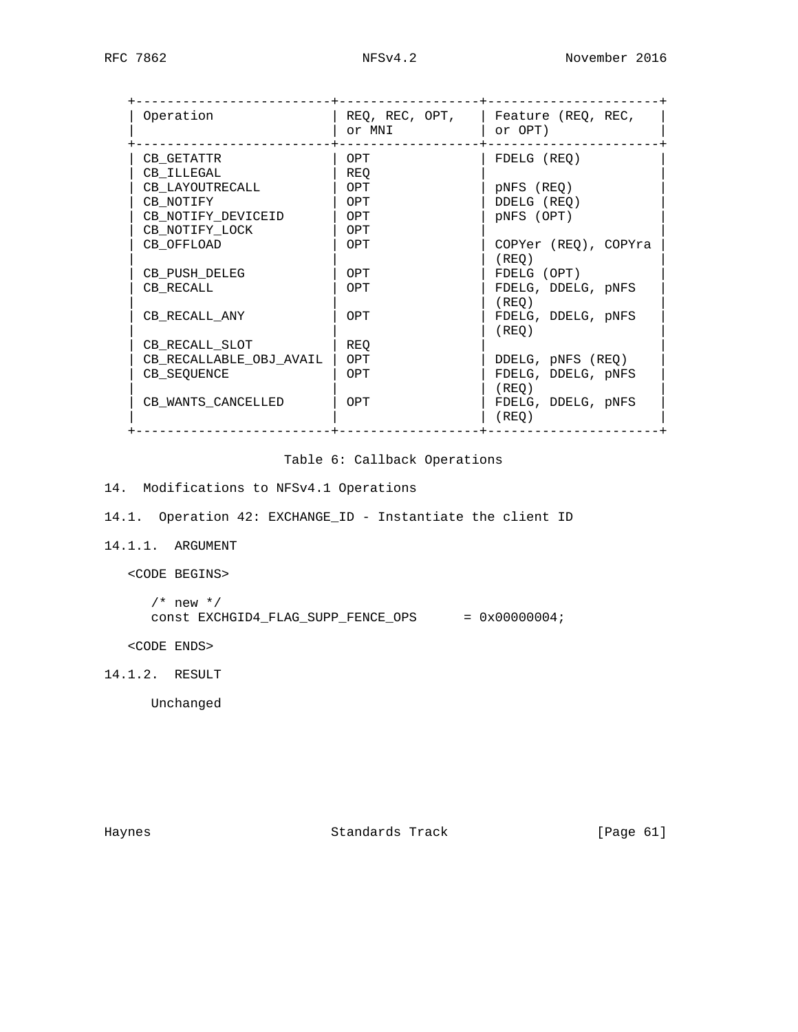| Operation               | REQ, REC, OPT,<br>or MNI | Feature (REQ, REC,<br>or OPT) |
|-------------------------|--------------------------|-------------------------------|
| CB GETATTR              | OPT                      | FDELG (REO)                   |
| CB ILLEGAL              | REO                      |                               |
| CB LAYOUTRECALL         | OPT                      | pNFS (REO)                    |
| CB NOTIFY               | OPT                      | DDELG (REQ)                   |
| CB NOTIFY DEVICEID      | OPT                      | pNFS (OPT)                    |
| CB NOTIFY LOCK          | OPT                      |                               |
| CB OFFLOAD              | OPT                      | COPYer (REO), COPYra          |
|                         |                          | (REO)                         |
| CB PUSH DELEG           | OPT                      | FDELG (OPT)                   |
| CB RECALL               | OPT                      | FDELG, DDELG, pNFS            |
|                         |                          | (REO)                         |
| CB RECALL ANY           | OPT                      | FDELG, DDELG, pNFS            |
|                         |                          | (REO)                         |
| CB_RECALL_SLOT          | REO                      |                               |
| CB_RECALLABLE_OBJ_AVAIL | OPT                      | DDELG, pNFS (REQ)             |
| CB SEQUENCE             | OPT                      | FDELG, DDELG, pNFS            |
|                         |                          | (REO)                         |
| CB WANTS CANCELLED      | OPT                      | FDELG, DDELG, pNFS            |
|                         |                          | (REO)                         |

## Table 6: Callback Operations

- 14. Modifications to NFSv4.1 Operations
- 14.1. Operation 42: EXCHANGE\_ID Instantiate the client ID
- 14.1.1. ARGUMENT
	- <CODE BEGINS>

```
/* new */const EXCHGID4_FLAG_SUPP_FENCE_OPS = 0x00000004;
```
<CODE ENDS>

14.1.2. RESULT

Unchanged

Haynes **Standards Track** [Page 61]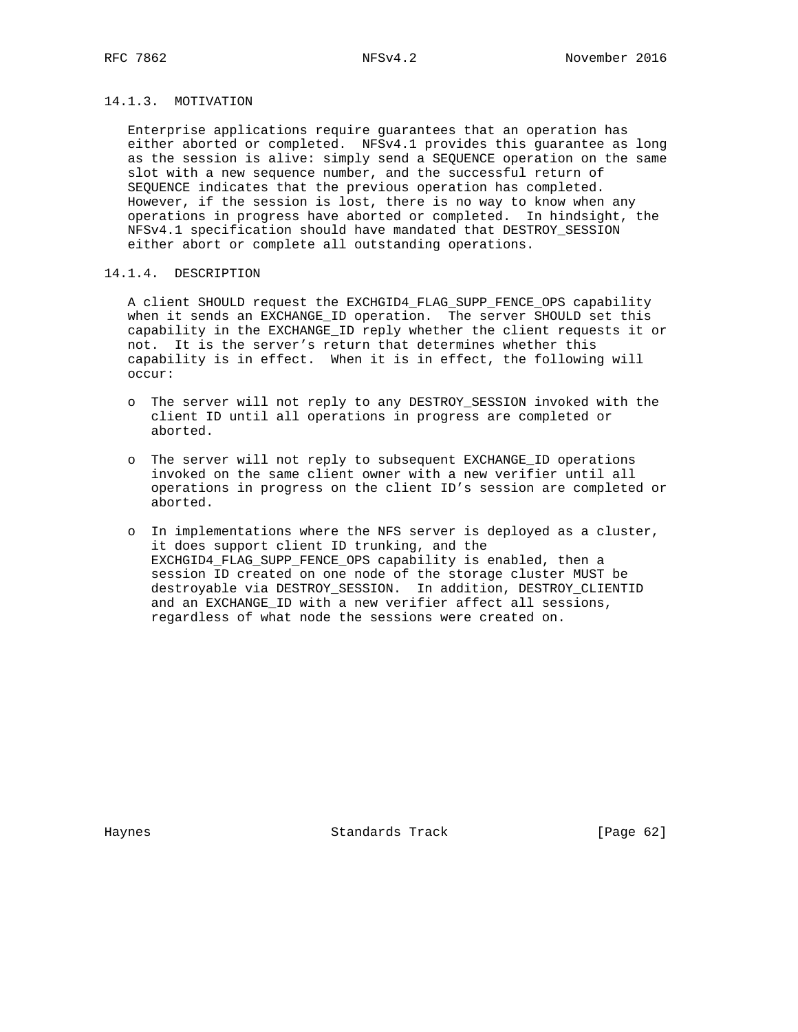## 14.1.3. MOTIVATION

 Enterprise applications require guarantees that an operation has either aborted or completed. NFSv4.1 provides this guarantee as long as the session is alive: simply send a SEQUENCE operation on the same slot with a new sequence number, and the successful return of SEQUENCE indicates that the previous operation has completed. However, if the session is lost, there is no way to know when any operations in progress have aborted or completed. In hindsight, the NFSv4.1 specification should have mandated that DESTROY\_SESSION either abort or complete all outstanding operations.

## 14.1.4. DESCRIPTION

 A client SHOULD request the EXCHGID4\_FLAG\_SUPP\_FENCE\_OPS capability when it sends an EXCHANGE ID operation. The server SHOULD set this capability in the EXCHANGE\_ID reply whether the client requests it or not. It is the server's return that determines whether this capability is in effect. When it is in effect, the following will occur:

- o The server will not reply to any DESTROY\_SESSION invoked with the client ID until all operations in progress are completed or aborted.
- o The server will not reply to subsequent EXCHANGE\_ID operations invoked on the same client owner with a new verifier until all operations in progress on the client ID's session are completed or aborted.
- o In implementations where the NFS server is deployed as a cluster, it does support client ID trunking, and the EXCHGID4\_FLAG\_SUPP\_FENCE\_OPS capability is enabled, then a session ID created on one node of the storage cluster MUST be destroyable via DESTROY\_SESSION. In addition, DESTROY\_CLIENTID and an EXCHANGE\_ID with a new verifier affect all sessions, regardless of what node the sessions were created on.

Haynes **Standards Track** [Page 62]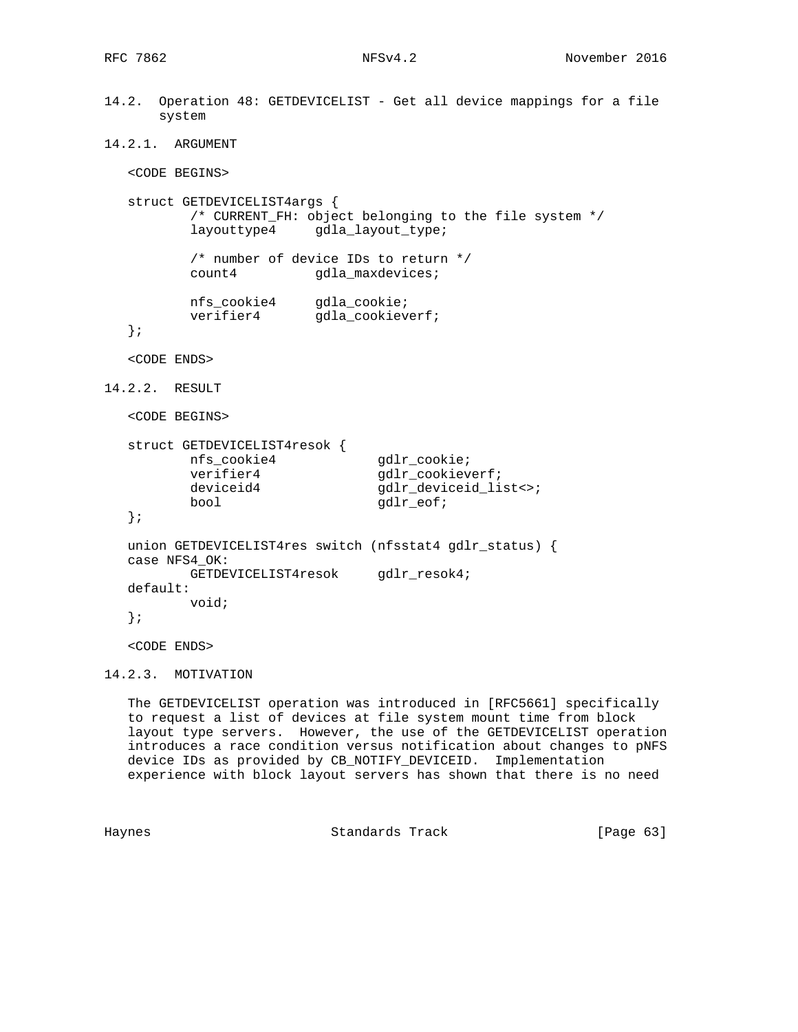```
14.2. Operation 48: GETDEVICELIST - Get all device mappings for a file
       system
14.2.1. ARGUMENT
   <CODE BEGINS>
   struct GETDEVICELIST4args {
           /* CURRENT_FH: object belonging to the file system */
           layouttype4 gdla_layout_type;
           /* number of device IDs to return */
           count4 gdla_maxdevices;
 nfs_cookie4 gdla_cookie;
verifier4 gdla_cookieverf;
   };
   <CODE ENDS>
14.2.2. RESULT
   <CODE BEGINS>
   struct GETDEVICELIST4resok {
           nfs_cookie4 gdlr_cookie;
          verifier4 gdlr_cookieverf;<br>deviceid4 gdlr_deviceid_li
                                gdlr_deviceid_list<>;
          bool gdlr_eof;
   };
   union GETDEVICELIST4res switch (nfsstat4 gdlr_status) {
   case NFS4_OK:
           GETDEVICELIST4resok gdlr_resok4;
   default:
           void;
   };
   <CODE ENDS>
```
14.2.3. MOTIVATION

 The GETDEVICELIST operation was introduced in [RFC5661] specifically to request a list of devices at file system mount time from block layout type servers. However, the use of the GETDEVICELIST operation introduces a race condition versus notification about changes to pNFS device IDs as provided by CB\_NOTIFY\_DEVICEID. Implementation experience with block layout servers has shown that there is no need

Haynes Standards Track [Page 63]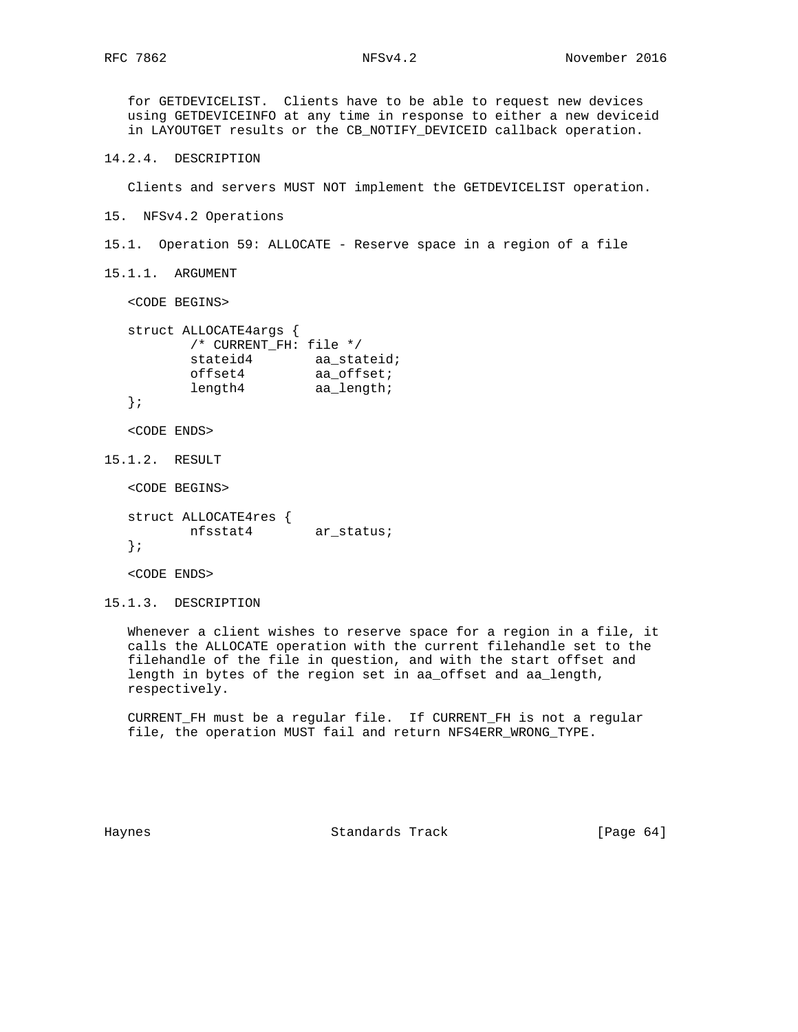for GETDEVICELIST. Clients have to be able to request new devices using GETDEVICEINFO at any time in response to either a new deviceid in LAYOUTGET results or the CB\_NOTIFY\_DEVICEID callback operation. 14.2.4. DESCRIPTION Clients and servers MUST NOT implement the GETDEVICELIST operation. 15. NFSv4.2 Operations 15.1. Operation 59: ALLOCATE - Reserve space in a region of a file 15.1.1. ARGUMENT <CODE BEGINS> struct ALLOCATE4args { /\* CURRENT\_FH: file \*/ stateid4 aa\_stateid; offset4 aa\_offset; length4 aa\_length; }; <CODE ENDS> 15.1.2. RESULT <CODE BEGINS> struct ALLOCATE4res { nfsstat4 ar\_status; }; <CODE ENDS> 15.1.3. DESCRIPTION

 Whenever a client wishes to reserve space for a region in a file, it calls the ALLOCATE operation with the current filehandle set to the filehandle of the file in question, and with the start offset and length in bytes of the region set in aa\_offset and aa\_length, respectively.

 CURRENT\_FH must be a regular file. If CURRENT\_FH is not a regular file, the operation MUST fail and return NFS4ERR\_WRONG\_TYPE.

Haynes **Standards Track** [Page 64]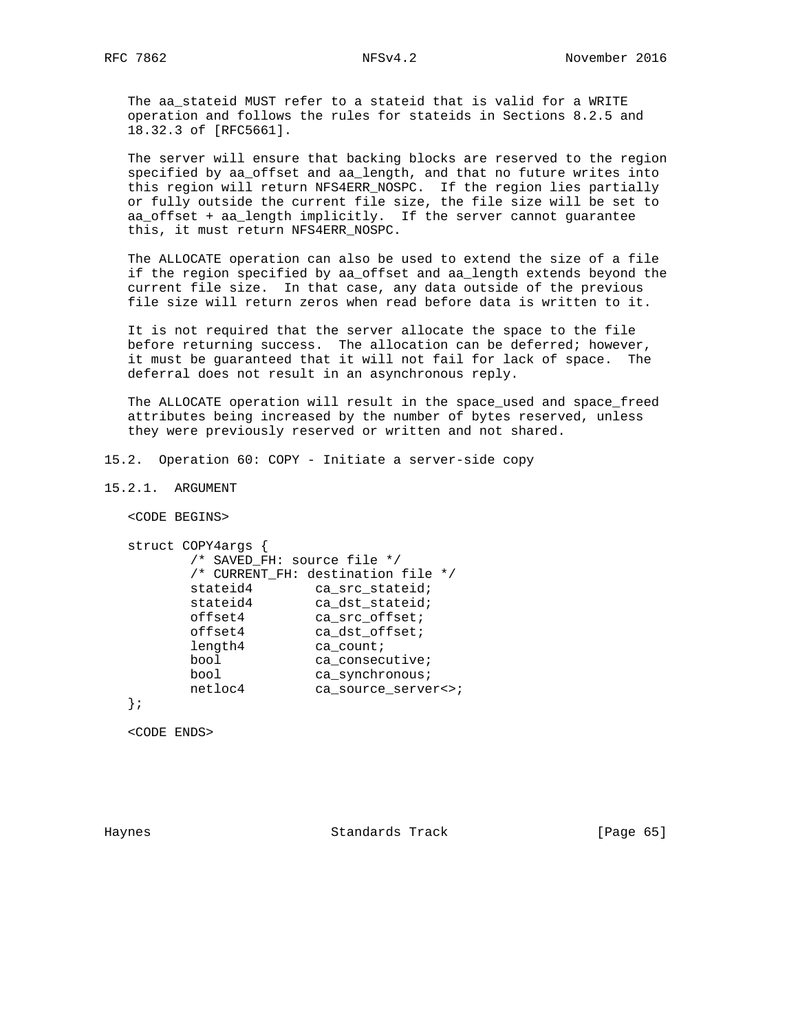The aa\_stateid MUST refer to a stateid that is valid for a WRITE operation and follows the rules for stateids in Sections 8.2.5 and 18.32.3 of [RFC5661].

 The server will ensure that backing blocks are reserved to the region specified by aa\_offset and aa\_length, and that no future writes into this region will return NFS4ERR\_NOSPC. If the region lies partially or fully outside the current file size, the file size will be set to aa\_offset + aa\_length implicitly. If the server cannot guarantee this, it must return NFS4ERR\_NOSPC.

 The ALLOCATE operation can also be used to extend the size of a file if the region specified by aa\_offset and aa\_length extends beyond the current file size. In that case, any data outside of the previous file size will return zeros when read before data is written to it.

 It is not required that the server allocate the space to the file before returning success. The allocation can be deferred; however, it must be guaranteed that it will not fail for lack of space. The deferral does not result in an asynchronous reply.

 The ALLOCATE operation will result in the space\_used and space\_freed attributes being increased by the number of bytes reserved, unless they were previously reserved or written and not shared.

15.2. Operation 60: COPY - Initiate a server-side copy

15.2.1. ARGUMENT

<CODE BEGINS>

```
 struct COPY4args {
       /* SAVED_FH: source file */
       /* CURRENT_FH: destination file */
stateid4 ca_src_stateid;
stateid4 ca_dst_stateid;
offset4 ca_src_offset;
offset4 ca_dst_offset;
length4 ca_count;
bool ca_consecutive;
bool ca_synchronous;
 netloc4 ca_source_server<>;
```
};

<CODE ENDS>

Haynes **Example 18 Standards Track** [Page 65]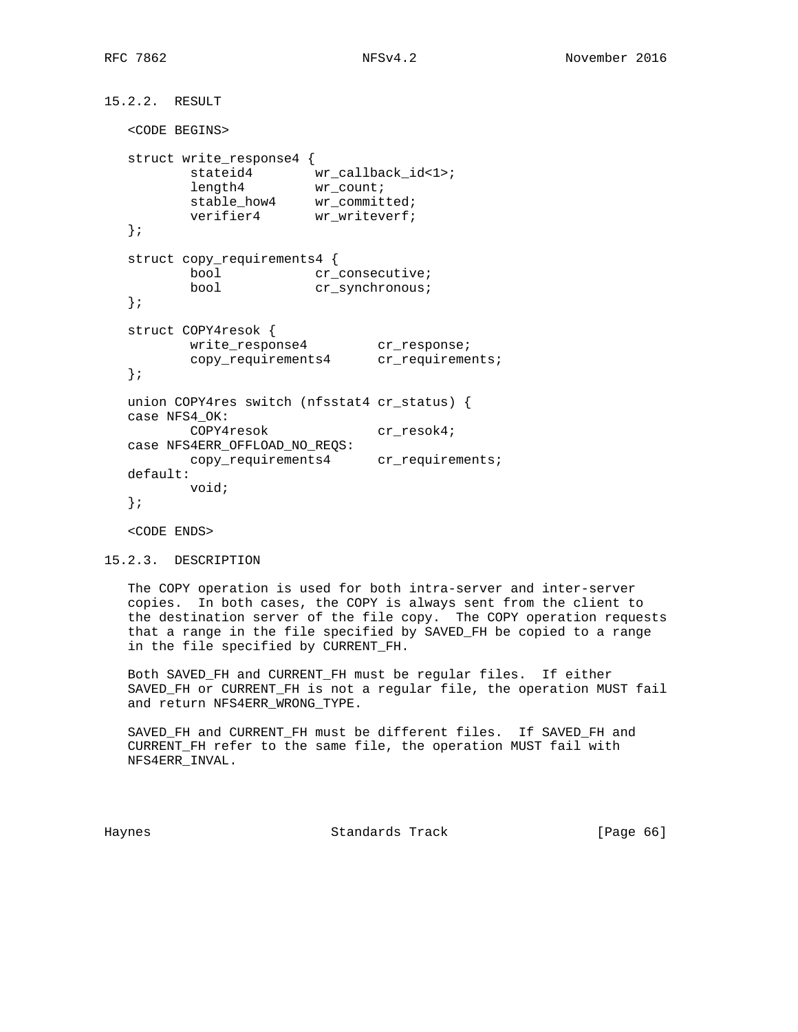```
15.2.2. RESULT
   <CODE BEGINS>
   struct write_response4 {
         stateid4 wr_callback_id<1>;<br>length4 wr_count;
length4 wr_count;
stable_how4 wr_committed;
verifier4 wr_writeverf;
   };
   struct copy_requirements4 {
bool cr_consecutive;
bool cr_synchronous;
   };
   struct COPY4resok {
write_response4 cr_response;
copy_requirements4 cr_requirements;
   };
   union COPY4res switch (nfsstat4 cr_status) {
   case NFS4_OK:
         COPY4resok cr_resok4;
   case NFS4ERR_OFFLOAD_NO_REQS:
         copy_requirements4 cr_requirements;
   default:
         void;
   };
```
<CODE ENDS>

```
15.2.3. DESCRIPTION
```
 The COPY operation is used for both intra-server and inter-server copies. In both cases, the COPY is always sent from the client to the destination server of the file copy. The COPY operation requests that a range in the file specified by SAVED\_FH be copied to a range in the file specified by CURRENT\_FH.

 Both SAVED\_FH and CURRENT\_FH must be regular files. If either SAVED\_FH or CURRENT\_FH is not a regular file, the operation MUST fail and return NFS4ERR\_WRONG\_TYPE.

 SAVED\_FH and CURRENT\_FH must be different files. If SAVED\_FH and CURRENT\_FH refer to the same file, the operation MUST fail with NFS4ERR\_INVAL.

Haynes **Example 2018** Standards Track **Example 2018** [Page 66]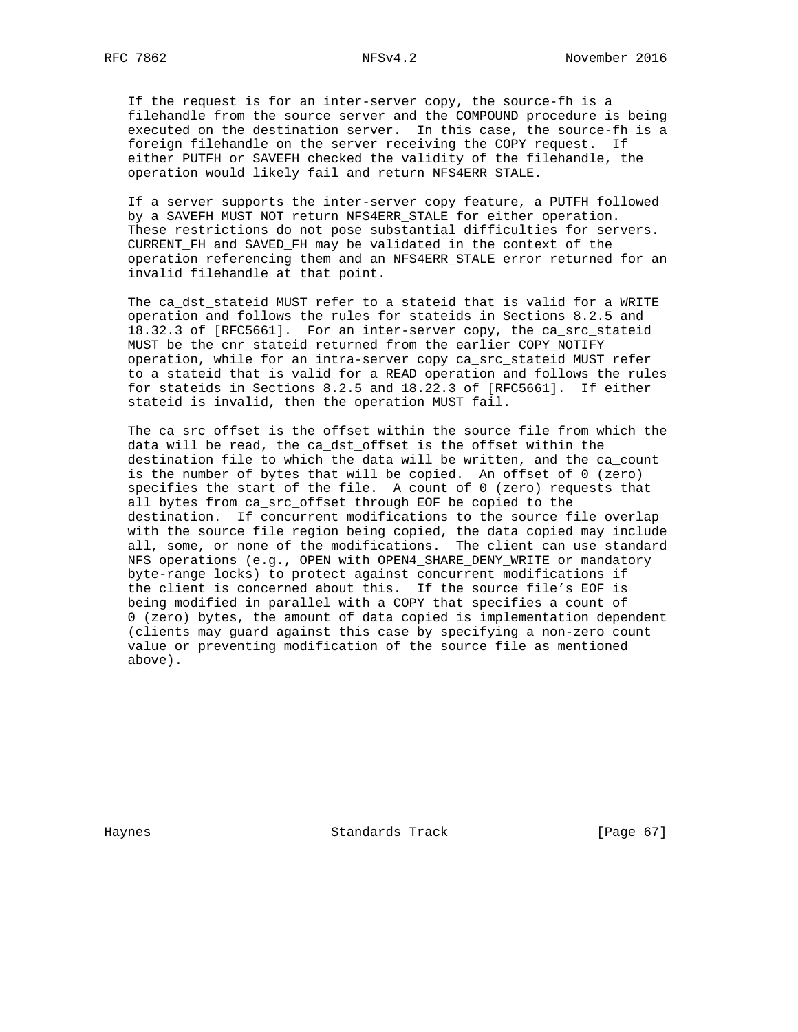If the request is for an inter-server copy, the source-fh is a filehandle from the source server and the COMPOUND procedure is being executed on the destination server. In this case, the source-fh is a foreign filehandle on the server receiving the COPY request. If either PUTFH or SAVEFH checked the validity of the filehandle, the operation would likely fail and return NFS4ERR\_STALE.

 If a server supports the inter-server copy feature, a PUTFH followed by a SAVEFH MUST NOT return NFS4ERR\_STALE for either operation. These restrictions do not pose substantial difficulties for servers. CURRENT\_FH and SAVED\_FH may be validated in the context of the operation referencing them and an NFS4ERR\_STALE error returned for an invalid filehandle at that point.

 The ca\_dst\_stateid MUST refer to a stateid that is valid for a WRITE operation and follows the rules for stateids in Sections 8.2.5 and 18.32.3 of [RFC5661]. For an inter-server copy, the ca\_src\_stateid MUST be the cnr\_stateid returned from the earlier COPY\_NOTIFY operation, while for an intra-server copy ca\_src\_stateid MUST refer to a stateid that is valid for a READ operation and follows the rules for stateids in Sections 8.2.5 and 18.22.3 of [RFC5661]. If either stateid is invalid, then the operation MUST fail.

 The ca\_src\_offset is the offset within the source file from which the data will be read, the ca\_dst\_offset is the offset within the destination file to which the data will be written, and the ca\_count is the number of bytes that will be copied. An offset of 0 (zero) specifies the start of the file. A count of 0 (zero) requests that all bytes from ca\_src\_offset through EOF be copied to the destination. If concurrent modifications to the source file overlap with the source file region being copied, the data copied may include all, some, or none of the modifications. The client can use standard NFS operations (e.g., OPEN with OPEN4\_SHARE\_DENY\_WRITE or mandatory byte-range locks) to protect against concurrent modifications if the client is concerned about this. If the source file's EOF is being modified in parallel with a COPY that specifies a count of 0 (zero) bytes, the amount of data copied is implementation dependent (clients may guard against this case by specifying a non-zero count value or preventing modification of the source file as mentioned above).

Haynes **Example 18** Standards Track [Page 67]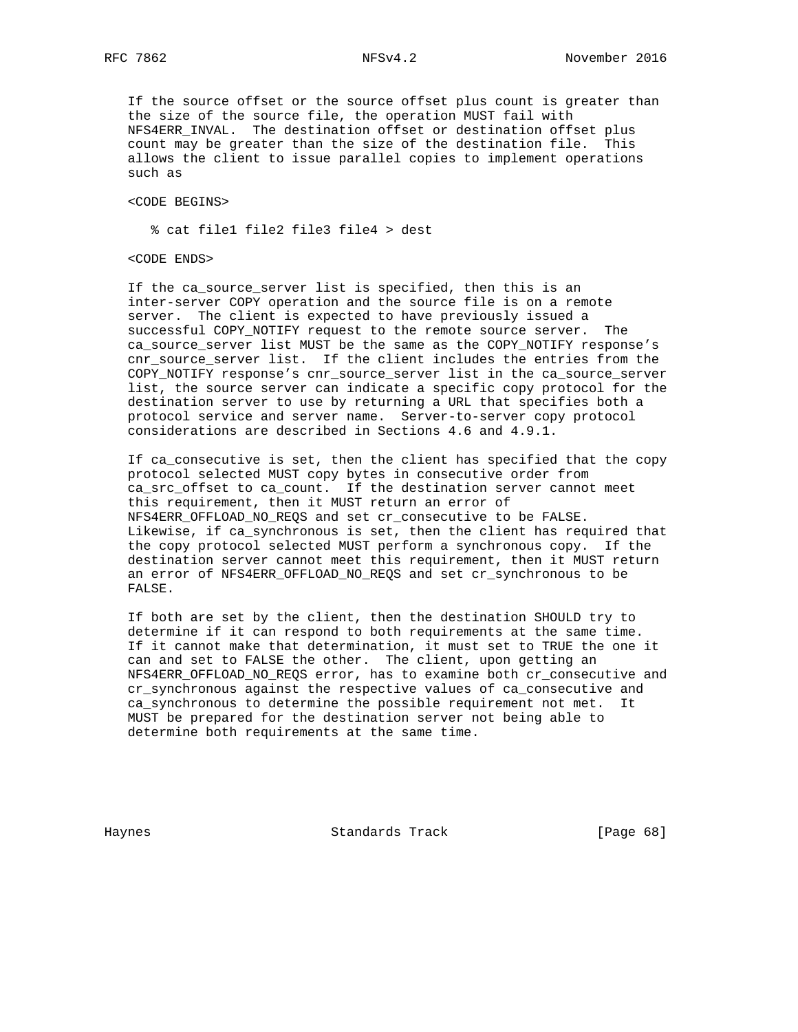If the source offset or the source offset plus count is greater than the size of the source file, the operation MUST fail with NFS4ERR\_INVAL. The destination offset or destination offset plus count may be greater than the size of the destination file. This allows the client to issue parallel copies to implement operations such as

<CODE BEGINS>

% cat file1 file2 file3 file4 > dest

<CODE ENDS>

 If the ca\_source\_server list is specified, then this is an inter-server COPY operation and the source file is on a remote server. The client is expected to have previously issued a successful COPY\_NOTIFY request to the remote source server. The ca\_source\_server list MUST be the same as the COPY\_NOTIFY response's cnr\_source\_server list. If the client includes the entries from the COPY\_NOTIFY response's cnr\_source\_server list in the ca\_source\_server list, the source server can indicate a specific copy protocol for the destination server to use by returning a URL that specifies both a protocol service and server name. Server-to-server copy protocol considerations are described in Sections 4.6 and 4.9.1.

 If ca\_consecutive is set, then the client has specified that the copy protocol selected MUST copy bytes in consecutive order from ca\_src\_offset to ca\_count. If the destination server cannot meet this requirement, then it MUST return an error of NFS4ERR\_OFFLOAD\_NO\_REQS and set cr\_consecutive to be FALSE. Likewise, if ca\_synchronous is set, then the client has required that the copy protocol selected MUST perform a synchronous copy. If the destination server cannot meet this requirement, then it MUST return an error of NFS4ERR OFFLOAD NO REQS and set cr synchronous to be FALSE.

 If both are set by the client, then the destination SHOULD try to determine if it can respond to both requirements at the same time. If it cannot make that determination, it must set to TRUE the one it can and set to FALSE the other. The client, upon getting an NFS4ERR\_OFFLOAD\_NO\_REQS error, has to examine both cr\_consecutive and cr\_synchronous against the respective values of ca\_consecutive and ca\_synchronous to determine the possible requirement not met. It MUST be prepared for the destination server not being able to determine both requirements at the same time.

Haynes **Example 28** Standards Track **Example 28** [Page 68]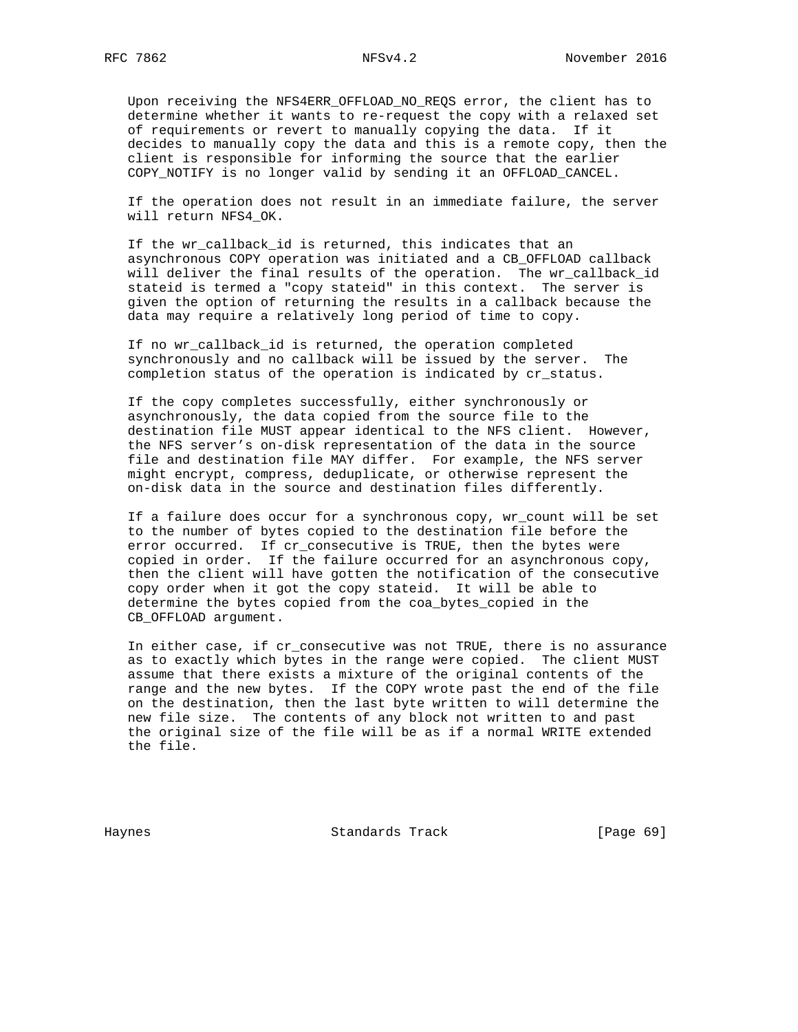Upon receiving the NFS4ERR\_OFFLOAD\_NO\_REQS error, the client has to determine whether it wants to re-request the copy with a relaxed set of requirements or revert to manually copying the data. If it decides to manually copy the data and this is a remote copy, then the client is responsible for informing the source that the earlier COPY\_NOTIFY is no longer valid by sending it an OFFLOAD\_CANCEL.

 If the operation does not result in an immediate failure, the server will return NFS4\_OK.

 If the wr\_callback\_id is returned, this indicates that an asynchronous COPY operation was initiated and a CB\_OFFLOAD callback will deliver the final results of the operation. The wr\_callback\_id stateid is termed a "copy stateid" in this context. The server is given the option of returning the results in a callback because the data may require a relatively long period of time to copy.

 If no wr\_callback\_id is returned, the operation completed synchronously and no callback will be issued by the server. The completion status of the operation is indicated by cr\_status.

 If the copy completes successfully, either synchronously or asynchronously, the data copied from the source file to the destination file MUST appear identical to the NFS client. However, the NFS server's on-disk representation of the data in the source file and destination file MAY differ. For example, the NFS server might encrypt, compress, deduplicate, or otherwise represent the on-disk data in the source and destination files differently.

 If a failure does occur for a synchronous copy, wr\_count will be set to the number of bytes copied to the destination file before the error occurred. If cr\_consecutive is TRUE, then the bytes were copied in order. If the failure occurred for an asynchronous copy, then the client will have gotten the notification of the consecutive copy order when it got the copy stateid. It will be able to determine the bytes copied from the coa\_bytes\_copied in the CB OFFLOAD argument.

 In either case, if cr\_consecutive was not TRUE, there is no assurance as to exactly which bytes in the range were copied. The client MUST assume that there exists a mixture of the original contents of the range and the new bytes. If the COPY wrote past the end of the file on the destination, then the last byte written to will determine the new file size. The contents of any block not written to and past the original size of the file will be as if a normal WRITE extended the file.

Haynes **Standards Track** [Page 69]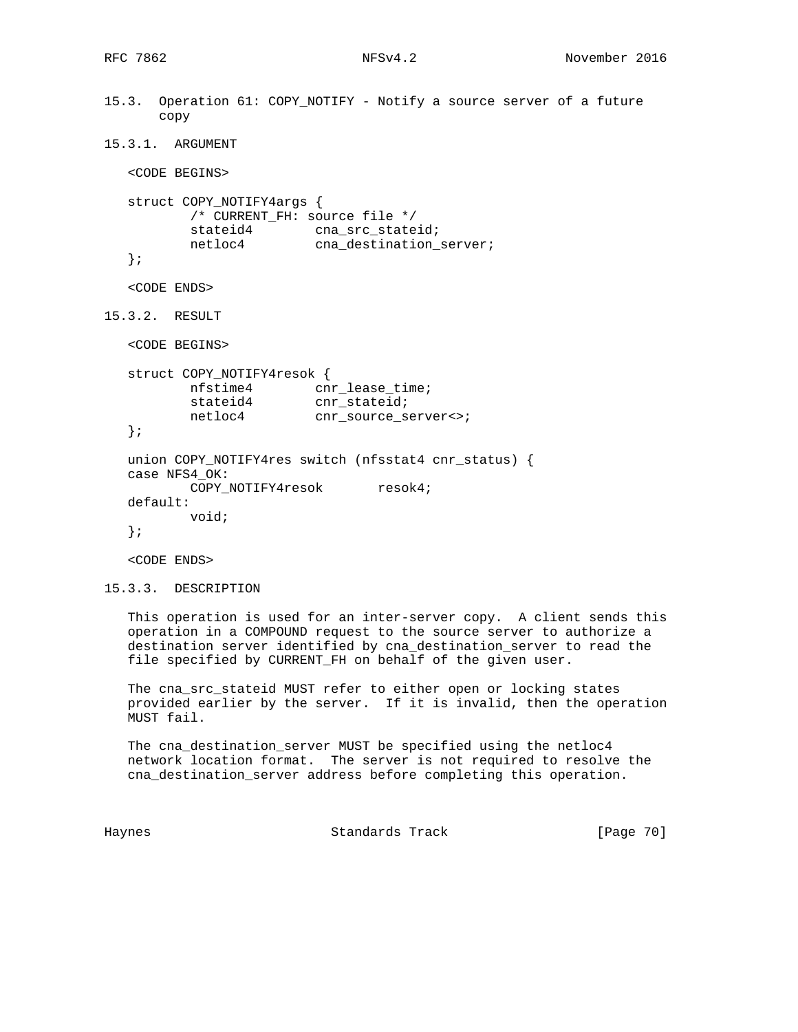```
15.3. Operation 61: COPY_NOTIFY - Notify a source server of a future
       copy
15.3.1. ARGUMENT
   <CODE BEGINS>
   struct COPY_NOTIFY4args {
          /* CURRENT_FH: source file */
stateid4 cna_src_stateid;
netloc4 cna_destination_server;
   };
   <CODE ENDS>
15.3.2. RESULT
   <CODE BEGINS>
   struct COPY_NOTIFY4resok {
          nfstime4 cnr_lease_time;
stateid4 cnr_stateid;
 netloc4 cnr_source_server<>;
   };
   union COPY_NOTIFY4res switch (nfsstat4 cnr_status) {
   case NFS4_OK:
         COPY_NOTIFY4resok resok4;
   default:
          void;
   };
   <CODE ENDS>
15.3.3. DESCRIPTION
```
 This operation is used for an inter-server copy. A client sends this operation in a COMPOUND request to the source server to authorize a destination server identified by cna\_destination\_server to read the file specified by CURRENT\_FH on behalf of the given user.

 The cna\_src\_stateid MUST refer to either open or locking states provided earlier by the server. If it is invalid, then the operation MUST fail.

 The cna\_destination\_server MUST be specified using the netloc4 network location format. The server is not required to resolve the cna\_destination\_server address before completing this operation.

Haynes Standards Track [Page 70]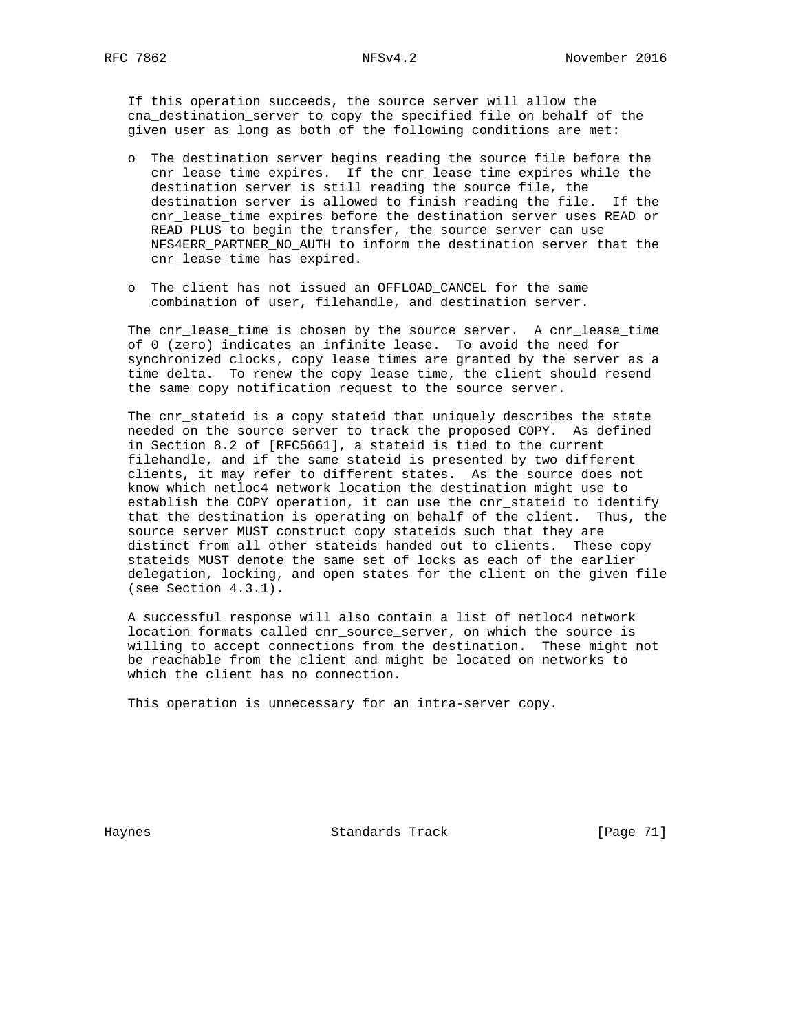If this operation succeeds, the source server will allow the cna\_destination\_server to copy the specified file on behalf of the given user as long as both of the following conditions are met:

- o The destination server begins reading the source file before the cnr\_lease\_time expires. If the cnr\_lease\_time expires while the destination server is still reading the source file, the destination server is allowed to finish reading the file. If the cnr\_lease\_time expires before the destination server uses READ or READ\_PLUS to begin the transfer, the source server can use NFS4ERR\_PARTNER\_NO\_AUTH to inform the destination server that the cnr\_lease\_time has expired.
- o The client has not issued an OFFLOAD\_CANCEL for the same combination of user, filehandle, and destination server.

 The cnr\_lease\_time is chosen by the source server. A cnr\_lease\_time of 0 (zero) indicates an infinite lease. To avoid the need for synchronized clocks, copy lease times are granted by the server as a time delta. To renew the copy lease time, the client should resend the same copy notification request to the source server.

 The cnr\_stateid is a copy stateid that uniquely describes the state needed on the source server to track the proposed COPY. As defined in Section 8.2 of [RFC5661], a stateid is tied to the current filehandle, and if the same stateid is presented by two different clients, it may refer to different states. As the source does not know which netloc4 network location the destination might use to establish the COPY operation, it can use the cnr\_stateid to identify that the destination is operating on behalf of the client. Thus, the source server MUST construct copy stateids such that they are distinct from all other stateids handed out to clients. These copy stateids MUST denote the same set of locks as each of the earlier delegation, locking, and open states for the client on the given file (see Section 4.3.1).

 A successful response will also contain a list of netloc4 network location formats called cnr\_source\_server, on which the source is willing to accept connections from the destination. These might not be reachable from the client and might be located on networks to which the client has no connection.

This operation is unnecessary for an intra-server copy.

Haynes Standards Track [Page 71]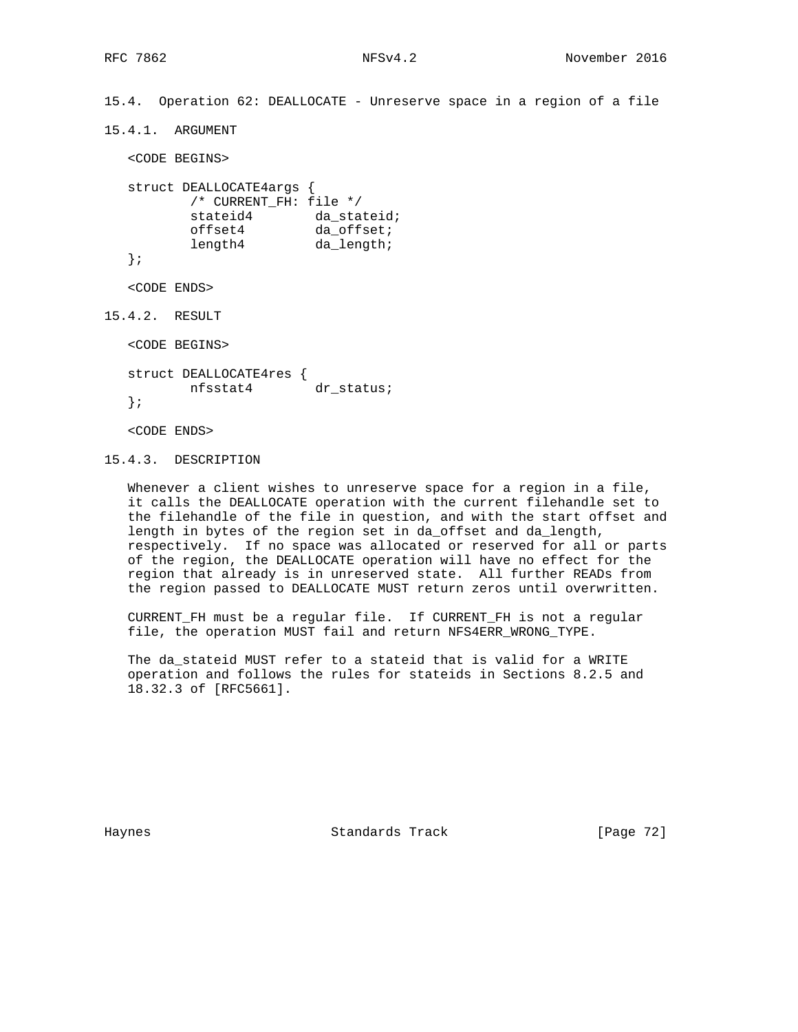15.4. Operation 62: DEALLOCATE - Unreserve space in a region of a file

15.4.1. ARGUMENT

<CODE BEGINS>

```
 struct DEALLOCATE4args {
       /* CURRENT_FH: file */
stateid4 da_stateid;
offset4 da_offset;
length4 da_length;
```

```
 };
```
<CODE ENDS>

15.4.2. RESULT

<CODE BEGINS>

 struct DEALLOCATE4res { nfsstat4 dr\_status; };

<CODE ENDS>

```
15.4.3. DESCRIPTION
```
 Whenever a client wishes to unreserve space for a region in a file, it calls the DEALLOCATE operation with the current filehandle set to the filehandle of the file in question, and with the start offset and length in bytes of the region set in da\_offset and da\_length, respectively. If no space was allocated or reserved for all or parts of the region, the DEALLOCATE operation will have no effect for the region that already is in unreserved state. All further READs from the region passed to DEALLOCATE MUST return zeros until overwritten.

 CURRENT\_FH must be a regular file. If CURRENT\_FH is not a regular file, the operation MUST fail and return NFS4ERR\_WRONG\_TYPE.

 The da\_stateid MUST refer to a stateid that is valid for a WRITE operation and follows the rules for stateids in Sections 8.2.5 and 18.32.3 of [RFC5661].

Haynes **Example 18** Standards Track **Example 2018** [Page 72]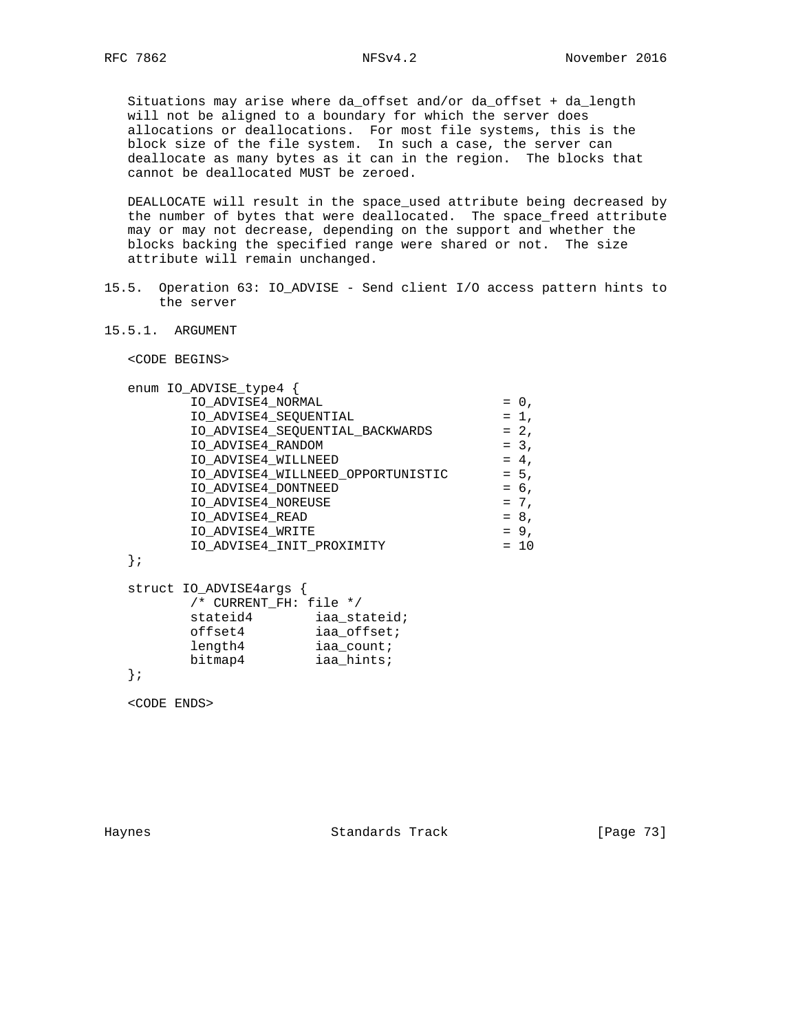Situations may arise where da\_offset and/or da\_offset + da\_length will not be aligned to a boundary for which the server does allocations or deallocations. For most file systems, this is the block size of the file system. In such a case, the server can deallocate as many bytes as it can in the region. The blocks that cannot be deallocated MUST be zeroed.

 DEALLOCATE will result in the space\_used attribute being decreased by the number of bytes that were deallocated. The space\_freed attribute may or may not decrease, depending on the support and whether the blocks backing the specified range were shared or not. The size attribute will remain unchanged.

- 15.5. Operation 63: IO\_ADVISE Send client I/O access pattern hints to the server
- 15.5.1. ARGUMENT

<CODE BEGINS>

| enum IO_ADVISE_type4              |         |
|-----------------------------------|---------|
| IO_ADVISE4_NORMAL                 | $= 0$ , |
| IO_ADVISE4_SEQUENTIAL             | $= 1$ , |
| IO_ADVISE4_SEQUENTIAL_BACKWARDS   | $= 2,$  |
| IO ADVISE4 RANDOM                 | $= 3.$  |
| IO ADVISE4 WILLNEED               | $= 4.$  |
| IO_ADVISE4_WILLNEED_OPPORTUNISTIC | $= 5.$  |
| IO ADVISE4 DONTNEED               | $= 6.$  |
| IO ADVISE4 NOREUSE                | $= 7,$  |
| IO ADVISE4 READ                   | $= 8.$  |
| IO ADVISE4 WRITE                  | $= 9.$  |
| IO ADVISE4 INIT PROXIMITY         | $= 10$  |
|                                   |         |

};

|  | struct IO_ADVISE4args { |              |
|--|-------------------------|--------------|
|  | /* CURRENT FH: file */  |              |
|  | stateid4                | iaa stateid; |
|  | offset4                 | iaa_offset;  |
|  | length4                 | iaa count;   |
|  | bitmap4                 | iaa hints;   |
|  |                         |              |

};

<CODE ENDS>

Haynes **Example 2018** Standards Track **Example 2018** [Page 73]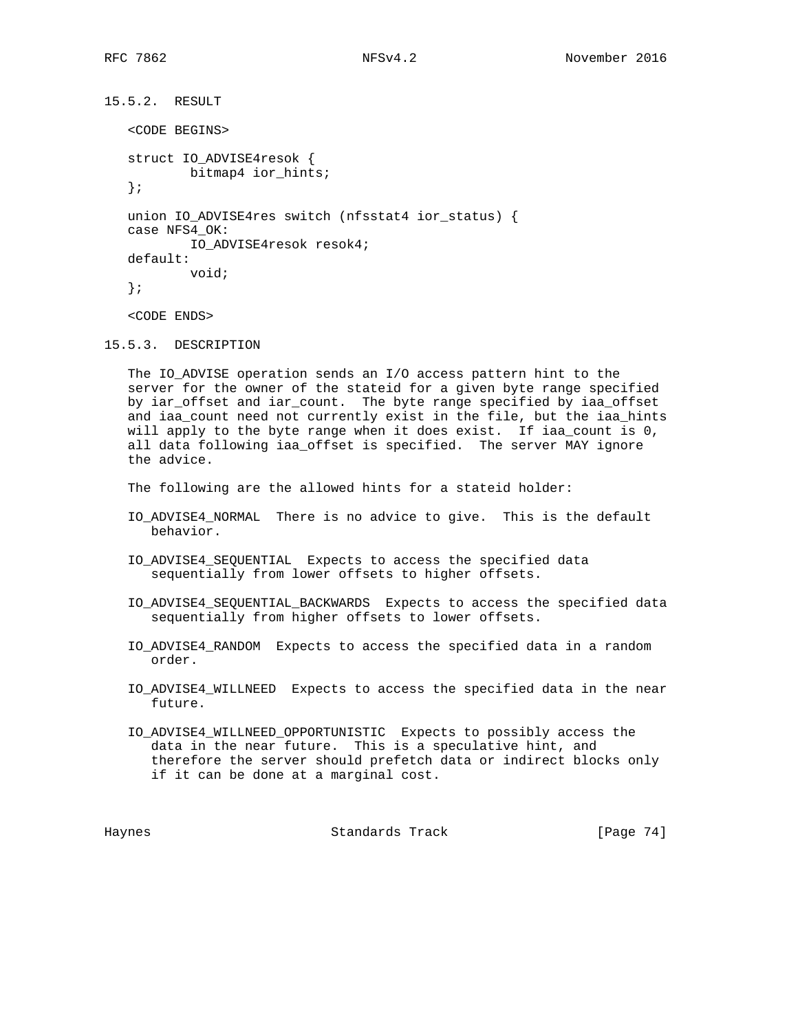```
15.5.2. RESULT
    <CODE BEGINS>
    struct IO_ADVISE4resok {
            bitmap4 ior_hints;
    };
    union IO_ADVISE4res switch (nfsstat4 ior_status) {
    case NFS4_OK:
            IO_ADVISE4resok resok4;
    default:
            void;
    };
    <CODE ENDS>
```
15.5.3. DESCRIPTION

 The IO\_ADVISE operation sends an I/O access pattern hint to the server for the owner of the stateid for a given byte range specified by iar\_offset and iar\_count. The byte range specified by iaa\_offset and iaa\_count need not currently exist in the file, but the iaa\_hints will apply to the byte range when it does exist. If iaa\_count is 0, all data following iaa\_offset is specified. The server MAY ignore the advice.

The following are the allowed hints for a stateid holder:

- IO\_ADVISE4\_NORMAL There is no advice to give. This is the default behavior.
- IO\_ADVISE4\_SEQUENTIAL Expects to access the specified data sequentially from lower offsets to higher offsets.
- IO\_ADVISE4\_SEQUENTIAL\_BACKWARDS Expects to access the specified data sequentially from higher offsets to lower offsets.
- IO\_ADVISE4\_RANDOM Expects to access the specified data in a random order.
- IO\_ADVISE4\_WILLNEED Expects to access the specified data in the near future.
- IO\_ADVISE4\_WILLNEED\_OPPORTUNISTIC Expects to possibly access the data in the near future. This is a speculative hint, and therefore the server should prefetch data or indirect blocks only if it can be done at a marginal cost.

Haynes Standards Track [Page 74]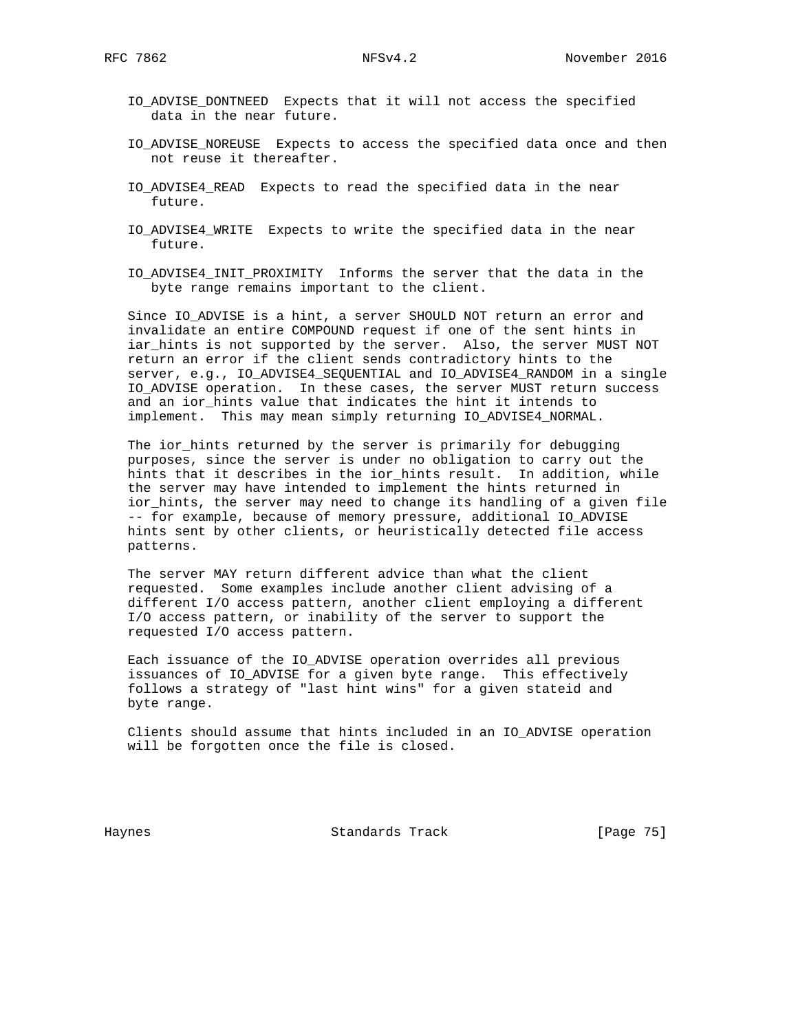- IO\_ADVISE\_DONTNEED Expects that it will not access the specified data in the near future.
- IO ADVISE NOREUSE Expects to access the specified data once and then not reuse it thereafter.
- IO\_ADVISE4\_READ Expects to read the specified data in the near future.
- IO\_ADVISE4\_WRITE Expects to write the specified data in the near future.
- IO\_ADVISE4\_INIT\_PROXIMITY Informs the server that the data in the byte range remains important to the client.

Since IO ADVISE is a hint, a server SHOULD NOT return an error and invalidate an entire COMPOUND request if one of the sent hints in iar\_hints is not supported by the server. Also, the server MUST NOT return an error if the client sends contradictory hints to the server, e.g., IO\_ADVISE4\_SEQUENTIAL and IO\_ADVISE4\_RANDOM in a single IO\_ADVISE operation. In these cases, the server MUST return success and an ior\_hints value that indicates the hint it intends to implement. This may mean simply returning IO\_ADVISE4\_NORMAL.

 The ior\_hints returned by the server is primarily for debugging purposes, since the server is under no obligation to carry out the hints that it describes in the ior\_hints result. In addition, while the server may have intended to implement the hints returned in ior\_hints, the server may need to change its handling of a given file -- for example, because of memory pressure, additional IO\_ADVISE hints sent by other clients, or heuristically detected file access patterns.

 The server MAY return different advice than what the client requested. Some examples include another client advising of a different I/O access pattern, another client employing a different I/O access pattern, or inability of the server to support the requested I/O access pattern.

 Each issuance of the IO\_ADVISE operation overrides all previous issuances of IO\_ADVISE for a given byte range. This effectively follows a strategy of "last hint wins" for a given stateid and byte range.

 Clients should assume that hints included in an IO\_ADVISE operation will be forgotten once the file is closed.

Haynes **Example 2018** Standards Track **Example 2018** [Page 75]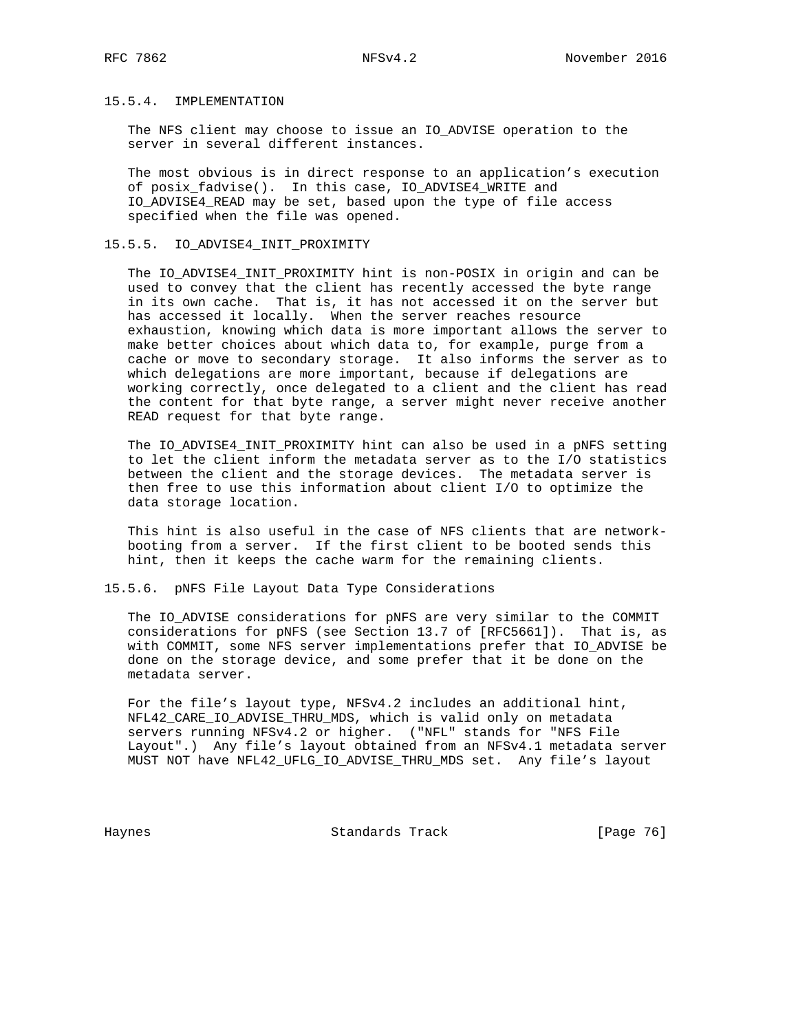## 15.5.4. IMPLEMENTATION

 The NFS client may choose to issue an IO\_ADVISE operation to the server in several different instances.

 The most obvious is in direct response to an application's execution of posix\_fadvise(). In this case, IO\_ADVISE4\_WRITE and IO\_ADVISE4\_READ may be set, based upon the type of file access specified when the file was opened.

### 15.5.5. IO\_ADVISE4\_INIT\_PROXIMITY

 The IO\_ADVISE4\_INIT\_PROXIMITY hint is non-POSIX in origin and can be used to convey that the client has recently accessed the byte range in its own cache. That is, it has not accessed it on the server but has accessed it locally. When the server reaches resource exhaustion, knowing which data is more important allows the server to make better choices about which data to, for example, purge from a cache or move to secondary storage. It also informs the server as to which delegations are more important, because if delegations are working correctly, once delegated to a client and the client has read the content for that byte range, a server might never receive another READ request for that byte range.

 The IO\_ADVISE4\_INIT\_PROXIMITY hint can also be used in a pNFS setting to let the client inform the metadata server as to the I/O statistics between the client and the storage devices. The metadata server is then free to use this information about client I/O to optimize the data storage location.

 This hint is also useful in the case of NFS clients that are network booting from a server. If the first client to be booted sends this hint, then it keeps the cache warm for the remaining clients.

### 15.5.6. pNFS File Layout Data Type Considerations

 The IO\_ADVISE considerations for pNFS are very similar to the COMMIT considerations for pNFS (see Section 13.7 of [RFC5661]). That is, as with COMMIT, some NFS server implementations prefer that IO\_ADVISE be done on the storage device, and some prefer that it be done on the metadata server.

 For the file's layout type, NFSv4.2 includes an additional hint, NFL42\_CARE\_IO\_ADVISE\_THRU\_MDS, which is valid only on metadata servers running NFSv4.2 or higher. ("NFL" stands for "NFS File Layout".) Any file's layout obtained from an NFSv4.1 metadata server MUST NOT have NFL42\_UFLG\_IO\_ADVISE\_THRU\_MDS set. Any file's layout

Haynes **Example 2018** Standards Track **Example 2018** [Page 76]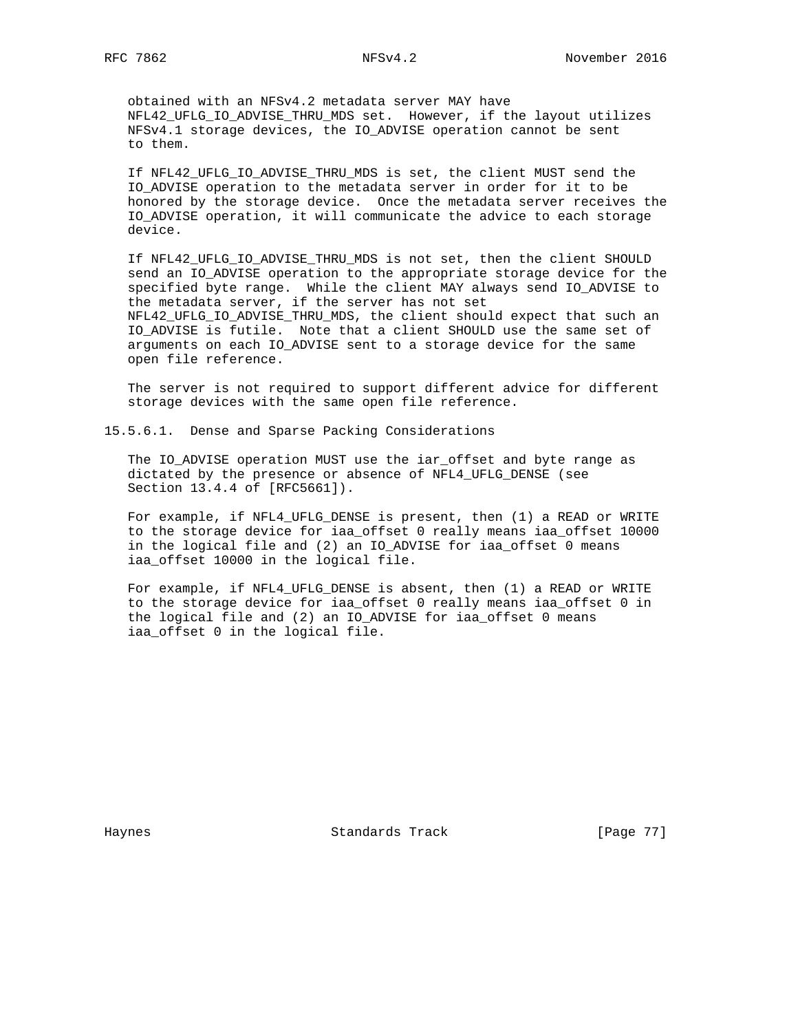obtained with an NFSv4.2 metadata server MAY have NFL42\_UFLG\_IO\_ADVISE\_THRU\_MDS set. However, if the layout utilizes NFSv4.1 storage devices, the IO\_ADVISE operation cannot be sent to them.

 If NFL42\_UFLG\_IO\_ADVISE\_THRU\_MDS is set, the client MUST send the IO\_ADVISE operation to the metadata server in order for it to be honored by the storage device. Once the metadata server receives the IO\_ADVISE operation, it will communicate the advice to each storage device.

 If NFL42\_UFLG\_IO\_ADVISE\_THRU\_MDS is not set, then the client SHOULD send an IO ADVISE operation to the appropriate storage device for the specified byte range. While the client MAY always send IO\_ADVISE to the metadata server, if the server has not set NFL42\_UFLG\_IO\_ADVISE\_THRU\_MDS, the client should expect that such an IO\_ADVISE is futile. Note that a client SHOULD use the same set of arguments on each IO\_ADVISE sent to a storage device for the same open file reference.

 The server is not required to support different advice for different storage devices with the same open file reference.

15.5.6.1. Dense and Sparse Packing Considerations

 The IO\_ADVISE operation MUST use the iar\_offset and byte range as dictated by the presence or absence of NFL4\_UFLG\_DENSE (see Section 13.4.4 of [RFC5661]).

 For example, if NFL4\_UFLG\_DENSE is present, then (1) a READ or WRITE to the storage device for iaa\_offset 0 really means iaa\_offset 10000 in the logical file and (2) an IO\_ADVISE for iaa\_offset 0 means iaa\_offset 10000 in the logical file.

 For example, if NFL4\_UFLG\_DENSE is absent, then (1) a READ or WRITE to the storage device for iaa\_offset 0 really means iaa\_offset 0 in the logical file and (2) an IO\_ADVISE for iaa\_offset 0 means iaa\_offset 0 in the logical file.

Haynes **Standards Track** [Page 77]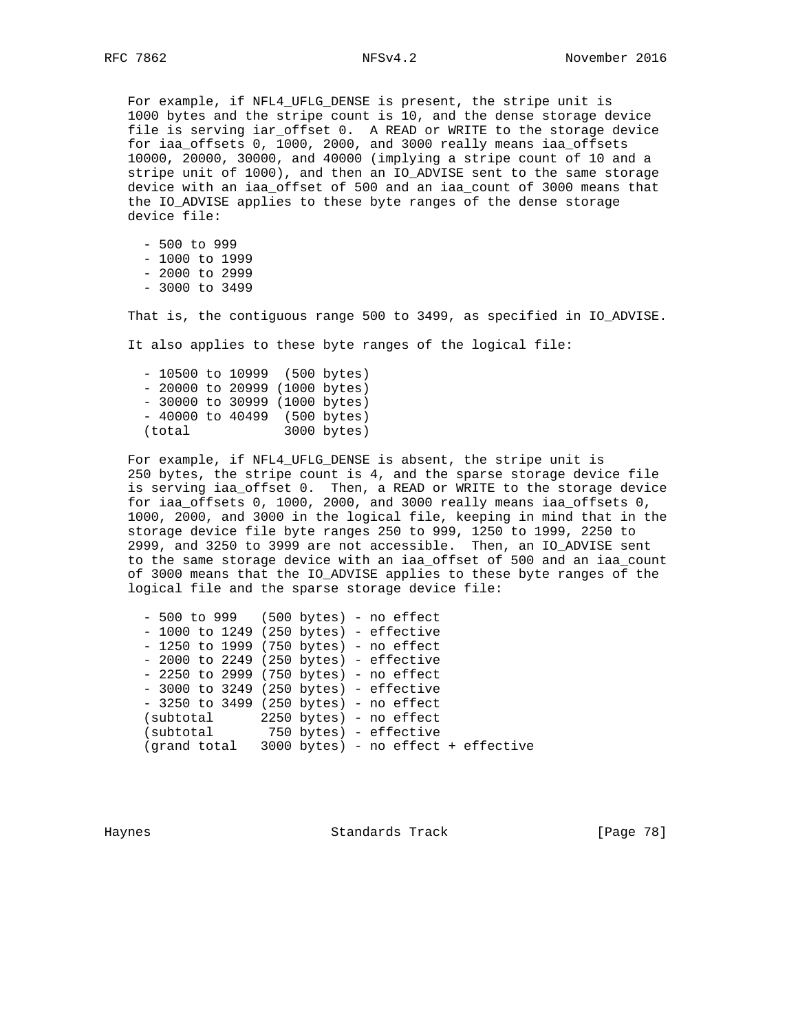For example, if NFL4\_UFLG\_DENSE is present, the stripe unit is 1000 bytes and the stripe count is 10, and the dense storage device file is serving iar\_offset 0. A READ or WRITE to the storage device for iaa\_offsets 0, 1000, 2000, and 3000 really means iaa\_offsets 10000, 20000, 30000, and 40000 (implying a stripe count of 10 and a stripe unit of 1000), and then an IO\_ADVISE sent to the same storage device with an iaa\_offset of 500 and an iaa\_count of 3000 means that the IO\_ADVISE applies to these byte ranges of the dense storage device file:

 - 500 to 999 - 1000 to 1999 - 2000 to 2999 - 3000 to 3499

That is, the contiguous range 500 to 3499, as specified in IO\_ADVISE.

It also applies to these byte ranges of the logical file:

 - 10500 to 10999 (500 bytes) - 20000 to 20999 (1000 bytes) - 30000 to 30999 (1000 bytes) - 40000 to 40499 (500 bytes) (total 3000 bytes)

 For example, if NFL4\_UFLG\_DENSE is absent, the stripe unit is 250 bytes, the stripe count is 4, and the sparse storage device file is serving iaa\_offset 0. Then, a READ or WRITE to the storage device for iaa\_offsets 0, 1000, 2000, and 3000 really means iaa\_offsets 0, 1000, 2000, and 3000 in the logical file, keeping in mind that in the storage device file byte ranges 250 to 999, 1250 to 1999, 2250 to 2999, and 3250 to 3999 are not accessible. Then, an IO\_ADVISE sent to the same storage device with an iaa\_offset of 500 and an iaa\_count of 3000 means that the IO\_ADVISE applies to these byte ranges of the logical file and the sparse storage device file:

|  | - 500 to 999 (500 bytes) - no effect             |
|--|--------------------------------------------------|
|  | $-$ 1000 to 1249 (250 bytes) - effective         |
|  | $-1250$ to 1999 (750 bytes) - no effect          |
|  | $-$ 2000 to 2249 (250 bytes) - effective         |
|  | $-2250$ to 2999 (750 bytes) - no effect          |
|  | $-3000$ to 3249 (250 bytes) - effective          |
|  | $-3250$ to 3499 (250 bytes) - no effect          |
|  | (subtotal 2250 bytes) - no effect                |
|  | (subtotal 750 bytes) - effective                 |
|  | (grand total 3000 bytes) - no effect + effective |
|  |                                                  |

Haynes Standards Track [Page 78]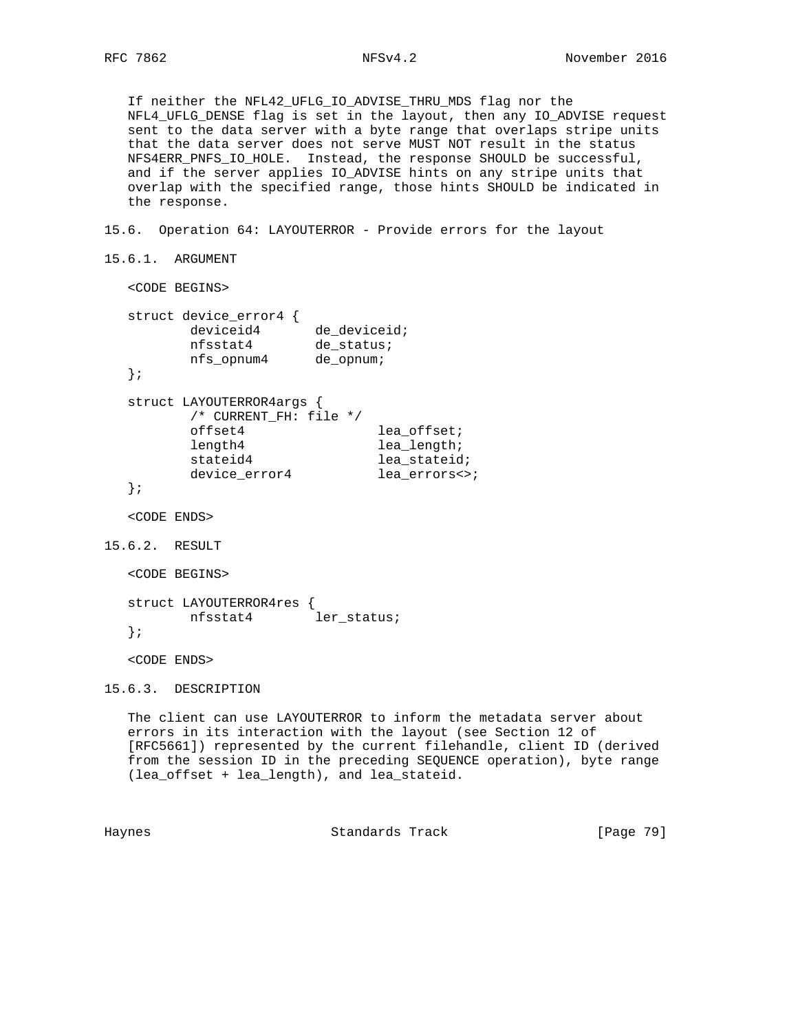If neither the NFL42\_UFLG\_IO\_ADVISE\_THRU\_MDS flag nor the NFL4\_UFLG\_DENSE flag is set in the layout, then any IO\_ADVISE request sent to the data server with a byte range that overlaps stripe units that the data server does not serve MUST NOT result in the status NFS4ERR\_PNFS\_IO\_HOLE. Instead, the response SHOULD be successful, and if the server applies IO\_ADVISE hints on any stripe units that overlap with the specified range, those hints SHOULD be indicated in the response.

15.6. Operation 64: LAYOUTERROR - Provide errors for the layout

```
15.6.1. ARGUMENT
```
<CODE BEGINS>

|  | struct device_error4<br>deviceid4<br>nfsstat4<br>nfs opnum4 | de deviceid;<br>de status;<br>de opnum; |               |
|--|-------------------------------------------------------------|-----------------------------------------|---------------|
|  |                                                             |                                         |               |
|  | struct LAYOUTERROR4args {<br>/* CURRENT FH: file */         |                                         |               |
|  | offset4                                                     |                                         | lea offset;   |
|  | length4                                                     |                                         | lea length;   |
|  | stateid4                                                    |                                         | lea stateid;  |
|  | device error4                                               |                                         | lea errors<>; |

```
 };
```
<CODE ENDS>

```
15.6.2. RESULT
```

```
 <CODE BEGINS>
```

```
 struct LAYOUTERROR4res {
      nfsstat4 ler_status;
 };
```
<CODE ENDS>

15.6.3. DESCRIPTION

 The client can use LAYOUTERROR to inform the metadata server about errors in its interaction with the layout (see Section 12 of [RFC5661]) represented by the current filehandle, client ID (derived from the session ID in the preceding SEQUENCE operation), byte range (lea\_offset + lea\_length), and lea\_stateid.

Haynes **Example 2018** Standards Track **Example 2018** [Page 79]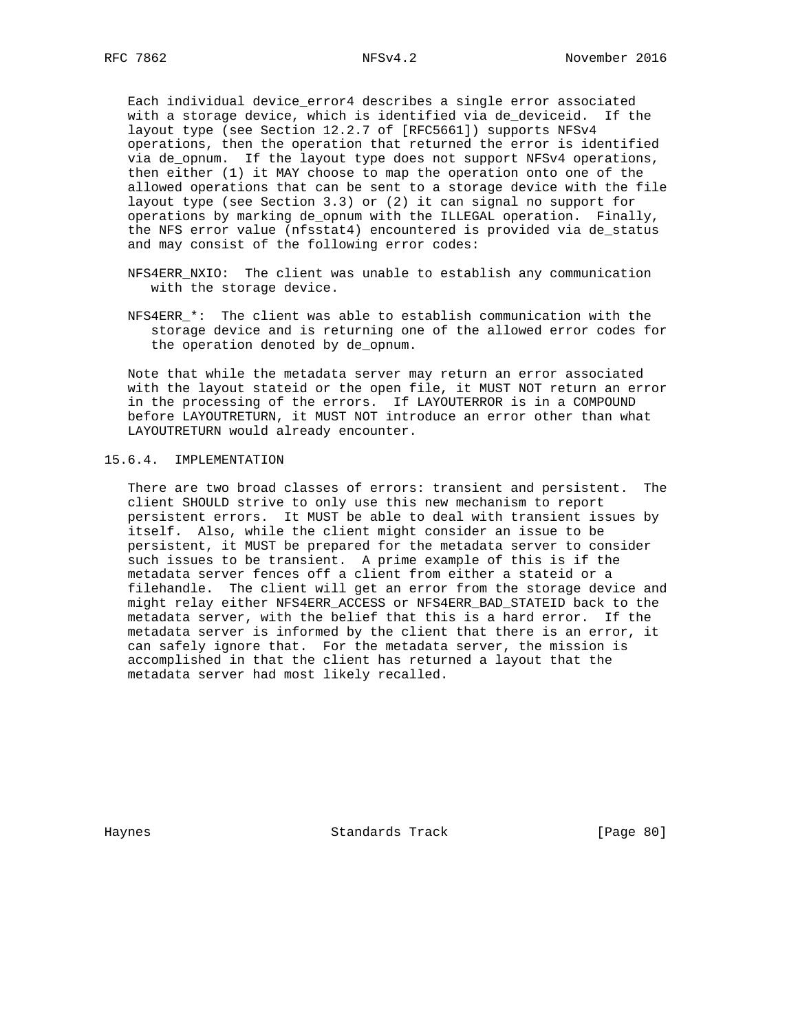Each individual device\_error4 describes a single error associated with a storage device, which is identified via de\_deviceid. If the layout type (see Section 12.2.7 of [RFC5661]) supports NFSv4 operations, then the operation that returned the error is identified via de\_opnum. If the layout type does not support NFSv4 operations, then either (1) it MAY choose to map the operation onto one of the allowed operations that can be sent to a storage device with the file layout type (see Section 3.3) or (2) it can signal no support for operations by marking de\_opnum with the ILLEGAL operation. Finally, the NFS error value (nfsstat4) encountered is provided via de\_status and may consist of the following error codes:

- NFS4ERR\_NXIO: The client was unable to establish any communication with the storage device.
- NFS4ERR \*: The client was able to establish communication with the storage device and is returning one of the allowed error codes for the operation denoted by de\_opnum.

 Note that while the metadata server may return an error associated with the layout stateid or the open file, it MUST NOT return an error in the processing of the errors. If LAYOUTERROR is in a COMPOUND before LAYOUTRETURN, it MUST NOT introduce an error other than what LAYOUTRETURN would already encounter.

## 15.6.4. IMPLEMENTATION

 There are two broad classes of errors: transient and persistent. The client SHOULD strive to only use this new mechanism to report persistent errors. It MUST be able to deal with transient issues by itself. Also, while the client might consider an issue to be persistent, it MUST be prepared for the metadata server to consider such issues to be transient. A prime example of this is if the metadata server fences off a client from either a stateid or a filehandle. The client will get an error from the storage device and might relay either NFS4ERR\_ACCESS or NFS4ERR\_BAD\_STATEID back to the metadata server, with the belief that this is a hard error. If the metadata server is informed by the client that there is an error, it can safely ignore that. For the metadata server, the mission is accomplished in that the client has returned a layout that the metadata server had most likely recalled.

Haynes **Standards Track** [Page 80]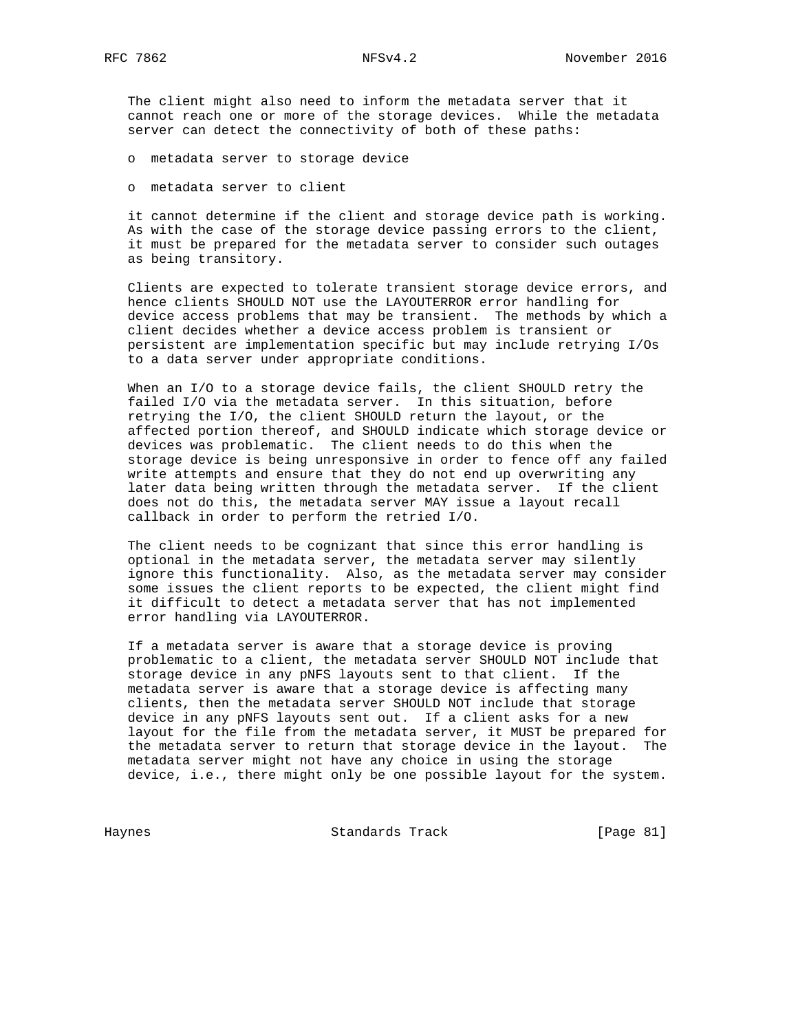The client might also need to inform the metadata server that it cannot reach one or more of the storage devices. While the metadata server can detect the connectivity of both of these paths:

o metadata server to storage device

o metadata server to client

 it cannot determine if the client and storage device path is working. As with the case of the storage device passing errors to the client, it must be prepared for the metadata server to consider such outages as being transitory.

 Clients are expected to tolerate transient storage device errors, and hence clients SHOULD NOT use the LAYOUTERROR error handling for device access problems that may be transient. The methods by which a client decides whether a device access problem is transient or persistent are implementation specific but may include retrying I/Os to a data server under appropriate conditions.

When an I/O to a storage device fails, the client SHOULD retry the failed I/O via the metadata server. In this situation, before retrying the I/O, the client SHOULD return the layout, or the affected portion thereof, and SHOULD indicate which storage device or devices was problematic. The client needs to do this when the storage device is being unresponsive in order to fence off any failed write attempts and ensure that they do not end up overwriting any later data being written through the metadata server. If the client does not do this, the metadata server MAY issue a layout recall callback in order to perform the retried I/O.

 The client needs to be cognizant that since this error handling is optional in the metadata server, the metadata server may silently ignore this functionality. Also, as the metadata server may consider some issues the client reports to be expected, the client might find it difficult to detect a metadata server that has not implemented error handling via LAYOUTERROR.

 If a metadata server is aware that a storage device is proving problematic to a client, the metadata server SHOULD NOT include that storage device in any pNFS layouts sent to that client. If the metadata server is aware that a storage device is affecting many clients, then the metadata server SHOULD NOT include that storage device in any pNFS layouts sent out. If a client asks for a new layout for the file from the metadata server, it MUST be prepared for the metadata server to return that storage device in the layout. The metadata server might not have any choice in using the storage device, i.e., there might only be one possible layout for the system.

Haynes Standards Track [Page 81]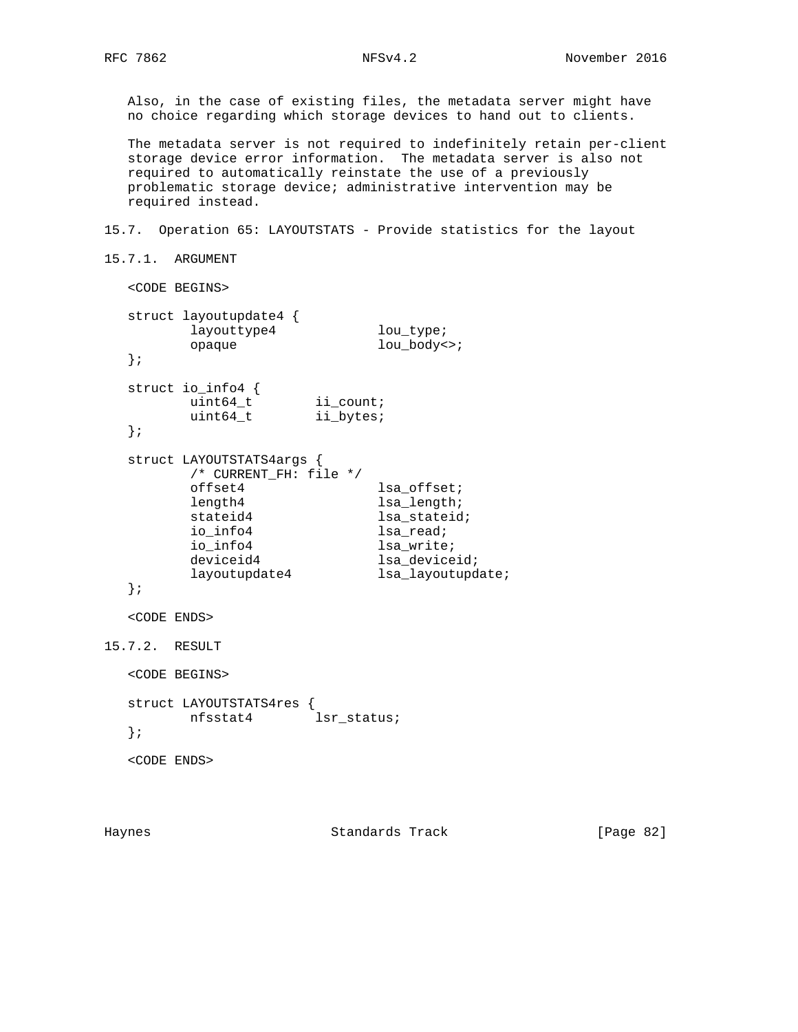Also, in the case of existing files, the metadata server might have no choice regarding which storage devices to hand out to clients.

 The metadata server is not required to indefinitely retain per-client storage device error information. The metadata server is also not required to automatically reinstate the use of a previously problematic storage device; administrative intervention may be required instead.

15.7. Operation 65: LAYOUTSTATS - Provide statistics for the layout

```
15.7.1. ARGUMENT
```

```
 <CODE BEGINS>
   struct layoutupdate4 {
         layoutupdates<br>
layouttype4 lou_type;<br>
lou_body<
          opaque lou_body<>;
   };
   struct io_info4 {
uint64_t ii_count;
uint64_t ii_bytes;
   };
   struct LAYOUTSTATS4args {
          /* CURRENT_FH: file */
         offset4 lsa_offset;<br>length4 lsa_length;
                               lsa_length;
         stateid4 lsa_stateid;
         io_info4 lsa_read;
         io_info4 lsa_write;<br>deviceid4 lsa_device<br>lavest
deviceid4 lsa_deviceid;
layoutupdate4 lsa_layoutupdate;
   };
   <CODE ENDS>
15.7.2. RESULT
   <CODE BEGINS>
   struct LAYOUTSTATS4res {
          nfsstat4 lsr_status;
   };
   <CODE ENDS>
```
Haynes Standards Track [Page 82]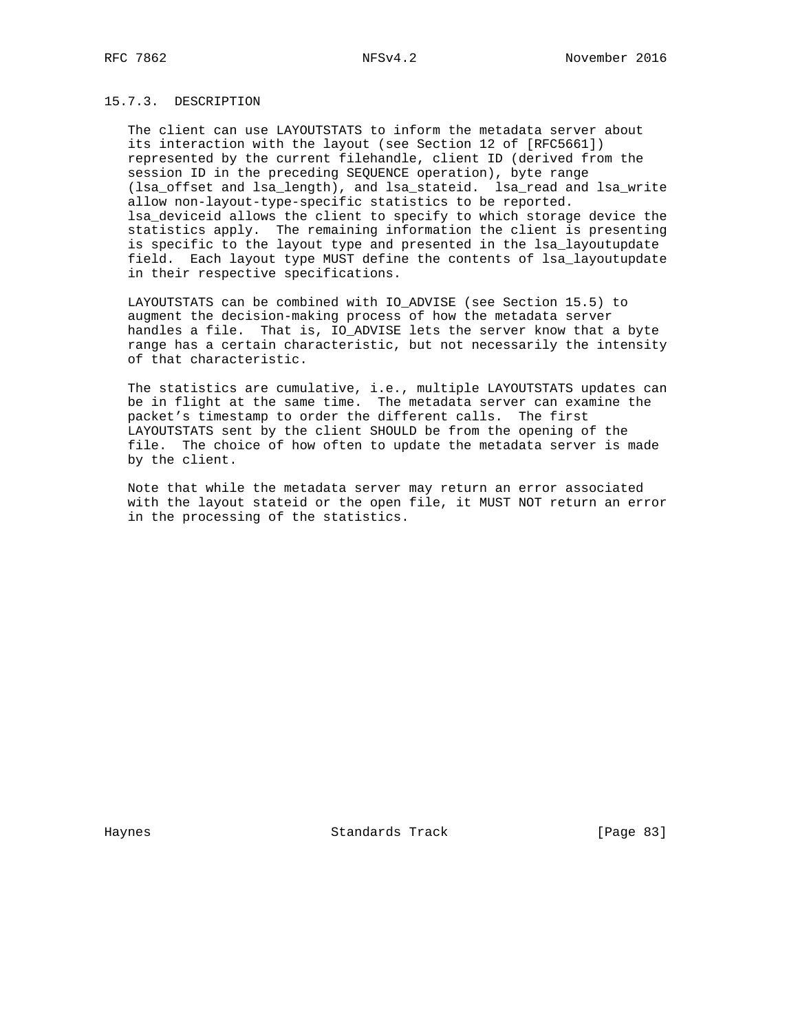## 15.7.3. DESCRIPTION

 The client can use LAYOUTSTATS to inform the metadata server about its interaction with the layout (see Section 12 of [RFC5661]) represented by the current filehandle, client ID (derived from the session ID in the preceding SEQUENCE operation), byte range (lsa\_offset and lsa\_length), and lsa\_stateid. lsa\_read and lsa\_write allow non-layout-type-specific statistics to be reported. lsa\_deviceid allows the client to specify to which storage device the statistics apply. The remaining information the client is presenting is specific to the layout type and presented in the lsa\_layoutupdate field. Each layout type MUST define the contents of lsa\_layoutupdate in their respective specifications.

 LAYOUTSTATS can be combined with IO\_ADVISE (see Section 15.5) to augment the decision-making process of how the metadata server handles a file. That is, IO\_ADVISE lets the server know that a byte range has a certain characteristic, but not necessarily the intensity of that characteristic.

 The statistics are cumulative, i.e., multiple LAYOUTSTATS updates can be in flight at the same time. The metadata server can examine the packet's timestamp to order the different calls. The first LAYOUTSTATS sent by the client SHOULD be from the opening of the file. The choice of how often to update the metadata server is made by the client.

 Note that while the metadata server may return an error associated with the layout stateid or the open file, it MUST NOT return an error in the processing of the statistics.

Haynes **Example 2018** Standards Track **Example 2018** [Page 83]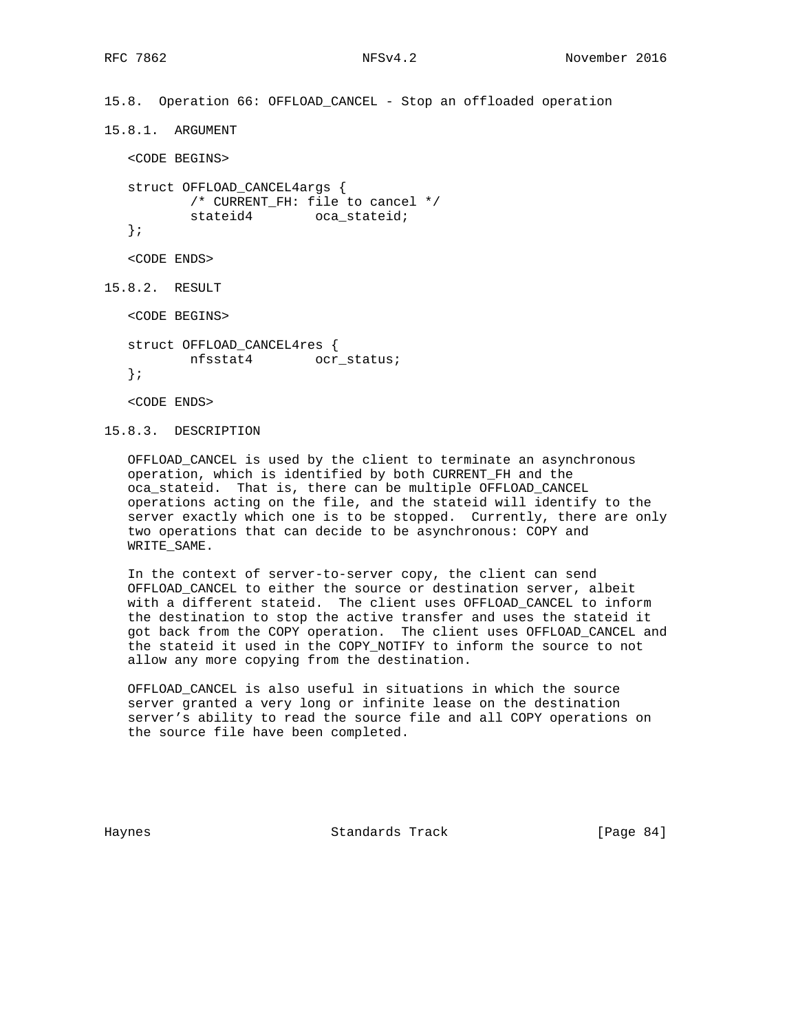15.8. Operation 66: OFFLOAD\_CANCEL - Stop an offloaded operation

15.8.1. ARGUMENT

<CODE BEGINS>

 struct OFFLOAD\_CANCEL4args { /\* CURRENT\_FH: file to cancel \*/ stateid4 oca\_stateid;

};

<CODE ENDS>

15.8.2. RESULT

<CODE BEGINS>

 struct OFFLOAD\_CANCEL4res { nfsstat4 ocr\_status; };

<CODE ENDS>

15.8.3. DESCRIPTION

 OFFLOAD\_CANCEL is used by the client to terminate an asynchronous operation, which is identified by both CURRENT\_FH and the oca stateid. That is, there can be multiple OFFLOAD CANCEL operations acting on the file, and the stateid will identify to the server exactly which one is to be stopped. Currently, there are only two operations that can decide to be asynchronous: COPY and WRITE\_SAME.

 In the context of server-to-server copy, the client can send OFFLOAD\_CANCEL to either the source or destination server, albeit with a different stateid. The client uses OFFLOAD\_CANCEL to inform the destination to stop the active transfer and uses the stateid it got back from the COPY operation. The client uses OFFLOAD\_CANCEL and the stateid it used in the COPY\_NOTIFY to inform the source to not allow any more copying from the destination.

 OFFLOAD\_CANCEL is also useful in situations in which the source server granted a very long or infinite lease on the destination server's ability to read the source file and all COPY operations on the source file have been completed.

Haynes **Example 2018** Standards Track **Example 2018** [Page 84]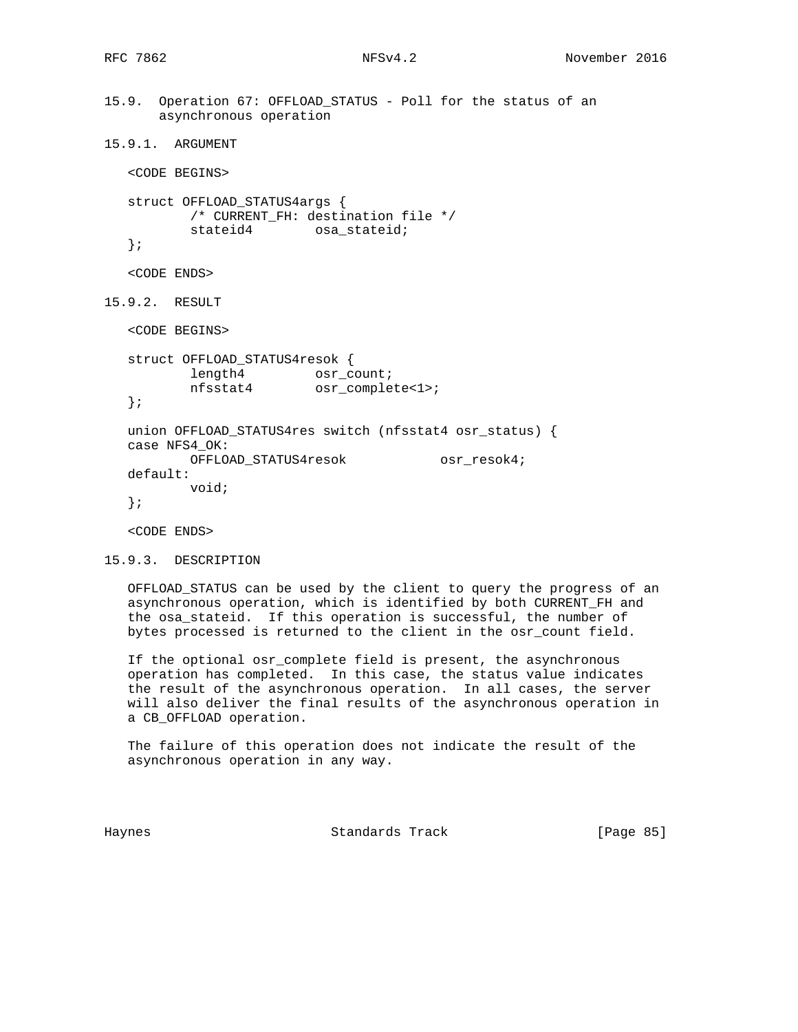```
15.9. Operation 67: OFFLOAD_STATUS - Poll for the status of an
       asynchronous operation
```

```
15.9.1. ARGUMENT
```
<CODE BEGINS>

```
 struct OFFLOAD_STATUS4args {
        /* CURRENT_FH: destination file */
       stateid4 osa_stateid;
 };
```

```
 <CODE ENDS>
```

```
15.9.2. RESULT
```
<CODE BEGINS>

```
 struct OFFLOAD_STATUS4resok {
length4 osr_count;
 nfsstat4 osr_complete<1>;
```

```
 };
```

```
 union OFFLOAD_STATUS4res switch (nfsstat4 osr_status) {
 case NFS4_OK:
        OFFLOAD_STATUS4resok osr_resok4;
 default:
        void;
 };
```
<CODE ENDS>

```
15.9.3. DESCRIPTION
```
 OFFLOAD\_STATUS can be used by the client to query the progress of an asynchronous operation, which is identified by both CURRENT\_FH and the osa\_stateid. If this operation is successful, the number of bytes processed is returned to the client in the osr\_count field.

 If the optional osr\_complete field is present, the asynchronous operation has completed. In this case, the status value indicates the result of the asynchronous operation. In all cases, the server will also deliver the final results of the asynchronous operation in a CB\_OFFLOAD operation.

 The failure of this operation does not indicate the result of the asynchronous operation in any way.

Haynes Standards Track [Page 85]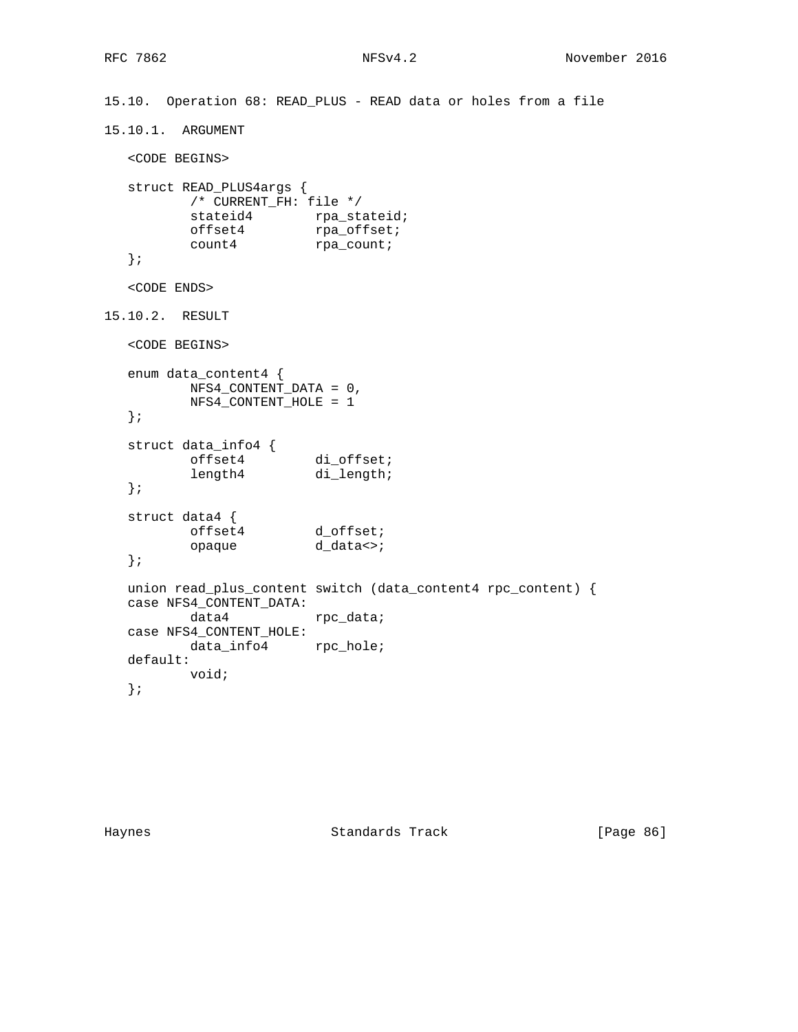```
15.10. Operation 68: READ_PLUS - READ data or holes from a file
15.10.1. ARGUMENT
   <CODE BEGINS>
   struct READ_PLUS4args {
         /* CURRENT_FH: file */
stateid4 rpa_stateid;
offset4 rpa_offset;
count4 rpa_count;
   };
   <CODE ENDS>
15.10.2. RESULT
   <CODE BEGINS>
   enum data_content4 {
          NFS4_CONTENT_DATA = 0,
          NFS4_CONTENT_HOLE = 1
   };
   struct data_info4 {
offset4 di_offset;
length4 di_length;
   };
   struct data4 {
                d_offset;<br>d_data<>;
          opaque d_data<>;
   };
  union read_plus_content switch (data_content4 rpc_content) {
   case NFS4_CONTENT_DATA:
         data4 rpc_data;
   case NFS4_CONTENT_HOLE:
         data_info4 rpc_hole;
   default:
          void;
   };
```
Haynes **Example 2018** Standards Track **Example 2018** [Page 86]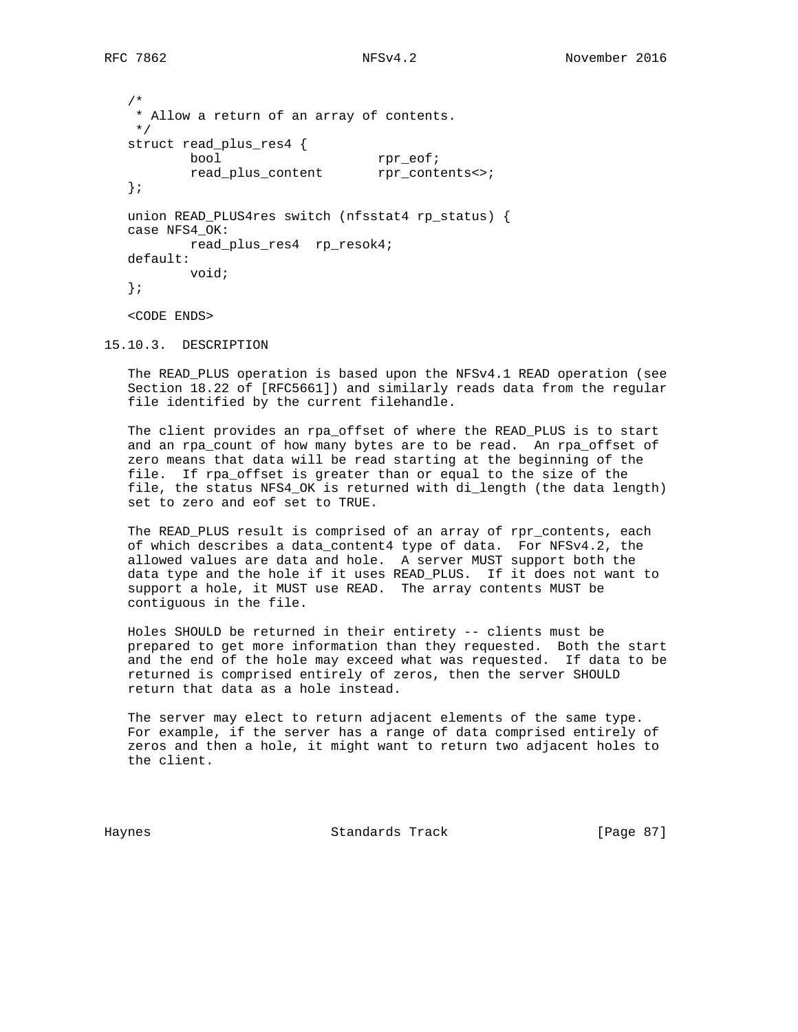```
 /*
 * Allow a return of an array of contents.
 */
 struct read_plus_res4 {
       bool rpr_eof;
        read_plus_content rpr_contents<>;
 };
 union READ_PLUS4res switch (nfsstat4 rp_status) {
 case NFS4_OK:
        read_plus_res4 rp_resok4;
 default:
        void;
 };
 <CODE ENDS>
```
15.10.3. DESCRIPTION

 The READ\_PLUS operation is based upon the NFSv4.1 READ operation (see Section 18.22 of [RFC5661]) and similarly reads data from the regular file identified by the current filehandle.

 The client provides an rpa\_offset of where the READ\_PLUS is to start and an rpa\_count of how many bytes are to be read. An rpa\_offset of zero means that data will be read starting at the beginning of the file. If rpa\_offset is greater than or equal to the size of the file, the status NFS4\_OK is returned with di\_length (the data length) set to zero and eof set to TRUE.

 The READ\_PLUS result is comprised of an array of rpr\_contents, each of which describes a data\_content4 type of data. For NFSv4.2, the allowed values are data and hole. A server MUST support both the data type and the hole if it uses READ\_PLUS. If it does not want to support a hole, it MUST use READ. The array contents MUST be contiguous in the file.

 Holes SHOULD be returned in their entirety -- clients must be prepared to get more information than they requested. Both the start and the end of the hole may exceed what was requested. If data to be returned is comprised entirely of zeros, then the server SHOULD return that data as a hole instead.

 The server may elect to return adjacent elements of the same type. For example, if the server has a range of data comprised entirely of zeros and then a hole, it might want to return two adjacent holes to the client.

Haynes Standards Track [Page 87]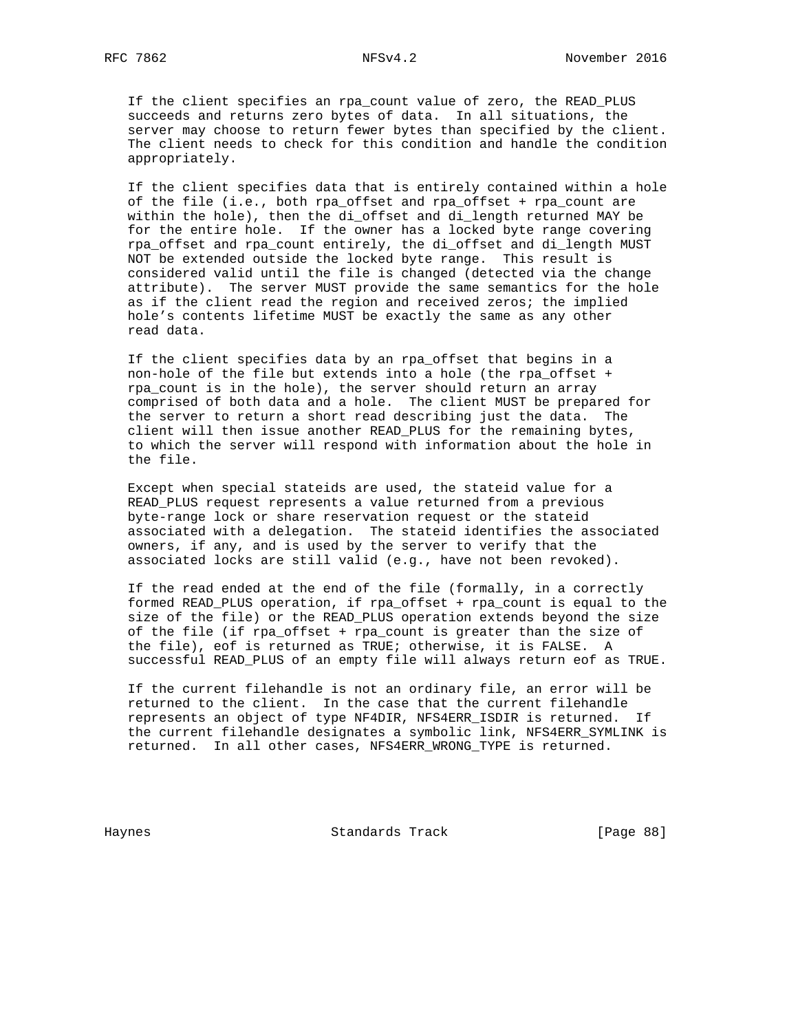If the client specifies an rpa\_count value of zero, the READ\_PLUS succeeds and returns zero bytes of data. In all situations, the server may choose to return fewer bytes than specified by the client. The client needs to check for this condition and handle the condition appropriately.

 If the client specifies data that is entirely contained within a hole of the file (i.e., both rpa\_offset and rpa\_offset + rpa\_count are within the hole), then the di\_offset and di\_length returned MAY be for the entire hole. If the owner has a locked byte range covering rpa\_offset and rpa\_count entirely, the di\_offset and di\_length MUST NOT be extended outside the locked byte range. This result is considered valid until the file is changed (detected via the change attribute). The server MUST provide the same semantics for the hole as if the client read the region and received zeros; the implied hole's contents lifetime MUST be exactly the same as any other read data.

 If the client specifies data by an rpa\_offset that begins in a non-hole of the file but extends into a hole (the rpa\_offset + rpa\_count is in the hole), the server should return an array comprised of both data and a hole. The client MUST be prepared for the server to return a short read describing just the data. The client will then issue another READ\_PLUS for the remaining bytes, to which the server will respond with information about the hole in the file.

 Except when special stateids are used, the stateid value for a READ\_PLUS request represents a value returned from a previous byte-range lock or share reservation request or the stateid associated with a delegation. The stateid identifies the associated owners, if any, and is used by the server to verify that the associated locks are still valid (e.g., have not been revoked).

 If the read ended at the end of the file (formally, in a correctly formed READ\_PLUS operation, if rpa\_offset + rpa\_count is equal to the size of the file) or the READ\_PLUS operation extends beyond the size of the file (if rpa\_offset + rpa\_count is greater than the size of the file), eof is returned as TRUE; otherwise, it is FALSE. A successful READ\_PLUS of an empty file will always return eof as TRUE.

 If the current filehandle is not an ordinary file, an error will be returned to the client. In the case that the current filehandle represents an object of type NF4DIR, NFS4ERR\_ISDIR is returned. If the current filehandle designates a symbolic link, NFS4ERR\_SYMLINK is returned. In all other cases, NFS4ERR\_WRONG\_TYPE is returned.

Haynes **Example 28 Standards Track** [Page 88]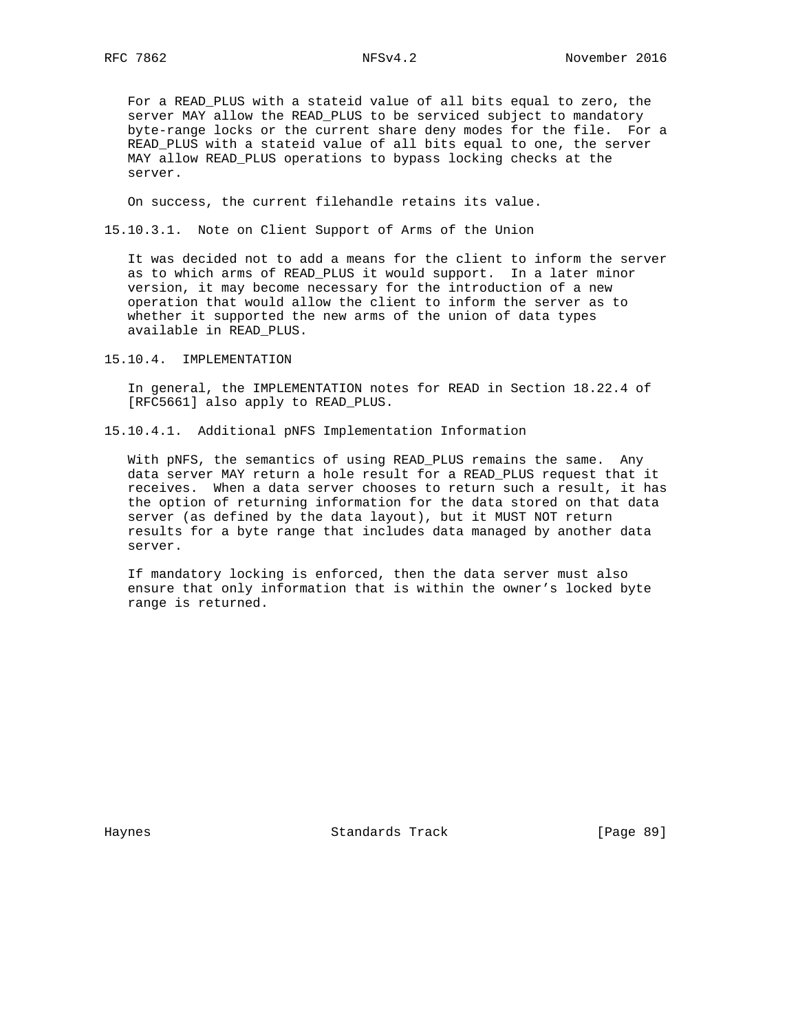For a READ\_PLUS with a stateid value of all bits equal to zero, the server MAY allow the READ\_PLUS to be serviced subject to mandatory byte-range locks or the current share deny modes for the file. For a READ\_PLUS with a stateid value of all bits equal to one, the server MAY allow READ\_PLUS operations to bypass locking checks at the server.

On success, the current filehandle retains its value.

15.10.3.1. Note on Client Support of Arms of the Union

 It was decided not to add a means for the client to inform the server as to which arms of READ\_PLUS it would support. In a later minor version, it may become necessary for the introduction of a new operation that would allow the client to inform the server as to whether it supported the new arms of the union of data types available in READ\_PLUS.

15.10.4. IMPLEMENTATION

 In general, the IMPLEMENTATION notes for READ in Section 18.22.4 of [RFC5661] also apply to READ\_PLUS.

15.10.4.1. Additional pNFS Implementation Information

 With pNFS, the semantics of using READ\_PLUS remains the same. Any data server MAY return a hole result for a READ\_PLUS request that it receives. When a data server chooses to return such a result, it has the option of returning information for the data stored on that data server (as defined by the data layout), but it MUST NOT return results for a byte range that includes data managed by another data server.

 If mandatory locking is enforced, then the data server must also ensure that only information that is within the owner's locked byte range is returned.

Haynes **Example 2018** Standards Track **Example 2018** [Page 89]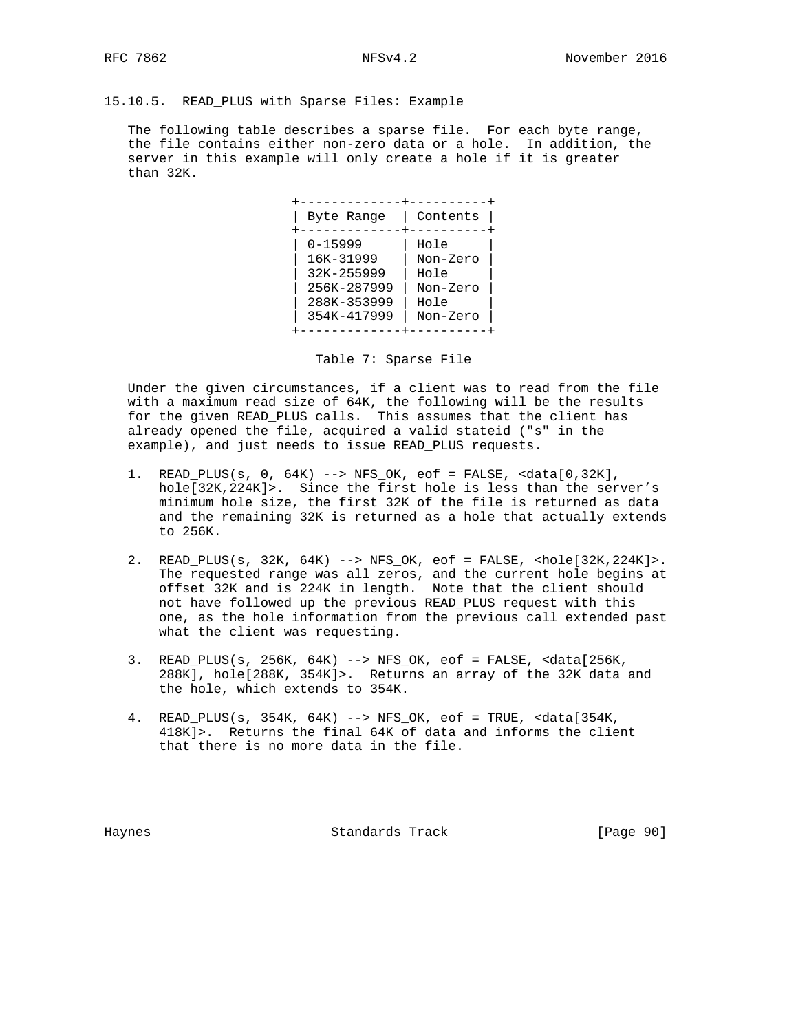15.10.5. READ\_PLUS with Sparse Files: Example

 The following table describes a sparse file. For each byte range, the file contains either non-zero data or a hole. In addition, the server in this example will only create a hole if it is greater than 32K.

 +-------------+----------+ | Byte Range | Contents | +-------------+----------+ | 0-15999 | Hole | | 16K-31999 | Non-Zero |  $| 32K-255999$   $| Hole$  | 256K-287999 | Non-Zero | | 288K-353999 | Hole | | 354K-417999 | Non-Zero | +-------------+----------+

Table 7: Sparse File

 Under the given circumstances, if a client was to read from the file with a maximum read size of 64K, the following will be the results for the given READ\_PLUS calls. This assumes that the client has already opened the file, acquired a valid stateid ("s" in the example), and just needs to issue READ\_PLUS requests.

- 1. READ\_PLUS(s, 0, 64K) --> NFS\_OK, eof = FALSE, <data[0,32K], hole[32K,224K]>. Since the first hole is less than the server's minimum hole size, the first 32K of the file is returned as data and the remaining 32K is returned as a hole that actually extends to 256K.
- 2. READ\_PLUS(s, 32K, 64K) --> NFS\_OK, eof = FALSE, <hole[32K,224K]>. The requested range was all zeros, and the current hole begins at offset 32K and is 224K in length. Note that the client should not have followed up the previous READ\_PLUS request with this one, as the hole information from the previous call extended past what the client was requesting.
- 3. READ\_PLUS(s, 256K, 64K) --> NFS\_OK, eof = FALSE, <data[256K, 288K], hole[288K, 354K]>. Returns an array of the 32K data and the hole, which extends to 354K.
- 4. READ\_PLUS(s, 354K, 64K) --> NFS\_OK, eof = TRUE, <data[354K, 418K]>. Returns the final 64K of data and informs the client that there is no more data in the file.

Haynes Standards Track [Page 90]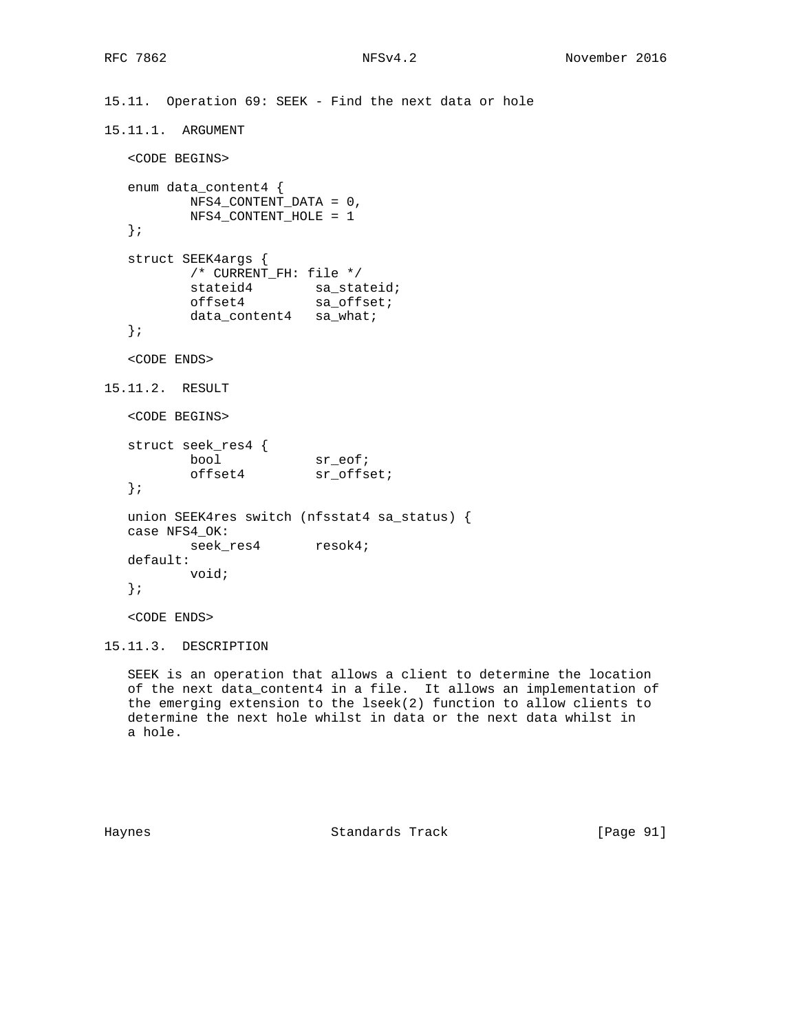```
15.11.1. ARGUMENT
   <CODE BEGINS>
   enum data_content4 {
    NFS4_CONTENT_DATA = 0,
         NFS4_CONTENT_HOLE = 1
   };
   struct SEEK4args {
          /* CURRENT_FH: file */
stateid4 sa_stateid;
offset4 sa_offset;
          data_content4 sa_what;
   };
   <CODE ENDS>
15.11.2. RESULT
   <CODE BEGINS>
 struct seek_res4 {
bool sr_eof;
offset4 sr_offset;
   };
   union SEEK4res switch (nfsstat4 sa_status) {
   case NFS4_OK:
         seek_res4 resok4;
   default:
          void;
   };
```
15.11. Operation 69: SEEK - Find the next data or hole

<CODE ENDS>

```
15.11.3. DESCRIPTION
```
 SEEK is an operation that allows a client to determine the location of the next data\_content4 in a file. It allows an implementation of the emerging extension to the lseek(2) function to allow clients to determine the next hole whilst in data or the next data whilst in a hole.

Haynes **Example 18** Standards Track **Example 2014** [Page 91]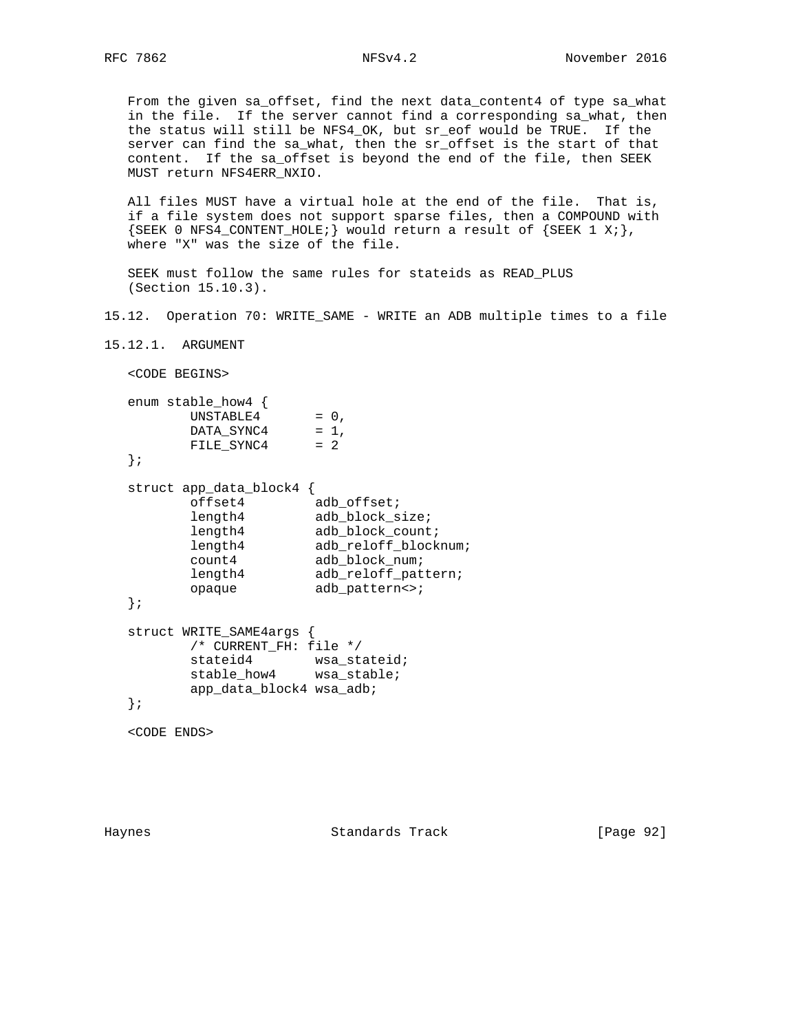From the given sa\_offset, find the next data\_content4 of type sa\_what in the file. If the server cannot find a corresponding sa\_what, then the status will still be NFS4\_OK, but sr\_eof would be TRUE. If the server can find the sa\_what, then the sr\_offset is the start of that content. If the sa\_offset is beyond the end of the file, then SEEK MUST return NFS4ERR\_NXIO.

 All files MUST have a virtual hole at the end of the file. That is, if a file system does not support sparse files, then a COMPOUND with  ${SEEK}$  0 NFS4\_CONTENT\_HOLE; would return a result of  ${SEEK}$  1 X; }, where "X" was the size of the file.

 SEEK must follow the same rules for stateids as READ\_PLUS (Section 15.10.3).

15.12. Operation 70: WRITE\_SAME - WRITE an ADB multiple times to a file

15.12.1. ARGUMENT

<CODE BEGINS>

```
 enum stable_how4 {
UNSTABLE4 = 0,DATA\_SYNC4 = 1,
 FILE_SYNC4 = 2
  };
  struct app_data_block4 {
offset4 adb_offset;
length4 adb_block_size;
length4 adb_block_count;
```
length4 adb\_reloff\_blocknum; count4 adb\_block\_num; length4 adb\_reloff\_pattern; opaque adb\_pattern<>; };

```
 struct WRITE_SAME4args {
         /* CURRENT_FH: file */
stateid4 wsa_stateid;
stable_how4 wsa_stable;
         app_data_block4 wsa_adb;
   };
```
<CODE ENDS>

Haynes Standards Track [Page 92]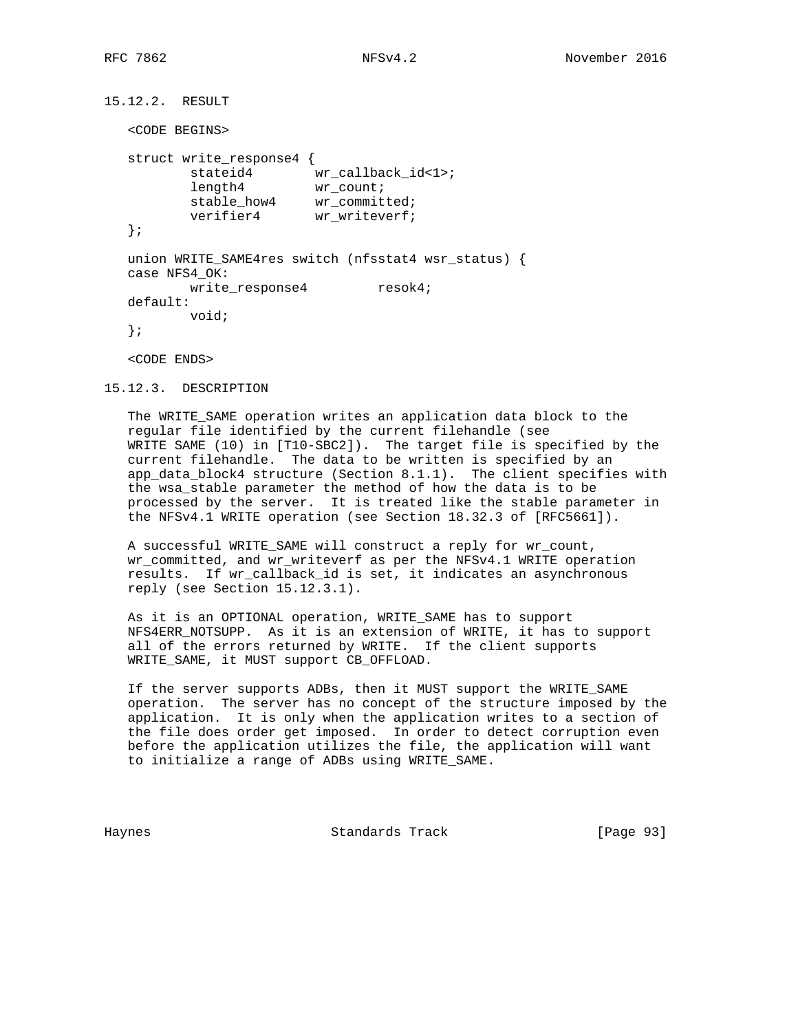```
15.12.2. RESULT
   <CODE BEGINS>
   struct write_response4 {
         stateid4 wr\_callback_id<1>;
length4 wr_count;
stable_how4 wr_committed;
verifier4 wr_writeverf;
   };
   union WRITE_SAME4res switch (nfsstat4 wsr_status) {
   case NFS4_OK:
      write_response4 resok4;
   default:
          void;
   };
   <CODE ENDS>
```

```
15.12.3. DESCRIPTION
```
 The WRITE\_SAME operation writes an application data block to the regular file identified by the current filehandle (see WRITE SAME (10) in [T10-SBC2]). The target file is specified by the current filehandle. The data to be written is specified by an app\_data\_block4 structure (Section 8.1.1). The client specifies with the wsa\_stable parameter the method of how the data is to be processed by the server. It is treated like the stable parameter in the NFSv4.1 WRITE operation (see Section 18.32.3 of [RFC5661]).

 A successful WRITE\_SAME will construct a reply for wr\_count, wr\_committed, and wr\_writeverf as per the NFSv4.1 WRITE operation results. If wr\_callback\_id is set, it indicates an asynchronous reply (see Section 15.12.3.1).

 As it is an OPTIONAL operation, WRITE\_SAME has to support NFS4ERR\_NOTSUPP. As it is an extension of WRITE, it has to support all of the errors returned by WRITE. If the client supports WRITE\_SAME, it MUST support CB\_OFFLOAD.

 If the server supports ADBs, then it MUST support the WRITE\_SAME operation. The server has no concept of the structure imposed by the application. It is only when the application writes to a section of the file does order get imposed. In order to detect corruption even before the application utilizes the file, the application will want to initialize a range of ADBs using WRITE\_SAME.

Haynes Standards Track [Page 93]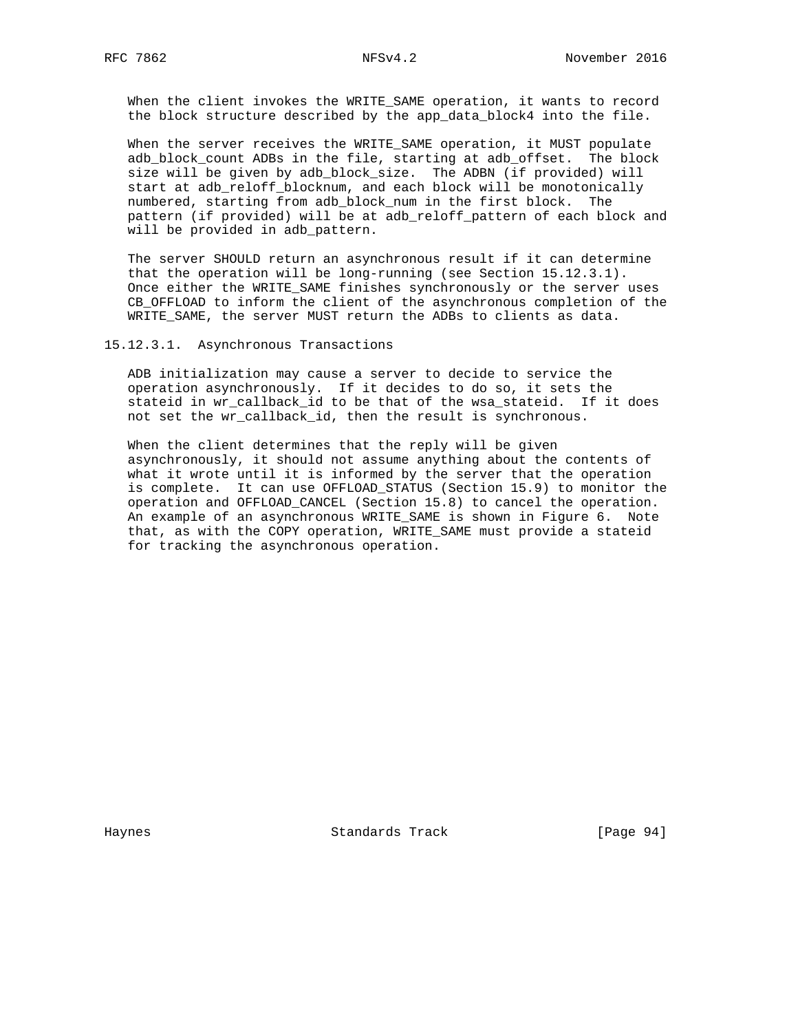When the client invokes the WRITE\_SAME operation, it wants to record the block structure described by the app\_data\_block4 into the file.

 When the server receives the WRITE\_SAME operation, it MUST populate adb\_block\_count ADBs in the file, starting at adb\_offset. The block size will be given by adb\_block\_size. The ADBN (if provided) will start at adb\_reloff\_blocknum, and each block will be monotonically numbered, starting from adb\_block\_num in the first block. The pattern (if provided) will be at adb\_reloff\_pattern of each block and will be provided in adb pattern.

 The server SHOULD return an asynchronous result if it can determine that the operation will be long-running (see Section 15.12.3.1). Once either the WRITE\_SAME finishes synchronously or the server uses CB\_OFFLOAD to inform the client of the asynchronous completion of the WRITE\_SAME, the server MUST return the ADBs to clients as data.

15.12.3.1. Asynchronous Transactions

 ADB initialization may cause a server to decide to service the operation asynchronously. If it decides to do so, it sets the stateid in wr\_callback\_id to be that of the wsa\_stateid. If it does not set the wr\_callback\_id, then the result is synchronous.

When the client determines that the reply will be given asynchronously, it should not assume anything about the contents of what it wrote until it is informed by the server that the operation is complete. It can use OFFLOAD\_STATUS (Section 15.9) to monitor the operation and OFFLOAD\_CANCEL (Section 15.8) to cancel the operation. An example of an asynchronous WRITE\_SAME is shown in Figure 6. Note that, as with the COPY operation, WRITE\_SAME must provide a stateid for tracking the asynchronous operation.

Haynes **Standards Track** [Page 94]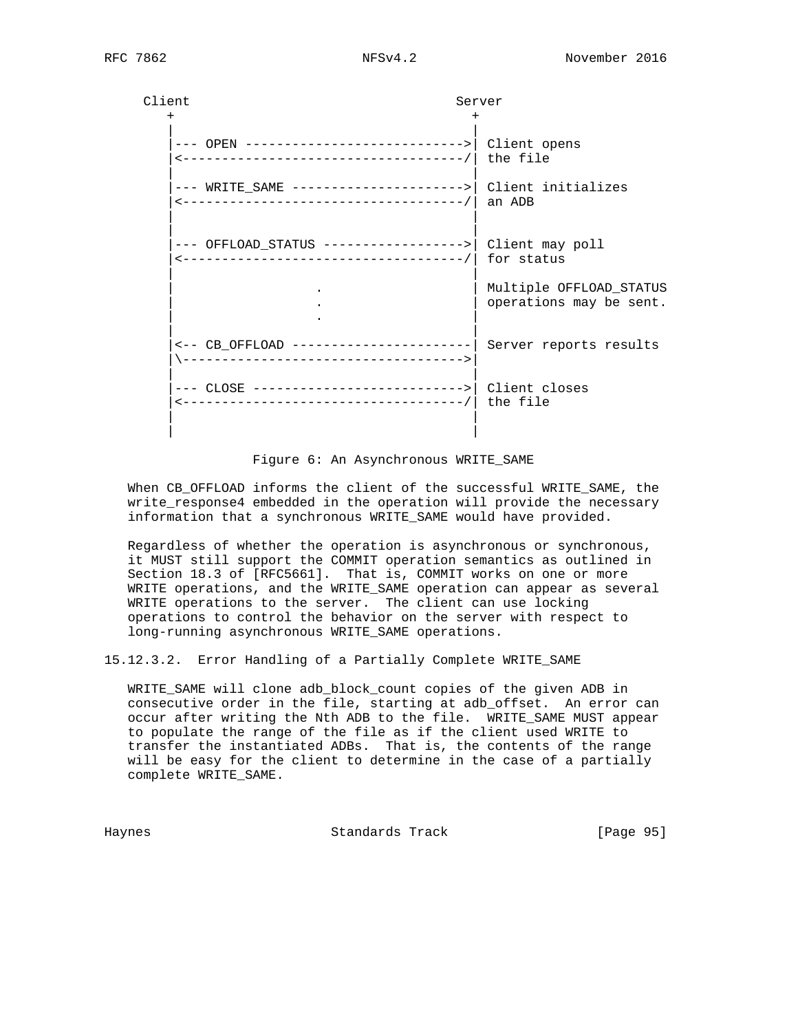Client Server  $+$  +  $+$  +  $+$  +  $+$  +  $+$  +  $+$  +  $+$  +  $+$  +  $+$  +  $+$  +  $+$  +  $+$  +  $+$  +  $+$  +  $+$  +  $+$  +  $+$  +  $+$  +  $+$  +  $+$  +  $+$  +  $+$  +  $+$  +  $+$  +  $+$  +  $+$  +  $+$  +  $+$  +  $+$  +  $+$  +  $+$  +  $+$  +  $+$  +  $+$  +  $+$  +  $+$  +  $+$  + | | |--- OPEN ---------------------------->| Client opens |<------------------------------------/| the file | | |--- WRITE\_SAME ---------------------->| Client initializes |<------------------------------------/| an ADB | | | | |--- OFFLOAD\_STATUS ------------------>| Client may poll |<------------------------------------/| for status | | Multiple OFFLOAD\_STATUS operations may be sent. | . | | | |<-- CB\_OFFLOAD -----------------------| Server reports results |\------------------------------------>| | | |--- CLOSE --------------------------->| Client closes |<------------------------------------/| the file | | | |

### Figure 6: An Asynchronous WRITE\_SAME

 When CB\_OFFLOAD informs the client of the successful WRITE\_SAME, the write\_response4 embedded in the operation will provide the necessary information that a synchronous WRITE\_SAME would have provided.

 Regardless of whether the operation is asynchronous or synchronous, it MUST still support the COMMIT operation semantics as outlined in Section 18.3 of [RFC5661]. That is, COMMIT works on one or more WRITE operations, and the WRITE\_SAME operation can appear as several WRITE operations to the server. The client can use locking operations to control the behavior on the server with respect to long-running asynchronous WRITE\_SAME operations.

15.12.3.2. Error Handling of a Partially Complete WRITE\_SAME

 WRITE\_SAME will clone adb\_block\_count copies of the given ADB in consecutive order in the file, starting at adb\_offset. An error can occur after writing the Nth ADB to the file. WRITE\_SAME MUST appear to populate the range of the file as if the client used WRITE to transfer the instantiated ADBs. That is, the contents of the range will be easy for the client to determine in the case of a partially complete WRITE\_SAME.

Haynes Standards Track [Page 95]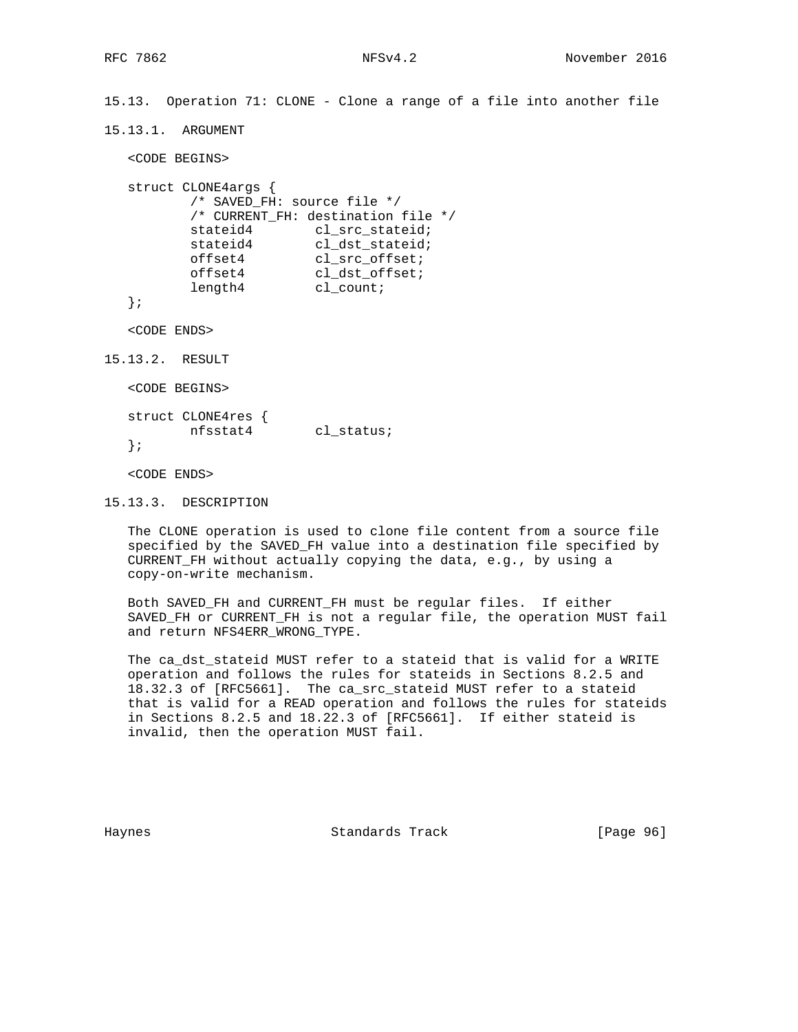15.13. Operation 71: CLONE - Clone a range of a file into another file

15.13.1. ARGUMENT

<CODE BEGINS>

```
 struct CLONE4args {
        /* SAVED_FH: source file */
        /* CURRENT_FH: destination file */
stateid4 cl_src_stateid;
stateid4 cl_dst_stateid;
offset4 cl_src_offset;
offset4 cl_dst_offset;
length4 cl_count;
```
};

<CODE ENDS>

15.13.2. RESULT

<CODE BEGINS>

 struct CLONE4res { nfsstat4 cl\_status; };

<CODE ENDS>

15.13.3. DESCRIPTION

 The CLONE operation is used to clone file content from a source file specified by the SAVED\_FH value into a destination file specified by CURRENT\_FH without actually copying the data, e.g., by using a copy-on-write mechanism.

 Both SAVED\_FH and CURRENT\_FH must be regular files. If either SAVED\_FH or CURRENT\_FH is not a regular file, the operation MUST fail and return NFS4ERR\_WRONG\_TYPE.

 The ca\_dst\_stateid MUST refer to a stateid that is valid for a WRITE operation and follows the rules for stateids in Sections 8.2.5 and 18.32.3 of [RFC5661]. The ca\_src\_stateid MUST refer to a stateid that is valid for a READ operation and follows the rules for stateids in Sections 8.2.5 and 18.22.3 of [RFC5661]. If either stateid is invalid, then the operation MUST fail.

Haynes Standards Track [Page 96]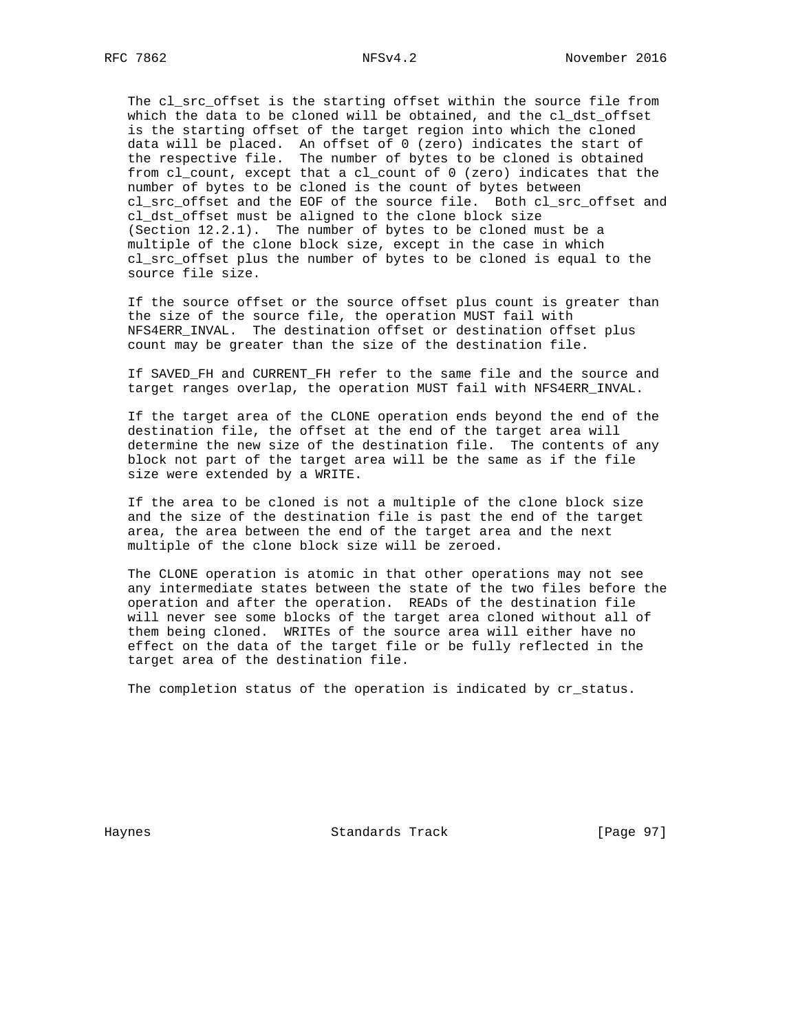The cl\_src\_offset is the starting offset within the source file from which the data to be cloned will be obtained, and the cl\_dst\_offset is the starting offset of the target region into which the cloned data will be placed. An offset of 0 (zero) indicates the start of the respective file. The number of bytes to be cloned is obtained from cl\_count, except that a cl\_count of 0 (zero) indicates that the number of bytes to be cloned is the count of bytes between cl\_src\_offset and the EOF of the source file. Both cl\_src\_offset and cl\_dst\_offset must be aligned to the clone block size (Section 12.2.1). The number of bytes to be cloned must be a multiple of the clone block size, except in the case in which cl\_src\_offset plus the number of bytes to be cloned is equal to the source file size.

 If the source offset or the source offset plus count is greater than the size of the source file, the operation MUST fail with NFS4ERR\_INVAL. The destination offset or destination offset plus count may be greater than the size of the destination file.

 If SAVED\_FH and CURRENT\_FH refer to the same file and the source and target ranges overlap, the operation MUST fail with NFS4ERR\_INVAL.

 If the target area of the CLONE operation ends beyond the end of the destination file, the offset at the end of the target area will determine the new size of the destination file. The contents of any block not part of the target area will be the same as if the file size were extended by a WRITE.

 If the area to be cloned is not a multiple of the clone block size and the size of the destination file is past the end of the target area, the area between the end of the target area and the next multiple of the clone block size will be zeroed.

 The CLONE operation is atomic in that other operations may not see any intermediate states between the state of the two files before the operation and after the operation. READs of the destination file will never see some blocks of the target area cloned without all of them being cloned. WRITEs of the source area will either have no effect on the data of the target file or be fully reflected in the target area of the destination file.

The completion status of the operation is indicated by cr\_status.

Haynes **Example 2018** Standards Track **Example 2018** [Page 97]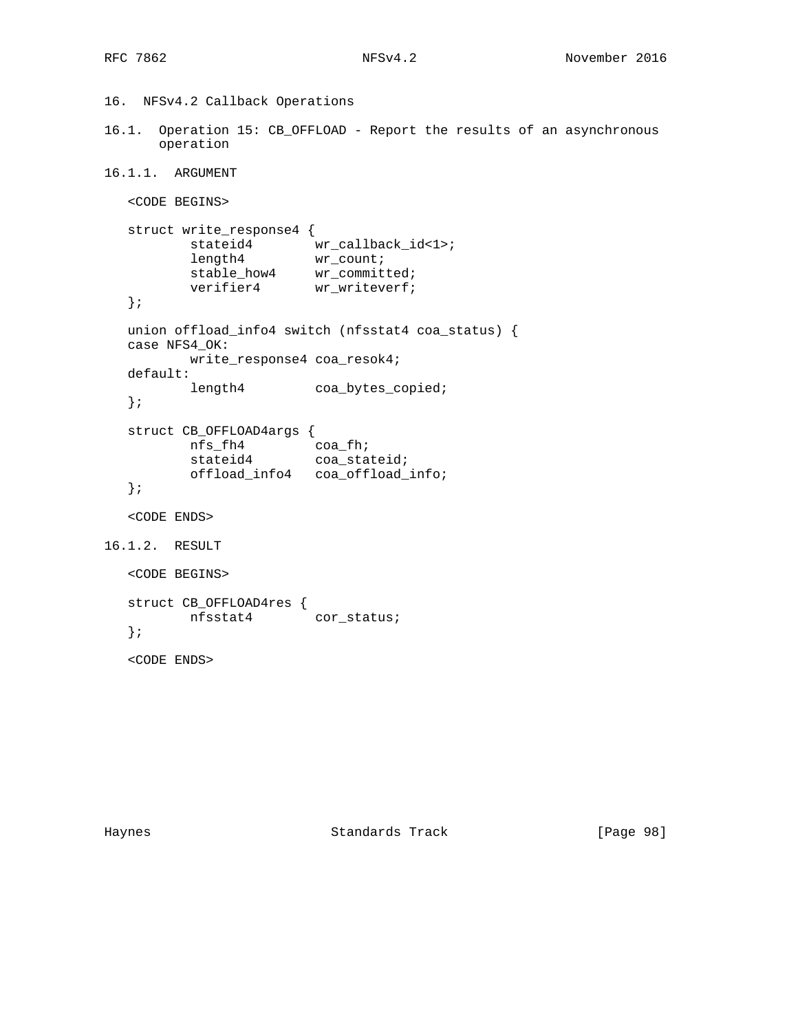```
16. NFSv4.2 Callback Operations
16.1. Operation 15: CB_OFFLOAD - Report the results of an asynchronous
      operation
16.1.1. ARGUMENT
   <CODE BEGINS>
   struct write_response4 {
stateid4 wr\_callback\_id < 1length4 wr_count;
stable_how4 wr_committed;
verifier4 wr_writeverf;
   };
   union offload_info4 switch (nfsstat4 coa_status) {
   case NFS4_OK:
          write_response4 coa_resok4;
   default:
         length4 coa_bytes_copied;
   };
   struct CB_OFFLOAD4args {
 nfs_fh4 coa_fh;
stateid4 coa_stateid;
 offload_info4 coa_offload_info;
   };
   <CODE ENDS>
16.1.2. RESULT
   <CODE BEGINS>
   struct CB_OFFLOAD4res {
         nfsstat4 cor_status;
   };
   <CODE ENDS>
```
Haynes **Example 2018** Standards Track **Example 2018** [Page 98]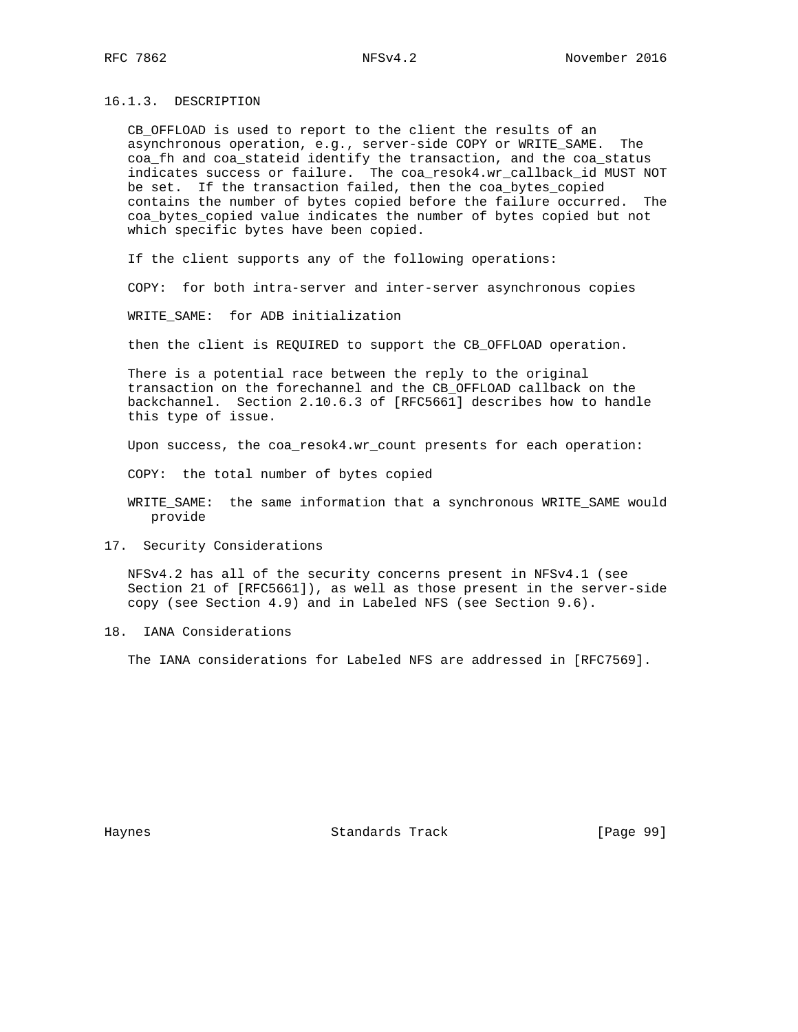16.1.3. DESCRIPTION

 CB\_OFFLOAD is used to report to the client the results of an asynchronous operation, e.g., server-side COPY or WRITE\_SAME. The coa\_fh and coa\_stateid identify the transaction, and the coa\_status indicates success or failure. The coa\_resok4.wr\_callback\_id MUST NOT be set. If the transaction failed, then the coa\_bytes\_copied contains the number of bytes copied before the failure occurred. The coa\_bytes\_copied value indicates the number of bytes copied but not which specific bytes have been copied.

If the client supports any of the following operations:

COPY: for both intra-server and inter-server asynchronous copies

WRITE SAME: for ADB initialization

then the client is REQUIRED to support the CB\_OFFLOAD operation.

 There is a potential race between the reply to the original transaction on the forechannel and the CB\_OFFLOAD callback on the backchannel. Section 2.10.6.3 of [RFC5661] describes how to handle this type of issue.

Upon success, the coa\_resok4.wr\_count presents for each operation:

COPY: the total number of bytes copied

 WRITE\_SAME: the same information that a synchronous WRITE\_SAME would provide

17. Security Considerations

 NFSv4.2 has all of the security concerns present in NFSv4.1 (see Section 21 of [RFC5661]), as well as those present in the server-side copy (see Section 4.9) and in Labeled NFS (see Section 9.6).

18. IANA Considerations

The IANA considerations for Labeled NFS are addressed in [RFC7569].

Haynes **Example 2018** Standards Track **Example 2018** [Page 99]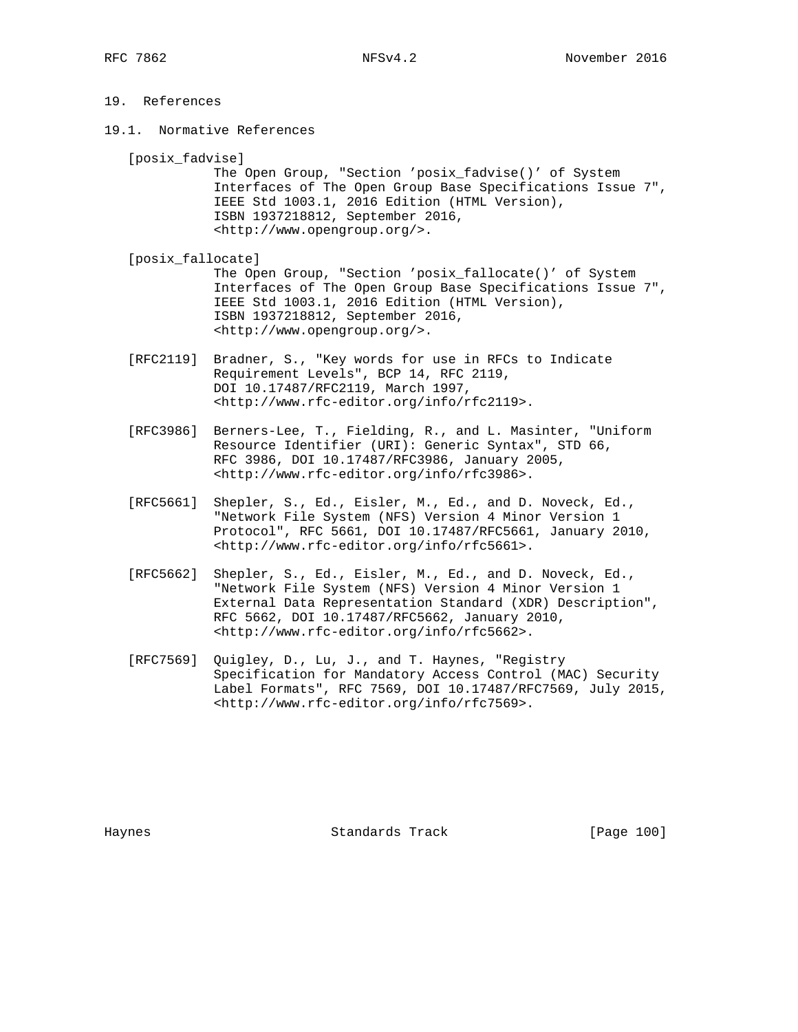# 19. References

19.1. Normative References

[posix\_fadvise]

 The Open Group, "Section 'posix\_fadvise()' of System Interfaces of The Open Group Base Specifications Issue 7", IEEE Std 1003.1, 2016 Edition (HTML Version), ISBN 1937218812, September 2016, <http://www.opengroup.org/>.

- [posix\_fallocate] The Open Group, "Section 'posix\_fallocate()' of System Interfaces of The Open Group Base Specifications Issue 7", IEEE Std 1003.1, 2016 Edition (HTML Version), ISBN 1937218812, September 2016, <http://www.opengroup.org/>.
- [RFC2119] Bradner, S., "Key words for use in RFCs to Indicate Requirement Levels", BCP 14, RFC 2119, DOI 10.17487/RFC2119, March 1997, <http://www.rfc-editor.org/info/rfc2119>.
- [RFC3986] Berners-Lee, T., Fielding, R., and L. Masinter, "Uniform Resource Identifier (URI): Generic Syntax", STD 66, RFC 3986, DOI 10.17487/RFC3986, January 2005, <http://www.rfc-editor.org/info/rfc3986>.
- [RFC5661] Shepler, S., Ed., Eisler, M., Ed., and D. Noveck, Ed., "Network File System (NFS) Version 4 Minor Version 1 Protocol", RFC 5661, DOI 10.17487/RFC5661, January 2010, <http://www.rfc-editor.org/info/rfc5661>.
- [RFC5662] Shepler, S., Ed., Eisler, M., Ed., and D. Noveck, Ed., "Network File System (NFS) Version 4 Minor Version 1 External Data Representation Standard (XDR) Description", RFC 5662, DOI 10.17487/RFC5662, January 2010, <http://www.rfc-editor.org/info/rfc5662>.
- [RFC7569] Quigley, D., Lu, J., and T. Haynes, "Registry Specification for Mandatory Access Control (MAC) Security Label Formats", RFC 7569, DOI 10.17487/RFC7569, July 2015, <http://www.rfc-editor.org/info/rfc7569>.

Haynes **Example 100** Standards Track **Example 100** [Page 100]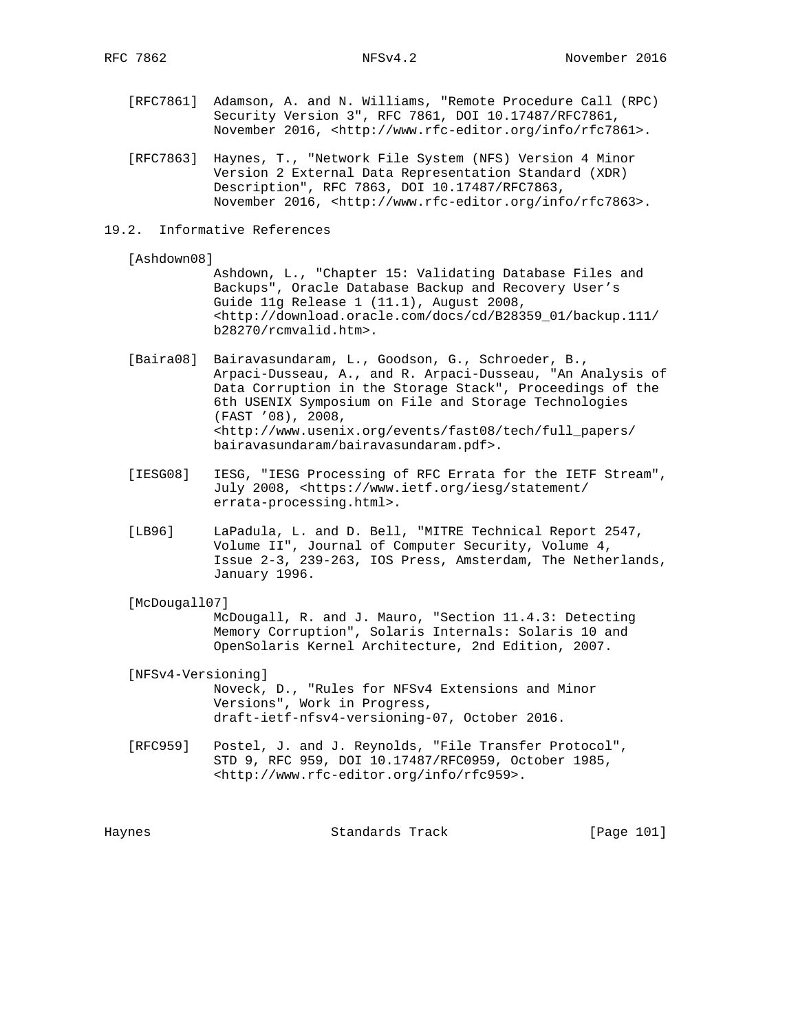- [RFC7861] Adamson, A. and N. Williams, "Remote Procedure Call (RPC) Security Version 3", RFC 7861, DOI 10.17487/RFC7861, November 2016, <http://www.rfc-editor.org/info/rfc7861>.
- [RFC7863] Haynes, T., "Network File System (NFS) Version 4 Minor Version 2 External Data Representation Standard (XDR) Description", RFC 7863, DOI 10.17487/RFC7863, November 2016, <http://www.rfc-editor.org/info/rfc7863>.
- 19.2. Informative References

[Ashdown08]

 Ashdown, L., "Chapter 15: Validating Database Files and Backups", Oracle Database Backup and Recovery User's Guide 11g Release 1 (11.1), August 2008, <http://download.oracle.com/docs/cd/B28359\_01/backup.111/ b28270/rcmvalid.htm>.

- [Baira08] Bairavasundaram, L., Goodson, G., Schroeder, B., Arpaci-Dusseau, A., and R. Arpaci-Dusseau, "An Analysis of Data Corruption in the Storage Stack", Proceedings of the 6th USENIX Symposium on File and Storage Technologies (FAST '08), 2008, <http://www.usenix.org/events/fast08/tech/full\_papers/ bairavasundaram/bairavasundaram.pdf>.
- [IESG08] IESG, "IESG Processing of RFC Errata for the IETF Stream", July 2008, <https://www.ietf.org/iesg/statement/ errata-processing.html>.
- [LB96] LaPadula, L. and D. Bell, "MITRE Technical Report 2547, Volume II", Journal of Computer Security, Volume 4, Issue 2-3, 239-263, IOS Press, Amsterdam, The Netherlands, January 1996.
- [McDougall07]

 McDougall, R. and J. Mauro, "Section 11.4.3: Detecting Memory Corruption", Solaris Internals: Solaris 10 and OpenSolaris Kernel Architecture, 2nd Edition, 2007.

 [NFSv4-Versioning] Noveck, D., "Rules for NFSv4 Extensions and Minor Versions", Work in Progress, draft-ietf-nfsv4-versioning-07, October 2016.

 [RFC959] Postel, J. and J. Reynolds, "File Transfer Protocol", STD 9, RFC 959, DOI 10.17487/RFC0959, October 1985, <http://www.rfc-editor.org/info/rfc959>.

Haynes Standards Track [Page 101]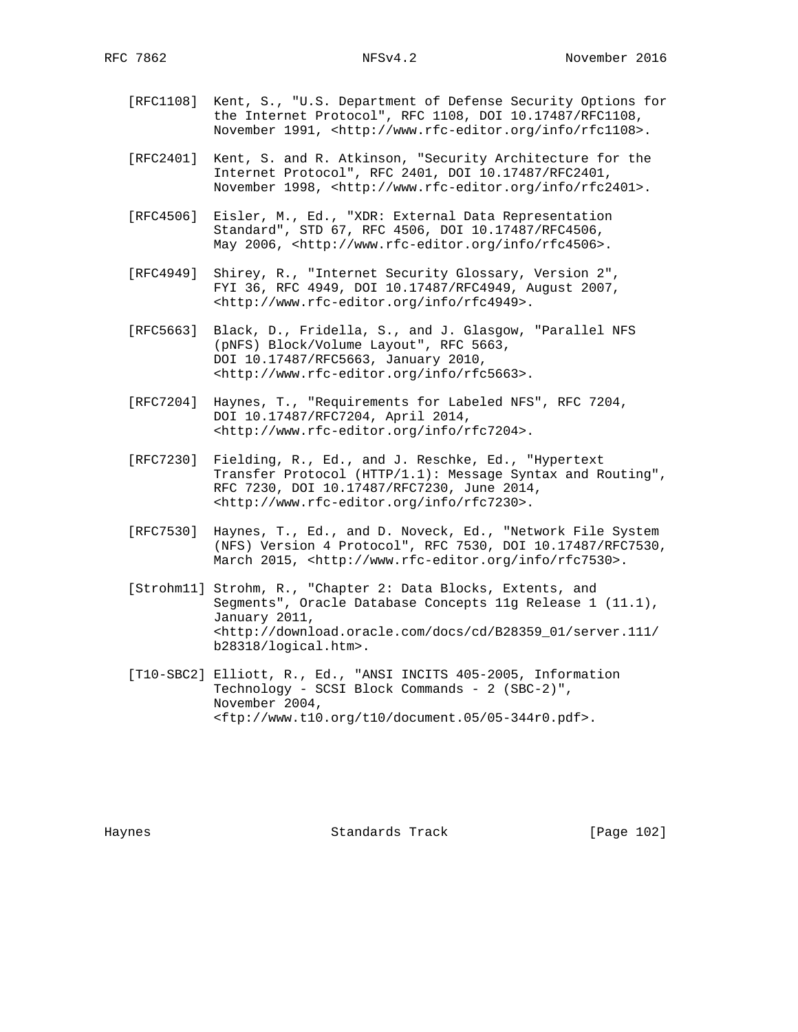- [RFC1108] Kent, S., "U.S. Department of Defense Security Options for the Internet Protocol", RFC 1108, DOI 10.17487/RFC1108, November 1991, <http://www.rfc-editor.org/info/rfc1108>.
- [RFC2401] Kent, S. and R. Atkinson, "Security Architecture for the Internet Protocol", RFC 2401, DOI 10.17487/RFC2401, November 1998, <http://www.rfc-editor.org/info/rfc2401>.
- [RFC4506] Eisler, M., Ed., "XDR: External Data Representation Standard", STD 67, RFC 4506, DOI 10.17487/RFC4506, May 2006, <http://www.rfc-editor.org/info/rfc4506>.
- [RFC4949] Shirey, R., "Internet Security Glossary, Version 2", FYI 36, RFC 4949, DOI 10.17487/RFC4949, August 2007, <http://www.rfc-editor.org/info/rfc4949>.
- [RFC5663] Black, D., Fridella, S., and J. Glasgow, "Parallel NFS (pNFS) Block/Volume Layout", RFC 5663, DOI 10.17487/RFC5663, January 2010, <http://www.rfc-editor.org/info/rfc5663>.
- [RFC7204] Haynes, T., "Requirements for Labeled NFS", RFC 7204, DOI 10.17487/RFC7204, April 2014, <http://www.rfc-editor.org/info/rfc7204>.
- [RFC7230] Fielding, R., Ed., and J. Reschke, Ed., "Hypertext Transfer Protocol (HTTP/1.1): Message Syntax and Routing", RFC 7230, DOI 10.17487/RFC7230, June 2014, <http://www.rfc-editor.org/info/rfc7230>.
- [RFC7530] Haynes, T., Ed., and D. Noveck, Ed., "Network File System (NFS) Version 4 Protocol", RFC 7530, DOI 10.17487/RFC7530, March 2015, <http://www.rfc-editor.org/info/rfc7530>.
- [Strohm11] Strohm, R., "Chapter 2: Data Blocks, Extents, and Segments", Oracle Database Concepts 11g Release 1 (11.1), January 2011, <http://download.oracle.com/docs/cd/B28359\_01/server.111/ b28318/logical.htm>.
- [T10-SBC2] Elliott, R., Ed., "ANSI INCITS 405-2005, Information Technology - SCSI Block Commands - 2 (SBC-2)", November 2004, <ftp://www.t10.org/t10/document.05/05-344r0.pdf>.

Haynes **Example 2018** Standards Track **Example 2018** [Page 102]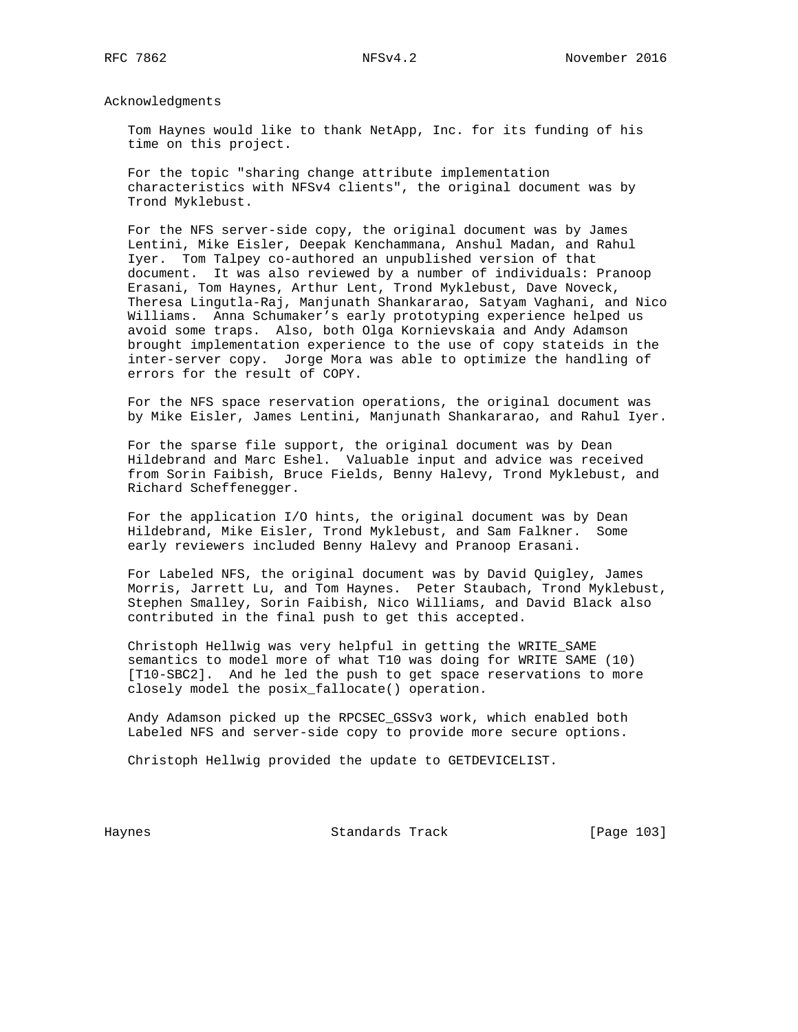Acknowledgments

 Tom Haynes would like to thank NetApp, Inc. for its funding of his time on this project.

 For the topic "sharing change attribute implementation characteristics with NFSv4 clients", the original document was by Trond Myklebust.

 For the NFS server-side copy, the original document was by James Lentini, Mike Eisler, Deepak Kenchammana, Anshul Madan, and Rahul Iyer. Tom Talpey co-authored an unpublished version of that document. It was also reviewed by a number of individuals: Pranoop Erasani, Tom Haynes, Arthur Lent, Trond Myklebust, Dave Noveck, Theresa Lingutla-Raj, Manjunath Shankararao, Satyam Vaghani, and Nico Williams. Anna Schumaker's early prototyping experience helped us avoid some traps. Also, both Olga Kornievskaia and Andy Adamson brought implementation experience to the use of copy stateids in the inter-server copy. Jorge Mora was able to optimize the handling of errors for the result of COPY.

 For the NFS space reservation operations, the original document was by Mike Eisler, James Lentini, Manjunath Shankararao, and Rahul Iyer.

 For the sparse file support, the original document was by Dean Hildebrand and Marc Eshel. Valuable input and advice was received from Sorin Faibish, Bruce Fields, Benny Halevy, Trond Myklebust, and Richard Scheffenegger.

 For the application I/O hints, the original document was by Dean Hildebrand, Mike Eisler, Trond Myklebust, and Sam Falkner. Some early reviewers included Benny Halevy and Pranoop Erasani.

 For Labeled NFS, the original document was by David Quigley, James Morris, Jarrett Lu, and Tom Haynes. Peter Staubach, Trond Myklebust, Stephen Smalley, Sorin Faibish, Nico Williams, and David Black also contributed in the final push to get this accepted.

 Christoph Hellwig was very helpful in getting the WRITE\_SAME semantics to model more of what T10 was doing for WRITE SAME (10) [T10-SBC2]. And he led the push to get space reservations to more closely model the posix\_fallocate() operation.

 Andy Adamson picked up the RPCSEC\_GSSv3 work, which enabled both Labeled NFS and server-side copy to provide more secure options.

Christoph Hellwig provided the update to GETDEVICELIST.

Haynes **Standards Track** [Page 103]